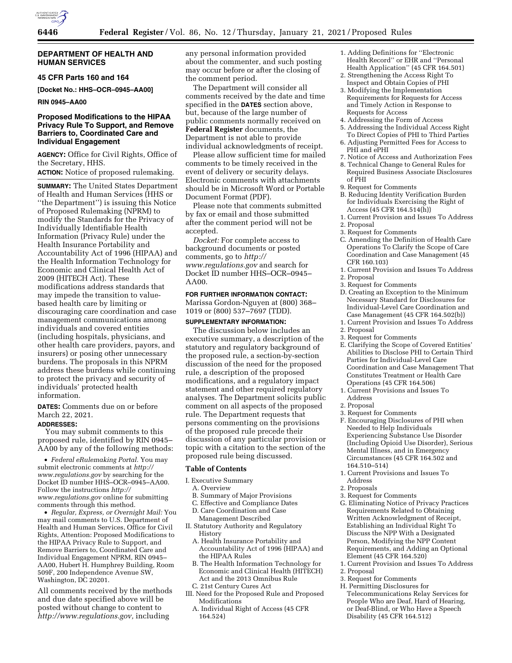

# **DEPARTMENT OF HEALTH AND HUMAN SERVICES**

## **45 CFR Parts 160 and 164**

**[Docket No.: HHS–OCR–0945–AA00]** 

**RIN 0945–AA00** 

# **Proposed Modifications to the HIPAA Privacy Rule To Support, and Remove Barriers to, Coordinated Care and Individual Engagement**

**AGENCY:** Office for Civil Rights, Office of the Secretary, HHS.

**ACTION:** Notice of proposed rulemaking.

**SUMMARY:** The United States Department of Health and Human Services (HHS or ''the Department'') is issuing this Notice of Proposed Rulemaking (NPRM) to modify the Standards for the Privacy of Individually Identifiable Health Information (Privacy Rule) under the Health Insurance Portability and Accountability Act of 1996 (HIPAA) and the Health Information Technology for Economic and Clinical Health Act of 2009 (HITECH Act). These modifications address standards that may impede the transition to valuebased health care by limiting or discouraging care coordination and case management communications among individuals and covered entities (including hospitals, physicians, and other health care providers, payors, and insurers) or posing other unnecessary burdens. The proposals in this NPRM address these burdens while continuing to protect the privacy and security of individuals' protected health information.

**DATES:** Comments due on or before March 22, 2021.

## **ADDRESSES:**

You may submit comments to this proposed rule, identified by RIN 0945– AA00 by any of the following methods:

• *Federal eRulemaking Portal.* You may submit electronic comments at *[http://](http://www.regulations.gov) [www.regulations.gov](http://www.regulations.gov)* by searching for the Docket ID number HHS–OCR–0945–AA00. Follow the instructions *[http://](http://www.regulations.gov) [www.regulations.gov](http://www.regulations.gov)* online for submitting comments through this method.

• *Regular, Express, or Overnight Mail:* You may mail comments to U.S. Department of Health and Human Services, Office for Civil Rights, Attention: Proposed Modifications to the HIPAA Privacy Rule to Support, and Remove Barriers to, Coordinated Care and Individual Engagement NPRM, RIN 0945– AA00, Hubert H. Humphrey Building, Room 509F, 200 Independence Avenue SW, Washington, DC 20201.

All comments received by the methods and due date specified above will be posted without change to content to *[http://www.regulations.gov,](http://www.regulations.gov)* including

any personal information provided about the commenter, and such posting may occur before or after the closing of the comment period.

The Department will consider all comments received by the date and time specified in the **DATES** section above, but, because of the large number of public comments normally received on **Federal Register** documents, the Department is not able to provide individual acknowledgments of receipt.

Please allow sufficient time for mailed comments to be timely received in the event of delivery or security delays. Electronic comments with attachments should be in Microsoft Word or Portable Document Format (PDF).

Please note that comments submitted by fax or email and those submitted after the comment period will not be accepted.

*Docket:* For complete access to background documents or posted comments, go to *[http://](http://www.regulations.gov) [www.regulations.gov](http://www.regulations.gov)* and search for Docket ID number HHS–OCR–0945–  $A A<sub>00</sub>$ 

**FOR FURTHER INFORMATION CONTACT:**  Marissa Gordon-Nguyen at (800) 368– 1019 or (800) 537–7697 (TDD).

#### **SUPPLEMENTARY INFORMATION:**

The discussion below includes an executive summary, a description of the statutory and regulatory background of the proposed rule, a section-by-section discussion of the need for the proposed rule, a description of the proposed modifications, and a regulatory impact statement and other required regulatory analyses. The Department solicits public comment on all aspects of the proposed rule. The Department requests that persons commenting on the provisions of the proposed rule precede their discussion of any particular provision or topic with a citation to the section of the proposed rule being discussed.

## **Table of Contents**

- I. Executive Summary
- A. Overview
- B. Summary of Major Provisions
- C. Effective and Compliance Dates
- D. Care Coordination and Case Management Described
- II. Statutory Authority and Regulatory History
	- A. Health Insurance Portability and Accountability Act of 1996 (HIPAA) and the HIPAA Rules
	- B. The Health Information Technology for Economic and Clinical Health (HITECH) Act and the 2013 Omnibus Rule C. 21st Century Cures Act
- III. Need for the Proposed Rule and Proposed Modifications
	- A. Individual Right of Access (45 CFR 164.524)
- 1. Adding Definitions for ''Electronic Health Record'' or EHR and ''Personal Health Application'' (45 CFR 164.501)
- 2. Strengthening the Access Right To Inspect and Obtain Copies of PHI
- 3. Modifying the Implementation Requirements for Requests for Access and Timely Action in Response to Requests for Access
- 4. Addressing the Form of Access
- 5. Addressing the Individual Access Right To Direct Copies of PHI to Third Parties
- 6. Adjusting Permitted Fees for Access to PHI and ePHI
- 7. Notice of Access and Authorization Fees
- 8. Technical Change to General Rules for Required Business Associate Disclosures of PHI
- 9. Request for Comments
- B. Reducing Identity Verification Burden for Individuals Exercising the Right of Access (45 CFR 164.514(h))
- 1. Current Provision and Issues To Address
- 2. Proposal
- 3. Request for Comments
- C. Amending the Definition of Health Care Operations To Clarify the Scope of Care Coordination and Case Management (45 CFR 160.103)
- 1. Current Provision and Issues To Address 2. Proposal
- 3. Request for Comments
- D. Creating an Exception to the Minimum Necessary Standard for Disclosures for Individual-Level Care Coordination and Case Management (45 CFR 164.502(b))
- 1. Current Provision and Issues To Address
- 2. Proposal
- 3. Request for Comments
- E. Clarifying the Scope of Covered Entities' Abilities to Disclose PHI to Certain Third Parties for Individual-Level Care Coordination and Case Management That Constitutes Treatment or Health Care Operations (45 CFR 164.506)
- 1. Current Provisions and Issues To Address
- 2. Proposal
- 3. Request for Comments
- F. Encouraging Disclosures of PHI when Needed to Help Individuals Experiencing Substance Use Disorder (Including Opioid Use Disorder), Serious Mental Illness, and in Emergency Circumstances (45 CFR 164.502 and 164.510–514)
- 1. Current Provisions and Issues To Address
- 2. Proposals
- 3. Request for Comments
- G. Eliminating Notice of Privacy Practices Requirements Related to Obtaining Written Acknowledgment of Receipt, Establishing an Individual Right To Discuss the NPP With a Designated Person, Modifying the NPP Content Requirements, and Adding an Optional Element (45 CFR 164.520)
- 1. Current Provision and Issues To Address
- 2. Proposal
- 3. Request for Comments
- H. Permitting Disclosures for Telecommunications Relay Services for People Who are Deaf, Hard of Hearing, or Deaf-Blind, or Who Have a Speech Disability (45 CFR 164.512)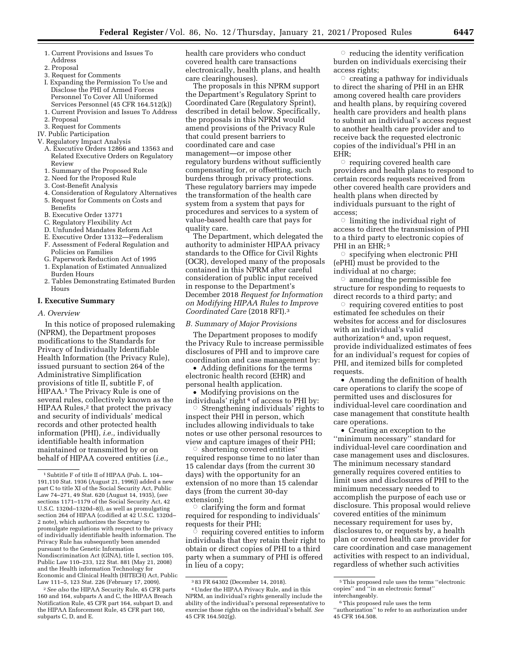- 1. Current Provisions and Issues To Address
- 2. Proposal
- 3. Request for Comments
- I. Expanding the Permission To Use and Disclose the PHI of Armed Forces Personnel To Cover All Uniformed Services Personnel (45 CFR 164.512(k))
- 1. Current Provision and Issues To Address
- 2. Proposal
- 3. Request for Comments
- IV. Public Participation
- V. Regulatory Impact Analysis
	- A. Executive Orders 12866 and 13563 and Related Executive Orders on Regulatory Review
	- 1. Summary of the Proposed Rule
	- 2. Need for the Proposed Rule
	- 3. Cost-Benefit Analysis
	- 4. Consideration of Regulatory Alternatives 5. Request for Comments on Costs and
	- **Benefits**
	- B. Executive Order 13771
	- C. Regulatory Flexibility Act
	- D. Unfunded Mandates Reform Act
	- E. Executive Order 13132—Federalism F. Assessment of Federal Regulation and Policies on Families
	- G. Paperwork Reduction Act of 1995
	- 1. Explanation of Estimated Annualized Burden Hours
	- 2. Tables Demonstrating Estimated Burden Hours

#### **I. Executive Summary**

*A. Overview* 

In this notice of proposed rulemaking (NPRM), the Department proposes modifications to the Standards for Privacy of Individually Identifiable Health Information (the Privacy Rule), issued pursuant to section 264 of the Administrative Simplification provisions of title II, subtitle F, of HIPAA.1 The Privacy Rule is one of several rules, collectively known as the HIPAA Rules,<sup>2</sup> that protect the privacy and security of individuals' medical records and other protected health information (PHI), *i.e.,* individually identifiable health information maintained or transmitted by or on behalf of HIPAA covered entities (*i.e.,* 

2*See also* the HIPAA Security Rule, 45 CFR parts 160 and 164, subparts A and C, the HIPAA Breach Notification Rule, 45 CFR part 164, subpart D, and the HIPAA Enforcement Rule, 45 CFR part 160, subparts C, D, and E.

health care providers who conduct covered health care transactions electronically, health plans, and health care clearinghouses).

The proposals in this NPRM support the Department's Regulatory Sprint to Coordinated Care (Regulatory Sprint), described in detail below. Specifically, the proposals in this NPRM would amend provisions of the Privacy Rule that could present barriers to coordinated care and case management—or impose other regulatory burdens without sufficiently compensating for, or offsetting, such burdens through privacy protections. These regulatory barriers may impede the transformation of the health care system from a system that pays for procedures and services to a system of value-based health care that pays for quality care.

The Department, which delegated the authority to administer HIPAA privacy standards to the Office for Civil Rights (OCR), developed many of the proposals contained in this NPRM after careful consideration of public input received in response to the Department's December 2018 *Request for Information on Modifying HIPAA Rules to Improve Coordinated Care* (2018 RFI).3

#### *B. Summary of Major Provisions*

The Department proposes to modify the Privacy Rule to increase permissible disclosures of PHI and to improve care coordination and case management by:

• Adding definitions for the terms electronic health record (EHR) and personal health application.

• Modifying provisions on the individuals' right 4 of access to PHI by:

 $\circ$  Strengthening individuals' rights to inspect their PHI in person, which includes allowing individuals to take notes or use other personal resources to view and capture images of their PHI;

 $\circ$  shortening covered entities' required response time to no later than 15 calendar days (from the current 30 days) with the opportunity for an extension of no more than 15 calendar days (from the current 30-day extension);

 $\circ$  clarifying the form and format required for responding to individuals' requests for their PHI;

ै requiring covered entities to inform individuals that they retain their right to obtain or direct copies of PHI to a third party when a summary of PHI is offered in lieu of a copy;

 $\circ$  reducing the identity verification burden on individuals exercising their access rights;

 $\circ$  creating a pathway for individuals to direct the sharing of PHI in an EHR among covered health care providers and health plans, by requiring covered health care providers and health plans to submit an individual's access request to another health care provider and to receive back the requested electronic copies of the individual's PHI in an EHR;

 $\circ$  requiring covered health care providers and health plans to respond to certain records requests received from other covered health care providers and health plans when directed by individuals pursuant to the right of access;

 $\circ$  limiting the individual right of access to direct the transmission of PHI to a third party to electronic copies of PHI in an EHR;<sup>5</sup>

Æ specifying when electronic PHI (ePHI) must be provided to the individual at no charge;

 $\circ$  amending the permissible fee structure for responding to requests to direct records to a third party; and

Æ requiring covered entities to post estimated fee schedules on their websites for access and for disclosures with an individual's valid authorization 6 and, upon request, provide individualized estimates of fees for an individual's request for copies of PHI, and itemized bills for completed requests.

• Amending the definition of health care operations to clarify the scope of permitted uses and disclosures for individual-level care coordination and case management that constitute health care operations.

• Creating an exception to the ''minimum necessary'' standard for individual-level care coordination and case management uses and disclosures. The minimum necessary standard generally requires covered entities to limit uses and disclosures of PHI to the minimum necessary needed to accomplish the purpose of each use or disclosure. This proposal would relieve covered entities of the minimum necessary requirement for uses by, disclosures to, or requests by, a health plan or covered health care provider for care coordination and case management activities with respect to an individual, regardless of whether such activities

<sup>1</sup>Subtitle F of title II of HIPAA (Pub. L. 104– 191,110 Stat. 1936 (August 21, 1996)) added a new part C to title XI of the Social Security Act, Public Law 74–271, 49 Stat. 620 (August 14, 1935), (*see*  sections 1171–1179 of the Social Security Act, 42 U.S.C. 1320d–1320d–8)), as well as promulgating section 264 of HIPAA (codified at 42 U.S.C. 1320d– 2 note), which authorizes the Secretary to promulgate regulations with respect to the privacy of individually identifiable health information. The Privacy Rule has subsequently been amended pursuant to the Genetic Information Nondiscrimination Act (GINA), title I, section 105, Public Law 110–233, 122 Stat. 881 (May 21, 2008) and the Health information Technology for Economic and Clinical Health (HITECH) Act, Public Law 111–5, 123 Stat. 226 (February 17, 2009).

<sup>3</sup> 83 FR 64302 (December 14, 2018).

<sup>4</sup>Under the HIPAA Privacy Rule, and in this NPRM, an individual's rights generally include the ability of the individual's personal representative to exercise those rights on the individual's behalf. *See*  45 CFR 164.502(g).

<sup>5</sup>This proposed rule uses the terms ''electronic copies'' and ''in an electronic format'' interchangeably.

<sup>6</sup>This proposed rule uses the term ''authorization'' to refer to an authorization under

<sup>45</sup> CFR 164.508.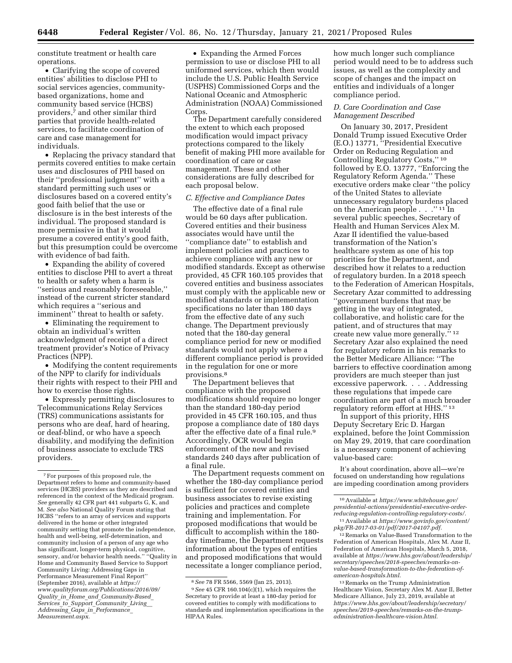constitute treatment or health care operations.

• Clarifying the scope of covered entities' abilities to disclose PHI to social services agencies, communitybased organizations, home and community based service (HCBS) providers,7 and other similar third parties that provide health-related services, to facilitate coordination of care and case management for individuals.

• Replacing the privacy standard that permits covered entities to make certain uses and disclosures of PHI based on their ''professional judgment'' with a standard permitting such uses or disclosures based on a covered entity's good faith belief that the use or disclosure is in the best interests of the individual. The proposed standard is more permissive in that it would presume a covered entity's good faith, but this presumption could be overcome with evidence of bad faith.

• Expanding the ability of covered entities to disclose PHI to avert a threat to health or safety when a harm is ''serious and reasonably foreseeable,'' instead of the current stricter standard which requires a ''serious and imminent'' threat to health or safety.

• Eliminating the requirement to obtain an individual's written acknowledgment of receipt of a direct treatment provider's Notice of Privacy Practices (NPP).

• Modifying the content requirements of the NPP to clarify for individuals their rights with respect to their PHI and how to exercise those rights.

• Expressly permitting disclosures to Telecommunications Relay Services (TRS) communications assistants for persons who are deaf, hard of hearing, or deaf-blind, or who have a speech disability, and modifying the definition of business associate to exclude TRS providers.

• Expanding the Armed Forces permission to use or disclose PHI to all uniformed services, which then would include the U.S. Public Health Service (USPHS) Commissioned Corps and the National Oceanic and Atmospheric Administration (NOAA) Commissioned Corps.

The Department carefully considered the extent to which each proposed modification would impact privacy protections compared to the likely benefit of making PHI more available for coordination of care or case management. These and other considerations are fully described for each proposal below.

## *C. Effective and Compliance Dates*

The effective date of a final rule would be 60 days after publication. Covered entities and their business associates would have until the ''compliance date'' to establish and implement policies and practices to achieve compliance with any new or modified standards. Except as otherwise provided, 45 CFR 160.105 provides that covered entities and business associates must comply with the applicable new or modified standards or implementation specifications no later than 180 days from the effective date of any such change. The Department previously noted that the 180-day general compliance period for new or modified standards would not apply where a different compliance period is provided in the regulation for one or more provisions.8

The Department believes that compliance with the proposed modifications should require no longer than the standard 180-day period provided in 45 CFR 160.105, and thus propose a compliance date of 180 days after the effective date of a final rule.9 Accordingly, OCR would begin enforcement of the new and revised standards 240 days after publication of a final rule.

The Department requests comment on whether the 180-day compliance period is sufficient for covered entities and business associates to revise existing policies and practices and complete training and implementation. For proposed modifications that would be difficult to accomplish within the 180 day timeframe, the Department requests information about the types of entities and proposed modifications that would necessitate a longer compliance period,

how much longer such compliance period would need to be to address such issues, as well as the complexity and scope of changes and the impact on entities and individuals of a longer compliance period.

## *D. Care Coordination and Case Management Described*

On January 30, 2017, President Donald Trump issued Executive Order (E.O.) 13771, ''Presidential Executive Order on Reducing Regulation and Controlling Regulatory Costs,'' 10 followed by E.O. 13777, ''Enforcing the Regulatory Reform Agenda.'' These executive orders make clear ''the policy of the United States to alleviate unnecessary regulatory burdens placed on the American people . . .'' 11 In several public speeches, Secretary of Health and Human Services Alex M. Azar II identified the value-based transformation of the Nation's healthcare system as one of his top priorities for the Department, and described how it relates to a reduction of regulatory burden. In a 2018 speech to the Federation of American Hospitals, Secretary Azar committed to addressing ''government burdens that may be getting in the way of integrated, collaborative, and holistic care for the patient, and of structures that may create new value more generally.'' 12 Secretary Azar also explained the need for regulatory reform in his remarks to the Better Medicare Alliance: ''The barriers to effective coordination among providers are much steeper than just excessive paperwork. . . . Addressing these regulations that impede care coordination are part of a much broader regulatory reform effort at HHS.'' 13

In support of this priority, HHS Deputy Secretary Eric D. Hargan explained, before the Joint Commission on May 29, 2019, that care coordination is a necessary component of achieving value-based care:

It's about coordination, above all—we're focused on understanding how regulations are impeding coordination among providers

12Remarks on Value-Based Transformation to the Federation of American Hospitals, Alex M. Azar II, Federation of American Hospitals, March 5, 2018, available at *[https://www.hhs.gov/about/leadership/](https://www.hhs.gov/about/leadership/secretary/speeches/2018-speeches/remarks-on-value-based-transformation-to-the-federation-of-american-hospitals.html)  [secretary/speeches/2018-speeches/remarks-on](https://www.hhs.gov/about/leadership/secretary/speeches/2018-speeches/remarks-on-value-based-transformation-to-the-federation-of-american-hospitals.html)[value-based-transformation-to-the-federation-of](https://www.hhs.gov/about/leadership/secretary/speeches/2018-speeches/remarks-on-value-based-transformation-to-the-federation-of-american-hospitals.html)[american-hospitals.html.](https://www.hhs.gov/about/leadership/secretary/speeches/2018-speeches/remarks-on-value-based-transformation-to-the-federation-of-american-hospitals.html)* 

13Remarks on the Trump Administration Healthcare Vision, Secretary Alex M. Azar II, Better Medicare Alliance, July 23, 2019, available at *[https://www.hhs.gov/about/leadership/secretary/](https://www.hhs.gov/about/leadership/secretary/speeches/2019-speeches/remarks-on-the-trump-administration-healthcare-vision.html) [speeches/2019-speeches/remarks-on-the-trump](https://www.hhs.gov/about/leadership/secretary/speeches/2019-speeches/remarks-on-the-trump-administration-healthcare-vision.html)[administration-healthcare-vision.html.](https://www.hhs.gov/about/leadership/secretary/speeches/2019-speeches/remarks-on-the-trump-administration-healthcare-vision.html)* 

<sup>7</sup>For purposes of this proposed rule, the Department refers to home and community-based services (HCBS) providers as they are described and referenced in the context of the Medicaid program. *See* generally 42 CFR part 441 subparts G, K, and M. *See also* National Quality Forum stating that HCBS ''refers to an array of services and supports delivered in the home or other integrated community setting that promote the independence, health and well-being, self-determination, and community inclusion of a person of any age who has significant, longer-term physical, cognitive, sensory, and/or behavior health needs.'' ''Quality in Home and Community Based Service to Support Community Living: Addressing Gaps in Performance Measurement Final Report'' (September 2016), available at *[https://](https://www.qualityforum.org/Publications/2016/09/Quality_in_Home_and_Community-Based_Services_to_Support_Community_Living__Addressing_Gaps_in_Performance_Measurement.aspx) [www.qualityforum.org/Publications/2016/09/](https://www.qualityforum.org/Publications/2016/09/Quality_in_Home_and_Community-Based_Services_to_Support_Community_Living__Addressing_Gaps_in_Performance_Measurement.aspx) Quality*\_*in*\_*Home*\_*and*\_*[Community-Based](https://www.qualityforum.org/Publications/2016/09/Quality_in_Home_and_Community-Based_Services_to_Support_Community_Living__Addressing_Gaps_in_Performance_Measurement.aspx)*\_ *Services*\_*to*\_*Support*\_*[Community](https://www.qualityforum.org/Publications/2016/09/Quality_in_Home_and_Community-Based_Services_to_Support_Community_Living__Addressing_Gaps_in_Performance_Measurement.aspx)*\_*Living*\_\_ *Addressing*\_*Gaps*\_*in*\_*[Performance](https://www.qualityforum.org/Publications/2016/09/Quality_in_Home_and_Community-Based_Services_to_Support_Community_Living__Addressing_Gaps_in_Performance_Measurement.aspx)*\_ *[Measurement.aspx.](https://www.qualityforum.org/Publications/2016/09/Quality_in_Home_and_Community-Based_Services_to_Support_Community_Living__Addressing_Gaps_in_Performance_Measurement.aspx)* 

<sup>8</sup>*See* 78 FR 5566, 5569 (Jan 25, 2013). 9*See* 45 CFR 160.104(c)(1), which requires the Secretary to provide at least a 180-day period for covered entities to comply with modifications to standards and implementation specifications in the HIPAA Rules.

<sup>10</sup>Available at *[https://www.whitehouse.gov/](https://www.whitehouse.gov/presidential-actions/presidential-executive-order-reducing-regulation-controlling-regulatory-costs/)  [presidential-actions/presidential-executive-order](https://www.whitehouse.gov/presidential-actions/presidential-executive-order-reducing-regulation-controlling-regulatory-costs/)[reducing-regulation-controlling-regulatory-costs/.](https://www.whitehouse.gov/presidential-actions/presidential-executive-order-reducing-regulation-controlling-regulatory-costs/)* 

<sup>11</sup>Available at *[https://www.govinfo.gov/content/](https://www.govinfo.gov/content/pkg/FR-2017-03-01/pdf/2017-04107.pdf) [pkg/FR-2017-03-01/pdf/2017-04107.pdf.](https://www.govinfo.gov/content/pkg/FR-2017-03-01/pdf/2017-04107.pdf)*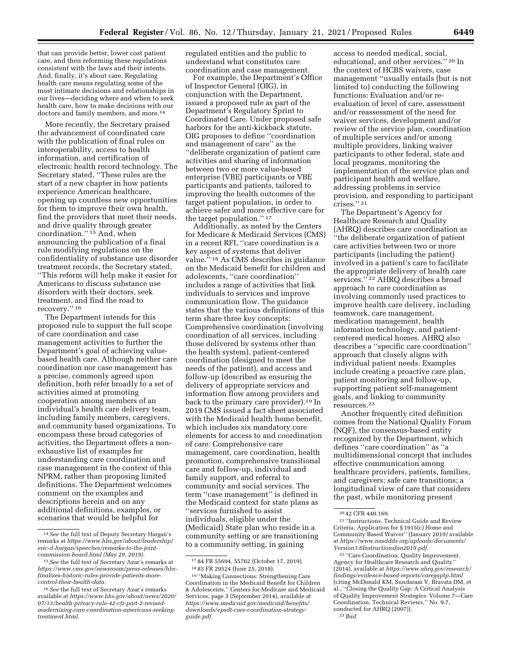that can provide better, lower cost patient care, and then reforming these regulations consistent with the laws and their intents. And, finally, it's about care. Regulating health care means regulating some of the most intimate decisions and relationships in our lives—deciding where and when to seek health care, how to make decisions with our doctors and family members, and more.14

More recently, the Secretary praised the advancement of coordinated care with the publication of final rules on interoperability, access to health information, and certification of electronic health record technology. The Secretary stated, ''These rules are the start of a new chapter in how patients experience American healthcare, opening up countless new opportunities for them to improve their own health, find the providers that meet their needs, and drive quality through greater coordination.'' 15 And, when announcing the publication of a final rule modifying regulations on the confidentiality of substance use disorder treatment records, the Secretary stated, ''This reform will help make it easier for Americans to discuss substance use disorders with their doctors, seek treatment, and find the road to recovery.'' 16

The Department intends for this proposed rule to support the full scope of care coordination and case management activities to further the Department's goal of achieving valuebased health care. Although neither care coordination nor case management has a precise, commonly agreed upon definition, both refer broadly to a set of activities aimed at promoting cooperation among members of an individual's health care delivery team, including family members, caregivers, and community based organizations. To encompass these broad categories of activities, the Department offers a nonexhaustive list of examples for understanding care coordination and case management in the context of this NPRM, rather than proposing limited definitions. The Department welcomes comment on the examples and descriptions herein and on any additional definitions, examples, or scenarios that would be helpful for

regulated entities and the public to understand what constitutes care coordination and case management.

For example, the Department's Office of Inspector General (OIG), in conjunction with the Department, issued a proposed rule as part of the Department's Regulatory Sprint to Coordinated Care. Under proposed safe harbors for the anti-kickback statute, OIG proposes to define ''coordination and management of care'' as the ''deliberate organization of patient care activities and sharing of information between two or more value-based enterprise (VBE) participants or VBE participants and patients, tailored to improving the health outcomes of the target patient population, in order to achieve safer and more effective care for the target population.'' 17

Additionally, as noted by the Centers for Medicare & Medicaid Services (CMS) in a recent RFI, ''care coordination is a key aspect of systems that deliver value.'' 18 As CMS describes in guidance on the Medicaid benefit for children and adolescents, ''care coordination'' includes a range of activities that link individuals to services and improve communication flow. The guidance states that the various definitions of this term share three key concepts: Comprehensive coordination (involving coordination of all services, including those delivered by systems other than the health system), patient-centered coordination (designed to meet the needs of the patient), and access and follow-up (described as ensuring the delivery of appropriate services and information flow among providers and back to the primary care provider).19 In 2019 CMS issued a fact sheet associated with the Medicaid health home benefit, which includes six mandatory core elements for access to and coordination of care: Comprehensive care management, care coordination, health promotion, comprehensive transitional care and follow-up, individual and family support, and referral to community and social services. The term ''case management'' is defined in the Medicaid context for state plans as ''services furnished to assist individuals, eligible under the (Medicaid) State plan who reside in a community setting or are transitioning to a community setting, in gaining

access to needed medical, social, educational, and other services.'' 20 In the context of HCBS waivers, case management ''usually entails (but is not limited to) conducting the following functions: Evaluation and/or reevaluation of level of care, assessment and/or reassessment of the need for waiver services, development and/or review of the service plan, coordination of multiple services and/or among multiple providers, linking waiver participants to other federal, state and local programs, monitoring the implementation of the service plan and participant health and welfare, addressing problems in service provision, and responding to participant crises.'' 21

The Department's Agency for Healthcare Research and Quality (AHRQ) describes care coordination as ''the deliberate organization of patient care activities between two or more participants (including the patient) involved in a patient's care to facilitate the appropriate delivery of health care services."<sup>22</sup> AHRQ describes a broad approach to care coordination as involving commonly used practices to improve health care delivery, including teamwork, care management, medication management, health information technology, and patientcentered medical homes. AHRQ also describes a ''specific care coordination'' approach that closely aligns with individual patient needs. Examples include creating a proactive care plan, patient monitoring and follow-up, supporting patient self-management goals, and linking to community resources.23

Another frequently cited definition comes from the National Quality Forum (NQF), the consensus-based entity recognized by the Department, which defines ''care coordination'' as ''a multidimensional concept that includes effective communication among healthcare providers, patients, families, and caregivers; safe care transitions; a longitudinal view of care that considers the past, while monitoring present

22 ''Care Coordination, Quality Improvement, Agency for Healthcare Research and Quality'' (2014), available at *[https://www.ahrq.gov/research/](https://www.ahrq.gov/research/findings/evidence-based-reports/caregaptp.html)  [findings/evidence-based-reports/caregaptp.html](https://www.ahrq.gov/research/findings/evidence-based-reports/caregaptp.html)*  (citing McDonald KM, Sundaram V, Bravata DM, et al., ''Closing the Quality Gap: A Critical Analysis of Quality Improvement Strategie*s:* Volume 7—Care Coordination, Technical Reviews,'' No. 9.7, conducted for AHRQ (2007)). 23 *Ibid.* 

<sup>14</sup>*See* the full text of Deputy Secretary Hargan's remarks at *[https://www.hhs.gov/about/leadership/](https://www.hhs.gov/about/leadership/eric-d-hargan/speeches/remarks-to-the-joint-commission-board.html) [eric-d-hargan/speeches/remarks-to-the-joint](https://www.hhs.gov/about/leadership/eric-d-hargan/speeches/remarks-to-the-joint-commission-board.html)[commission-board.html](https://www.hhs.gov/about/leadership/eric-d-hargan/speeches/remarks-to-the-joint-commission-board.html) (May 29, 2019).* 

<sup>15</sup>*See* the full text of Secretary Azar's remarks at *[https://www.cms.gov/newsroom/press-releases/hhs](https://www.cms.gov/newsroom/press-releases/hhs-finalizes-historic-rules-provide-patients-more-control-their-health-data)[finalizes-historic-rules-provide-patients-more](https://www.cms.gov/newsroom/press-releases/hhs-finalizes-historic-rules-provide-patients-more-control-their-health-data)[control-their-health-data.](https://www.cms.gov/newsroom/press-releases/hhs-finalizes-historic-rules-provide-patients-more-control-their-health-data)* 

<sup>16</sup>*See* the full text of Secretary Azar's remarks available at *[https://www.hhs.gov/about/news/2020/](https://www.hhs.gov/about/news/2020/07/13/health-privacy-rule-42-cfr-part-2-revised-modernizing-care-coordination-americans-seeking-treatment.html) [07/13/health-privacy-rule-42-cfr-part-2-revised](https://www.hhs.gov/about/news/2020/07/13/health-privacy-rule-42-cfr-part-2-revised-modernizing-care-coordination-americans-seeking-treatment.html)[modernizing-care-coordination-americans-seeking](https://www.hhs.gov/about/news/2020/07/13/health-privacy-rule-42-cfr-part-2-revised-modernizing-care-coordination-americans-seeking-treatment.html)[treatment.html.](https://www.hhs.gov/about/news/2020/07/13/health-privacy-rule-42-cfr-part-2-revised-modernizing-care-coordination-americans-seeking-treatment.html)* 

<sup>17</sup> 84 FR 55694, 55762 (October 17, 2019). 18 83 FR 29524 (June 25, 2018).

<sup>19</sup> ''Making Connections: Strengthening Care Coordination in the Medicaid Benefit for Children & Adolescents,'' Centers for Medicare and Medicaid Services, page 3 (September 2014), available at *[https://www.medicaid.gov/medicaid/benefits/](https://www.medicaid.gov/medicaid/benefits/downloads/epsdt-care-coordination-strategy-guide.pdf) [downloads/epsdt-care-coordination-strategy](https://www.medicaid.gov/medicaid/benefits/downloads/epsdt-care-coordination-strategy-guide.pdf)[guide.pdf.](https://www.medicaid.gov/medicaid/benefits/downloads/epsdt-care-coordination-strategy-guide.pdf)* 

<sup>20</sup> 42 CFR 440.169.

<sup>21</sup> ''Instructions, Technical Guide and Review Criteria, Application for § 1915(c) Home and Community Based Waiver'' (January 2019*)* available at *[https://www.nasddds.org/uploads/documents/](https://www.nasddds.org/uploads/documents/Version3.6InstructionsJan2019.pdf) [Version3.6InstructionsJan2019.pdf.](https://www.nasddds.org/uploads/documents/Version3.6InstructionsJan2019.pdf)*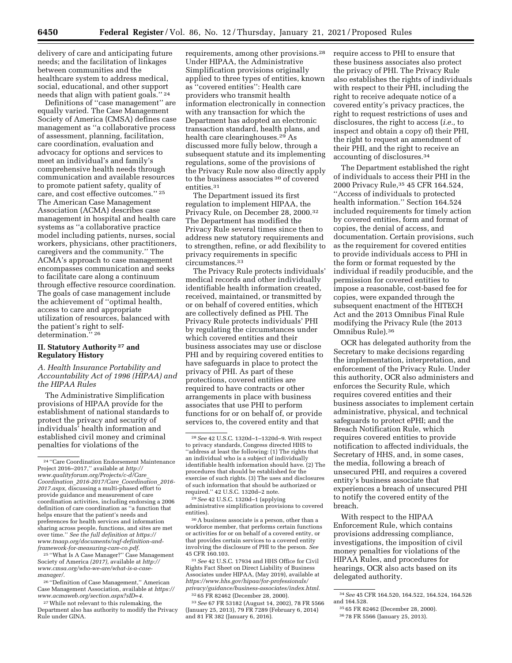delivery of care and anticipating future needs; and the facilitation of linkages between communities and the healthcare system to address medical, social, educational, and other support needs that align with patient goals.'' 24

Definitions of ''case management'' are equally varied. The Case Management Society of America (CMSA) defines case management as ''a collaborative process of assessment, planning, facilitation, care coordination, evaluation and advocacy for options and services to meet an individual's and family's comprehensive health needs through communication and available resources to promote patient safety, quality of care, and cost effective outcomes.'' 25 The American Case Management Association (ACMA) describes case management in hospital and health care systems as ''a collaborative practice model including patients, nurses, social workers, physicians, other practitioners, caregivers and the community.'' The ACMA's approach to case management encompasses communication and seeks to facilitate care along a continuum through effective resource coordination. The goals of case management include the achievement of ''optimal health, access to care and appropriate utilization of resources, balanced with the patient's right to selfdetermination."<sup>26</sup>

# **II. Statutory Authority 27 and Regulatory History**

# *A. Health Insurance Portability and Accountability Act of 1996 (HIPAA) and the HIPAA Rules*

The Administrative Simplification provisions of HIPAA provide for the establishment of national standards to protect the privacy and security of individuals' health information and established civil money and criminal penalties for violations of the

25 ''What Is A Case Manager?'' Case Management Society of America *(2017),* available at *[http://](http://www.cmsa.org/who-we-are/what-is-a-case-manager/) [www.cmsa.org/who-we-are/what-is-a-case](http://www.cmsa.org/who-we-are/what-is-a-case-manager/)[manager/.](http://www.cmsa.org/who-we-are/what-is-a-case-manager/)* 

26 ''Definition of Case Management,'' American Case Management Association, available at *[https://](https://www.acmaweb.org/section.aspx?sID=4)  [www.acmaweb.org/section.aspx?sID=4.](https://www.acmaweb.org/section.aspx?sID=4)* 

27While not relevant to this rulemaking, the Department also has authority to modify the Privacy Rule under GINA.

requirements, among other provisions.28 Under HIPAA, the Administrative Simplification provisions originally applied to three types of entities, known as ''covered entities'': Health care providers who transmit health information electronically in connection with any transaction for which the Department has adopted an electronic transaction standard, health plans, and health care clearinghouses.29 As discussed more fully below, through a subsequent statute and its implementing regulations, some of the provisions of the Privacy Rule now also directly apply to the business associates 30 of covered entities.31

The Department issued its first regulation to implement HIPAA, the Privacy Rule, on December 28, 2000.32 The Department has modified the Privacy Rule several times since then to address new statutory requirements and to strengthen, refine, or add flexibility to privacy requirements in specific circumstances.33

The Privacy Rule protects individuals' medical records and other individually identifiable health information created, received, maintained, or transmitted by or on behalf of covered entities, which are collectively defined as PHI. The Privacy Rule protects individuals' PHI by regulating the circumstances under which covered entities and their business associates may use or disclose PHI and by requiring covered entities to have safeguards in place to protect the privacy of PHI. As part of these protections, covered entities are required to have contracts or other arrangements in place with business associates that use PHI to perform functions for or on behalf of, or provide services to, the covered entity and that

29*See* 42 U.S.C. 1320d–1 (applying administrative simplification provisions to covered entities).

30A business associate is a person, other than a workforce member, that performs certain functions or activities for or on behalf of a covered entity, or that provides certain services to a covered entity involving the disclosure of PHI to the person. *See*  45 CFR 160.103.

31*See* 42 U.S.C. 17934 and HHS Office for Civil Rights Fact Sheet on Direct Liability of Business Associates under HIPAA, (May 2019), available at *[https://www.hhs.gov/hipaa/for-professionals/](https://www.hhs.gov/hipaa/for-professionals/privacy/guidance/business-associates/index.html)  [privacy/guidance/business-associates/index.html.](https://www.hhs.gov/hipaa/for-professionals/privacy/guidance/business-associates/index.html)*  32 65 FR 82462 (December 28, 2000).

33*See* 67 FR 53182 (August 14, 2002), 78 FR 5566 (January 25, 2013), 79 FR 7289 (February 6, 2014) and 81 FR 382 (January 6, 2016).

require access to PHI to ensure that these business associates also protect the privacy of PHI. The Privacy Rule also establishes the rights of individuals with respect to their PHI, including the right to receive adequate notice of a covered entity's privacy practices, the right to request restrictions of uses and disclosures, the right to access (*i.e.,* to inspect and obtain a copy of) their PHI, the right to request an amendment of their PHI, and the right to receive an accounting of disclosures.34

The Department established the right of individuals to access their PHI in the 2000 Privacy Rule,35 45 CFR 164.524, ''Access of individuals to protected health information.'' Section 164.524 included requirements for timely action by covered entities, form and format of copies, the denial of access, and documentation. Certain provisions, such as the requirement for covered entities to provide individuals access to PHI in the form or format requested by the individual if readily producible, and the permission for covered entities to impose a reasonable, cost-based fee for copies, were expanded through the subsequent enactment of the HITECH Act and the 2013 Omnibus Final Rule modifying the Privacy Rule (the 2013 Omnibus Rule).36

OCR has delegated authority from the Secretary to make decisions regarding the implementation, interpretation, and enforcement of the Privacy Rule. Under this authority, OCR also administers and enforces the Security Rule, which requires covered entities and their business associates to implement certain administrative, physical, and technical safeguards to protect ePHI; and the Breach Notification Rule, which requires covered entities to provide notification to affected individuals, the Secretary of HHS, and, in some cases, the media, following a breach of unsecured PHI, and requires a covered entity's business associate that experiences a breach of unsecured PHI to notify the covered entity of the breach.

With respect to the HIPAA Enforcement Rule, which contains provisions addressing compliance, investigations, the imposition of civil money penalties for violations of the HIPAA Rules, and procedures for hearings, OCR also acts based on its delegated authority.

<sup>24</sup> ''Care Coordination Endorsement Maintenance Project 2016–2017,'' available at *[http://](http://www.qualityforum.org/Projects/c-d/Care_Coordination_2016-2017/Care_Coordination_2016-2017.aspx) [www.qualityforum.org/Projects/c-d/Care](http://www.qualityforum.org/Projects/c-d/Care_Coordination_2016-2017/Care_Coordination_2016-2017.aspx)*\_ *Coordination*\_*[2016-2017/Care](http://www.qualityforum.org/Projects/c-d/Care_Coordination_2016-2017/Care_Coordination_2016-2017.aspx)*\_*Coordination*\_*2016- [2017.aspx,](http://www.qualityforum.org/Projects/c-d/Care_Coordination_2016-2017/Care_Coordination_2016-2017.aspx)* discussing a multi-phased effort to provide guidance and measurement of care coordination activities, including endorsing a 2006 definition of care coordination as ''a function that helps ensure that the patient's needs and preferences for health services and information sharing across people, functions, and sites are met over time.'' *See the full definition at [https://](https://www.tnaap.org/documents/nqf-definition-and-framework-for-measuring-care-co.pdf) [www.tnaap.org/documents/nqf-definition-and](https://www.tnaap.org/documents/nqf-definition-and-framework-for-measuring-care-co.pdf)[framework-for-measuring-care-co.pdf.](https://www.tnaap.org/documents/nqf-definition-and-framework-for-measuring-care-co.pdf)* 

<sup>28</sup>*See* 42 U.S.C. 1320d–1–1320d–9. With respect to privacy standards, Congress directed HHS to ''address at least the following: (1) The rights that an individual who is a subject of individually identifiable health information should have. (2) The procedures that should be established for the exercise of such rights. (3) The uses and disclosures of such information that should be authorized or required.'' 42 U.S.C. 1320d–2 note.

<sup>34</sup>*See* 45 CFR 164.520, 164.522, 164.524, 164.526 and 164.528.

<sup>35</sup> 65 FR 82462 (December 28, 2000).

<sup>36</sup> 78 FR 5566 (January 25, 2013).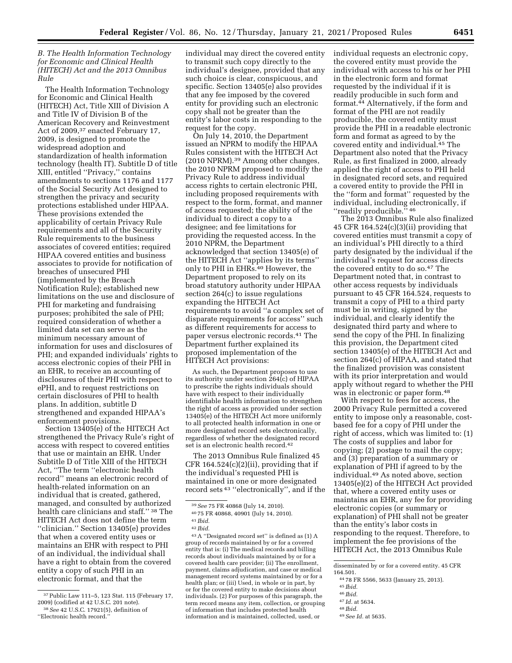## *B. The Health Information Technology for Economic and Clinical Health (HITECH) Act and the 2013 Omnibus Rule*

The Health Information Technology for Economic and Clinical Health (HITECH) Act, Title XIII of Division A and Title IV of Division B of the American Recovery and Reinvestment Act of 2009,37 enacted February 17, 2009, is designed to promote the widespread adoption and standardization of health information technology (health IT). Subtitle D of title XIII, entitled ''Privacy,'' contains amendments to sections 1176 and 1177 of the Social Security Act designed to strengthen the privacy and security protections established under HIPAA. These provisions extended the applicability of certain Privacy Rule requirements and all of the Security Rule requirements to the business associates of covered entities; required HIPAA covered entities and business associates to provide for notification of breaches of unsecured PHI (implemented by the Breach Notification Rule); established new limitations on the use and disclosure of PHI for marketing and fundraising purposes; prohibited the sale of PHI; required consideration of whether a limited data set can serve as the minimum necessary amount of information for uses and disclosures of PHI; and expanded individuals' rights to access electronic copies of their PHI in an EHR, to receive an accounting of disclosures of their PHI with respect to ePHI, and to request restrictions on certain disclosures of PHI to health plans. In addition, subtitle D strengthened and expanded HIPAA's enforcement provisions.

Section 13405(e) of the HITECH Act strengthened the Privacy Rule's right of access with respect to covered entities that use or maintain an EHR. Under Subtitle D of Title XIII of the HITECH Act, ''The term ''electronic health record'' means an electronic record of health-related information on an individual that is created, gathered, managed, and consulted by authorized health care clinicians and staff.'' 38 The HITECH Act does not define the term ''clinician.'' Section 13405(e) provides that when a covered entity uses or maintains an EHR with respect to PHI of an individual, the individual shall have a right to obtain from the covered entity a copy of such PHI in an electronic format, and that the

individual may direct the covered entity to transmit such copy directly to the individual's designee, provided that any such choice is clear, conspicuous, and specific. Section 13405(e) also provides that any fee imposed by the covered entity for providing such an electronic copy shall not be greater than the entity's labor costs in responding to the request for the copy.

On July 14, 2010, the Department issued an NPRM to modify the HIPAA Rules consistent with the HITECH Act (2010 NPRM).39 Among other changes, the 2010 NPRM proposed to modify the Privacy Rule to address individual access rights to certain electronic PHI, including proposed requirements with respect to the form, format, and manner of access requested; the ability of the individual to direct a copy to a designee; and fee limitations for providing the requested access. In the 2010 NPRM, the Department acknowledged that section 13405(e) of the HITECH Act ''applies by its terms'' only to PHI in EHRs.40 However, the Department proposed to rely on its broad statutory authority under HIPAA section 264(c) to issue regulations expanding the HITECH Act requirements to avoid ''a complex set of disparate requirements for access'' such as different requirements for access to paper versus electronic records.41 The Department further explained its proposed implementation of the HITECH Act provisions:

As such, the Department proposes to use its authority under section 264(c) of HIPAA to prescribe the rights individuals should have with respect to their individually identifiable health information to strengthen the right of access as provided under section 13405(e) of the HITECH Act more uniformly to all protected health information in one or more designated record sets electronically, regardless of whether the designated record set is an electronic health record.42

The 2013 Omnibus Rule finalized 45 CFR  $164.524(c)(2)(ii)$ , providing that if the individual's requested PHI is maintained in one or more designated record sets 43 ''electronically'', and if the

43A ''Designated record set'' is defined as (1) A group of records maintained by or for a covered entity that is: (i) The medical records and billing records about individuals maintained by or for a covered health care provider; (ii) The enrollment, payment, claims adjudication, and case or medical management record systems maintained by or for a health plan; or (iii) Used, in whole or in part, by or for the covered entity to make decisions about individuals. (2) For purposes of this paragraph, the term record means any item, collection, or grouping of information that includes protected health information and is maintained, collected, used, or

individual requests an electronic copy, the covered entity must provide the individual with access to his or her PHI in the electronic form and format requested by the individual if it is readily producible in such form and format.44 Alternatively, if the form and format of the PHI are not readily producible, the covered entity must provide the PHI in a readable electronic form and format as agreed to by the covered entity and individual.<sup>45</sup> The Department also noted that the Privacy Rule, as first finalized in 2000, already applied the right of access to PHI held in designated record sets, and required a covered entity to provide the PHI in the ''form and format'' requested by the individual, including electronically, if "readily producible." 46

The 2013 Omnibus Rule also finalized 45 CFR  $164.524(c)(3)(ii)$  providing that covered entities must transmit a copy of an individual's PHI directly to a third party designated by the individual if the individual's request for access directs the covered entity to do so.47 The Department noted that, in contrast to other access requests by individuals pursuant to 45 CFR 164.524, requests to transmit a copy of PHI to a third party must be in writing, signed by the individual, and clearly identify the designated third party and where to send the copy of the PHI. In finalizing this provision, the Department cited section 13405(e) of the HITECH Act and section 264(c) of HIPAA, and stated that the finalized provision was consistent with its prior interpretation and would apply without regard to whether the PHI was in electronic or paper form.48

With respect to fees for access, the 2000 Privacy Rule permitted a covered entity to impose only a reasonable, costbased fee for a copy of PHI under the right of access, which was limited to: (1) The costs of supplies and labor for copying; (2) postage to mail the copy; and (3) preparation of a summary or explanation of PHI if agreed to by the individual.49 As noted above, section 13405(e)(2) of the HITECH Act provided that, where a covered entity uses or maintains an EHR, any fee for providing electronic copies (or summary or explanation) of PHI shall not be greater than the entity's labor costs in responding to the request. Therefore, to implement the fee provisions of the HITECH Act, the 2013 Omnibus Rule

<sup>47</sup> *Id.* at 5634. 48 *Ibid.* 

<sup>37</sup>Public Law 111–5, 123 Stat. 115 (February 17, 2009) (codified at 42 U.S.C. 201 note). 38*See* 42 U.S.C. 17921(5), definition of

<sup>&#</sup>x27;'Electronic health record.''

<sup>39</sup>*See* 75 FR 40868 (July 14, 2010).

<sup>40</sup> 75 FR 40868, 40901 (July 14, 2010).

<sup>41</sup> *Ibid.* 

<sup>42</sup> *Ibid.* 

disseminated by or for a covered entity. 45 CFR

<sup>164.501. 44</sup> 78 FR 5566, 5633 (January 25, 2013). 45 *Ibid.* 

<sup>46</sup> *Ibid.* 

<sup>49</sup>*See Id.* at 5635.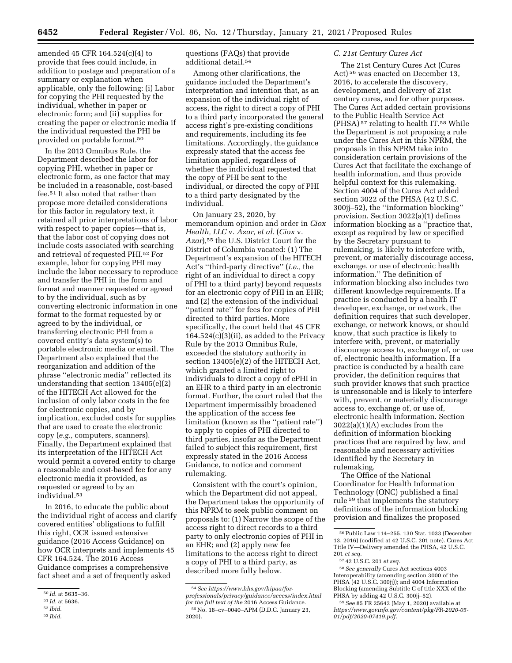amended 45 CFR 164.524(c)(4) to provide that fees could include, in addition to postage and preparation of a summary or explanation when applicable, only the following: (i) Labor for copying the PHI requested by the individual, whether in paper or electronic form; and (ii) supplies for creating the paper or electronic media if the individual requested the PHI be provided on portable format.50

In the 2013 Omnibus Rule, the Department described the labor for copying PHI, whether in paper or electronic form, as one factor that may be included in a reasonable, cost-based fee.51 It also noted that rather than propose more detailed considerations for this factor in regulatory text, it retained all prior interpretations of labor with respect to paper copies—that is, that the labor cost of copying does not include costs associated with searching and retrieval of requested PHI.52 For example, labor for copying PHI may include the labor necessary to reproduce and transfer the PHI in the form and format and manner requested or agreed to by the individual, such as by converting electronic information in one format to the format requested by or agreed to by the individual, or transferring electronic PHI from a covered entity's data system(s) to portable electronic media or email. The Department also explained that the reorganization and addition of the phrase ''electronic media'' reflected its understanding that section 13405(e)(2) of the HITECH Act allowed for the inclusion of only labor costs in the fee for electronic copies, and by implication, excluded costs for supplies that are used to create the electronic copy (*e.g.,* computers, scanners). Finally, the Department explained that its interpretation of the HITECH Act would permit a covered entity to charge a reasonable and cost-based fee for any electronic media it provided, as requested or agreed to by an individual.53

In 2016, to educate the public about the individual right of access and clarify covered entities' obligations to fulfill this right, OCR issued extensive guidance (2016 Access Guidance) on how OCR interprets and implements 45 CFR 164.524. The 2016 Access Guidance comprises a comprehensive fact sheet and a set of frequently asked

questions (FAQs) that provide additional detail.54

Among other clarifications, the guidance included the Department's interpretation and intention that, as an expansion of the individual right of access, the right to direct a copy of PHI to a third party incorporated the general access right's pre-existing conditions and requirements, including its fee limitations. Accordingly, the guidance expressly stated that the access fee limitation applied, regardless of whether the individual requested that the copy of PHI be sent to the individual, or directed the copy of PHI to a third party designated by the individual.

On January 23, 2020, by memorandum opinion and order in *Ciox Health, LLC* v. *Azar, et al.* (*Ciox* v. *Azar*),55 the U.S. District Court for the District of Columbia vacated: (1) The Department's expansion of the HITECH Act's ''third-party directive'' (*i.e.,* the right of an individual to direct a copy of PHI to a third party) beyond requests for an electronic copy of PHI in an EHR; and (2) the extension of the individual ''patient rate'' for fees for copies of PHI directed to third parties. More specifically, the court held that 45 CFR 164.524(c)(3)(ii), as added to the Privacy Rule by the 2013 Omnibus Rule, exceeded the statutory authority in section 13405(e)(2) of the HITECH Act, which granted a limited right to individuals to direct a copy of ePHI in an EHR to a third party in an electronic format. Further, the court ruled that the Department impermissibly broadened the application of the access fee limitation (known as the ''patient rate'') to apply to copies of PHI directed to third parties, insofar as the Department failed to subject this requirement, first expressly stated in the 2016 Access Guidance, to notice and comment rulemaking.

Consistent with the court's opinion, which the Department did not appeal, the Department takes the opportunity of this NPRM to seek public comment on proposals to: (1) Narrow the scope of the access right to direct records to a third party to only electronic copies of PHI in an EHR; and (2) apply new fee limitations to the access right to direct a copy of PHI to a third party, as described more fully below.

## *C. 21st Century Cures Act*

The 21st Century Cures Act (Cures Act) 56 was enacted on December 13, 2016, to accelerate the discovery, development, and delivery of 21st century cures, and for other purposes. The Cures Act added certain provisions to the Public Health Service Act (PHSA) 57 relating to health IT.58 While the Department is not proposing a rule under the Cures Act in this NPRM, the proposals in this NPRM take into consideration certain provisions of the Cures Act that facilitate the exchange of health information, and thus provide helpful context for this rulemaking. Section 4004 of the Cures Act added section 3022 of the PHSA (42 U.S.C. 300jj–52), the ''information blocking'' provision. Section 3022(a)(1) defines information blocking as a ''practice that, except as required by law or specified by the Secretary pursuant to rulemaking, is likely to interfere with, prevent, or materially discourage access, exchange, or use of electronic health information.'' The definition of information blocking also includes two different knowledge requirements. If a practice is conducted by a health IT developer, exchange, or network, the definition requires that such developer, exchange, or network knows, or should know, that such practice is likely to interfere with, prevent, or materially discourage access to, exchange of, or use of, electronic health information. If a practice is conducted by a health care provider, the definition requires that such provider knows that such practice is unreasonable and is likely to interfere with, prevent, or materially discourage access to, exchange of, or use of, electronic health information. Section 3022(a)(1)(A) excludes from the definition of information blocking practices that are required by law, and reasonable and necessary activities identified by the Secretary in rulemaking.

The Office of the National Coordinator for Health Information Technology (ONC) published a final rule 59 that implements the statutory definitions of the information blocking provision and finalizes the proposed

<sup>50</sup> *Id.* at 5635–36.

<sup>51</sup> *Id.* at 5636.

<sup>52</sup> *Ibid.* 

<sup>53</sup> *Ibid.* 

<sup>54</sup>*See [https://www.hhs.gov/hipaa/for](https://www.hhs.gov/hipaa/for-professionals/privacy/guidance/access/index.html)[professionals/privacy/guidance/access/index.html](https://www.hhs.gov/hipaa/for-professionals/privacy/guidance/access/index.html) for the full text of the* 2016 Access Guidance. 55No. 18–cv–0040–APM (D.D.C. January 23, 2020).

<sup>56</sup>Public Law 114–255, 130 Stat. 1033 (December 13, 2016) (codified at 42 U.S.C. 201 note). Cures Act Title IV—Delivery amended the PHSA, 42 U.S.C. 201 *et seq.* 

<sup>57</sup> 42 U.S.C. 201 *et seq.* 

<sup>58</sup>*See generally* Cures Act sections 4003 Interoperability (amending section 3000 of the PHSA (42 U.S.C. 300jj)); and 4004 Information Blocking (amending Subtitle C of title XXX of the PHSA by adding 42 U.S.C. 300jj–52).

<sup>59</sup>*See* 85 FR 25642 (May 1, 2020) available at *[https://www.govinfo.gov/content/pkg/FR-2020-05-](https://www.govinfo.gov/content/pkg/FR-2020-05-01/pdf/2020-07419.pdf) [01/pdf/2020-07419.pdf.](https://www.govinfo.gov/content/pkg/FR-2020-05-01/pdf/2020-07419.pdf)*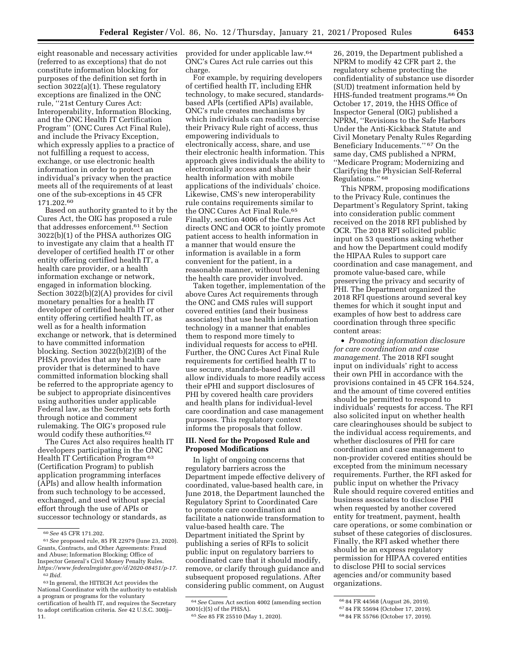eight reasonable and necessary activities (referred to as exceptions) that do not constitute information blocking for purposes of the definition set forth in section 3022(a)(1). These regulatory exceptions are finalized in the ONC rule, ''21st Century Cures Act: Interoperability, Information Blocking, and the ONC Health IT Certification Program'' (ONC Cures Act Final Rule), and include the Privacy Exception, which expressly applies to a practice of not fulfilling a request to access, exchange, or use electronic health information in order to protect an individual's privacy when the practice meets all of the requirements of at least one of the sub-exceptions in 45 CFR 171.202.60

Based on authority granted to it by the Cures Act, the OIG has proposed a rule that addresses enforcement.61 Section 3022(b)(1) of the PHSA authorizes OIG to investigate any claim that a health IT developer of certified health IT or other entity offering certified health IT, a health care provider, or a health information exchange or network, engaged in information blocking. Section 3022(b)(2)(A) provides for civil monetary penalties for a health IT developer of certified health IT or other entity offering certified health IT, as well as for a health information exchange or network, that is determined to have committed information blocking. Section 3022(b)(2)(B) of the PHSA provides that any health care provider that is determined to have committed information blocking shall be referred to the appropriate agency to be subject to appropriate disincentives using authorities under applicable Federal law, as the Secretary sets forth through notice and comment rulemaking. The OIG's proposed rule would codify these authorities.62

The Cures Act also requires health IT developers participating in the ONC Health IT Certification Program 63 (Certification Program) to publish application programming interfaces (APIs) and allow health information from such technology to be accessed, exchanged, and used without special effort through the use of APIs or successor technology or standards, as

provided for under applicable law.64 ONC's Cures Act rule carries out this charge.

For example, by requiring developers of certified health IT, including EHR technology, to make secured, standardsbased APIs (certified APIs) available, ONC's rule creates mechanisms by which individuals can readily exercise their Privacy Rule right of access, thus empowering individuals to electronically access, share, and use their electronic health information. This approach gives individuals the ability to electronically access and share their health information with mobile applications of the individuals' choice. Likewise, CMS's new interoperability rule contains requirements similar to the ONC Cures Act Final Rule.<sup>65</sup> Finally, section 4006 of the Cures Act directs ONC and OCR to jointly promote patient access to health information in a manner that would ensure the information is available in a form convenient for the patient, in a reasonable manner, without burdening the health care provider involved.

Taken together, implementation of the above Cures Act requirements through the ONC and CMS rules will support covered entities (and their business associates) that use health information technology in a manner that enables them to respond more timely to individual requests for access to ePHI. Further, the ONC Cures Act Final Rule requirements for certified health IT to use secure, standards-based APIs will allow individuals to more readily access their ePHI and support disclosures of PHI by covered health care providers and health plans for individual-level care coordination and case management purposes. This regulatory context informs the proposals that follow.

## **III. Need for the Proposed Rule and Proposed Modifications**

In light of ongoing concerns that regulatory barriers across the Department impede effective delivery of coordinated, value-based health care, in June 2018, the Department launched the Regulatory Sprint to Coordinated Care to promote care coordination and facilitate a nationwide transformation to value-based health care. The Department initiated the Sprint by publishing a series of RFIs to solicit public input on regulatory barriers to coordinated care that it should modify, remove, or clarify through guidance and subsequent proposed regulations. After considering public comment, on August

26, 2019, the Department published a NPRM to modify 42 CFR part 2, the regulatory scheme protecting the confidentiality of substance use disorder (SUD) treatment information held by HHS-funded treatment programs.66 On October 17, 2019, the HHS Office of Inspector General (OIG) published a NPRM, ''Revisions to the Safe Harbors Under the Anti-Kickback Statute and Civil Monetary Penalty Rules Regarding Beneficiary Inducements.'' 67 On the same day, CMS published a NPRM, ''Medicare Program; Modernizing and Clarifying the Physician Self-Referral Regulations.'' 68

This NPRM, proposing modifications to the Privacy Rule, continues the Department's Regulatory Sprint, taking into consideration public comment received on the 2018 RFI published by OCR. The 2018 RFI solicited public input on 53 questions asking whether and how the Department could modify the HIPAA Rules to support care coordination and case management, and promote value-based care, while preserving the privacy and security of PHI. The Department organized the 2018 RFI questions around several key themes for which it sought input and examples of how best to address care coordination through three specific content areas:

• *Promoting information disclosure for care coordination and case management.* The 2018 RFI sought input on individuals' right to access their own PHI in accordance with the provisions contained in 45 CFR 164.524, and the amount of time covered entities should be permitted to respond to individuals' requests for access. The RFI also solicited input on whether health care clearinghouses should be subject to the individual access requirements, and whether disclosures of PHI for care coordination and case management to non-provider covered entities should be excepted from the minimum necessary requirements. Further, the RFI asked for public input on whether the Privacy Rule should require covered entities and business associates to disclose PHI when requested by another covered entity for treatment, payment, health care operations, or some combination or subset of these categories of disclosures. Finally, the RFI asked whether there should be an express regulatory permission for HIPAA covered entities to disclose PHI to social services agencies and/or community based organizations.

<sup>60</sup>*See* 45 CFR 171.202.

<sup>61</sup>*See* proposed rule, 85 FR 22979 (June 23, 2020). Grants, Contracts, and Other Agreements: Fraud and Abuse; Information Blocking; Office of Inspector General's Civil Money Penalty Rules. *[https://www.federalregister.gov/d/2020-08451/p-17.](https://www.federalregister.gov/d/2020-08451/p-17)*  62 *Ibid.* 

<sup>63</sup> In general, the HITECH Act provides the National Coordinator with the authority to establish a program or programs for the voluntary certification of health IT, and requires the Secretary to adopt certification criteria. *See* 42 U.S.C. 300jj– 11.

<sup>64</sup>*See* Cures Act section 4002 (amending section 3001(c)(5) of the PHSA).

<sup>65</sup>*See* 85 FR 25510 (May 1, 2020).

<sup>66</sup> 84 FR 44568 (August 26, 2019).

<sup>67</sup> 84 FR 55694 (October 17, 2019).

<sup>68</sup> 84 FR 55766 (October 17, 2019).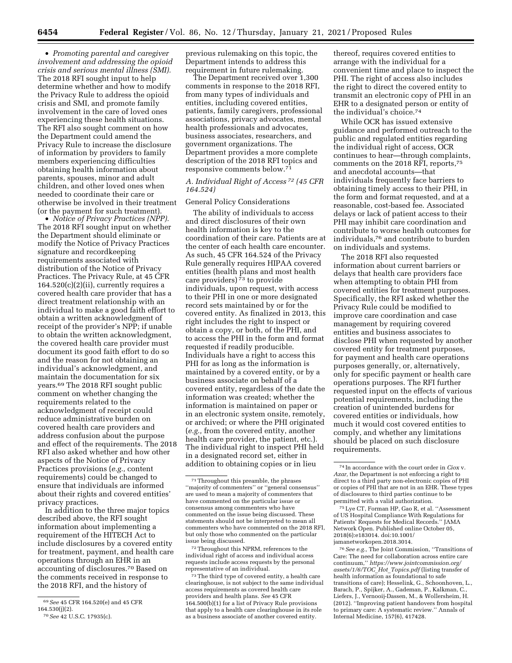• *Promoting parental and caregiver involvement and addressing the opioid crisis and serious mental illness (SMI).*  The 2018 RFI sought input to help determine whether and how to modify the Privacy Rule to address the opioid crisis and SMI, and promote family involvement in the care of loved ones experiencing these health situations. The RFI also sought comment on how the Department could amend the Privacy Rule to increase the disclosure of information by providers to family members experiencing difficulties obtaining health information about parents, spouses, minor and adult children, and other loved ones when needed to coordinate their care or otherwise be involved in their treatment (or the payment for such treatment).

• *Notice of Privacy Practices (NPP).*  The 2018 RFI sought input on whether the Department should eliminate or modify the Notice of Privacy Practices signature and recordkeeping requirements associated with distribution of the Notice of Privacy Practices. The Privacy Rule, at 45 CFR  $164.520(c)(2)(ii)$ , currently requires a covered health care provider that has a direct treatment relationship with an individual to make a good faith effort to obtain a written acknowledgment of receipt of the provider's NPP; if unable to obtain the written acknowledgment, the covered health care provider must document its good faith effort to do so and the reason for not obtaining an individual's acknowledgment, and maintain the documentation for six years.69 The 2018 RFI sought public comment on whether changing the requirements related to the acknowledgment of receipt could reduce administrative burden on covered health care providers and address confusion about the purpose and effect of the requirements. The 2018 RFI also asked whether and how other aspects of the Notice of Privacy Practices provisions (*e.g.,* content requirements) could be changed to ensure that individuals are informed about their rights and covered entities' privacy practices.

In addition to the three major topics described above, the RFI sought information about implementing a requirement of the HITECH Act to include disclosures by a covered entity for treatment, payment, and health care operations through an EHR in an accounting of disclosures.70 Based on the comments received in response to the 2018 RFI, and the history of

previous rulemaking on this topic, the Department intends to address this requirement in future rulemaking.

The Department received over 1,300 comments in response to the 2018 RFI, from many types of individuals and entities, including covered entities, patients, family caregivers, professional associations, privacy advocates, mental health professionals and advocates, business associates, researchers, and government organizations. The Department provides a more complete description of the 2018 RFI topics and responsive comments below.71

## *A. Individual Right of Access 72 (45 CFR 164.524)*

## General Policy Considerations

The ability of individuals to access and direct disclosures of their own health information is key to the coordination of their care. Patients are at the center of each health care encounter. As such, 45 CFR 164.524 of the Privacy Rule generally requires HIPAA covered entities (health plans and most health care providers) 73 to provide individuals, upon request, with access to their PHI in one or more designated record sets maintained by or for the covered entity. As finalized in 2013, this right includes the right to inspect or obtain a copy, or both, of the PHI, and to access the PHI in the form and format requested if readily producible. Individuals have a right to access this PHI for as long as the information is maintained by a covered entity, or by a business associate on behalf of a covered entity, regardless of the date the information was created; whether the information is maintained on paper or in an electronic system onsite, remotely, or archived; or where the PHI originated (*e.g.,* from the covered entity, another health care provider, the patient, etc.). The individual right to inspect PHI held in a designated record set, either in addition to obtaining copies or in lieu

72Throughout this NPRM, references to the individual right of access and individual access requests include access requests by the personal representative of an individual.

thereof, requires covered entities to arrange with the individual for a convenient time and place to inspect the PHI. The right of access also includes the right to direct the covered entity to transmit an electronic copy of PHI in an EHR to a designated person or entity of the individual's choice.74

While OCR has issued extensive guidance and performed outreach to the public and regulated entities regarding the individual right of access, OCR continues to hear—through complaints, comments on the 2018 RFI, reports,75 and anecdotal accounts—that individuals frequently face barriers to obtaining timely access to their PHI, in the form and format requested, and at a reasonable, cost-based fee. Associated delays or lack of patient access to their PHI may inhibit care coordination and contribute to worse health outcomes for individuals,76 and contribute to burden on individuals and systems.

The 2018 RFI also requested information about current barriers or delays that health care providers face when attempting to obtain PHI from covered entities for treatment purposes. Specifically, the RFI asked whether the Privacy Rule could be modified to improve care coordination and case management by requiring covered entities and business associates to disclose PHI when requested by another covered entity for treatment purposes, for payment and health care operations purposes generally, or, alternatively, only for specific payment or health care operations purposes. The RFI further requested input on the effects of various potential requirements, including the creation of unintended burdens for covered entities or individuals, how much it would cost covered entities to comply, and whether any limitations should be placed on such disclosure requirements.

<sup>69</sup>*See* 45 CFR 164.520(e) and 45 CFR 164.530(j)(2).

<sup>70</sup>*See* 42 U.S.C. 17935(c).

<sup>71</sup>Throughout this preamble, the phrases ''majority of commenters'' or ''general consensus'' are used to mean a majority of commenters that have commented on the particular issue or consensus among commenters who have commented on the issue being discussed. These statements should not be interpreted to mean all commenters who have commented on the 2018 RFI, but only those who commented on the particular issue being discussed.

<sup>73</sup>The third type of covered entity, a health care clearinghouse, is not subject to the same individual access requirements as covered health care providers and health plans. *See* 45 CFR 164.500(b)(1) for a list of Privacy Rule provisions that apply to a health care clearinghouse in its role as a business associate of another covered entity.

<sup>74</sup> In accordance with the court order in *Ciox* v. *Azar,* the Department is not enforcing a right to direct to a third party non-electronic copies of PHI or copies of PHI that are not in an EHR. These types of disclosures to third parties continue to be permitted with a valid authorization.

<sup>75</sup>Lye CT, Forman HP, Gao R, et al. ''Assessment of US Hospital Compliance With Regulations for Patients' Requests for Medical Records.'' JAMA Network Open. Published online October 05, 2018(6):e183014. doi:10.1001/ jamanetworkopen.2018.3014.

<sup>76</sup>*See e.g.,* The Joint Commission, ''Transitions of Care: The need for collaboration across entire care continuum,'' *[https://www.jointcommission.org/](https://www.jointcommission.org/assets/1/6/TOC_Hot_Topics.pdf)  [assets/1/6/TOC](https://www.jointcommission.org/assets/1/6/TOC_Hot_Topics.pdf)*\_*Hot*\_*Topics.pdf* (listing transfer of health information as foundational to safe transitions of care); Hesselink, G., Schoonhoven, L., Barach, P., Spijker, A., Gademan, P., Kalkman, C., Liefers, J., Vernooij-Dassen, M., & Wollersheim, H. (2012). ''Improving patient handovers from hospital to primary care: A systematic review.'' Annals of Internal Medicine, 157(6), 417428.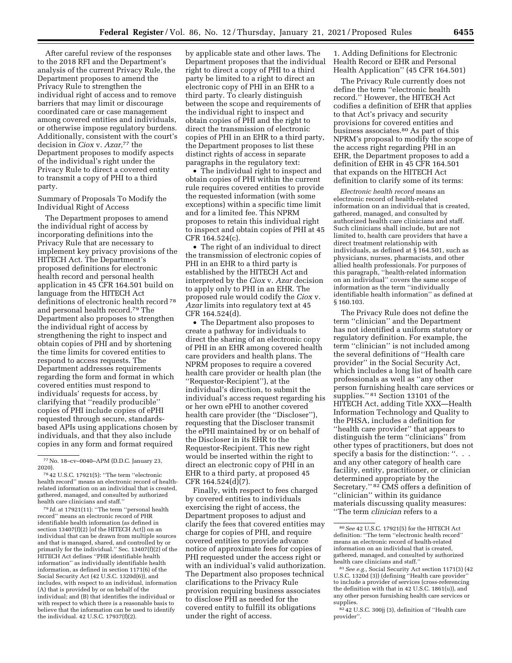by applicable state and other laws. The

to the 2018 RFI and the Department's analysis of the current Privacy Rule, the Department proposes to amend the Privacy Rule to strengthen the individual right of access and to remove barriers that may limit or discourage coordinated care or case management among covered entities and individuals, or otherwise impose regulatory burdens. Additionally, consistent with the court's decision in *Ciox* v. *Azar,*77 the Department proposes to modify aspects of the individual's right under the Privacy Rule to direct a covered entity to transmit a copy of PHI to a third party.

After careful review of the responses

Summary of Proposals To Modify the Individual Right of Access

The Department proposes to amend the individual right of access by incorporating definitions into the Privacy Rule that are necessary to implement key privacy provisions of the HITECH Act. The Department's proposed definitions for electronic health record and personal health application in 45 CFR 164.501 build on language from the HITECH Act definitions of electronic health record 78 and personal health record.79 The Department also proposes to strengthen the individual right of access by strengthening the right to inspect and obtain copies of PHI and by shortening the time limits for covered entities to respond to access requests. The Department addresses requirements regarding the form and format in which covered entities must respond to individuals' requests for access, by clarifying that ''readily producible'' copies of PHI include copies of ePHI requested through secure, standardsbased APIs using applications chosen by individuals, and that they also include copies in any form and format required

78 42 U.S.C. 17921(5): ''The term ''electronic health record'' means an electronic record of healthrelated information on an individual that is created, gathered, managed, and consulted by authorized health care clinicians and staff.''

 $^{79}$   $\!Id.$  at 17921(11): ''The term ''personal health record'' means an electronic record of PHR identifiable health information (as defined in section 13407(f)(2) [of the HITECH Act]) on an individual that can be drawn from multiple sources and that is managed, shared, and controlled by or primarily for the individual.'' Sec. 13407(f)(2) of the HITECH Act defines ''PHR identifiable health information'' as individually identifiable health information, as defined in section 1171(6) of the Social Security Act (42 U.S.C. 1320d(6)), and includes, with respect to an individual, information (A) that is provided by or on behalf of the individual; and (B) that identifies the individual or with respect to which there is a reasonable basis to believe that the information can be used to identify the individual. 42 U.S.C. 17937(f)(2).

Department proposes that the individual right to direct a copy of PHI to a third party be limited to a right to direct an electronic copy of PHI in an EHR to a third party. To clearly distinguish between the scope and requirements of the individual right to inspect and obtain copies of PHI and the right to direct the transmission of electronic copies of PHI in an EHR to a third party, the Department proposes to list these distinct rights of access in separate paragraphs in the regulatory text:

• The individual right to inspect and obtain copies of PHI within the current rule requires covered entities to provide the requested information (with some exceptions) within a specific time limit and for a limited fee. This NPRM proposes to retain this individual right to inspect and obtain copies of PHI at 45 CFR 164.524(c).

• The right of an individual to direct the transmission of electronic copies of PHI in an EHR to a third party is established by the HITECH Act and interpreted by the *Ciox* v. *Azar* decision to apply only to PHI in an EHR. The proposed rule would codify the *Ciox* v. *Azar* limits into regulatory text at 45 CFR 164.524(d).

• The Department also proposes to create a pathway for individuals to direct the sharing of an electronic copy of PHI in an EHR among covered health care providers and health plans. The NPRM proposes to require a covered health care provider or health plan (the ''Requestor-Recipient''), at the individual's direction, to submit the individual's access request regarding his or her own ePHI to another covered health care provider (the ''Discloser''), requesting that the Discloser transmit the ePHI maintained by or on behalf of the Discloser in its EHR to the Requestor-Recipient. This new right would be inserted within the right to direct an electronic copy of PHI in an EHR to a third party, at proposed 45 CFR 164.524(d)(7).

Finally, with respect to fees charged by covered entities to individuals exercising the right of access, the Department proposes to adjust and clarify the fees that covered entities may charge for copies of PHI, and require covered entities to provide advance notice of approximate fees for copies of PHI requested under the access right or with an individual's valid authorization. The Department also proposes technical clarifications to the Privacy Rule provision requiring business associates to disclose PHI as needed for the covered entity to fulfill its obligations under the right of access.

1. Adding Definitions for Electronic Health Record or EHR and Personal Health Application'' (45 CFR 164.501)

The Privacy Rule currently does not define the term ''electronic health record.'' However, the HITECH Act codifies a definition of EHR that applies to that Act's privacy and security provisions for covered entities and business associates.80 As part of this NPRM's proposal to modify the scope of the access right regarding PHI in an EHR, the Department proposes to add a definition of EHR in 45 CFR 164.501 that expands on the HITECH Act definition to clarify some of its terms:

*Electronic health record* means an electronic record of health-related information on an individual that is created, gathered, managed, and consulted by authorized health care clinicians and staff. Such clinicians shall include, but are not limited to, health care providers that have a direct treatment relationship with individuals, as defined at § 164.501, such as physicians, nurses, pharmacists, and other allied health professionals. For purposes of this paragraph, ''health-related information on an individual'' covers the same scope of information as the term ''individually identifiable health information'' as defined at § 160.103.

The Privacy Rule does not define the term ''clinician'' and the Department has not identified a uniform statutory or regulatory definition. For example, the term ''clinician'' is not included among the several definitions of ''Health care provider'' in the Social Security Act, which includes a long list of health care professionals as well as ''any other person furnishing health care services or supplies." 81 Section 13101 of the HITECH Act, adding Title XXX—Health Information Technology and Quality to the PHSA, includes a definition for ''health care provider'' that appears to distinguish the term ''clinicians'' from other types of practitioners, but does not specify a basis for the distinction: ". . . and any other category of health care facility, entity, practitioner, or clinician determined appropriate by the Secretary.'' 82 CMS offers a definition of ''clinician'' within its guidance materials discussing quality measures: ''The term *clinician* refers to a

<sup>77</sup>No. 18–cv–0040–APM (D.D.C. January 23, 2020).

<sup>80</sup>*See* 42 U.S.C. 17921(5) for the HITECH Act definition: ''The term ''electronic health record'' means an electronic record of health-related information on an individual that is created, gathered, managed, and consulted by authorized health care clinicians and staff.''

<sup>81</sup>*See e.g.,* Social Security Act section 1171(3) (42 U.S.C. 1320d (3)) (defining "Health care provider to include a provider of services (cross-referencing the definition with that in 42 U.S.C. 1861(u)), and any other person furnishing health care services or supplies.

<sup>82</sup> 42 U.S.C. 300jj (3), definition of ''Health care provider''.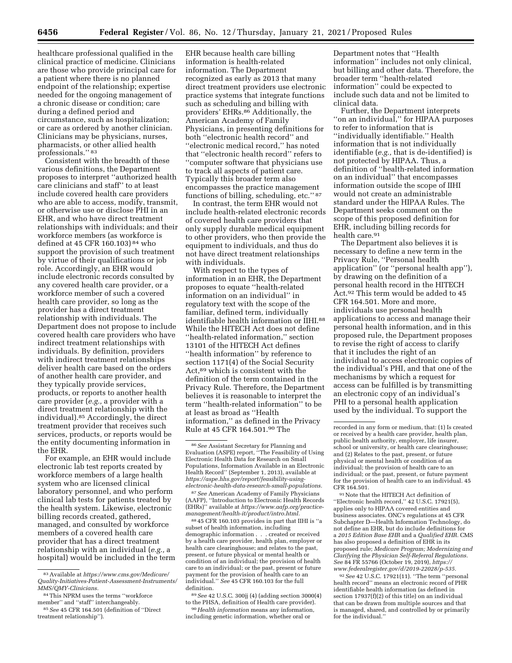healthcare professional qualified in the clinical practice of medicine. Clinicians are those who provide principal care for a patient where there is no planned endpoint of the relationship; expertise needed for the ongoing management of a chronic disease or condition; care during a defined period and circumstance, such as hospitalization; or care as ordered by another clinician. Clinicians may be physicians, nurses, pharmacists, or other allied health professionals.'' 83

Consistent with the breadth of these various definitions, the Department proposes to interpret ''authorized health care clinicians and staff'' to at least include covered health care providers who are able to access, modify, transmit, or otherwise use or disclose PHI in an EHR, and who have direct treatment relationships with individuals; and their workforce members (as workforce is defined at 45 CFR 160.103) 84 who support the provision of such treatment by virtue of their qualifications or job role. Accordingly, an EHR would include electronic records consulted by any covered health care provider, or a workforce member of such a covered health care provider, so long as the provider has a direct treatment relationship with individuals. The Department does not propose to include covered health care providers who have indirect treatment relationships with individuals. By definition, providers with indirect treatment relationships deliver health care based on the orders of another health care provider, and they typically provide services, products, or reports to another health care provider (*e.g.,* a provider with a direct treatment relationship with the individual).85 Accordingly, the direct treatment provider that receives such services, products, or reports would be the entity documenting information in the EHR.

For example, an EHR would include electronic lab test reports created by workforce members of a large health system who are licensed clinical laboratory personnel, and who perform clinical lab tests for patients treated by the health system. Likewise, electronic billing records created, gathered, managed, and consulted by workforce members of a covered health care provider that has a direct treatment relationship with an individual (*e.g.,* a hospital) would be included in the term

EHR because health care billing information is health-related information. The Department recognized as early as 2013 that many direct treatment providers use electronic practice systems that integrate functions such as scheduling and billing with providers' EHRs.86 Additionally, the American Academy of Family Physicians, in presenting definitions for both ''electronic health record'' and ''electronic medical record,'' has noted that ''electronic health record'' refers to ''computer software that physicians use to track all aspects of patient care. Typically this broader term also encompasses the practice management functions of billing, scheduling, etc.'' 87

In contrast, the term EHR would not include health-related electronic records of covered health care providers that only supply durable medical equipment to other providers, who then provide the equipment to individuals, and thus do not have direct treatment relationships with individuals.

With respect to the types of information in an EHR, the Department proposes to equate ''health-related information on an individual'' in regulatory text with the scope of the familiar, defined term, individually identifiable health information or IIHI.88 While the HITECH Act does not define ''health-related information,'' section 13101 of the HITECH Act defines ''health information'' by reference to section 1171(4) of the Social Security Act,89 which is consistent with the definition of the term contained in the Privacy Rule. Therefore, the Department believes it is reasonable to interpret the term ''health-related information'' to be at least as broad as ''Health information,'' as defined in the Privacy Rule at 45 CFR 164.501.90 The

87*See* American Academy of Family Physicians (AAFP), ''Introduction to Electronic Health Records (EHRs)'' available at *[https://www.aafp.org/practice](https://www.aafp.org/practice-management/health-it/product/intro.html)[management/health-it/product/intro.html.](https://www.aafp.org/practice-management/health-it/product/intro.html)* 

88 45 CFR 160.103 provides in part that IIHI is ''a subset of health information, including demographic information . . . created or received by a health care provider, health plan, employer or health care clearinghouse; and relates to the past, present, or future physical or mental health or condition of an individual; the provision of health care to an individual; or the past, present or future payment for the provision of health care to an individual.'' *See* 45 CFR 160.103 for the full definition.

89*See* 42 U.S.C. 300jj (4) (adding section 3000(4) to the PHSA, definition of Health care provider).

90*Health information* means any information, including genetic information, whether oral or

Department notes that ''Health information'' includes not only clinical, but billing and other data. Therefore, the broader term ''health-related information'' could be expected to include such data and not be limited to clinical data.

Further, the Department interprets ''on an individual,'' for HIPAA purposes to refer to information that is ''individually identifiable.'' Health information that is not individually identifiable (*e.g.,* that is de-identified) is not protected by HIPAA. Thus, a definition of ''health-related information on an individual'' that encompasses information outside the scope of IIHI would not create an administrable standard under the HIPAA Rules. The Department seeks comment on the scope of this proposed definition for EHR, including billing records for health care.<sup>91</sup>

The Department also believes it is necessary to define a new term in the Privacy Rule, ''Personal health application'' (or ''personal health app''), by drawing on the definition of a personal health record in the HITECH Act.92 This term would be added to 45 CFR 164.501. More and more, individuals use personal health applications to access and manage their personal health information, and in this proposed rule, the Department proposes to revise the right of access to clarify that it includes the right of an individual to access electronic copies of the individual's PHI, and that one of the mechanisms by which a request for access can be fulfilled is by transmitting an electronic copy of an individual's PHI to a personal health application used by the individual. To support the

91Note that the HITECH Act definition of ''Electronic health record,'' 42 U.S.C. 17921(5), applies only to HIPAA covered entities and business associates. ONC's regulations at 45 CFR Subchapter D—Health Information Technology, do not define an EHR, but do include definitions for a *2015 Edition Base EHR* and a *Qualified EHR.* CMS has also proposed a definition of EHR in its proposed rule; *Medicare Program; Modernizing and Clarifying the Physician Self-Referral Regulations. See* 84 FR 55766 (October 19, 2019), *[https://](https://www.federalregister.gov/d/2019-22028/p-535) [www.federalregister.gov/d/2019-22028/p-535.](https://www.federalregister.gov/d/2019-22028/p-535)* 

92*See* 42 U.S.C. 17921(11). ''The term ''personal health record'' means an electronic record of PHR identifiable health information (as defined in section 17937(f)(2) of this title) on an individual that can be drawn from multiple sources and that is managed, shared, and controlled by or primarily for the individual.''

<sup>83</sup>Available at *[https://www.cms.gov/Medicare/](https://www.cms.gov/Medicare/Quality-Initiatives-Patient-Assessment-Instruments/MMS/QMY-Clinicians) [Quality-Initiatives-Patient-Assessment-Instruments/](https://www.cms.gov/Medicare/Quality-Initiatives-Patient-Assessment-Instruments/MMS/QMY-Clinicians)  [MMS/QMY-Clinicians.](https://www.cms.gov/Medicare/Quality-Initiatives-Patient-Assessment-Instruments/MMS/QMY-Clinicians)* 

<sup>84</sup>This NPRM uses the terms ''workforce member'' and ''staff'' interchangeably.

<sup>85</sup>*See* 45 CFR 164.501 (definition of ''Direct treatment relationship'').

<sup>86</sup>*See* Assistant Secretary for Planning and Evaluation (ASPE) report, ''The Feasibility of Using Electronic Health Data for Research on Small Populations, Information Available in an Electronic Health Record'' (September 1, 2013), available at *[https://aspe.hhs.gov/report/feasibility-using](https://aspe.hhs.gov/report/feasibility-using-electronic-health-data-research-small-populations)[electronic-health-data-research-small-populations.](https://aspe.hhs.gov/report/feasibility-using-electronic-health-data-research-small-populations)* 

recorded in any form or medium, that: (1) Is created or received by a health care provider, health plan, public health authority, employer, life insurer, school or university, or health care clearinghouse; and (2) Relates to the past, present, or future physical or mental health or condition of an individual; the provision of health care to an individual; or the past, present, or future payment for the provision of health care to an individual. 45 CFR 164.501.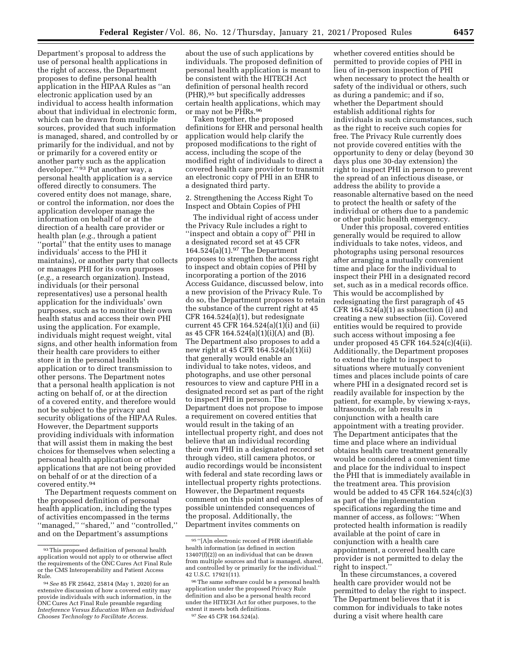Department's proposal to address the use of personal health applications in the right of access, the Department proposes to define personal health application in the HIPAA Rules as ''an electronic application used by an individual to access health information about that individual in electronic form, which can be drawn from multiple sources, provided that such information is managed, shared, and controlled by or primarily for the individual, and not by or primarily for a covered entity or another party such as the application developer.'' 93 Put another way, a personal health application is a service offered directly to consumers. The covered entity does not manage, share, or control the information, nor does the application developer manage the information on behalf of or at the direction of a health care provider or health plan (*e.g.,* through a patient ''portal'' that the entity uses to manage individuals' access to the PHI it maintains), or another party that collects or manages PHI for its own purposes (*e.g.,* a research organization). Instead, individuals (or their personal representatives) use a personal health application for the individuals' own purposes, such as to monitor their own health status and access their own PHI using the application. For example, individuals might request weight, vital signs, and other health information from their health care providers to either store it in the personal health application or to direct transmission to other persons. The Department notes that a personal health application is not acting on behalf of, or at the direction of a covered entity, and therefore would not be subject to the privacy and security obligations of the HIPAA Rules. However, the Department supports providing individuals with information that will assist them in making the best choices for themselves when selecting a personal health application or other applications that are not being provided on behalf of or at the direction of a covered entity.94

The Department requests comment on the proposed definition of personal health application, including the types of activities encompassed in the terms ''managed,'' ''shared,'' and ''controlled,'' and on the Department's assumptions

about the use of such applications by individuals. The proposed definition of personal health application is meant to be consistent with the HITECH Act definition of personal health record (PHR),95 but specifically addresses certain health applications, which may or may not be PHRs.96

Taken together, the proposed definitions for EHR and personal health application would help clarify the proposed modifications to the right of access, including the scope of the modified right of individuals to direct a covered health care provider to transmit an electronic copy of PHI in an EHR to a designated third party.

2. Strengthening the Access Right To Inspect and Obtain Copies of PHI

The individual right of access under the Privacy Rule includes a right to "inspect and obtain a copy of" PHI in a designated record set at 45 CFR 164.524(a)(1).97 The Department proposes to strengthen the access right to inspect and obtain copies of PHI by incorporating a portion of the 2016 Access Guidance, discussed below, into a new provision of the Privacy Rule. To do so, the Department proposes to retain the substance of the current right at 45 CFR 164.524(a)(1), but redesignate current 45 CFR 164.524(a)(1)(i) and (ii) as 45 CFR 164.524(a)(1)(i)(A) and (B). The Department also proposes to add a new right at 45 CFR 164.524(a)(1)(ii) that generally would enable an individual to take notes, videos, and photographs, and use other personal resources to view and capture PHI in a designated record set as part of the right to inspect PHI in person. The Department does not propose to impose a requirement on covered entities that would result in the taking of an intellectual property right, and does not believe that an individual recording their own PHI in a designated record set through video, still camera photos, or audio recordings would be inconsistent with federal and state recording laws or intellectual property rights protections. However, the Department requests comment on this point and examples of possible unintended consequences of the proposal. Additionally, the Department invites comments on

97*See* 45 CFR 164.524(a).

whether covered entities should be permitted to provide copies of PHI in lieu of in-person inspection of PHI when necessary to protect the health or safety of the individual or others, such as during a pandemic; and if so, whether the Department should establish additional rights for individuals in such circumstances, such as the right to receive such copies for free. The Privacy Rule currently does not provide covered entities with the opportunity to deny or delay (beyond 30 days plus one 30-day extension) the right to inspect PHI in person to prevent the spread of an infectious disease, or address the ability to provide a reasonable alternative based on the need to protect the health or safety of the individual or others due to a pandemic or other public health emergency.

Under this proposal, covered entities generally would be required to allow individuals to take notes, videos, and photographs using personal resources after arranging a mutually convenient time and place for the individual to inspect their PHI in a designated record set, such as in a medical records office. This would be accomplished by redesignating the first paragraph of 45 CFR  $164.524(a)(1)$  as subsection (i) and creating a new subsection (ii). Covered entities would be required to provide such access without imposing a fee under proposed 45 CFR 164.524(c)(4(ii). Additionally, the Department proposes to extend the right to inspect to situations where mutually convenient times and places include points of care where PHI in a designated record set is readily available for inspection by the patient, for example, by viewing x-rays, ultrasounds, or lab results in conjunction with a health care appointment with a treating provider. The Department anticipates that the time and place where an individual obtains health care treatment generally would be considered a convenient time and place for the individual to inspect the PHI that is immediately available in the treatment area. This provision would be added to 45 CFR 164.524(c)(3) as part of the implementation specifications regarding the time and manner of access, as follows: ''When protected health information is readily available at the point of care in conjunction with a health care appointment, a covered health care provider is not permitted to delay the right to inspect.''

In these circumstances, a covered health care provider would not be permitted to delay the right to inspect. The Department believes that it is common for individuals to take notes during a visit where health care

<sup>93</sup> This proposed definition of personal health application would not apply to or otherwise affect the requirements of the ONC Cures Act Final Rule or the CMS Interoperability and Patient Access

<sup>&</sup>lt;sup>94</sup> See 85 FR 25642, 25814 (May 1, 2020) for an extensive discussion of how a covered entity may provide individuals with such information, in the ONC Cures Act Final Rule preamble regarding *Interference Versus Education When an Individual Chooses Technology to Facilitate Access.* 

<sup>95</sup> ''[A]n electronic record of PHR identifiable health information (as defined in section 13407(f)(2)) on an individual that can be drawn from multiple sources and that is managed, shared, and controlled by or primarily for the individual.'' 42 U.S.C. 17921(11).

<sup>96</sup>The same software could be a personal health application under the proposed Privacy Rule definition and also be a personal health record under the HITECH Act for other purposes, to the extent it meets both definitions.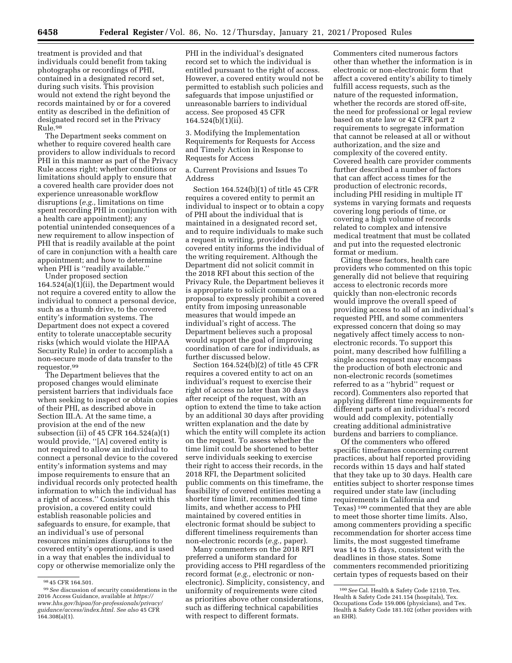treatment is provided and that individuals could benefit from taking photographs or recordings of PHI, contained in a designated record set, during such visits. This provision would not extend the right beyond the records maintained by or for a covered entity as described in the definition of designated record set in the Privacy Rule.98

The Department seeks comment on whether to require covered health care providers to allow individuals to record PHI in this manner as part of the Privacy Rule access right; whether conditions or limitations should apply to ensure that a covered health care provider does not experience unreasonable workflow disruptions (*e.g.,* limitations on time spent recording PHI in conjunction with a health care appointment); any potential unintended consequences of a new requirement to allow inspection of PHI that is readily available at the point of care in conjunction with a health care appointment; and how to determine when PHI is "readily available."

Under proposed section 164.524(a)(1)(ii), the Department would not require a covered entity to allow the individual to connect a personal device, such as a thumb drive, to the covered entity's information systems. The Department does not expect a covered entity to tolerate unacceptable security risks (which would violate the HIPAA Security Rule) in order to accomplish a non-secure mode of data transfer to the requestor.99

The Department believes that the proposed changes would eliminate persistent barriers that individuals face when seeking to inspect or obtain copies of their PHI, as described above in Section III.A. At the same time, a provision at the end of the new subsection (ii) of 45 CFR 164.524(a)(1) would provide, ''[A] covered entity is not required to allow an individual to connect a personal device to the covered entity's information systems and may impose requirements to ensure that an individual records only protected health information to which the individual has a right of access.'' Consistent with this provision, a covered entity could establish reasonable policies and safeguards to ensure, for example, that an individual's use of personal resources minimizes disruptions to the covered entity's operations, and is used in a way that enables the individual to copy or otherwise memorialize only the

PHI in the individual's designated record set to which the individual is entitled pursuant to the right of access. However, a covered entity would not be permitted to establish such policies and safeguards that impose unjustified or unreasonable barriers to individual access. See proposed 45 CFR 164.524(b)(1)(ii).

3. Modifying the Implementation Requirements for Requests for Access and Timely Action in Response to Requests for Access

a. Current Provisions and Issues To Address

Section 164.524(b)(1) of title 45 CFR requires a covered entity to permit an individual to inspect or to obtain a copy of PHI about the individual that is maintained in a designated record set, and to require individuals to make such a request in writing, provided the covered entity informs the individual of the writing requirement. Although the Department did not solicit commit in the 2018 RFI about this section of the Privacy Rule, the Department believes it is appropriate to solicit comment on a proposal to expressly prohibit a covered entity from imposing unreasonable measures that would impede an individual's right of access. The Department believes such a proposal would support the goal of improving coordination of care for individuals, as further discussed below.

Section 164.524(b)(2) of title 45 CFR requires a covered entity to act on an individual's request to exercise their right of access no later than 30 days after receipt of the request, with an option to extend the time to take action by an additional 30 days after providing written explanation and the date by which the entity will complete its action on the request. To assess whether the time limit could be shortened to better serve individuals seeking to exercise their right to access their records, in the 2018 RFI, the Department solicited public comments on this timeframe, the feasibility of covered entities meeting a shorter time limit, recommended time limits, and whether access to PHI maintained by covered entities in electronic format should be subject to different timeliness requirements than non-electronic records (*e.g.,* paper).

Many commenters on the 2018 RFI preferred a uniform standard for providing access to PHI regardless of the record format (*e.g.,* electronic or nonelectronic). Simplicity, consistency, and uniformity of requirements were cited as priorities above other considerations, such as differing technical capabilities with respect to different formats.

Commenters cited numerous factors other than whether the information is in electronic or non-electronic form that affect a covered entity's ability to timely fulfill access requests, such as the nature of the requested information, whether the records are stored off-site, the need for professional or legal review based on state law or 42 CFR part 2 requirements to segregate information that cannot be released at all or without authorization, and the size and complexity of the covered entity. Covered health care provider comments further described a number of factors that can affect access times for the production of electronic records, including PHI residing in multiple IT systems in varying formats and requests covering long periods of time, or covering a high volume of records related to complex and intensive medical treatment that must be collated and put into the requested electronic format or medium.

Citing these factors, health care providers who commented on this topic generally did not believe that requiring access to electronic records more quickly than non-electronic records would improve the overall speed of providing access to all of an individual's requested PHI, and some commenters expressed concern that doing so may negatively affect timely access to nonelectronic records. To support this point, many described how fulfilling a single access request may encompass the production of both electronic and non-electronic records (sometimes referred to as a ''hybrid'' request or record). Commenters also reported that applying different time requirements for different parts of an individual's record would add complexity, potentially creating additional administrative burdens and barriers to compliance.

Of the commenters who offered specific timeframes concerning current practices, about half reported providing records within 15 days and half stated that they take up to 30 days. Health care entities subject to shorter response times required under state law (including requirements in California and Texas) 100 commented that they are able to meet those shorter time limits. Also, among commenters providing a specific recommendation for shorter access time limits, the most suggested timeframe was 14 to 15 days, consistent with the deadlines in those states. Some commenters recommended prioritizing certain types of requests based on their

<sup>98</sup> 45 CFR 164.501.

<sup>99</sup>*See* discussion of security considerations in the 2016 Access Guidance, available at *[https://](https://www.hhs.gov/hipaa/for-professionals/privacy/guidance/access/index.html) [www.hhs.gov/hipaa/for-professionals/privacy/](https://www.hhs.gov/hipaa/for-professionals/privacy/guidance/access/index.html)  [guidance/access/index.html.](https://www.hhs.gov/hipaa/for-professionals/privacy/guidance/access/index.html) See also* 45 CFR  $164.308(a)(1)$ .

<sup>100</sup>*See* Cal. Health & Safety Code 12110, Tex. Health & Safety Code 241.154 (hospitals), Tex. Occupations Code 159.006 (physicians), and Tex. Health & Safety Code 181.102 (other providers with an EHR).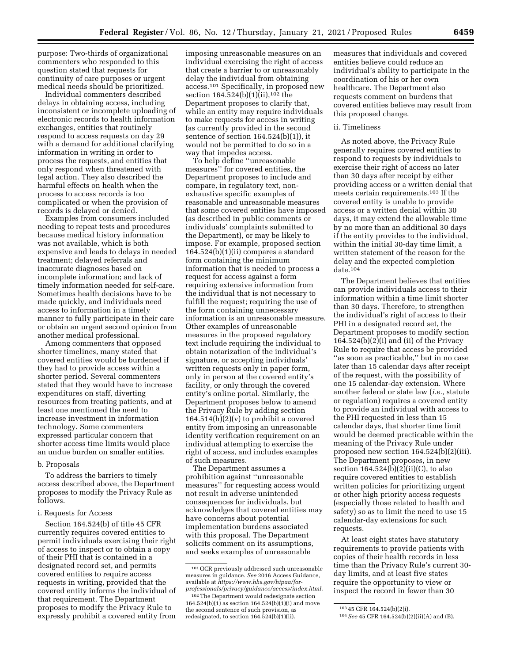purpose: Two-thirds of organizational commenters who responded to this question stated that requests for continuity of care purposes or urgent medical needs should be prioritized.

Individual commenters described delays in obtaining access, including inconsistent or incomplete uploading of electronic records to health information exchanges, entities that routinely respond to access requests on day 29 with a demand for additional clarifying information in writing in order to process the requests, and entities that only respond when threatened with legal action. They also described the harmful effects on health when the process to access records is too complicated or when the provision of records is delayed or denied.

Examples from consumers included needing to repeat tests and procedures because medical history information was not available, which is both expensive and leads to delays in needed treatment; delayed referrals and inaccurate diagnoses based on incomplete information; and lack of timely information needed for self-care. Sometimes health decisions have to be made quickly, and individuals need access to information in a timely manner to fully participate in their care or obtain an urgent second opinion from another medical professional.

Among commenters that opposed shorter timelines, many stated that covered entities would be burdened if they had to provide access within a shorter period. Several commenters stated that they would have to increase expenditures on staff, diverting resources from treating patients, and at least one mentioned the need to increase investment in information technology. Some commenters expressed particular concern that shorter access time limits would place an undue burden on smaller entities.

#### b. Proposals

To address the barriers to timely access described above, the Department proposes to modify the Privacy Rule as follows.

#### i. Requests for Access

Section 164.524(b) of title 45 CFR currently requires covered entities to permit individuals exercising their right of access to inspect or to obtain a copy of their PHI that is contained in a designated record set, and permits covered entities to require access requests in writing, provided that the covered entity informs the individual of that requirement. The Department proposes to modify the Privacy Rule to expressly prohibit a covered entity from

imposing unreasonable measures on an individual exercising the right of access that create a barrier to or unreasonably delay the individual from obtaining access.101 Specifically, in proposed new section 164.524(b)(1)(ii),<sup>102</sup> the Department proposes to clarify that, while an entity may require individuals to make requests for access in writing (as currently provided in the second sentence of section 164.524(b)(1)), it would not be permitted to do so in a way that impedes access.

To help define ''unreasonable measures'' for covered entities, the Department proposes to include and compare, in regulatory text, nonexhaustive specific examples of reasonable and unreasonable measures that some covered entities have imposed (as described in public comments or individuals' complaints submitted to the Department), or may be likely to impose. For example, proposed section 164.524(b)(1)(ii) compares a standard form containing the minimum information that is needed to process a request for access against a form requiring extensive information from the individual that is not necessary to fulfill the request; requiring the use of the form containing unnecessary information is an unreasonable measure. Other examples of unreasonable measures in the proposed regulatory text include requiring the individual to obtain notarization of the individual's signature, or accepting individuals' written requests only in paper form, only in person at the covered entity's facility, or only through the covered entity's online portal. Similarly, the Department proposes below to amend the Privacy Rule by adding section  $164.514(h)(2)(v)$  to prohibit a covered entity from imposing an unreasonable identity verification requirement on an individual attempting to exercise the right of access, and includes examples of such measures.

The Department assumes a prohibition against ''unreasonable measures'' for requesting access would not result in adverse unintended consequences for individuals, but acknowledges that covered entities may have concerns about potential implementation burdens associated with this proposal. The Department solicits comment on its assumptions, and seeks examples of unreasonable

measures that individuals and covered entities believe could reduce an individual's ability to participate in the coordination of his or her own healthcare. The Department also requests comment on burdens that covered entities believe may result from this proposed change.

#### ii. Timeliness

As noted above, the Privacy Rule generally requires covered entities to respond to requests by individuals to exercise their right of access no later than 30 days after receipt by either providing access or a written denial that meets certain requirements.103 If the covered entity is unable to provide access or a written denial within 30 days, it may extend the allowable time by no more than an additional 30 days if the entity provides to the individual, within the initial 30-day time limit, a written statement of the reason for the delay and the expected completion date.104

The Department believes that entities can provide individuals access to their information within a time limit shorter than 30 days. Therefore, to strengthen the individual's right of access to their PHI in a designated record set, the Department proposes to modify section  $164.524(b)(2)(i)$  and (ii) of the Privacy Rule to require that access be provided ''as soon as practicable,'' but in no case later than 15 calendar days after receipt of the request, with the possibility of one 15 calendar-day extension. Where another federal or state law (*i.e.,* statute or regulation) requires a covered entity to provide an individual with access to the PHI requested in less than 15 calendar days, that shorter time limit would be deemed practicable within the meaning of the Privacy Rule under proposed new section 164.524(b)(2)(iii). The Department proposes, in new section  $164.524(b)(2)(ii)(C)$ , to also require covered entities to establish written policies for prioritizing urgent or other high priority access requests (especially those related to health and safety) so as to limit the need to use 15 calendar-day extensions for such requests.

At least eight states have statutory requirements to provide patients with copies of their health records in less time than the Privacy Rule's current 30 day limits, and at least five states require the opportunity to view or inspect the record in fewer than 30

<sup>101</sup>OCR previously addressed such unreasonable measures in guidance. *See* 2016 Access Guidance, available at *[https://www.hhs.gov/hipaa/for](https://www.hhs.gov/hipaa/for-professionals/privacy/guidance/access/index.html)[professionals/privacy/guidance/access/index.html.](https://www.hhs.gov/hipaa/for-professionals/privacy/guidance/access/index.html)* 

<sup>102</sup>The Department would redesignate section  $164.524(b)(1)$  as section  $164.524(b)(1)(i)$  and move the second sentence of such provision, as redesignated, to section 164.524(b)(1)(ii).

<sup>103</sup> 45 CFR 164.524(b)(2(i).

<sup>104</sup>*See* 45 CFR 164.524(b)(2)(ii)(A) and (B).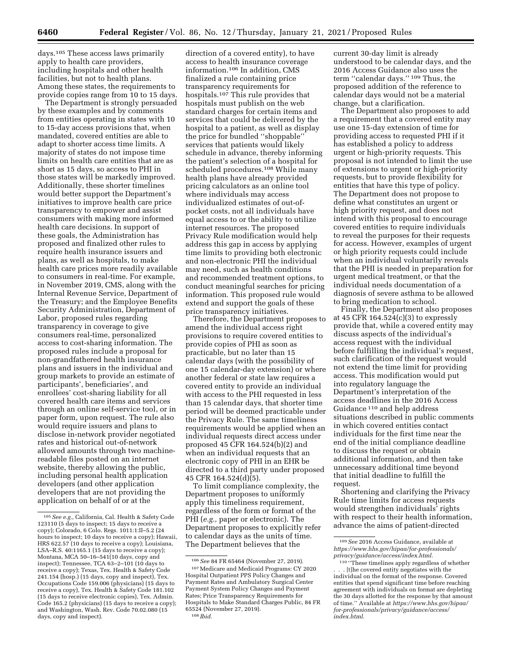days.105 These access laws primarily apply to health care providers, including hospitals and other health facilities, but not to health plans. Among these states, the requirements to provide copies range from 10 to 15 days.

The Department is strongly persuaded by these examples and by comments from entities operating in states with 10 to 15-day access provisions that, when mandated, covered entities are able to adapt to shorter access time limits. A majority of states do not impose time limits on health care entities that are as short as 15 days, so access to PHI in those states will be markedly improved. Additionally, these shorter timelines would better support the Department's initiatives to improve health care price transparency to empower and assist consumers with making more informed health care decisions. In support of these goals, the Administration has proposed and finalized other rules to require health insurance issuers and plans, as well as hospitals, to make health care prices more readily available to consumers in real-time. For example, in November 2019, CMS, along with the Internal Revenue Service, Department of the Treasury; and the Employee Benefits Security Administration, Department of Labor, proposed rules regarding transparency in coverage to give consumers real-time, personalized access to cost-sharing information. The proposed rules include a proposal for non-grandfathered health insurance plans and issuers in the individual and group markets to provide an estimate of participants', beneficiaries', and enrollees' cost-sharing liability for all covered health care items and services through an online self-service tool, or in paper form, upon request. The rule also would require issuers and plans to disclose in-network provider negotiated rates and historical out-of-network allowed amounts through two machinereadable files posted on an internet website, thereby allowing the public, including personal health application developers (and other application developers that are not providing the application on behalf of or at the

direction of a covered entity), to have access to health insurance coverage information.106 In addition, CMS finalized a rule containing price transparency requirements for hospitals.107 This rule provides that hospitals must publish on the web standard charges for certain items and services that could be delivered by the hospital to a patient, as well as display the price for bundled ''shoppable'' services that patients would likely schedule in advance, thereby informing the patient's selection of a hospital for scheduled procedures.108 While many health plans have already provided pricing calculators as an online tool where individuals may access individualized estimates of out-ofpocket costs, not all individuals have equal access to or the ability to utilize internet resources. The proposed Privacy Rule modification would help address this gap in access by applying time limits to providing both electronic and non-electronic PHI the individual may need, such as health conditions and recommended treatment options, to conduct meaningful searches for pricing information. This proposed rule would extend and support the goals of these price transparency initiatives.

Therefore, the Department proposes to amend the individual access right provisions to require covered entities to provide copies of PHI as soon as practicable, but no later than 15 calendar days (with the possibility of one 15 calendar-day extension) or where another federal or state law requires a covered entity to provide an individual with access to the PHI requested in less than 15 calendar days, that shorter time period will be deemed practicable under the Privacy Rule. The same timeliness requirements would be applied when an individual requests direct access under proposed 45 CFR 164.524(b)(2) and when an individual requests that an electronic copy of PHI in an EHR be directed to a third party under proposed 45 CFR 164.524(d)(5).

To limit compliance complexity, the Department proposes to uniformly apply this timeliness requirement, regardless of the form or format of the PHI (*e.g.,* paper or electronic). The Department proposes to explicitly refer to calendar days as the units of time. The Department believes that the

current 30-day limit is already understood to be calendar days, and the 2016 Access Guidance also uses the term ''calendar days.'' 109 Thus, the proposed addition of the reference to calendar days would not be a material change, but a clarification.

The Department also proposes to add a requirement that a covered entity may use one 15-day extension of time for providing access to requested PHI if it has established a policy to address urgent or high-priority requests. This proposal is not intended to limit the use of extensions to urgent or high-priority requests, but to provide flexibility for entities that have this type of policy. The Department does not propose to define what constitutes an urgent or high priority request, and does not intend with this proposal to encourage covered entities to require individuals to reveal the purposes for their requests for access. However, examples of urgent or high priority requests could include when an individual voluntarily reveals that the PHI is needed in preparation for urgent medical treatment, or that the individual needs documentation of a diagnosis of severe asthma to be allowed to bring medication to school.

Finally, the Department also proposes at 45 CFR 164.524(c)(3) to expressly provide that, while a covered entity may discuss aspects of the individual's access request with the individual before fulfilling the individual's request, such clarification of the request would not extend the time limit for providing access. This modification would put into regulatory language the Department's interpretation of the access deadlines in the 2016 Access Guidance 110 and help address situations described in public comments in which covered entities contact individuals for the first time near the end of the initial compliance deadline to discuss the request or obtain additional information, and then take unnecessary additional time beyond that initial deadline to fulfill the request.

Shortening and clarifying the Privacy Rule time limits for access requests would strengthen individuals' rights with respect to their health information, advance the aims of patient-directed

<sup>105</sup>*See e.g.,* California, Cal. Health & Safety Code 123110 (5 days to inspect; 15 days to receive a copy); Colorado, 6 Colo. Regs. 1011:1:II–5.2 (24 hours to inspect; 10 days to receive a copy); Hawaii, HRS 622.57 (10 days to receive a copy); Louisiana, LSA–R.S. 40:1165.1 (15 days to receive a copy); Montana, MCA 50–16–541(10 days, copy and inspect); Tennessee, TCA 63–2–101 (10 days to receive a copy); Texas, Tex. Health & Safety Code 241.154 (hosp.) (15 days, copy and inspect), Tex. Occupations Code 159.006 (physicians) (15 days to receive a copy), Tex. Health & Safety Code 181.102 (15 days to receive electronic copies), Tex. Admin. Code 165.2 (physicians) (15 days to receive a copy); and Washington, Wash. Rev. Code 70.02.080 (15 days, copy and inspect).

<sup>106</sup>*See* 84 FR 65464 (November 27, 2019). 107Medicare and Medicaid Programs: CY 2020 Hospital Outpatient PPS Policy Changes and Payment Rates and Ambulatory Surgical Center Payment System Policy Changes and Payment Rates; Price Transparency Requirements for Hospitals to Make Standard Charges Public, 84 FR 65524 (November 27, 2019). 108 *Ibid.* 

<sup>109</sup>*See* 2016 Access Guidance, available at *[https://www.hhs.gov/hipaa/for-professionals/](https://www.hhs.gov/hipaa/for-professionals/privacy/guidance/access/index.html)  [privacy/guidance/access/index.html.](https://www.hhs.gov/hipaa/for-professionals/privacy/guidance/access/index.html)* 

<sup>110</sup> ''These timelines apply regardless of whether [t]he covered entity negotiates with the individual on the format of the response. Covered entities that spend significant time before reaching agreement with individuals on format are depleting the 30 days allotted for the response by that amount of time.'' Available at *[https://www.hhs.gov/hipaa/](https://www.hhs.gov/hipaa/for-professionals/privacy/guidance/access/index.html)  [for-professionals/privacy/guidance/access/](https://www.hhs.gov/hipaa/for-professionals/privacy/guidance/access/index.html)  [index.html.](https://www.hhs.gov/hipaa/for-professionals/privacy/guidance/access/index.html)*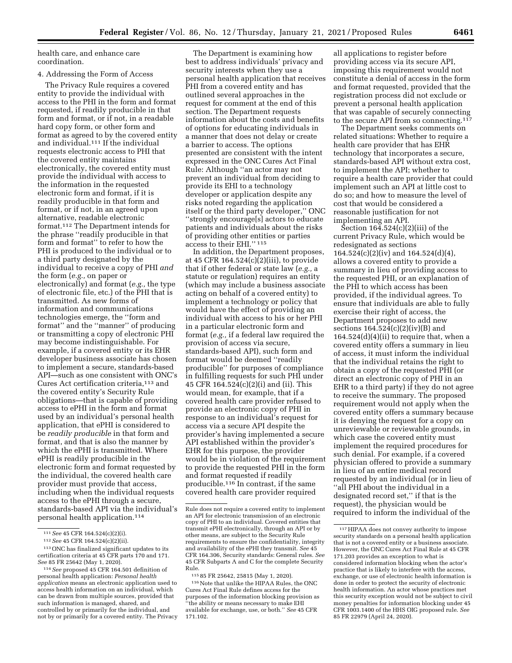health care, and enhance care coordination.

# 4. Addressing the Form of Access

The Privacy Rule requires a covered entity to provide the individual with access to the PHI in the form and format requested, if readily producible in that form and format, or if not, in a readable hard copy form, or other form and format as agreed to by the covered entity and individual.111 If the individual requests electronic access to PHI that the covered entity maintains electronically, the covered entity must provide the individual with access to the information in the requested electronic form and format, if it is readily producible in that form and format, or if not, in an agreed upon alternative, readable electronic format.112 The Department intends for the phrase ''readily producible in that form and format'' to refer to how the PHI is produced to the individual or to a third party designated by the individual to receive a copy of PHI *and*  the form (*e.g.,* on paper or electronically) and format (*e.g.,* the type of electronic file, etc.) of the PHI that is transmitted. As new forms of information and communications technologies emerge, the ''form and format'' and the ''manner'' of producing or transmitting a copy of electronic PHI may become indistinguishable. For example, if a covered entity or its EHR developer business associate has chosen to implement a secure, standards-based API—such as one consistent with ONC's Cures Act certification criteria,113 and the covered entity's Security Rule obligations—that is capable of providing access to ePHI in the form and format used by an individual's personal health application, that ePHI is considered to be *readily producible* in that form and format, and that is also the manner by which the ePHI is transmitted. Where ePHI is readily producible in the electronic form and format requested by the individual, the covered health care provider must provide that access, including when the individual requests access to the ePHI through a secure, standards-based API via the individual's personal health application.114

The Department is examining how best to address individuals' privacy and security interests when they use a personal health application that receives PHI from a covered entity and has outlined several approaches in the request for comment at the end of this section. The Department requests information about the costs and benefits of options for educating individuals in a manner that does not delay or create a barrier to access. The options presented are consistent with the intent expressed in the ONC Cures Act Final Rule: Although ''an actor may not prevent an individual from deciding to provide its EHI to a technology developer or application despite any risks noted regarding the application itself or the third party developer,'' ONC ''strongly encourage[s] actors to educate patients and individuals about the risks of providing other entities or parties access to their EHI.'' 115

In addition, the Department proposes, at 45 CFR 164.524(c)(2)(iii), to provide that if other federal or state law (*e.g.,* a statute or regulation) requires an entity (which may include a business associate acting on behalf of a covered entity) to implement a technology or policy that would have the effect of providing an individual with access to his or her PHI in a particular electronic form and format (*e.g.,* if a federal law required the provision of access via secure, standards-based API), such form and format would be deemed ''readily producible'' for purposes of compliance in fulfilling requests for such PHI under 45 CFR 164.524(c)(2)(i) and (ii). This would mean, for example, that if a covered health care provider refused to provide an electronic copy of PHI in response to an individual's request for access via a secure API despite the provider's having implemented a secure API established within the provider's EHR for this purpose, the provider would be in violation of the requirement to provide the requested PHI in the form and format requested if readily producible.116 In contrast, if the same covered health care provider required

all applications to register before providing access via its secure API, imposing this requirement would not constitute a denial of access in the form and format requested, provided that the registration process did not exclude or prevent a personal health application that was capable of securely connecting to the secure API from so connecting.117

The Department seeks comments on related situations: Whether to require a health care provider that has EHR technology that incorporates a secure, standards-based API without extra cost, to implement the API; whether to require a health care provider that could implement such an API at little cost to do so; and how to measure the level of cost that would be considered a reasonable justification for not implementing an API.

Section  $164.524(c)(2)(iii)$  of the current Privacy Rule, which would be redesignated as sections 164.524(c)(2)(iv) and 164.524(d)(4), allows a covered entity to provide a summary in lieu of providing access to the requested PHI, or an explanation of the PHI to which access has been provided, if the individual agrees. To ensure that individuals are able to fully exercise their right of access, the Department proposes to add new sections 164.524(c)(2)(iv)(B) and 164.524(d)(4)(ii) to require that, when a covered entity offers a summary in lieu of access, it must inform the individual that the individual retains the right to obtain a copy of the requested PHI (or direct an electronic copy of PHI in an EHR to a third party) if they do not agree to receive the summary. The proposed requirement would not apply when the covered entity offers a summary because it is denying the request for a copy on unreviewable or reviewable grounds, in which case the covered entity must implement the required procedures for such denial. For example, if a covered physician offered to provide a summary in lieu of an entire medical record requested by an individual (or in lieu of ''all PHI about the individual in a designated record set,'' if that is the request), the physician would be required to inform the individual of the

<sup>111</sup>*See* 45 CFR 164.524(c)(2)(i).

<sup>112</sup>*See* 45 CFR 164.524(c)(2)(ii).

<sup>113</sup>ONC has finalized significant updates to its certification criteria at 45 CFR parts 170 and 171. *See* 85 FR 25642 (May 1, 2020).

<sup>114</sup>*See* proposed 45 CFR 164.501 definition of personal health application: *Personal health application* means an electronic application used to access health information on an individual, which can be drawn from multiple sources, provided that such information is managed, shared, and controlled by or primarily for the individual, and not by or primarily for a covered entity. The Privacy

Rule does not require a covered entity to implement an API for electronic transmission of an electronic copy of PHI to an individual. Covered entities that transmit ePHI electronically, through an API or by other means, are subject to the Security Rule requirements to ensure the confidentiality, integrity and availability of the ePHI they transmit. *See* 45 CFR 164.306, Security standards: General rules. *See*  45 CFR Subparts A and C for the complete Security Rule.

<sup>115</sup> 85 FR 25642, 25815 (May 1, 2020).

<sup>116</sup> Note that unlike the HIPAA Rules, the ONC Cures Act Final Rule defines access for the purposes of the information blocking provision as ''the ability or means necessary to make EHI available for exchange, use, or both.'' *See* 45 CFR 171.102.

 $\rm ^{117}$  HIPAA does not convey authority to impose security standards on a personal health application that is not a covered entity or a business associate. However, the ONC Cures Act Final Rule at 45 CFR 171.203 provides an exception to what is considered information blocking when the actor's practice that is likely to interfere with the access, exchange, or use of electronic health information is done in order to protect the security of electronic health information. An actor whose practices met this security exception would not be subject to civil money penalties for information blocking under 45 CFR 1003.1400 of the HHS OIG proposed rule. *See*  85 FR 22979 (April 24, 2020).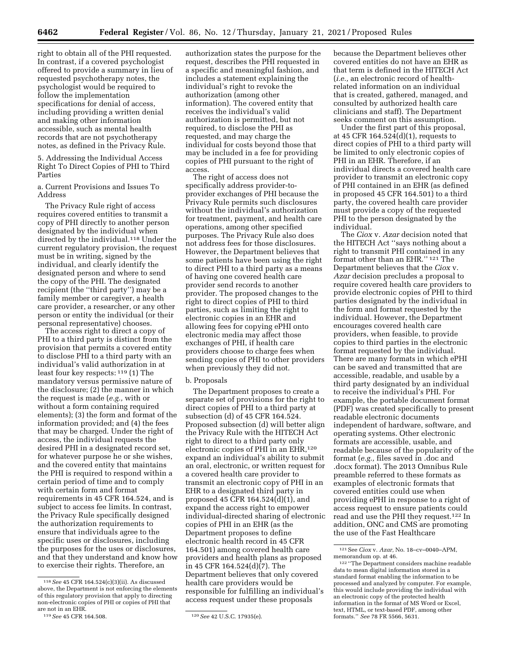right to obtain all of the PHI requested. In contrast, if a covered psychologist offered to provide a summary in lieu of requested psychotherapy notes, the psychologist would be required to follow the implementation specifications for denial of access, including providing a written denial and making other information accessible, such as mental health records that are not psychotherapy notes, as defined in the Privacy Rule.

5. Addressing the Individual Access Right To Direct Copies of PHI to Third Parties

a. Current Provisions and Issues To Address

The Privacy Rule right of access requires covered entities to transmit a copy of PHI directly to another person designated by the individual when directed by the individual.118 Under the current regulatory provision, the request must be in writing, signed by the individual, and clearly identify the designated person and where to send the copy of the PHI. The designated recipient (the ''third party'') may be a family member or caregiver, a health care provider, a researcher, or any other person or entity the individual (or their personal representative) chooses.

The access right to direct a copy of PHI to a third party is distinct from the provision that permits a covered entity to disclose PHI to a third party with an individual's valid authorization in at least four key respects: 119 (1) The mandatory versus permissive nature of the disclosure; (2) the manner in which the request is made (*e.g.,* with or without a form containing required elements); (3) the form and format of the information provided; and (4) the fees that may be charged. Under the right of access, the individual requests the desired PHI in a designated record set, for whatever purpose he or she wishes, and the covered entity that maintains the PHI is required to respond within a certain period of time and to comply with certain form and format requirements in 45 CFR 164.524, and is subject to access fee limits. In contrast, the Privacy Rule specifically designed the authorization requirements to ensure that individuals agree to the specific uses or disclosures, including the purposes for the uses or disclosures, and that they understand and know how to exercise their rights. Therefore, an

authorization states the purpose for the request, describes the PHI requested in a specific and meaningful fashion, and includes a statement explaining the individual's right to revoke the authorization (among other information). The covered entity that receives the individual's valid authorization is permitted, but not required, to disclose the PHI as requested, and may charge the individual for costs beyond those that may be included in a fee for providing copies of PHI pursuant to the right of access.

The right of access does not specifically address provider-toprovider exchanges of PHI because the Privacy Rule permits such disclosures without the individual's authorization for treatment, payment, and health care operations, among other specified purposes. The Privacy Rule also does not address fees for those disclosures. However, the Department believes that some patients have been using the right to direct PHI to a third party as a means of having one covered health care provider send records to another provider. The proposed changes to the right to direct copies of PHI to third parties, such as limiting the right to electronic copies in an EHR and allowing fees for copying ePHI onto electronic media may affect those exchanges of PHI, if health care providers choose to charge fees when sending copies of PHI to other providers when previously they did not.

#### b. Proposals

The Department proposes to create a separate set of provisions for the right to direct copies of PHI to a third party at subsection (d) of 45 CFR 164.524. Proposed subsection (d) will better align the Privacy Rule with the HITECH Act right to direct to a third party only electronic copies of PHI in an EHR,<sup>120</sup> expand an individual's ability to submit an oral, electronic, or written request for a covered health care provider to transmit an electronic copy of PHI in an EHR to a designated third party in proposed 45 CFR 164.524(d)(1), and expand the access right to empower individual-directed sharing of electronic copies of PHI in an EHR (as the Department proposes to define electronic health record in 45 CFR 164.501) among covered health care providers and health plans as proposed in 45 CFR 164.524(d)(7). The Department believes that only covered health care providers would be responsible for fulfilling an individual's access request under these proposals

because the Department believes other covered entities do not have an EHR as that term is defined in the HITECH Act (*i.e.,* an electronic record of healthrelated information on an individual that is created, gathered, managed, and consulted by authorized health care clinicians and staff). The Department seeks comment on this assumption.

Under the first part of this proposal, at 45 CFR 164.524(d)(1), requests to direct copies of PHI to a third party will be limited to only electronic copies of PHI in an EHR. Therefore, if an individual directs a covered health care provider to transmit an electronic copy of PHI contained in an EHR (as defined in proposed 45 CFR 164.501) to a third party, the covered health care provider must provide a copy of the requested PHI to the person designated by the individual.

The *Ciox* v. *Azar* decision noted that the HITECH Act ''says nothing about a right to transmit PHI contained in any format other than an EHR.'' 121 The Department believes that the *Ciox* v. *Azar* decision precludes a proposal to require covered health care providers to provide electronic copies of PHI to third parties designated by the individual in the form and format requested by the individual. However, the Department encourages covered health care providers, when feasible, to provide copies to third parties in the electronic format requested by the individual. There are many formats in which ePHI can be saved and transmitted that are accessible, readable, and usable by a third party designated by an individual to receive the individual's PHI. For example, the portable document format (PDF) was created specifically to present readable electronic documents independent of hardware, software, and operating systems. Other electronic formats are accessible, usable, and readable because of the popularity of the format (*e.g.,* files saved in .doc and .docx format). The 2013 Omnibus Rule preamble referred to these formats as examples of electronic formats that covered entities could use when providing ePHI in response to a right of access request to ensure patients could read and use the PHI they request.122 In addition, ONC and CMS are promoting the use of the Fast Healthcare

<sup>118</sup>*See* 45 CFR 164.524(c)(3)(ii). As discussed above, the Department is not enforcing the elements of this regulatory provision that apply to directing non-electronic copies of PHI or copies of PHI that are not in an EHR.<br> $119 \text{ See } 45 \text{ CFR } 164.508$ .

<sup>119</sup>*See* 45 CFR 164.508. 120*See* 42 U.S.C. 17935(e).

<sup>121</sup>See *Ciox* v. *Azar,* No. 18–cv–0040–APM,

<sup>&</sup>lt;sup>122</sup> "The Department considers machine readable data to mean digital information stored in a standard format enabling the information to be processed and analyzed by computer. For example, this would include providing the individual with an electronic copy of the protected health information in the format of MS Word or Excel, text, HTML, or text-based PDF, among other formats.'' *See* 78 FR 5566, 5631.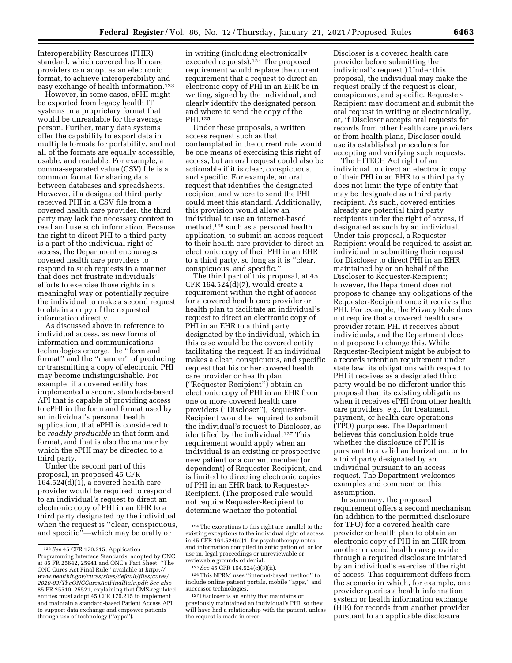Interoperability Resources (FHIR) standard, which covered health care providers can adopt as an electronic format, to achieve interoperability and easy exchange of health information.<sup>123</sup>

However, in some cases, ePHI might be exported from legacy health IT systems in a proprietary format that would be unreadable for the average person. Further, many data systems offer the capability to export data in multiple formats for portability, and not all of the formats are equally accessible, usable, and readable. For example, a comma-separated value (CSV) file is a common format for sharing data between databases and spreadsheets. However, if a designated third party received PHI in a CSV file from a covered health care provider, the third party may lack the necessary context to read and use such information. Because the right to direct PHI to a third party is a part of the individual right of access, the Department encourages covered health care providers to respond to such requests in a manner that does not frustrate individuals' efforts to exercise those rights in a meaningful way or potentially require the individual to make a second request to obtain a copy of the requested information directly.

As discussed above in reference to individual access, as new forms of information and communications technologies emerge, the ''form and format'' and the ''manner'' of producing or transmitting a copy of electronic PHI may become indistinguishable. For example, if a covered entity has implemented a secure, standards-based API that is capable of providing access to ePHI in the form and format used by an individual's personal health application, that ePHI is considered to be *readily producible* in that form and format, and that is also the manner by which the ePHI may be directed to a third party.

Under the second part of this proposal, in proposed 45 CFR 164.524(d)(1), a covered health care provider would be required to respond to an individual's request to direct an electronic copy of PHI in an EHR to a third party designated by the individual when the request is ''clear, conspicuous, and specific''—which may be orally or

in writing (including electronically executed requests).124 The proposed requirement would replace the current requirement that a request to direct an electronic copy of PHI in an EHR be in writing, signed by the individual, and clearly identify the designated person and where to send the copy of the PHI.125

Under these proposals, a written access request such as that contemplated in the current rule would be one means of exercising this right of access, but an oral request could also be actionable if it is clear, conspicuous, and specific. For example, an oral request that identifies the designated recipient and where to send the PHI could meet this standard. Additionally, this provision would allow an individual to use an internet-based method,<sup>126</sup> such as a personal health application, to submit an access request to their health care provider to direct an electronic copy of their PHI in an EHR to a third party, so long as it is ''clear, conspicuous, and specific.''

The third part of this proposal, at 45 CFR 164.524(d)(7), would create a requirement within the right of access for a covered health care provider or health plan to facilitate an individual's request to direct an electronic copy of PHI in an EHR to a third party designated by the individual, which in this case would be the covered entity facilitating the request. If an individual makes a clear, conspicuous, and specific request that his or her covered health care provider or health plan (''Requester-Recipient'') obtain an electronic copy of PHI in an EHR from one or more covered health care providers (''Discloser''), Requester-Recipient would be required to submit the individual's request to Discloser, as identified by the individual.127 This requirement would apply when an individual is an existing or prospective new patient or a current member (or dependent) of Requester-Recipient, and is limited to directing electronic copies of PHI in an EHR back to Requester-Recipient. (The proposed rule would not require Requester-Recipient to determine whether the potential

Discloser is a covered health care provider before submitting the individual's request.) Under this proposal, the individual may make the request orally if the request is clear, conspicuous, and specific. Requester-Recipient may document and submit the oral request in writing or electronically, or, if Discloser accepts oral requests for records from other health care providers or from health plans, Discloser could use its established procedures for accepting and verifying such requests.

The HITECH Act right of an individual to direct an electronic copy of their PHI in an EHR to a third party does not limit the type of entity that may be designated as a third party recipient. As such, covered entities already are potential third party recipients under the right of access, if designated as such by an individual. Under this proposal, a Requester-Recipient would be required to assist an individual in submitting their request for Discloser to direct PHI in an EHR maintained by or on behalf of the Discloser to Requester-Recipient; however, the Department does not propose to change any obligations of the Requester-Recipient once it receives the PHI. For example, the Privacy Rule does not require that a covered health care provider retain PHI it receives about individuals, and the Department does not propose to change this. While Requester-Recipient might be subject to a records retention requirement under state law, its obligations with respect to PHI it receives as a designated third party would be no different under this proposal than its existing obligations when it receives ePHI from other health care providers, *e.g.,* for treatment, payment, or health care operations (TPO) purposes. The Department believes this conclusion holds true whether the disclosure of PHI is pursuant to a valid authorization, or to a third party designated by an individual pursuant to an access request. The Department welcomes examples and comment on this assumption.

In summary, the proposed requirement offers a second mechanism (in addition to the permitted disclosure for TPO) for a covered health care provider or health plan to obtain an electronic copy of PHI in an EHR from another covered health care provider through a required disclosure initiated by an individual's exercise of the right of access. This requirement differs from the scenario in which, for example, one provider queries a health information system or health information exchange (HIE) for records from another provider pursuant to an applicable disclosure

<sup>123</sup>*See* 45 CFR 170.215, Application Programming Interface Standards, adopted by ONC at 85 FR 25642, 25941 and ONC's Fact Sheet, ''The ONC Cures Act Final Rule'' available at *[https://](https://www.healthit.gov/cures/sites/default/files/cures/2020-03/TheONCCuresActFinalRule.pdf) [www.healthit.gov/cures/sites/default/files/cures/](https://www.healthit.gov/cures/sites/default/files/cures/2020-03/TheONCCuresActFinalRule.pdf)  [2020-03/TheONCCuresActFinalRule.pdf;](https://www.healthit.gov/cures/sites/default/files/cures/2020-03/TheONCCuresActFinalRule.pdf) See also*  85 FR 25510, 25521, explaining that CMS-regulated entities must adopt 45 CFR 170.215 to implement and maintain a standard-based Patient Access API to support data exchange and empower patients through use of technology (''apps'').

<sup>124</sup>The exceptions to this right are parallel to the existing exceptions to the individual right of access in 45 CFR 164.524(a)(1) for psychotherapy notes and information compiled in anticipation of, or for use in, legal proceedings or unreviewable or reviewable grounds of denial.

<sup>125</sup>*See* 45 CFR 164.524(c)(3)(ii).

 $^{126}\mathrm{This}$  NPRM uses ''internet-based method'' to include online patient portals, mobile ''apps,'' and successor technologies.

<sup>127</sup> Discloser is an entity that maintains or previously maintained an individual's PHI, so they will have had a relationship with the patient, unless the request is made in error.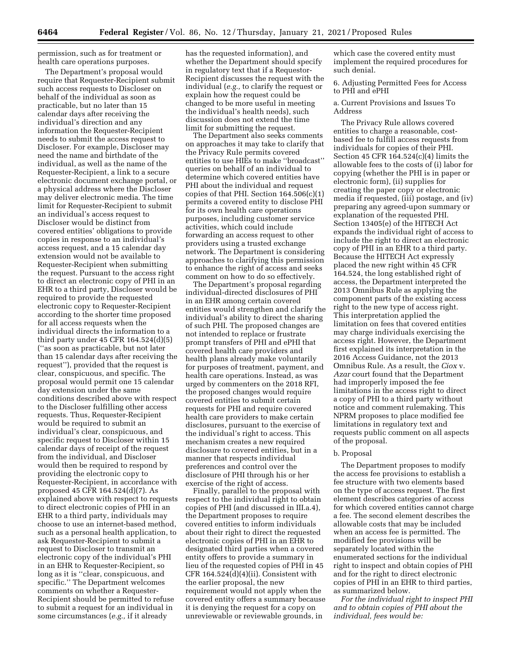permission, such as for treatment or health care operations purposes.

The Department's proposal would require that Requester-Recipient submit such access requests to Discloser on behalf of the individual as soon as practicable, but no later than 15 calendar days after receiving the individual's direction and any information the Requester-Recipient needs to submit the access request to Discloser. For example, Discloser may need the name and birthdate of the individual, as well as the name of the Requester-Recipient, a link to a secure electronic document exchange portal, or a physical address where the Discloser may deliver electronic media. The time limit for Requester-Recipient to submit an individual's access request to Discloser would be distinct from covered entities' obligations to provide copies in response to an individual's access request, and a 15 calendar day extension would not be available to Requester-Recipient when submitting the request. Pursuant to the access right to direct an electronic copy of PHI in an EHR to a third party, Discloser would be required to provide the requested electronic copy to Requester-Recipient according to the shorter time proposed for all access requests when the individual directs the information to a third party under 45 CFR 164.524(d)(5) (''as soon as practicable, but not later than 15 calendar days after receiving the request''), provided that the request is clear, conspicuous, and specific. The proposal would permit one 15 calendar day extension under the same conditions described above with respect to the Discloser fulfilling other access requests. Thus, Requester-Recipient would be required to submit an individual's clear, conspicuous, and specific request to Discloser within 15 calendar days of receipt of the request from the individual, and Discloser would then be required to respond by providing the electronic copy to Requester-Recipient, in accordance with proposed 45 CFR 164.524(d)(7). As explained above with respect to requests to direct electronic copies of PHI in an EHR to a third party, individuals may choose to use an internet-based method, such as a personal health application, to ask Requester-Recipient to submit a request to Discloser to transmit an electronic copy of the individual's PHI in an EHR to Requester-Recipient, so long as it is ''clear, conspicuous, and specific.'' The Department welcomes comments on whether a Requester-Recipient should be permitted to refuse to submit a request for an individual in some circumstances (*e.g.,* if it already

has the requested information), and whether the Department should specify in regulatory text that if a Requestor-Recipient discusses the request with the individual (*e.g.,* to clarify the request or explain how the request could be changed to be more useful in meeting the individual's health needs), such discussion does not extend the time limit for submitting the request.

The Department also seeks comments on approaches it may take to clarify that the Privacy Rule permits covered entities to use HIEs to make ''broadcast'' queries on behalf of an individual to determine which covered entities have PHI about the individual and request copies of that PHI. Section 164.506(c)(1) permits a covered entity to disclose PHI for its own health care operations purposes, including customer service activities, which could include forwarding an access request to other providers using a trusted exchange network. The Department is considering approaches to clarifying this permission to enhance the right of access and seeks comment on how to do so effectively.

The Department's proposal regarding individual-directed disclosures of PHI in an EHR among certain covered entities would strengthen and clarify the individual's ability to direct the sharing of such PHI. The proposed changes are not intended to replace or frustrate prompt transfers of PHI and ePHI that covered health care providers and health plans already make voluntarily for purposes of treatment, payment, and health care operations. Instead, as was urged by commenters on the 2018 RFI, the proposed changes would require covered entities to submit certain requests for PHI and require covered health care providers to make certain disclosures, pursuant to the exercise of the individual's right to access. This mechanism creates a new required disclosure to covered entities, but in a manner that respects individual preferences and control over the disclosure of PHI through his or her exercise of the right of access.

Finally, parallel to the proposal with respect to the individual right to obtain copies of PHI (and discussed in III.a.4), the Department proposes to require covered entities to inform individuals about their right to direct the requested electronic copies of PHI in an EHR to designated third parties when a covered entity offers to provide a summary in lieu of the requested copies of PHI in 45 CFR 164.524(d)(4)(ii). Consistent with the earlier proposal, the new requirement would not apply when the covered entity offers a summary because it is denying the request for a copy on unreviewable or reviewable grounds, in

which case the covered entity must implement the required procedures for such denial.

## 6. Adjusting Permitted Fees for Access to PHI and ePHI

## a. Current Provisions and Issues To Address

The Privacy Rule allows covered entities to charge a reasonable, costbased fee to fulfill access requests from individuals for copies of their PHI. Section 45 CFR 164.524(c)(4) limits the allowable fees to the costs of (i) labor for copying (whether the PHI is in paper or electronic form), (ii) supplies for creating the paper copy or electronic media if requested, (iii) postage, and (iv) preparing any agreed-upon summary or explanation of the requested PHI. Section 13405(e) of the HITECH Act expands the individual right of access to include the right to direct an electronic copy of PHI in an EHR to a third party. Because the HITECH Act expressly placed the new right within 45 CFR 164.524, the long established right of access, the Department interpreted the 2013 Omnibus Rule as applying the component parts of the existing access right to the new type of access right. This interpretation applied the limitation on fees that covered entities may charge individuals exercising the access right. However, the Department first explained its interpretation in the 2016 Access Guidance, not the 2013 Omnibus Rule. As a result, the *Ciox* v. *Azar* court found that the Department had improperly imposed the fee limitations in the access right to direct a copy of PHI to a third party without notice and comment rulemaking. This NPRM proposes to place modified fee limitations in regulatory text and requests public comment on all aspects of the proposal.

# b. Proposal

The Department proposes to modify the access fee provisions to establish a fee structure with two elements based on the type of access request. The first element describes categories of access for which covered entities cannot charge a fee. The second element describes the allowable costs that may be included when an access fee is permitted. The modified fee provisions will be separately located within the enumerated sections for the individual right to inspect and obtain copies of PHI and for the right to direct electronic copies of PHI in an EHR to third parties, as summarized below.

*For the individual right to inspect PHI and to obtain copies of PHI about the individual, fees would be:*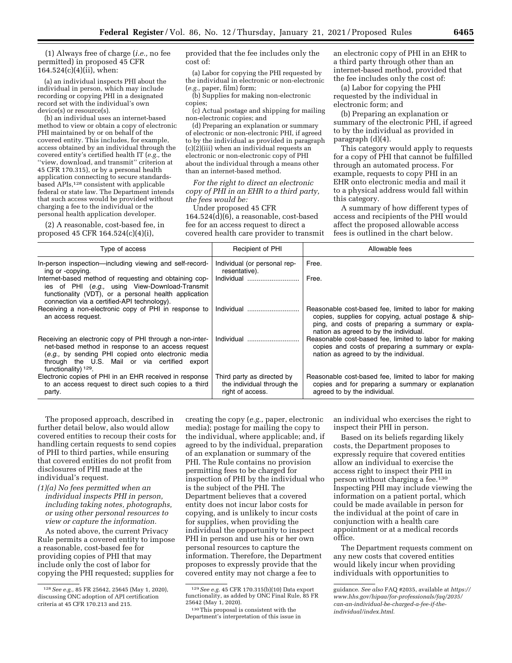(1) Always free of charge (*i.e.,* no fee permitted) in proposed 45 CFR 164.524(c)(4)(ii), when:

(a) an individual inspects PHI about the individual in person, which may include recording or copying PHI in a designated record set with the individual's own device(s) or resource(s).

(b) an individual uses an internet-based method to view or obtain a copy of electronic PHI maintained by or on behalf of the covered entity. This includes, for example, access obtained by an individual through the covered entity's certified health IT (*e.g.,* the ''view, download, and transmit'' criterion at 45 CFR 170.315), or by a personal health application connecting to secure standardsbased APIs,<sup>128</sup> consistent with applicable federal or state law. The Department intends that such access would be provided without charging a fee to the individual or the personal health application developer.

(2) A reasonable, cost-based fee, in proposed 45 CFR 164.524(c)(4)(i),

provided that the fee includes only the cost of:

(a) Labor for copying the PHI requested by the individual in electronic or non-electronic (*e.g.,* paper, film) form;

(b) Supplies for making non-electronic copies;

(c) Actual postage and shipping for mailing non-electronic copies; and

(d) Preparing an explanation or summary of electronic or non-electronic PHI, if agreed to by the individual as provided in paragraph  $(c)(2)(iii)$  when an individual requests an electronic or non-electronic copy of PHI about the individual through a means other than an internet-based method.

*For the right to direct an electronic copy of PHI in an EHR to a third party, the fees would be:* 

Under proposed 45 CFR 164.524(d)(6), a reasonable, cost-based fee for an access request to direct a covered health care provider to transmit an electronic copy of PHI in an EHR to a third party through other than an internet-based method, provided that the fee includes only the cost of:

(a) Labor for copying the PHI requested by the individual in electronic form; and

(b) Preparing an explanation or summary of the electronic PHI, if agreed to by the individual as provided in paragraph (d)(4).

This category would apply to requests for a copy of PHI that cannot be fulfilled through an automated process. For example, requests to copy PHI in an EHR onto electronic media and mail it to a physical address would fall within this category.

A summary of how different types of access and recipients of the PHI would affect the proposed allowable access fees is outlined in the chart below.

| Type of access                                                                                                                                                                                                                              | Recipient of PHI                                                             | Allowable fees                                                                                                                                                                                               |
|---------------------------------------------------------------------------------------------------------------------------------------------------------------------------------------------------------------------------------------------|------------------------------------------------------------------------------|--------------------------------------------------------------------------------------------------------------------------------------------------------------------------------------------------------------|
| In-person inspection—including viewing and self-record-<br>ing or -copying.                                                                                                                                                                 | Individual (or personal rep-<br>resentative).                                | Free.                                                                                                                                                                                                        |
| Internet-based method of requesting and obtaining cop-<br>ies of PHI (e.g., using View-Download-Transmit<br>functionality (VDT), or a personal health application<br>connection via a certified-API technology).                            | Individual                                                                   | Free.                                                                                                                                                                                                        |
| Receiving a non-electronic copy of PHI in response to  <br>an access request.                                                                                                                                                               |                                                                              | Reasonable cost-based fee, limited to labor for making<br>copies, supplies for copying, actual postage & ship-<br>ping, and costs of preparing a summary or expla-<br>nation as agreed to by the individual. |
| Receiving an electronic copy of PHI through a non-inter-<br>net-based method in response to an access request<br>(e.g., by sending PHI copied onto electronic media<br>through the U.S. Mail or via certified export<br>functionality) 129. | Individual                                                                   | Reasonable cost-based fee, limited to labor for making<br>copies and costs of preparing a summary or expla-<br>nation as agreed to by the individual.                                                        |
| Electronic copies of PHI in an EHR received in response<br>to an access request to direct such copies to a third<br>party.                                                                                                                  | Third party as directed by<br>the individual through the<br>right of access. | Reasonable cost-based fee, limited to labor for making<br>copies and for preparing a summary or explanation<br>agreed to by the individual.                                                                  |

The proposed approach, described in further detail below, also would allow covered entities to recoup their costs for handling certain requests to send copies of PHI to third parties, while ensuring that covered entities do not profit from disclosures of PHI made at the individual's request.

*(1)(a) No fees permitted when an individual inspects PHI in person, including taking notes, photographs, or using other personal resources to view or capture the information.* 

As noted above, the current Privacy Rule permits a covered entity to impose a reasonable, cost-based fee for providing copies of PHI that may include only the cost of labor for copying the PHI requested; supplies for

creating the copy (*e.g.,* paper, electronic media); postage for mailing the copy to the individual, where applicable; and, if agreed to by the individual, preparation of an explanation or summary of the PHI. The Rule contains no provision permitting fees to be charged for inspection of PHI by the individual who is the subject of the PHI. The Department believes that a covered entity does not incur labor costs for copying, and is unlikely to incur costs for supplies, when providing the individual the opportunity to inspect PHI in person and use his or her own personal resources to capture the information. Therefore, the Department proposes to expressly provide that the covered entity may not charge a fee to

an individual who exercises the right to inspect their PHI in person.

Based on its beliefs regarding likely costs, the Department proposes to expressly require that covered entities allow an individual to exercise the access right to inspect their PHI in person without charging a fee.130 Inspecting PHI may include viewing the information on a patient portal, which could be made available in person for the individual at the point of care in conjunction with a health care appointment or at a medical records office.

The Department requests comment on any new costs that covered entities would likely incur when providing individuals with opportunities to

<sup>128</sup>*See e.g.,* 85 FR 25642, 25645 (May 1, 2020), discussing ONC adoption of API certification criteria at 45 CFR 170.213 and 215.

<sup>129</sup>*See e.g.* 45 CFR 170.315(b)(10) Data export functionality, as added by ONC Final Rule, 85 FR 25642 (May 1, 2020).

<sup>130</sup>This proposal is consistent with the Department's interpretation of this issue in

guidance. *See also* FAQ #2035, available at *[https://](https://www.hhs.gov/hipaa/for-professionals/faq/2035/can-an-individual-be-charged-a-fee-if-the-individual/index.html)  [www.hhs.gov/hipaa/for-professionals/faq/2035/](https://www.hhs.gov/hipaa/for-professionals/faq/2035/can-an-individual-be-charged-a-fee-if-the-individual/index.html) [can-an-individual-be-charged-a-fee-if-the](https://www.hhs.gov/hipaa/for-professionals/faq/2035/can-an-individual-be-charged-a-fee-if-the-individual/index.html)[individual/index.html.](https://www.hhs.gov/hipaa/for-professionals/faq/2035/can-an-individual-be-charged-a-fee-if-the-individual/index.html)*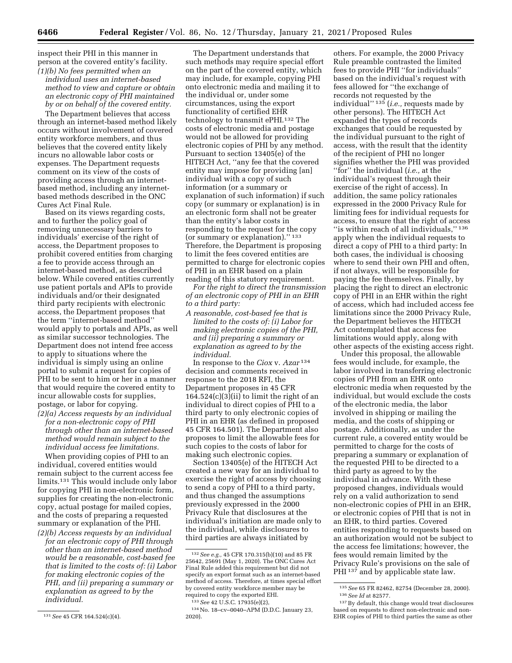inspect their PHI in this manner in person at the covered entity's facility. *(1)(b) No fees permitted when an* 

*individual uses an internet-based method to view and capture or obtain an electronic copy of PHI maintained by or on behalf of the covered entity.* 

The Department believes that access through an internet-based method likely occurs without involvement of covered entity workforce members, and thus believes that the covered entity likely incurs no allowable labor costs or expenses. The Department requests comment on its view of the costs of providing access through an internetbased method, including any internetbased methods described in the ONC Cures Act Final Rule.

Based on its views regarding costs, and to further the policy goal of removing unnecessary barriers to individuals' exercise of the right of access, the Department proposes to prohibit covered entities from charging a fee to provide access through an internet-based method, as described below. While covered entities currently use patient portals and APIs to provide individuals and/or their designated third party recipients with electronic access, the Department proposes that the term ''internet-based method'' would apply to portals and APIs, as well as similar successor technologies. The Department does not intend free access to apply to situations where the individual is simply using an online portal to submit a request for copies of PHI to be sent to him or her in a manner that would require the covered entity to incur allowable costs for supplies, postage, or labor for copying.

*(2)(a) Access requests by an individual for a non-electronic copy of PHI through other than an internet-based method would remain subject to the individual access fee limitations.* 

When providing copies of PHI to an individual, covered entities would remain subject to the current access fee limits.131 This would include only labor for copying PHI in non-electronic form, supplies for creating the non-electronic copy, actual postage for mailed copies, and the costs of preparing a requested summary or explanation of the PHI. *(2)(b) Access requests by an individual* 

*for an electronic copy of PHI through other than an internet-based method would be a reasonable, cost-based fee that is limited to the costs of: (i) Labor for making electronic copies of the PHI, and (ii) preparing a summary or explanation as agreed to by the individual.* 

The Department understands that such methods may require special effort on the part of the covered entity, which may include, for example, copying PHI onto electronic media and mailing it to the individual or, under some circumstances, using the export functionality of certified EHR technology to transmit ePHI.132 The costs of electronic media and postage would not be allowed for providing electronic copies of PHI by any method. Pursuant to section 13405(e) of the HITECH Act, ''any fee that the covered entity may impose for providing [an] individual with a copy of such information (or a summary or explanation of such information) if such copy (or summary or explanation) is in an electronic form shall not be greater than the entity's labor costs in responding to the request for the copy (or summary or explanation).'' 133 Therefore, the Department is proposing to limit the fees covered entities are permitted to charge for electronic copies of PHI in an EHR based on a plain reading of this statutory requirement.

*For the right to direct the transmission of an electronic copy of PHI in an EHR to a third party:* 

*A reasonable, cost-based fee that is limited to the costs of: (i) Labor for making electronic copies of the PHI, and (ii) preparing a summary or explanation as agreed to by the individual.* 

In response to the *Ciox* v. *Azar* 134 decision and comments received in response to the 2018 RFI, the Department proposes in 45 CFR  $164.524(c)(3)(ii)$  to limit the right of an individual to direct copies of PHI to a third party to only electronic copies of PHI in an EHR (as defined in proposed 45 CFR 164.501). The Department also proposes to limit the allowable fees for such copies to the costs of labor for making such electronic copies.

Section 13405(e) of the HITECH Act created a new way for an individual to exercise the right of access by choosing to send a copy of PHI to a third party, and thus changed the assumptions previously expressed in the 2000 Privacy Rule that disclosures at the individual's initiation are made only to the individual, while disclosures to third parties are always initiated by

others. For example, the 2000 Privacy Rule preamble contrasted the limited fees to provide PHI ''for individuals'' based on the individual's request with fees allowed for ''the exchange of records not requested by the individual'' 135 (*i.e.,* requests made by other persons). The HITECH Act expanded the types of records exchanges that could be requested by the individual pursuant to the right of access, with the result that the identity of the recipient of PHI no longer signifies whether the PHI was provided ''for'' the individual (*i.e.,* at the individual's request through their exercise of the right of access). In addition, the same policy rationales expressed in the 2000 Privacy Rule for limiting fees for individual requests for access, to ensure that the right of access ''is within reach of all individuals,'' 136 apply when the individual requests to direct a copy of PHI to a third party: In both cases, the individual is choosing where to send their own PHI and often, if not always, will be responsible for paying the fee themselves. Finally, by placing the right to direct an electronic copy of PHI in an EHR within the right of access, which had included access fee limitations since the 2000 Privacy Rule, the Department believes the HITECH Act contemplated that access fee limitations would apply, along with other aspects of the existing access right.

Under this proposal, the allowable fees would include, for example, the labor involved in transferring electronic copies of PHI from an EHR onto electronic media when requested by the individual, but would exclude the costs of the electronic media, the labor involved in shipping or mailing the media, and the costs of shipping or postage. Additionally, as under the current rule, a covered entity would be permitted to charge for the costs of preparing a summary or explanation of the requested PHI to be directed to a third party as agreed to by the individual in advance. With these proposed changes, individuals would rely on a valid authorization to send non-electronic copies of PHI in an EHR, or electronic copies of PHI that is not in an EHR, to third parties. Covered entities responding to requests based on an authorization would not be subject to the access fee limitations; however, the fees would remain limited by the Privacy Rule's provisions on the sale of PHI<sup>137</sup> and by applicable state law.

<sup>131</sup>*See* 45 CFR 164.524(c)(4).

<sup>132</sup>*See e.g.,* 45 CFR 170.315(b)(10) and 85 FR 25642, 25691 (May 1, 2020). The ONC Cures Act Final Rule added this requirement but did not specify an export format such as an internet-based method of access. Therefore, at times special effort by covered entity workforce member may be required to copy the exported EHI.

<sup>133</sup>*See* 42 U.S.C. 17935(e)(2),

<sup>134</sup>No. 18–cv–0040–APM (D.D.C. January 23, 2020).

<sup>135</sup>*See* 65 FR 82462, 82754 (December 28, 2000). 136*See Id* at 82577.

<sup>137</sup>By default, this change would treat disclosures based on requests to direct non-electronic and non-EHR copies of PHI to third parties the same as other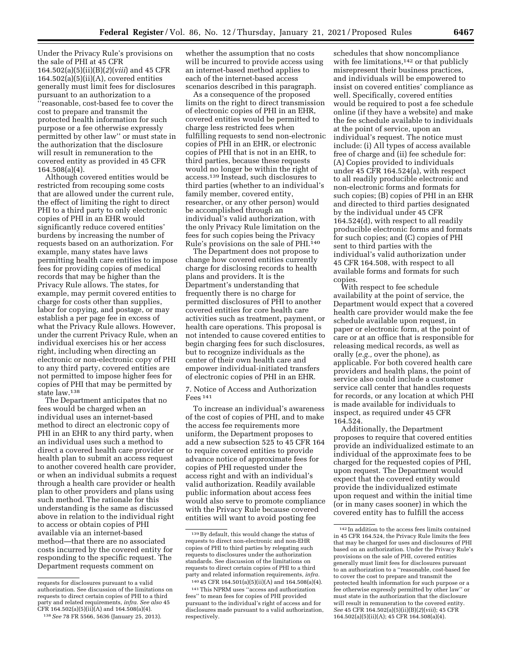Under the Privacy Rule's provisions on the sale of PHI at 45 CFR 164.502(a)(5)(ii)(B)(*2*)(*viii*) and 45 CFR  $164.502(a)(5)(ii)(A)$ , covered entities generally must limit fees for disclosures pursuant to an authorization to a ''reasonable, cost-based fee to cover the cost to prepare and transmit the protected health information for such purpose or a fee otherwise expressly permitted by other law'' or must state in the authorization that the disclosure will result in remuneration to the covered entity as provided in 45 CFR 164.508(a)(4).

Although covered entities would be restricted from recouping some costs that are allowed under the current rule, the effect of limiting the right to direct PHI to a third party to only electronic copies of PHI in an EHR would significantly reduce covered entities' burdens by increasing the number of requests based on an authorization. For example, many states have laws permitting health care entities to impose fees for providing copies of medical records that may be higher than the Privacy Rule allows. The states, for example, may permit covered entities to charge for costs other than supplies, labor for copying, and postage, or may establish a per page fee in excess of what the Privacy Rule allows. However, under the current Privacy Rule, when an individual exercises his or her access right, including when directing an electronic or non-electronic copy of PHI to any third party, covered entities are not permitted to impose higher fees for copies of PHI that may be permitted by state law.138

The Department anticipates that no fees would be charged when an individual uses an internet-based method to direct an electronic copy of PHI in an EHR to any third party, when an individual uses such a method to direct a covered health care provider or health plan to submit an access request to another covered health care provider, or when an individual submits a request through a health care provider or health plan to other providers and plans using such method. The rationale for this understanding is the same as discussed above in relation to the individual right to access or obtain copies of PHI available via an internet-based method—that there are no associated costs incurred by the covered entity for responding to the specific request. The Department requests comment on

whether the assumption that no costs will be incurred to provide access using an internet-based method applies to each of the internet-based access scenarios described in this paragraph.

As a consequence of the proposed limits on the right to direct transmission of electronic copies of PHI in an EHR, covered entities would be permitted to charge less restricted fees when fulfilling requests to send non-electronic copies of PHI in an EHR, or electronic copies of PHI that is not in an EHR, to third parties, because these requests would no longer be within the right of access.139 Instead, such disclosures to third parties (whether to an individual's family member, covered entity, researcher, or any other person) would be accomplished through an individual's valid authorization, with the only Privacy Rule limitation on the fees for such copies being the Privacy Rule's provisions on the sale of PHI.140

The Department does not propose to change how covered entities currently charge for disclosing records to health plans and providers. It is the Department's understanding that frequently there is no charge for permitted disclosures of PHI to another covered entities for core health care activities such as treatment, payment, or health care operations. This proposal is not intended to cause covered entities to begin charging fees for such disclosures, but to recognize individuals as the center of their own health care and empower individual-initiated transfers of electronic copies of PHI in an EHR.

7. Notice of Access and Authorization Fees 141

To increase an individual's awareness of the cost of copies of PHI, and to make the access fee requirements more uniform, the Department proposes to add a new subsection 525 to 45 CFR 164 to require covered entities to provide advance notice of approximate fees for copies of PHI requested under the access right and with an individual's valid authorization. Readily available public information about access fees would also serve to promote compliance with the Privacy Rule because covered entities will want to avoid posting fee

schedules that show noncompliance with fee limitations,<sup>142</sup> or that publicly misrepresent their business practices, and individuals will be empowered to insist on covered entities' compliance as well. Specifically, covered entities would be required to post a fee schedule online (if they have a website) and make the fee schedule available to individuals at the point of service, upon an individual's request. The notice must include: (i) All types of access available free of charge and (ii) fee schedule for: (A) Copies provided to individuals under 45 CFR 164.524(a), with respect to all readily producible electronic and non-electronic forms and formats for such copies; (B) copies of PHI in an EHR and directed to third parties designated by the individual under 45 CFR 164.524(d), with respect to all readily producible electronic forms and formats for such copies; and (C) copies of PHI sent to third parties with the individual's valid authorization under 45 CFR 164.508, with respect to all available forms and formats for such copies.

With respect to fee schedule availability at the point of service, the Department would expect that a covered health care provider would make the fee schedule available upon request, in paper or electronic form, at the point of care or at an office that is responsible for releasing medical records, as well as orally (*e.g.,* over the phone), as applicable. For both covered health care providers and health plans, the point of service also could include a customer service call center that handles requests for records, or any location at which PHI is made available for individuals to inspect, as required under 45 CFR 164.524.

Additionally, the Department proposes to require that covered entities provide an individualized estimate to an individual of the approximate fees to be charged for the requested copies of PHI, upon request. The Department would expect that the covered entity would provide the individualized estimate upon request and within the initial time (or in many cases sooner) in which the covered entity has to fulfill the access

requests for disclosures pursuant to a valid authorization. See discussion of the limitations on requests to direct certain copies of PHI to a third party and related requirements, *infra. See also* 45 CFR 164.502(a)(5)(ii)(A) and 164.508(a)(4).

<sup>138</sup>*See* 78 FR 5566, 5636 (January 25, 2013).

<sup>139</sup>By default, this would change the status of requests to direct non-electronic and non-EHR copies of PHI to third parties by relegating such requests to disclosures under the authorization standards. See discussion of the limitations on requests to direct certain copies of PHI to a third party and related information requirements, *infra.* 

<sup>140</sup> 45 CFR 164.501(a)(5)(ii)(A) and 164.508(a)(4).

<sup>141</sup>This NPRM uses ''access and authorization fees'' to mean fees for copies of PHI provided pursuant to the individual's right of access and for disclosures made pursuant to a valid authorization, respectively.

 $\rm ^{142}$  In addition to the access fees limits contained in 45 CFR 164.524, the Privacy Rule limits the fees that may be charged for uses and disclosures of PHI based on an authorization. Under the Privacy Rule's provisions on the sale of PHI, covered entities generally must limit fees for disclosures pursuant to an authorization to a ''reasonable, cost-based fee to cover the cost to prepare and transmit the protected health information for such purpose or a fee otherwise expressly permitted by other law'' or must state in the authorization that the disclosure will result in remuneration to the covered entity. *See* 45 CFR 164.502(a)(5)(ii)(B)(*2*)(*viii*); 45 CFR 164.502(a)(5)(ii)(A); 45 CFR 164.508(a)(4).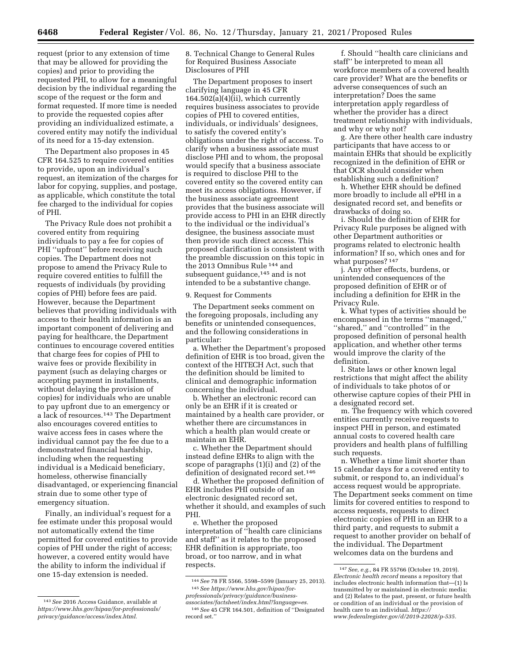request (prior to any extension of time that may be allowed for providing the copies) and prior to providing the requested PHI, to allow for a meaningful decision by the individual regarding the scope of the request or the form and format requested. If more time is needed to provide the requested copies after providing an individualized estimate, a covered entity may notify the individual of its need for a 15-day extension.

The Department also proposes in 45 CFR 164.525 to require covered entities to provide, upon an individual's request, an itemization of the charges for labor for copying, supplies, and postage, as applicable, which constitute the total fee charged to the individual for copies of PHI.

The Privacy Rule does not prohibit a covered entity from requiring individuals to pay a fee for copies of PHI ''upfront'' before receiving such copies. The Department does not propose to amend the Privacy Rule to require covered entities to fulfill the requests of individuals (by providing copies of PHI) before fees are paid. However, because the Department believes that providing individuals with access to their health information is an important component of delivering and paying for healthcare, the Department continues to encourage covered entities that charge fees for copies of PHI to waive fees or provide flexibility in payment (such as delaying charges or accepting payment in installments, without delaying the provision of copies) for individuals who are unable to pay upfront due to an emergency or a lack of resources.143 The Department also encourages covered entities to waive access fees in cases where the individual cannot pay the fee due to a demonstrated financial hardship, including when the requesting individual is a Medicaid beneficiary, homeless, otherwise financially disadvantaged, or experiencing financial strain due to some other type of emergency situation.

Finally, an individual's request for a fee estimate under this proposal would not automatically extend the time permitted for covered entities to provide copies of PHI under the right of access; however, a covered entity would have the ability to inform the individual if one 15-day extension is needed.

8. Technical Change to General Rules for Required Business Associate Disclosures of PHI

The Department proposes to insert clarifying language in 45 CFR 164.502(a)(4)(ii), which currently requires business associates to provide copies of PHI to covered entities, individuals, or individuals' designees, to satisfy the covered entity's obligations under the right of access. To clarify when a business associate must disclose PHI and to whom, the proposal would specify that a business associate is required to disclose PHI to the covered entity so the covered entity can meet its access obligations. However, if the business associate agreement provides that the business associate will provide access to PHI in an EHR directly to the individual or the individual's designee, the business associate must then provide such direct access. This proposed clarification is consistent with the preamble discussion on this topic in the 2013 Omnibus Rule 144 and subsequent guidance,<sup>145</sup> and is not intended to be a substantive change.

9. Request for Comments

The Department seeks comment on the foregoing proposals, including any benefits or unintended consequences, and the following considerations in particular:

a. Whether the Department's proposed definition of EHR is too broad, given the context of the HITECH Act, such that the definition should be limited to clinical and demographic information concerning the individual.

b. Whether an electronic record can only be an EHR if it is created or maintained by a health care provider, or whether there are circumstances in which a health plan would create or maintain an EHR.

c. Whether the Department should instead define EHRs to align with the scope of paragraphs (1)(i) and (2) of the definition of designated record set.146

d. Whether the proposed definition of EHR includes PHI outside of an electronic designated record set, whether it should, and examples of such PHI.

e. Whether the proposed interpretation of ''health care clinicians and staff'' as it relates to the proposed EHR definition is appropriate, too broad, or too narrow, and in what respects.

f. Should ''health care clinicians and staff'' be interpreted to mean all workforce members of a covered health care provider? What are the benefits or adverse consequences of such an interpretation? Does the same interpretation apply regardless of whether the provider has a direct treatment relationship with individuals, and why or why not?

g. Are there other health care industry participants that have access to or maintain EHRs that should be explicitly recognized in the definition of EHR or that OCR should consider when establishing such a definition?

h. Whether EHR should be defined more broadly to include all ePHI in a designated record set, and benefits or drawbacks of doing so.

i. Should the definition of EHR for Privacy Rule purposes be aligned with other Department authorities or programs related to electronic health information? If so, which ones and for what purposes? 147

j. Any other effects, burdens, or unintended consequences of the proposed definition of EHR or of including a definition for EHR in the Privacy Rule.

k. What types of activities should be encompassed in the terms ''managed,'' ''shared,'' and ''controlled'' in the proposed definition of personal health application, and whether other terms would improve the clarity of the definition.

l. State laws or other known legal restrictions that might affect the ability of individuals to take photos of or otherwise capture copies of their PHI in a designated record set.

m. The frequency with which covered entities currently receive requests to inspect PHI in person, and estimated annual costs to covered health care providers and health plans of fulfilling such requests.

n. Whether a time limit shorter than 15 calendar days for a covered entity to submit, or respond to, an individual's access request would be appropriate. The Department seeks comment on time limits for covered entities to respond to access requests, requests to direct electronic copies of PHI in an EHR to a third party, and requests to submit a request to another provider on behalf of the individual. The Department welcomes data on the burdens and

<sup>143</sup>*See* 2016 Access Guidance, available at *[https://www.hhs.gov/hipaa/for-professionals/](https://www.hhs.gov/hipaa/for-professionals/privacy/guidance/access/index.html)  [privacy/guidance/access/index.html.](https://www.hhs.gov/hipaa/for-professionals/privacy/guidance/access/index.html)* 

<sup>144</sup>*See* 78 FR 5566, 5598–5599 (January 25, 2013). 145*See [https://www.hhs.gov/hipaa/for](https://www.hhs.gov/hipaa/for-professionals/privacy/guidance/business-associates/factsheet/index.html?language=es)[professionals/privacy/guidance/business-](https://www.hhs.gov/hipaa/for-professionals/privacy/guidance/business-associates/factsheet/index.html?language=es)*

*[associates/factsheet/index.html?language=es.](https://www.hhs.gov/hipaa/for-professionals/privacy/guidance/business-associates/factsheet/index.html?language=es)*  146*See* 45 CFR 164.501, definition of ''Designated record set.''

<sup>147</sup>*See, e.g.,* 84 FR 55766 (October 19, 2019). *Electronic health record* means a repository that includes electronic health information that—(1) Is transmitted by or maintained in electronic media; and (2) Relates to the past, present, or future health or condition of an individual or the provision of health care to an individual. *[https://](https://www.federalregister.gov/d/2019-22028/p-535) [www.federalregister.gov/d/2019-22028/p-535.](https://www.federalregister.gov/d/2019-22028/p-535)*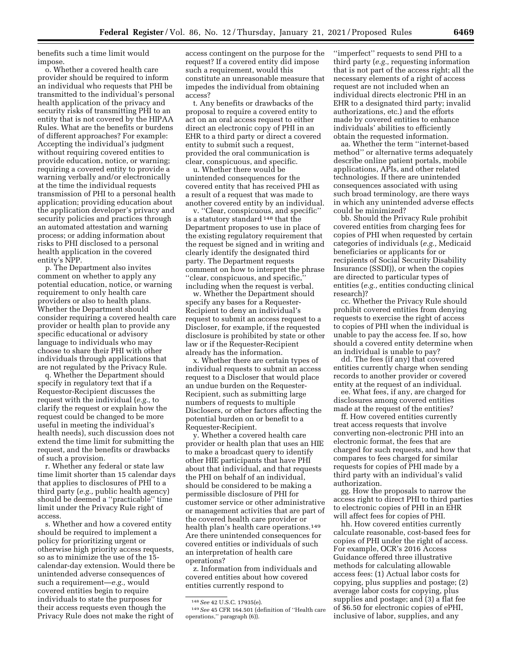benefits such a time limit would impose.

o. Whether a covered health care provider should be required to inform an individual who requests that PHI be transmitted to the individual's personal health application of the privacy and security risks of transmitting PHI to an entity that is not covered by the HIPAA Rules. What are the benefits or burdens of different approaches? For example: Accepting the individual's judgment without requiring covered entities to provide education, notice, or warning; requiring a covered entity to provide a warning verbally and/or electronically at the time the individual requests transmission of PHI to a personal health application; providing education about the application developer's privacy and security policies and practices through an automated attestation and warning process; or adding information about risks to PHI disclosed to a personal health application in the covered entity's NPP.

p. The Department also invites comment on whether to apply any potential education, notice, or warning requirement to only health care providers or also to health plans. Whether the Department should consider requiring a covered health care provider or health plan to provide any specific educational or advisory language to individuals who may choose to share their PHI with other individuals through applications that are not regulated by the Privacy Rule.

q. Whether the Department should specify in regulatory text that if a Requestor-Recipient discusses the request with the individual (*e.g.,* to clarify the request or explain how the request could be changed to be more useful in meeting the individual's health needs), such discussion does not extend the time limit for submitting the request, and the benefits or drawbacks of such a provision.

r. Whether any federal or state law time limit shorter than 15 calendar days that applies to disclosures of PHI to a third party (*e.g.,* public health agency) should be deemed a ''practicable'' time limit under the Privacy Rule right of access.

s. Whether and how a covered entity should be required to implement a policy for prioritizing urgent or otherwise high priority access requests, so as to minimize the use of the 15 calendar-day extension. Would there be unintended adverse consequences of such a requirement—*e.g.,* would covered entities begin to require individuals to state the purposes for their access requests even though the Privacy Rule does not make the right of

access contingent on the purpose for the request? If a covered entity did impose such a requirement, would this constitute an unreasonable measure that impedes the individual from obtaining access?

t. Any benefits or drawbacks of the proposal to require a covered entity to act on an oral access request to either direct an electronic copy of PHI in an EHR to a third party or direct a covered entity to submit such a request, provided the oral communication is clear, conspicuous, and specific.

u. Whether there would be unintended consequences for the covered entity that has received PHI as a result of a request that was made to another covered entity by an individual.

v. ''Clear, conspicuous, and specific'' is a statutory standard 148 that the Department proposes to use in place of the existing regulatory requirement that the request be signed and in writing and clearly identify the designated third party. The Department requests comment on how to interpret the phrase ''clear, conspicuous, and specific,'' including when the request is verbal.

w. Whether the Department should specify any bases for a Requester-Recipient to deny an individual's request to submit an access request to a Discloser, for example, if the requested disclosure is prohibited by state or other law or if the Requester-Recipient already has the information.

x. Whether there are certain types of individual requests to submit an access request to a Discloser that would place an undue burden on the Requester-Recipient, such as submitting large numbers of requests to multiple Disclosers, or other factors affecting the potential burden on or benefit to a Requester-Recipient.

y. Whether a covered health care provider or health plan that uses an HIE to make a broadcast query to identify other HIE participants that have PHI about that individual, and that requests the PHI on behalf of an individual, should be considered to be making a permissible disclosure of PHI for customer service or other administrative or management activities that are part of the covered health care provider or health plan's health care operations.149 Are there unintended consequences for covered entities or individuals of such an interpretation of health care operations?

z. Information from individuals and covered entities about how covered entities currently respond to

''imperfect'' requests to send PHI to a third party (*e.g.,* requesting information that is not part of the access right; all the necessary elements of a right of access request are not included when an individual directs electronic PHI in an EHR to a designated third party; invalid authorizations, etc.) and the efforts made by covered entities to enhance individuals' abilities to efficiently obtain the requested information.

aa. Whether the term ''internet-based method'' or alternative terms adequately describe online patient portals, mobile applications, APIs, and other related technologies. If there are unintended consequences associated with using such broad terminology, are there ways in which any unintended adverse effects could be minimized?

bb. Should the Privacy Rule prohibit covered entities from charging fees for copies of PHI when requested by certain categories of individuals (*e.g.,* Medicaid beneficiaries or applicants for or recipients of Social Security Disability Insurance (SSDI)), or when the copies are directed to particular types of entities (*e.g.,* entities conducting clinical research)?

cc. Whether the Privacy Rule should prohibit covered entities from denying requests to exercise the right of access to copies of PHI when the individual is unable to pay the access fee. If so, how should a covered entity determine when an individual is unable to pay?

dd. The fees (if any) that covered entities currently charge when sending records to another provider or covered entity at the request of an individual.

ee. What fees, if any, are charged for disclosures among covered entities made at the request of the entities?

ff. How covered entities currently treat access requests that involve converting non-electronic PHI into an electronic format, the fees that are charged for such requests, and how that compares to fees charged for similar requests for copies of PHI made by a third party with an individual's valid authorization.

gg. How the proposals to narrow the access right to direct PHI to third parties to electronic copies of PHI in an EHR will affect fees for copies of PHI.

hh. How covered entities currently calculate reasonable, cost-based fees for copies of PHI under the right of access. For example, OCR's 2016 Access Guidance offered three illustrative methods for calculating allowable access fees: (1) Actual labor costs for copying, plus supplies and postage; (2) average labor costs for copying, plus supplies and postage; and (3) a flat fee of \$6.50 for electronic copies of ePHI, inclusive of labor, supplies, and any

<sup>148</sup>*See* 42 U.S.C. 17935(e).

<sup>149</sup>*See* 45 CFR 164.501 (definition of ''Health care operations,'' paragraph (6)).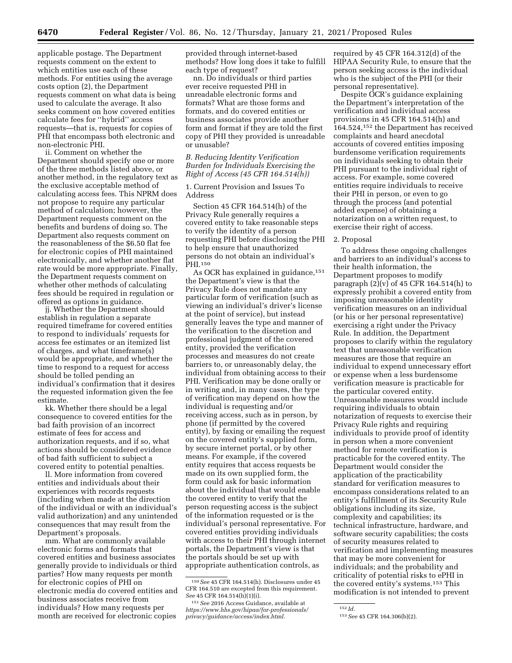applicable postage. The Department requests comment on the extent to which entities use each of these methods. For entities using the average costs option (2), the Department requests comment on what data is being used to calculate the average. It also seeks comment on how covered entities calculate fees for ''hybrid'' access requests—that is, requests for copies of PHI that encompass both electronic and non-electronic PHI.

ii. Comment on whether the Department should specify one or more of the three methods listed above, or another method, in the regulatory text as the exclusive acceptable method of calculating access fees. This NPRM does not propose to require any particular method of calculation; however, the Department requests comment on the benefits and burdens of doing so. The Department also requests comment on the reasonableness of the \$6.50 flat fee for electronic copies of PHI maintained electronically, and whether another flat rate would be more appropriate. Finally, the Department requests comment on whether other methods of calculating fees should be required in regulation or offered as options in guidance.

jj. Whether the Department should establish in regulation a separate required timeframe for covered entities to respond to individuals' requests for access fee estimates or an itemized list of charges, and what timeframe(s) would be appropriate, and whether the time to respond to a request for access should be tolled pending an individual's confirmation that it desires the requested information given the fee estimate.

kk. Whether there should be a legal consequence to covered entities for the bad faith provision of an incorrect estimate of fees for access and authorization requests, and if so, what actions should be considered evidence of bad faith sufficient to subject a covered entity to potential penalties.

ll. More information from covered entities and individuals about their experiences with records requests (including when made at the direction of the individual or with an individual's valid authorization) and any unintended consequences that may result from the Department's proposals.

mm. What are commonly available electronic forms and formats that covered entities and business associates generally provide to individuals or third parties? How many requests per month for electronic copies of PHI on electronic media do covered entities and business associates receive from individuals? How many requests per month are received for electronic copies

provided through internet-based methods? How long does it take to fulfill each type of request?

nn. Do individuals or third parties ever receive requested PHI in unreadable electronic forms and formats? What are those forms and formats, and do covered entities or business associates provide another form and format if they are told the first copy of PHI they provided is unreadable or unusable?

## *B. Reducing Identity Verification Burden for Individuals Exercising the Right of Access (45 CFR 164.514(h))*

1. Current Provision and Issues To Address

Section 45 CFR 164.514(h) of the Privacy Rule generally requires a covered entity to take reasonable steps to verify the identity of a person requesting PHI before disclosing the PHI to help ensure that unauthorized persons do not obtain an individual's PHI.150

As OCR has explained in guidance, 151 the Department's view is that the Privacy Rule does not mandate any particular form of verification (such as viewing an individual's driver's license at the point of service), but instead generally leaves the type and manner of the verification to the discretion and professional judgment of the covered entity, provided the verification processes and measures do not create barriers to, or unreasonably delay, the individual from obtaining access to their PHI. Verification may be done orally or in writing and, in many cases, the type of verification may depend on how the individual is requesting and/or receiving access, such as in person, by phone (if permitted by the covered entity), by faxing or emailing the request on the covered entity's supplied form, by secure internet portal, or by other means. For example, if the covered entity requires that access requests be made on its own supplied form, the form could ask for basic information about the individual that would enable the covered entity to verify that the person requesting access is the subject of the information requested or is the individual's personal representative. For covered entities providing individuals with access to their PHI through internet portals, the Department's view is that the portals should be set up with appropriate authentication controls, as

required by 45 CFR 164.312(d) of the HIPAA Security Rule, to ensure that the person seeking access is the individual who is the subject of the PHI (or their personal representative).

Despite OCR's guidance explaining the Department's interpretation of the verification and individual access provisions in 45 CFR 164.514(h) and 164.524,152 the Department has received complaints and heard anecdotal accounts of covered entities imposing burdensome verification requirements on individuals seeking to obtain their PHI pursuant to the individual right of access. For example, some covered entities require individuals to receive their PHI in person, or even to go through the process (and potential added expense) of obtaining a notarization on a written request, to exercise their right of access.

# 2. Proposal

To address these ongoing challenges and barriers to an individual's access to their health information, the Department proposes to modify paragraph  $(2)(v)$  of 45 CFR 164.514(h) to expressly prohibit a covered entity from imposing unreasonable identity verification measures on an individual (or his or her personal representative) exercising a right under the Privacy Rule. In addition, the Department proposes to clarify within the regulatory text that unreasonable verification measures are those that require an individual to expend unnecessary effort or expense when a less burdensome verification measure is practicable for the particular covered entity. Unreasonable measures would include requiring individuals to obtain notarization of requests to exercise their Privacy Rule rights and requiring individuals to provide proof of identity in person when a more convenient method for remote verification is practicable for the covered entity. The Department would consider the application of the practicability standard for verification measures to encompass considerations related to an entity's fulfillment of its Security Rule obligations including its size, complexity and capabilities; its technical infrastructure, hardware, and software security capabilities; the costs of security measures related to verification and implementing measures that may be more convenient for individuals; and the probability and criticality of potential risks to ePHI in the covered entity's systems.153 This modification is not intended to prevent

<sup>150</sup>*See* 45 CFR 164.514(h). Disclosures under 45 CFR 164.510 are excepted from this requirement. *See* 45 CFR 164.514(h)(1)(i).

<sup>151</sup>*See* 2016 Access Guidance, available at *[https://www.hhs.gov/hipaa/for-professionals/](https://www.hhs.gov/hipaa/for-professionals/privacy/guidance/access/index.html)  [privacy/guidance/access/index.html.](https://www.hhs.gov/hipaa/for-professionals/privacy/guidance/access/index.html)* 

<sup>152</sup> *Id.* 

<sup>153</sup>*See* 45 CFR 164.306(b)(2).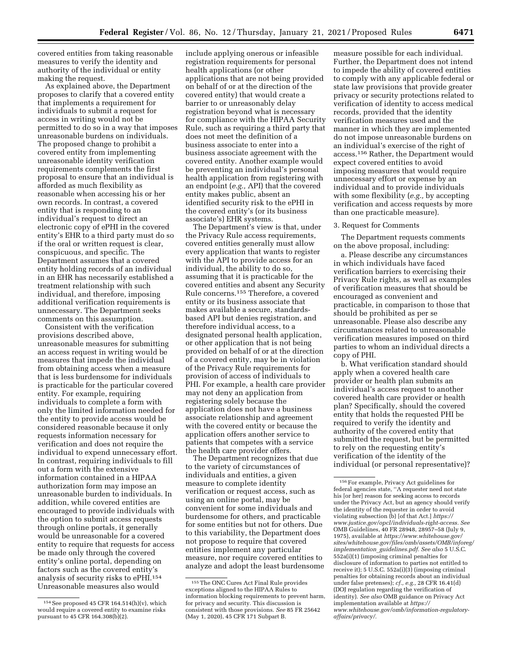covered entities from taking reasonable measures to verify the identity and authority of the individual or entity making the request.

As explained above, the Department proposes to clarify that a covered entity that implements a requirement for individuals to submit a request for access in writing would not be permitted to do so in a way that imposes unreasonable burdens on individuals. The proposed change to prohibit a covered entity from implementing unreasonable identity verification requirements complements the first proposal to ensure that an individual is afforded as much flexibility as reasonable when accessing his or her own records. In contrast, a covered entity that is responding to an individual's request to direct an electronic copy of ePHI in the covered entity's EHR to a third party must do so if the oral or written request is clear, conspicuous, and specific. The Department assumes that a covered entity holding records of an individual in an EHR has necessarily established a treatment relationship with such individual, and therefore, imposing additional verification requirements is unnecessary. The Department seeks comments on this assumption.

Consistent with the verification provisions described above, unreasonable measures for submitting an access request in writing would be measures that impede the individual from obtaining access when a measure that is less burdensome for individuals is practicable for the particular covered entity. For example, requiring individuals to complete a form with only the limited information needed for the entity to provide access would be considered reasonable because it only requests information necessary for verification and does not require the individual to expend unnecessary effort. In contrast, requiring individuals to fill out a form with the extensive information contained in a HIPAA authorization form may impose an unreasonable burden to individuals. In addition, while covered entities are encouraged to provide individuals with the option to submit access requests through online portals, it generally would be unreasonable for a covered entity to require that requests for access be made only through the covered entity's online portal, depending on factors such as the covered entity's analysis of security risks to ePHI.154 Unreasonable measures also would

include applying onerous or infeasible registration requirements for personal health applications (or other applications that are not being provided on behalf of or at the direction of the covered entity) that would create a barrier to or unreasonably delay registration beyond what is necessary for compliance with the HIPAA Security Rule, such as requiring a third party that does not meet the definition of a business associate to enter into a business associate agreement with the covered entity. Another example would be preventing an individual's personal health application from registering with an endpoint (*e.g.,* API) that the covered entity makes public, absent an identified security risk to the ePHI in the covered entity's (or its business associate's) EHR systems.

The Department's view is that, under the Privacy Rule access requirements, covered entities generally must allow every application that wants to register with the API to provide access for an individual, the ability to do so, assuming that it is practicable for the covered entities and absent any Security Rule concerns.155 Therefore, a covered entity or its business associate that makes available a secure, standardsbased API but denies registration, and therefore individual access, to a designated personal health application, or other application that is not being provided on behalf of or at the direction of a covered entity, may be in violation of the Privacy Rule requirements for provision of access of individuals to PHI. For example, a health care provider may not deny an application from registering solely because the application does not have a business associate relationship and agreement with the covered entity or because the application offers another service to patients that competes with a service the health care provider offers.

The Department recognizes that due to the variety of circumstances of individuals and entities, a given measure to complete identity verification or request access, such as using an online portal, may be convenient for some individuals and burdensome for others, and practicable for some entities but not for others. Due to this variability, the Department does not propose to require that covered entities implement any particular measure, nor require covered entities to analyze and adopt the least burdensome

measure possible for each individual. Further, the Department does not intend to impede the ability of covered entities to comply with any applicable federal or state law provisions that provide greater privacy or security protections related to verification of identity to access medical records, provided that the identity verification measures used and the manner in which they are implemented do not impose unreasonable burdens on an individual's exercise of the right of access.156 Rather, the Department would expect covered entities to avoid imposing measures that would require unnecessary effort or expense by an individual and to provide individuals with some flexibility (*e.g.,* by accepting verification and access requests by more than one practicable measure).

## 3. Request for Comments

The Department requests comments on the above proposal, including:

a. Please describe any circumstances in which individuals have faced verification barriers to exercising their Privacy Rule rights, as well as examples of verification measures that should be encouraged as convenient and practicable, in comparison to those that should be prohibited as per se unreasonable. Please also describe any circumstances related to unreasonable verification measures imposed on third parties to whom an individual directs a copy of PHI.

b. What verification standard should apply when a covered health care provider or health plan submits an individual's access request to another covered health care provider or health plan? Specifically, should the covered entity that holds the requested PHI be required to verify the identity and authority of the covered entity that submitted the request, but be permitted to rely on the requesting entity's verification of the identity of the individual (or personal representative)?

<sup>154</sup>See proposed 45 CFR 164.514(h)(v), which would require a covered entity to examine risks pursuant to 45 CFR 164.308(b)(2).

<sup>155</sup>The ONC Cures Act Final Rule provides exceptions aligned to the HIPAA Rules to information blocking requirements to prevent harm, for privacy and security. This discussion is consistent with those provisions. *See* 85 FR 25642 (May 1, 2020), 45 CFR 171 Subpart B.

<sup>156</sup>For example, Privacy Act guidelines for federal agencies state, ''A requester need not state his [or her] reason for seeking access to records under the Privacy Act, but an agency should verify the identity of the requester in order to avoid violating subsection (b) [of that Act.] *[https://](https://www.justice.gov/opcl/individuals-right-access) [www.justice.gov/opcl/individuals-right-access.](https://www.justice.gov/opcl/individuals-right-access) See*  OMB Guidelines, 40 FR 28948, 28957–58 (July 9, 1975), available at *[https://www.whitehouse.gov/](https://www.whitehouse.gov/sites/whitehouse.gov/files/omb/assets/OMB/inforeg/implementation_guidelines.pdf) [sites/whitehouse.gov/files/omb/assets/OMB/inforeg/](https://www.whitehouse.gov/sites/whitehouse.gov/files/omb/assets/OMB/inforeg/implementation_guidelines.pdf)  [implementation](https://www.whitehouse.gov/sites/whitehouse.gov/files/omb/assets/OMB/inforeg/implementation_guidelines.pdf)*\_*guidelines.pdf. See also* 5 U.S.C. 552a(i)(1) (imposing criminal penalties for disclosure of information to parties not entitled to receive it); 5 U.S.C. 552a(i)(3) (imposing criminal penalties for obtaining records about an individual under false pretenses); *cf., e.g.,* 28 CFR 16.41(d) (DOJ regulation regarding the verification of identity). *See also* OMB guidance on Privacy Act implementation available at *[https://](https://www.whitehouse.gov/omb/information-regulatory-affairs/privacy/) [www.whitehouse.gov/omb/information-regulatory](https://www.whitehouse.gov/omb/information-regulatory-affairs/privacy/)[affairs/privacy/.](https://www.whitehouse.gov/omb/information-regulatory-affairs/privacy/)*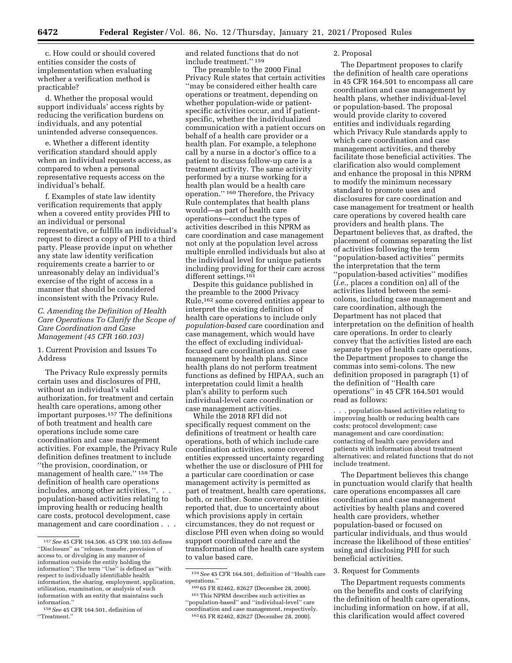c. How could or should covered entities consider the costs of implementation when evaluating whether a verification method is practicable?

d. Whether the proposal would support individuals' access rights by reducing the verification burdens on individuals, and any potential unintended adverse consequences.

e. Whether a different identity verification standard should apply when an individual requests access, as compared to when a personal representative requests access on the individual's behalf.

f. Examples of state law identity verification requirements that apply when a covered entity provides PHI to an individual or personal representative, or fulfills an individual's request to direct a copy of PHI to a third party. Please provide input on whether any state law identity verification requirements create a barrier to or unreasonably delay an individual's exercise of the right of access in a manner that should be considered inconsistent with the Privacy Rule.

## *C. Amending the Definition of Health Care Operations To Clarify the Scope of Care Coordination and Case Management (45 CFR 160.103)*

1. Current Provision and Issues To Address

The Privacy Rule expressly permits certain uses and disclosures of PHI, without an individual's valid authorization, for treatment and certain health care operations, among other important purposes.157 The definitions of both treatment and health care operations include some care coordination and case management activities. For example, the Privacy Rule definition defines treatment to include ''the provision, coordination, or management of health care.'' 158 The definition of health care operations includes, among other activities, ''. . . population-based activities relating to improving health or reducing health care costs, protocol development, case management and care coordination . . .

and related functions that do not include treatment.'' 159

The preamble to the 2000 Final Privacy Rule states that certain activities ''may be considered either health care operations or treatment, depending on whether population-wide or patientspecific activities occur, and if patientspecific, whether the individualized communication with a patient occurs on behalf of a health care provider or a health plan. For example, a telephone call by a nurse in a doctor's office to a patient to discuss follow-up care is a treatment activity. The same activity performed by a nurse working for a health plan would be a health care operation.'' 160 Therefore, the Privacy Rule contemplates that health plans would—as part of health care operations—conduct the types of activities described in this NPRM as care coordination and case management not only at the population level across multiple enrolled individuals but also at the individual level for unique patients including providing for their care across different settings.<sup>161</sup>

Despite this guidance published in the preamble to the 2000 Privacy Rule,162 some covered entities appear to interpret the existing definition of health care operations to include only *population-based* care coordination and case management, which would have the effect of excluding individualfocused care coordination and case management by health plans. Since health plans do not perform treatment functions as defined by HIPAA, such an interpretation could limit a health plan's ability to perform such individual-level care coordination or case management activities.

While the 2018 RFI did not specifically request comment on the definitions of treatment or health care operations, both of which include care coordination activities, some covered entities expressed uncertainty regarding whether the use or disclosure of PHI for a particular care coordination or case management activity is permitted as part of treatment, health care operations, both, or neither. Some covered entities reported that, due to uncertainty about which provisions apply in certain circumstances, they do not request or disclose PHI even when doing so would support coordinated care and the transformation of the health care system to value based care.

#### 2. Proposal

The Department proposes to clarify the definition of health care operations in 45 CFR 164.501 to encompass all care coordination and case management by health plans, whether individual-level or population-based. The proposal would provide clarity to covered entities and individuals regarding which Privacy Rule standards apply to which care coordination and case management activities, and thereby facilitate those beneficial activities. The clarification also would complement and enhance the proposal in this NPRM to modify the minimum necessary standard to promote uses and disclosures for care coordination and case management for treatment or health care operations by covered health care providers and health plans. The Department believes that, as drafted, the placement of commas separating the list of activities following the term ''population-based activities'' permits the interpretation that the term ''population-based activities'' modifies (*i.e.,* places a condition on) all of the activities listed between the semicolons, including case management and care coordination, although the Department has not placed that interpretation on the definition of health care operations. In order to clearly convey that the activities listed are each separate types of health care operations, the Department proposes to change the commas into semi-colons. The new definition proposed in paragraph (1) of the definition of ''Health care operations'' in 45 CFR 164.501 would read as follows:

. . . population-based activities relating to improving health or reducing health care costs; protocol development; case management and care coordination; contacting of health care providers and patients with information about treatment alternatives; and related functions that do not include treatment.

The Department believes this change in punctuation would clarify that health care operations encompasses all care coordination and case management activities by health plans and covered health care providers, whether population-based or focused on particular individuals, and thus would increase the likelihood of these entities' using and disclosing PHI for such beneficial activities.

## 3. Request for Comments

The Department requests comments on the benefits and costs of clarifying the definition of health care operations, including information on how, if at all, this clarification would affect covered

<sup>157</sup>*See* 45 CFR 164.506. 45 CFR 160.103 defines ''Disclosure'' as ''release, transfer, provision of access to, or divulging in any manner of information outside the entity holding the information''; The term ''Use'' is defined as ''with respect to individually identifiable health information, the sharing, employment, application, utilization, examination, or analysis of such information with an entity that maintains such information.''

<sup>158</sup>*See* 45 CFR 164.501, definition of ''Treatment.''

<sup>159</sup>*See* 45 CFR 164.501, definition of ''Health care operations.''

<sup>160</sup> 65 FR 82462, 82627 (December 28, 2000).

 $^{\rm 161}$  This NPRM describes such activities as ''population-based'' and ''individual-level'' care coordination and case management, respectively. 162 65 FR 82462, 82627 (December 28, 2000).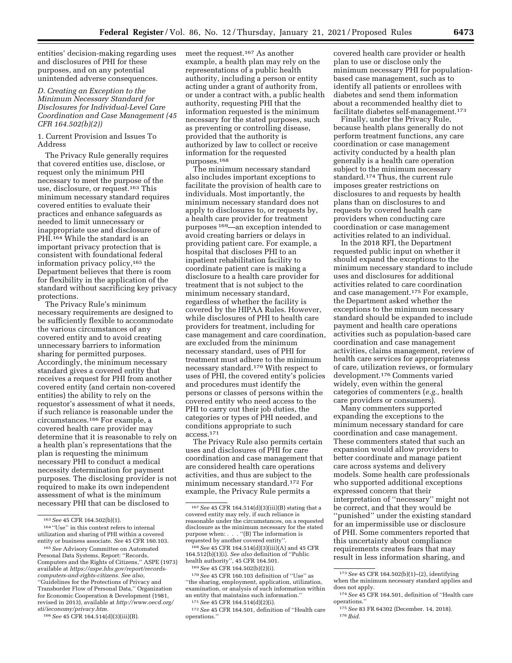entities' decision-making regarding uses and disclosures of PHI for these purposes, and on any potential unintended adverse consequences.

# *D. Creating an Exception to the Minimum Necessary Standard for Disclosures for Individual-Level Care Coordination and Case Management (45 CFR 164.502(b)(2))*

1. Current Provision and Issues To Address

The Privacy Rule generally requires that covered entities use, disclose, or request only the minimum PHI necessary to meet the purpose of the use, disclosure, or request.163 This minimum necessary standard requires covered entities to evaluate their practices and enhance safeguards as needed to limit unnecessary or inappropriate use and disclosure of PHI.<sup>164</sup> While the standard is an important privacy protection that is consistent with foundational federal information privacy policy,165 the Department believes that there is room for flexibility in the application of the standard without sacrificing key privacy protections.

The Privacy Rule's minimum necessary requirements are designed to be sufficiently flexible to accommodate the various circumstances of any covered entity and to avoid creating unnecessary barriers to information sharing for permitted purposes. Accordingly, the minimum necessary standard gives a covered entity that receives a request for PHI from another covered entity (and certain non-covered entities) the ability to rely on the requestor's assessment of what it needs, if such reliance is reasonable under the circumstances.166 For example, a covered health care provider may determine that it is reasonable to rely on a health plan's representations that the plan is requesting the minimum necessary PHI to conduct a medical necessity determination for payment purposes. The disclosing provider is not required to make its own independent assessment of what is the minimum necessary PHI that can be disclosed to

meet the request.167 As another example, a health plan may rely on the representations of a public health authority, including a person or entity acting under a grant of authority from, or under a contract with, a public health authority, requesting PHI that the information requested is the minimum necessary for the stated purposes, such as preventing or controlling disease, provided that the authority is authorized by law to collect or receive information for the requested purposes.168

The minimum necessary standard also includes important exceptions to facilitate the provision of health care to individuals. Most importantly, the minimum necessary standard does not apply to disclosures to, or requests by, a health care provider for treatment purposes 169—an exception intended to avoid creating barriers or delays in providing patient care. For example, a hospital that discloses PHI to an inpatient rehabilitation facility to coordinate patient care is making a disclosure to a health care provider for treatment that is not subject to the minimum necessary standard, regardless of whether the facility is covered by the HIPAA Rules. However, while disclosures of PHI to health care providers for treatment, including for case management and care coordination, are excluded from the minimum necessary standard, uses of PHI for treatment must adhere to the minimum necessary standard.170 With respect to uses of PHI, the covered entity's policies and procedures must identify the persons or classes of persons within the covered entity who need access to the PHI to carry out their job duties, the categories or types of PHI needed, and conditions appropriate to such access.171

The Privacy Rule also permits certain uses and disclosures of PHI for care coordination and case management that are considered health care operations activities, and thus are subject to the minimum necessary standard.172 For example, the Privacy Rule permits a

''the sharing, employment, application, utilization, examination, or analysis of such information within an entity that maintains such information.'' 171*See* 45 CFR 164.514(d)(2)(i). 172*See* 45 CFR 164.501, definition of ''Health care covered health care provider or health plan to use or disclose only the minimum necessary PHI for populationbased case management, such as to identify all patients or enrollees with diabetes and send them information about a recommended healthy diet to facilitate diabetes self-management.173

Finally, under the Privacy Rule, because health plans generally do not perform treatment functions, any care coordination or case management activity conducted by a health plan generally is a health care operation subject to the minimum necessary standard.174 Thus, the current rule imposes greater restrictions on disclosures to and requests by health plans than on disclosures to and requests by covered health care providers when conducting care coordination or case management activities related to an individual.

In the 2018 RFI, the Department requested public input on whether it should expand the exceptions to the minimum necessary standard to include uses and disclosures for additional activities related to care coordination and case management.175 For example, the Department asked whether the exceptions to the minimum necessary standard should be expanded to include payment and health care operations activities such as population-based care coordination and case management activities, claims management, review of health care services for appropriateness of care, utilization reviews, or formulary development.176 Comments varied widely, even within the general categories of commenters (*e.g.,* health care providers or consumers).

Many commenters supported expanding the exceptions to the minimum necessary standard for care coordination and case management. These commenters stated that such an expansion would allow providers to better coordinate and manage patient care across systems and delivery models. Some health care professionals who supported additional exceptions expressed concern that their interpretation of ''necessary'' might not be correct, and that they would be ''punished'' under the existing standard for an impermissible use or disclosure of PHI. Some commenters reported that this uncertainty about compliance requirements creates fears that may result in less information sharing, and

<sup>163</sup>*See* 45 CFR 164.502(b)(1).

<sup>164</sup> ''Use'' in this context refers to internal utilization and sharing of PHI within a covered entity or business associate. *See* 45 CFR 160.103.

<sup>165</sup>*See* Advisory Committee on Automated Personal Data Systems, Report: ''Records, Computers and the Rights of Citizens,'' ASPE (1973) available at *[https://aspe.hhs.gov/report/records](https://aspe.hhs.gov/report/records-computers-and-rights-citizens)[computers-and-rights-citizens.](https://aspe.hhs.gov/report/records-computers-and-rights-citizens) See also,*  ''Guidelines for the Protections of Privacy and Transborder Flow of Personal Data*,*'' Organization for Economic Cooperation & Development (1981, revised in 2013), available at *[http://www.oecd.org/](http://www.oecd.org/sti/ieconomy/privacy.htm) [sti/ieconomy/privacy.htm.](http://www.oecd.org/sti/ieconomy/privacy.htm)* 

<sup>166</sup>*See* 45 CFR 164.514(d)(3)(iii)(B).

<sup>167</sup>*See* 45 CFR 164.514(d)(3)(iii)(B) stating that a covered entity may rely, if such reliance is reasonable under the circumstances, on a requested disclosure as the minimum necessary for the stated purpose when: . . . "(B) The information is<br>requested by another covered entity".

<sup>&</sup>lt;sup>168</sup> See 45 CFR 164.514(d)(3)(iii)(A) and 45 CFR 164.512(b)(1)(i). *See also* definition of ''Public

<sup>&</sup>lt;sup>169</sup> See 45 CFR 164.502(b)(2)(i).<br><sup>170</sup> See 45 CFR 160.103 definition of "Use" as

operations.''

<sup>173</sup>*See* 45 CFR 164.502(b)(1)–(2), identifying when the minimum necessary standard applies and does not apply.

<sup>174</sup>*See* 45 CFR 164.501, definition of ''Health care operations.

<sup>175</sup>*See* 83 FR 64302 (December. 14, 2018). 176 *Ibid.*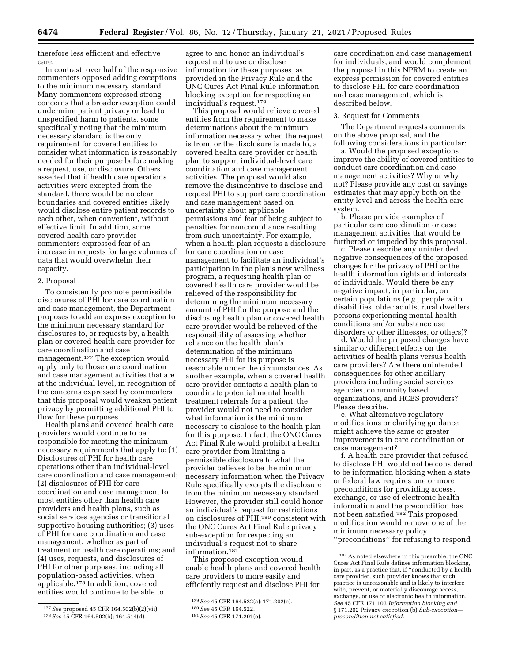therefore less efficient and effective care.

In contrast, over half of the responsive commenters opposed adding exceptions to the minimum necessary standard. Many commenters expressed strong concerns that a broader exception could undermine patient privacy or lead to unspecified harm to patients, some specifically noting that the minimum necessary standard is the only requirement for covered entities to consider what information is reasonably needed for their purpose before making a request, use, or disclosure. Others asserted that if health care operations activities were excepted from the standard, there would be no clear boundaries and covered entities likely would disclose entire patient records to each other, when convenient, without effective limit. In addition, some covered health care provider commenters expressed fear of an increase in requests for large volumes of data that would overwhelm their capacity.

## 2. Proposal

To consistently promote permissible disclosures of PHI for care coordination and case management, the Department proposes to add an express exception to the minimum necessary standard for disclosures to, or requests by, a health plan or covered health care provider for care coordination and case management.177 The exception would apply only to those care coordination and case management activities that are at the individual level, in recognition of the concerns expressed by commenters that this proposal would weaken patient privacy by permitting additional PHI to flow for these purposes.

Health plans and covered health care providers would continue to be responsible for meeting the minimum necessary requirements that apply to: (1) Disclosures of PHI for health care operations other than individual-level care coordination and case management; (2) disclosures of PHI for care coordination and case management to most entities other than health care providers and health plans, such as social services agencies or transitional supportive housing authorities; (3) uses of PHI for care coordination and case management, whether as part of treatment or health care operations; and (4) uses, requests, and disclosures of PHI for other purposes, including all population-based activities, when applicable.178 In addition, covered entities would continue to be able to

177*See* proposed 45 CFR 164.502(b)(2)(vii). 178*See* 45 CFR 164.502(b); 164.514(d).

agree to and honor an individual's request not to use or disclose information for these purposes, as provided in the Privacy Rule and the ONC Cures Act Final Rule information blocking exception for respecting an individual's request.179

This proposal would relieve covered entities from the requirement to make determinations about the minimum information necessary when the request is from, or the disclosure is made to, a covered health care provider or health plan to support individual-level care coordination and case management activities. The proposal would also remove the disincentive to disclose and request PHI to support care coordination and case management based on uncertainty about applicable permissions and fear of being subject to penalties for noncompliance resulting from such uncertainty. For example, when a health plan requests a disclosure for care coordination or case management to facilitate an individual's participation in the plan's new wellness program, a requesting health plan or covered health care provider would be relieved of the responsibility for determining the minimum necessary amount of PHI for the purpose and the disclosing health plan or covered health care provider would be relieved of the responsibility of assessing whether reliance on the health plan's determination of the minimum necessary PHI for its purpose is reasonable under the circumstances. As another example, when a covered health care provider contacts a health plan to coordinate potential mental health treatment referrals for a patient, the provider would not need to consider what information is the minimum necessary to disclose to the health plan for this purpose. In fact, the ONC Cures Act Final Rule would prohibit a health care provider from limiting a permissible disclosure to what the provider believes to be the minimum necessary information when the Privacy Rule specifically excepts the disclosure from the minimum necessary standard. However, the provider still could honor an individual's request for restrictions on disclosures of PHI,180 consistent with the ONC Cures Act Final Rule privacy sub-exception for respecting an individual's request not to share information.181

This proposed exception would enable health plans and covered health care providers to more easily and efficiently request and disclose PHI for

care coordination and case management for individuals, and would complement the proposal in this NPRM to create an express permission for covered entities to disclose PHI for care coordination and case management, which is described below.

#### 3. Request for Comments

The Department requests comments on the above proposal, and the following considerations in particular:

a. Would the proposed exceptions improve the ability of covered entities to conduct care coordination and case management activities? Why or why not? Please provide any cost or savings estimates that may apply both on the entity level and across the health care system.

b. Please provide examples of particular care coordination or case management activities that would be furthered or impeded by this proposal.

c. Please describe any unintended negative consequences of the proposed changes for the privacy of PHI or the health information rights and interests of individuals. Would there be any negative impact, in particular, on certain populations (*e.g.,* people with disabilities, older adults, rural dwellers, persons experiencing mental health conditions and/or substance use disorders or other illnesses, or others)?

d. Would the proposed changes have similar or different effects on the activities of health plans versus health care providers? Are there unintended consequences for other ancillary providers including social services agencies, community based organizations, and HCBS providers? Please describe.

e. What alternative regulatory modifications or clarifying guidance might achieve the same or greater improvements in care coordination or case management?

f. A health care provider that refused to disclose PHI would not be considered to be information blocking when a state or federal law requires one or more preconditions for providing access, exchange, or use of electronic health information and the precondition has not been satisfied.182 This proposed modification would remove one of the minimum necessary policy ''preconditions'' for refusing to respond

182As noted elsewhere in this preamble, the ONC Cures Act Final Rule defines information blocking, in part, as a practice that, if ''conducted by a health care provider, such provider knows that such practice is unreasonable and is likely to interfere with, prevent, or materially discourage access, exchange, or use of electronic health information. *See* 45 CFR 171.103 *Information blocking and*  § 171.202 Privacy exception (b) *Sub-exception precondition not satisfied.* 

<sup>179</sup>*See* 45 CFR 164.522(a); 171.202(e).

<sup>180</sup>*See* 45 CFR 164.522.

<sup>181</sup>*See* 45 CFR 171.201(e).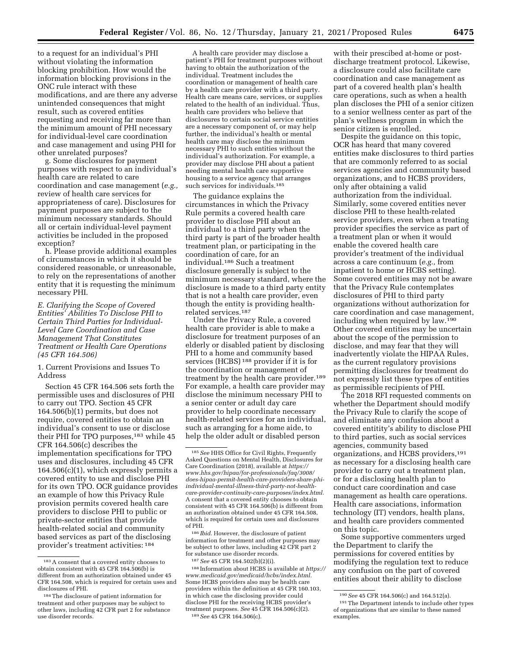to a request for an individual's PHI without violating the information blocking prohibition. How would the information blocking provisions in the ONC rule interact with these modifications, and are there any adverse unintended consequences that might result, such as covered entities requesting and receiving far more than the minimum amount of PHI necessary for individual-level care coordination and case management and using PHI for other unrelated purposes?

g. Some disclosures for payment purposes with respect to an individual's health care are related to care coordination and case management (*e.g.,*  review of health care services for appropriateness of care). Disclosures for payment purposes are subject to the minimum necessary standards. Should all or certain individual-level payment activities be included in the proposed exception?

h. Please provide additional examples of circumstances in which it should be considered reasonable, or unreasonable, to rely on the representations of another entity that it is requesting the minimum necessary PHI.

*E. Clarifying the Scope of Covered Entities' Abilities To Disclose PHI to Certain Third Parties for Individual-Level Care Coordination and Case Management That Constitutes Treatment or Health Care Operations (45 CFR 164.506)* 

1. Current Provisions and Issues To Address

Section 45 CFR 164.506 sets forth the permissible uses and disclosures of PHI to carry out TPO. Section 45 CFR 164.506(b)(1) permits, but does not require, covered entities to obtain an individual's consent to use or disclose their PHI for TPO purposes,<sup>183</sup> while 45 CFR 164.506(c) describes the implementation specifications for TPO uses and disclosures, including 45 CFR  $164.506(c)(1)$ , which expressly permits a covered entity to use and disclose PHI for its own TPO. OCR guidance provides an example of how this Privacy Rule provision permits covered health care providers to disclose PHI to public or private-sector entities that provide health-related social and community based services as part of the disclosing provider's treatment activities: 184

A health care provider may disclose a patient's PHI for treatment purposes without having to obtain the authorization of the individual. Treatment includes the coordination or management of health care by a health care provider with a third party. Health care means care, services, or supplies related to the health of an individual. Thus, health care providers who believe that disclosures to certain social service entities are a necessary component of, or may help further, the individual's health or mental health care may disclose the minimum necessary PHI to such entities without the individual's authorization. For example, a provider may disclose PHI about a patient needing mental health care supportive housing to a service agency that arranges such services for individuals.<sup>185</sup>

The guidance explains the circumstances in which the Privacy Rule permits a covered health care provider to disclose PHI about an individual to a third party when the third party is part of the broader health treatment plan, or participating in the coordination of care, for an individual.186 Such a treatment disclosure generally is subject to the minimum necessary standard, where the disclosure is made to a third party entity that is not a health care provider, even though the entity is providing healthrelated services.187

Under the Privacy Rule, a covered health care provider is able to make a disclosure for treatment purposes of an elderly or disabled patient by disclosing PHI to a home and community based services (HCBS) 188 provider if it is for the coordination or management of treatment by the health care provider.<sup>189</sup> For example, a health care provider may disclose the minimum necessary PHI to a senior center or adult day care provider to help coordinate necessary health-related services for an individual, such as arranging for a home aide, to help the older adult or disabled person

186 *Ibid.* However, the disclosure of patient information for treatment and other purposes may be subject to other laws, including 42 CFR part 2 for substance use disorder records.

187*See* 45 CFR 164.502(b)(2)(i).

188 Information about HCBS is available at *[https://](https://www.medicaid.gov/medicaid/hcbs/index.html)  [www.medicaid.gov/medicaid/hcbs/index.html.](https://www.medicaid.gov/medicaid/hcbs/index.html)*  Some HCBS providers also may be health care providers within the definition at 45 CFR 160.103, in which case the disclosing provider could disclose PHI for the receiving HCBS provider's treatment purposes. *See* 45 CFR 164.506(c)(2). 189*See* 45 CFR 164.506(c).

with their prescibed at-home or postdischarge treatment protocol. Likewise, a disclosure could also facilitate care coordination and case management as part of a covered health plan's health care operations, such as when a health plan discloses the PHI of a senior citizen to a senior wellness center as part of the plan's wellness program in which the senior citizen is enrolled.

Despite the guidance on this topic, OCR has heard that many covered entities make disclosures to third parties that are commonly referred to as social services agencies and community based organizations, and to HCBS providers, only after obtaining a valid authorization from the individual. Similarly, some covered entities never disclose PHI to these health-related service providers, even when a treating provider specifies the service as part of a treatment plan or when it would enable the covered health care provider's treatment of the individual across a care continuum (*e.g.,* from inpatient to home or HCBS setting). Some covered entities may not be aware that the Privacy Rule contemplates disclosures of PHI to third party organizations without authorization for care coordination and case management, including when required by law.190 Other covered entities may be uncertain about the scope of the permission to disclose, and may fear that they will inadvertently violate the HIPAA Rules, as the current regulatory provisions permitting disclosures for treatment do not expressly list these types of entities as permissible recipients of PHI.

The 2018 RFI requested comments on whether the Department should modify the Privacy Rule to clarify the scope of and eliminate any confusion about a covered entitity's ability to disclose PHI to third parties, such as social services agencies, community based organizations, and HCBS providers,191 as necessary for a disclosing health care provider to carry out a treatment plan, or for a disclosing health plan to conduct care coordination and case management as health care operations. Health care associations, information technology (IT) vendors, health plans, and health care providers commented on this topic.

Some supportive commenters urged the Department to clarify the permissions for covered entities by modifying the regulation text to reduce any confusion on the part of covered entities about their ability to disclose

<sup>183</sup>A consent that a covered entity chooses to obtain consistent with 45 CFR 164.506(b) is different from an authorization obtained under 45 CFR 164.508, which is required for certain uses and disclosures of PHI.

<sup>184</sup>The disclosure of patient information for treatment and other purposes may be subject to other laws, including 42 CFR part 2 for substance use disorder records.

<sup>185</sup>*See* HHS Office for Civil Rights, Frequently Asked Questions on Mental Health, Disclosures for Care Coordination (2018), available at *[https://](https://www.hhs.gov/hipaa/for-professionals/faq/3008/does-hipaa-permit-health-care-providers-share-phi-individual-mental-illness-third-party-not-health-care-provider-continuity-care-purposes/index.html) www.hhs.gov/hipaa/for-professionals/faq/3008/ does-hipaa-permit-health-care-providers-share-phiindividual-mental-illness-third-party-not-health[care-provider-continuity-care-purposes/index.html.](https://www.hhs.gov/hipaa/for-professionals/faq/3008/does-hipaa-permit-health-care-providers-share-phi-individual-mental-illness-third-party-not-health-care-provider-continuity-care-purposes/index.html)*  A consent that a covered entity chooses to obtain consistent with 45 CFR 164.506(b) is different from an authorization obtained under 45 CFR 164.508, which is required for certain uses and disclosures of PHI.

<sup>190</sup>*See* 45 CFR 164.506(c) and 164.512(a).

<sup>191</sup>The Department intends to include other types of organizations that are similar to these named examples.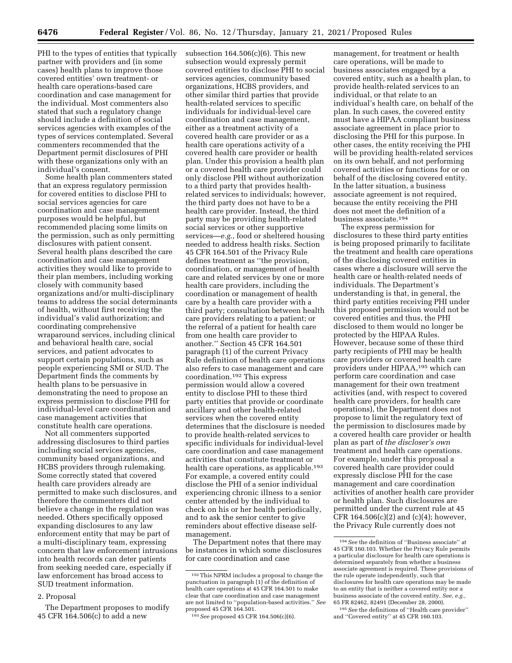PHI to the types of entities that typically partner with providers and (in some cases) health plans to improve those covered entities' own treatment- or health care operations-based care coordination and case management for the individual. Most commenters also stated that such a regulatory change should include a definition of social services agencies with examples of the types of services contemplated. Several commenters recommended that the Department permit disclosures of PHI with these organizations only with an individual's consent.

Some health plan commenters stated that an express regulatory permission for covered entities to disclose PHI to social services agencies for care coordination and case management purposes would be helpful, but recommended placing some limits on the permission, such as only permitting disclosures with patient consent. Several health plans described the care coordination and case management activities they would like to provide to their plan members, including working closely with community based organizations and/or multi-disciplinary teams to address the social determinants of health, without first receiving the individual's valid authorization; and coordinating comprehensive wraparound services, including clinical and behavioral health care, social services, and patient advocates to support certain populations, such as people experiencing SMI or SUD. The Department finds the comments by health plans to be persuasive in demonstrating the need to propose an express permission to disclose PHI for individual-level care coordination and case management activities that constitute health care operations.

Not all commenters supported addressing disclosures to third parties including social services agencies, community based organizations, and HCBS providers through rulemaking. Some correctly stated that covered health care providers already are permitted to make such disclosures, and therefore the commenters did not believe a change in the regulation was needed. Others specifically opposed expanding disclosures to any law enforcement entity that may be part of a multi-disciplinary team, expressing concern that law enforcement intrusions into health records can deter patients from seeking needed care, especially if law enforcement has broad access to SUD treatment information.

#### 2. Proposal

The Department proposes to modify 45 CFR 164.506(c) to add a new

subsection  $164.506(c)(6)$ . This new subsection would expressly permit covered entities to disclose PHI to social services agencies, community based organizations, HCBS providers, and other similar third parties that provide health-related services to specific individuals for individual-level care coordination and case management, either as a treatment activity of a covered health care provider or as a health care operations activity of a covered health care provider or health plan. Under this provision a health plan or a covered health care provider could only disclose PHI without authorization to a third party that provides healthrelated services to individuals; however, the third party does not have to be a health care provider. Instead, the third party may be providing health-related social services or other supportive services—*e.g.,* food or sheltered housing needed to address health risks. Section 45 CFR 164.501 of the Privacy Rule defines treatment as ''the provision, coordination, or management of health care and related services by one or more health care providers, including the coordination or management of health care by a health care provider with a third party; consultation between health care providers relating to a patient; or the referral of a patient for health care from one health care provider to another.'' Section 45 CFR 164.501 paragraph (1) of the current Privacy Rule definition of health care operations also refers to case management and care coordination.192 This express permission would allow a covered entity to disclose PHI to these third party entities that provide or coordinate ancillary and other health-related services when the covered entity determines that the disclosure is needed to provide health-related services to specific individuals for individual-level care coordination and case management activities that constitute treatment or health care operations, as applicable.<sup>193</sup> For example, a covered entity could disclose the PHI of a senior individual experiencing chronic illness to a senior center attended by the individual to check on his or her health periodically, and to ask the senior center to give reminders about effective disease selfmanagement.

The Department notes that there may be instances in which some disclosures for care coordination and case

management, for treatment or health care operations, will be made to business associates engaged by a covered entity, such as a health plan, to provide health-related services to an individual, or that relate to an individual's health care, on behalf of the plan. In such cases, the covered entity must have a HIPAA compliant business associate agreement in place prior to disclosing the PHI for this purpose. In other cases, the entity receiving the PHI will be providing health-related services on its own behalf, and not performing covered activities or functions for or on behalf of the disclosing covered entity. In the latter situation, a business associate agreement is not required, because the entity receiving the PHI does not meet the definition of a business associate.194

The express permission for disclosures to these third party entities is being proposed primarily to facilitate the treatment and health care operations of the disclosing covered entities in cases where a disclosure will serve the health care or health-related needs of individuals. The Department's understanding is that, in general, the third party entities receiving PHI under this proposed permission would not be covered entities and thus, the PHI disclosed to them would no longer be protected by the HIPAA Rules. However, because some of these third party recipients of PHI may be health care providers or covered health care providers under HIPAA,195 which can perform care coordination and case management for their own treatment activities (and, with respect to covered health care providers, for health care operations), the Department does not propose to limit the regulatory text of the permission to disclosures made by a covered health care provider or health plan as part of *the discloser's own*  treatment and health care operations. For example, under this proposal a covered health care provider could expressly disclose PHI for the case management and care coordination activities of another health care provider or health plan. Such disclosures are permitted under the current rule at 45 CFR 164.506(c)(2) and (c)(4); however, the Privacy Rule currently does not

<sup>192</sup>This NPRM includes a proposal to change the punctuation in paragraph (1) of the definition of health care operations at 45 CFR 164.501 to make clear that care coordination and case management are not limited to ''population-based activities.'' *See*  proposed 45 CFR 164.501.

<sup>193</sup>*See* proposed 45 CFR 164.506(c)(6).

<sup>194</sup>*See* the definition of ''Business associate'' at 45 CFR 160.103. Whether the Privacy Rule permits a particular disclosure for health care operations is determined separately from whether a business associate agreement is required. These provisions of the rule operate independently, such that disclosures for health care operations may be made to an entity that is neither a covered entity nor a business associate of the covered entity. *See, e.g.,*  65 FR 82462, 82491 (December 28, 2000).

<sup>195</sup>*See* the definitions of ''Health care provider'' and ''Covered entity'' at 45 CFR 160.103.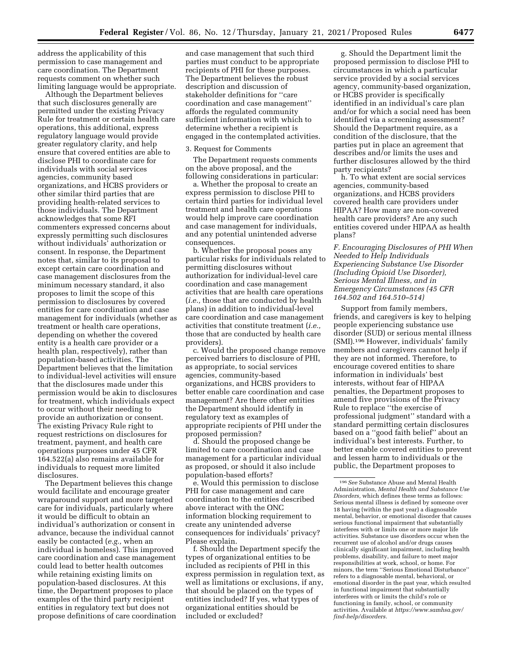address the applicability of this permission to case management and care coordination. The Department requests comment on whether such limiting language would be appropriate.

Although the Department believes that such disclosures generally are permitted under the existing Privacy Rule for treatment or certain health care operations, this additional, express regulatory language would provide greater regulatory clarity, and help ensure that covered entities are able to disclose PHI to coordinate care for individuals with social services agencies, community based organizations, and HCBS providers or other similar third parties that are providing health-related services to those individuals. The Department acknowledges that some RFI commenters expressed concerns about expressly permitting such disclosures without individuals' authorization or consent. In response, the Department notes that, similar to its proposal to except certain care coordination and case management disclosures from the minimum necessary standard, it also proposes to limit the scope of this permission to disclosures by covered entities for care coordination and case management for individuals (whether as treatment or health care operations, depending on whether the covered entity is a health care provider or a health plan, respectively), rather than population-based activities. The Department believes that the limitation to individual-level activities will ensure that the disclosures made under this permission would be akin to disclosures for treatment, which individuals expect to occur without their needing to provide an authorization or consent. The existing Privacy Rule right to request restrictions on disclosures for treatment, payment, and health care operations purposes under 45 CFR 164.522(a) also remains available for individuals to request more limited disclosures.

The Department believes this change would facilitate and encourage greater wraparound support and more targeted care for individuals, particularly where it would be difficult to obtain an individual's authorization or consent in advance, because the individual cannot easily be contacted (*e.g.,* when an individual is homeless). This improved care coordination and case management could lead to better health outcomes while retaining existing limits on population-based disclosures. At this time, the Department proposes to place examples of the third party recipient entities in regulatory text but does not propose definitions of care coordination

and case management that such third parties must conduct to be appropriate recipients of PHI for these purposes. The Department believes the robust description and discussion of stakeholder definitions for ''care coordination and case management'' affords the regulated community sufficient information with which to determine whether a recipient is engaged in the contemplated activities.

#### 3. Request for Comments

The Department requests comments on the above proposal, and the following considerations in particular:

a. Whether the proposal to create an express permission to disclose PHI to certain third parties for individual level treatment and health care operations would help improve care coordination and case management for individuals, and any potential unintended adverse consequences.

b. Whether the proposal poses any particular risks for individuals related to permitting disclosures without authorization for individual-level care coordination and case management activities that are health care operations (*i.e.,* those that are conducted by health plans) in addition to individual-level care coordination and case management activities that constitute treatment (*i.e.,*  those that are conducted by health care providers).

c. Would the proposed change remove perceived barriers to disclosure of PHI, as appropriate, to social services agencies, community-based organizations, and HCBS providers to better enable care coordination and case management? Are there other entities the Department should identify in regulatory text as examples of appropriate recipients of PHI under the proposed permission?

d. Should the proposed change be limited to care coordination and case management for a particular individual as proposed, or should it also include population-based efforts?

e. Would this permission to disclose PHI for case management and care coordination to the entities described above interact with the ONC information blocking requirement to create any unintended adverse consequences for individuals' privacy? Please explain.

f. Should the Department specify the types of organizational entities to be included as recipients of PHI in this express permission in regulation text, as well as limitations or exclusions, if any, that should be placed on the types of entities included? If yes, what types of organizational entities should be included or excluded?

g. Should the Department limit the proposed permission to disclose PHI to circumstances in which a particular service provided by a social services agency, community-based organization, or HCBS provider is specifically identified in an individual's care plan and/or for which a social need has been identified via a screening assessment? Should the Department require, as a condition of the disclosure, that the parties put in place an agreement that describes and/or limits the uses and further disclosures allowed by the third party recipients?

h. To what extent are social services agencies, community-based organizations, and HCBS providers covered health care providers under HIPAA? How many are non-covered health care providers? Are any such entities covered under HIPAA as health plans?

*F. Encouraging Disclosures of PHI When Needed to Help Individuals Experiencing Substance Use Disorder (Including Opioid Use Disorder), Serious Mental Illness, and in Emergency Circumstances (45 CFR 164.502 and 164.510–514)* 

Support from family members, friends, and caregivers is key to helping people experiencing substance use disorder (SUD) or serious mental illness (SMI).196 However, individuals' family members and caregivers cannot help if they are not informed. Therefore, to encourage covered entities to share information in individuals' best interests, without fear of HIPAA penalties, the Department proposes to amend five provisions of the Privacy Rule to replace ''the exercise of professional judgment'' standard with a standard permitting certain disclosures based on a ''good faith belief'' about an individual's best interests. Further, to better enable covered entities to prevent and lessen harm to individuals or the public, the Department proposes to

<sup>196</sup>*See* Substance Abuse and Mental Health Administration, *Mental Health and Substance Use Disorders,* which defines these terms as follows: Serious mental illness is defined by someone over 18 having (within the past year) a diagnosable mental, behavior, or emotional disorder that causes serious functional impairment that substantially interferes with or limits one or more major life activities. Substance use disorders occur when the recurrent use of alcohol and/or drugs causes clinically significant impairment, including health problems, disability, and failure to meet major responsibilities at work, school, or home. For minors, the term ''Serious Emotional Disturbance'' refers to a diagnosable mental, behavioral, or emotional disorder in the past year, which resulted in functional impairment that substantially interferes with or limits the child's role or functioning in family, school, or community activities. Available at *[https://www.samhsa.gov/](https://www.samhsa.gov/find-help/disorders) [find-help/disorders.](https://www.samhsa.gov/find-help/disorders)*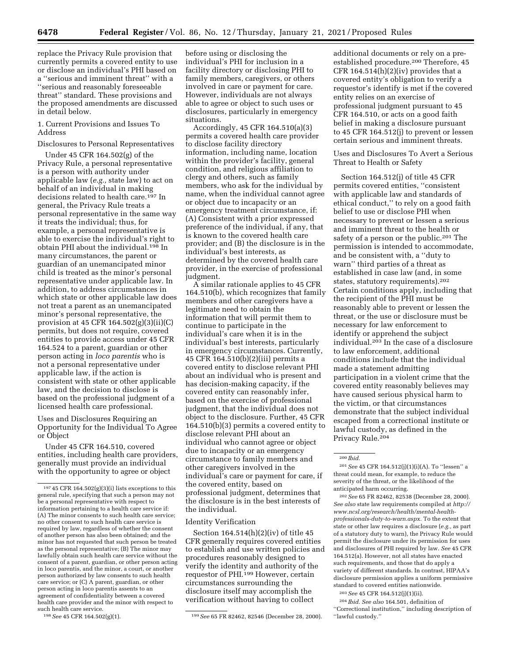replace the Privacy Rule provision that currently permits a covered entity to use or disclose an individual's PHI based on a ''serious and imminent threat'' with a ''serious and reasonably foreseeable threat'' standard. These provisions and the proposed amendments are discussed in detail below.

1. Current Provisions and Issues To Address

## Disclosures to Personal Representatives

Under 45 CFR 164.502(g) of the Privacy Rule, a personal representative is a person with authority under applicable law (*e.g.,* state law) to act on behalf of an individual in making decisions related to health care.<sup>197</sup> In general, the Privacy Rule treats a personal representative in the same way it treats the individual; thus, for example, a personal representative is able to exercise the individual's right to obtain PHI about the individual.198 In many circumstances, the parent or guardian of an unemancipated minor child is treated as the minor's personal representative under applicable law. In addition, to address circumstances in which state or other applicable law does not treat a parent as an unemancipated minor's personal representative, the provision at 45 CFR 164.502(g)(3)(ii)(C) permits, but does not require, covered entities to provide access under 45 CFR 164.524 to a parent, guardian or other person acting in *loco parentis* who is not a personal representative under applicable law, if the action is consistent with state or other applicable law, and the decision to disclose is based on the professional judgment of a licensed health care professional.

Uses and Disclosures Requiring an Opportunity for the Individual To Agree or Object

Under 45 CFR 164.510, covered entities, including health care providers, generally must provide an individual with the opportunity to agree or object

before using or disclosing the individual's PHI for inclusion in a facility directory or disclosing PHI to family members, caregivers, or others involved in care or payment for care. However, individuals are not always able to agree or object to such uses or disclosures, particularly in emergency situations.

Accordingly, 45 CFR 164.510(a)(3) permits a covered health care provider to disclose facility directory information, including name, location within the provider's facility, general condition, and religious affiliation to clergy and others, such as family members, who ask for the individual by name, when the individual cannot agree or object due to incapacity or an emergency treatment circumstance, if: (A) Consistent with a prior expressed preference of the individual, if any, that is known to the covered health care provider; and (B) the disclosure is in the individual's best interests, as determined by the covered health care provider, in the exercise of professional judgment.

A similar rationale applies to 45 CFR 164.510(b), which recognizes that family members and other caregivers have a legitimate need to obtain the information that will permit them to continue to participate in the individual's care when it is in the individual's best interests, particularly in emergency circumstances. Currently, 45 CFR 164.510(b)(2)(iii) permits a covered entity to disclose relevant PHI about an individual who is present and has decision-making capacity, if the covered entity can reasonably infer, based on the exercise of professional judgment, that the individual does not object to the disclosure. Further, 45 CFR 164.510(b)(3) permits a covered entity to disclose relevant PHI about an individual who cannot agree or object due to incapacity or an emergency circumstance to family members and other caregivers involved in the individual's care or payment for care, if the covered entity, based on professional judgment, determines that the disclosure is in the best interests of the individual.

## Identity Verification

Section 164.514(h)(2)(iv) of title 45 CFR generally requires covered entities to establish and use written policies and procedures reasonably designed to verify the identity and authority of the requestor of PHI.<sup>199</sup> However, certain circumstances surrounding the disclosure itself may accomplish the verification without having to collect

additional documents or rely on a preestablished procedure.200 Therefore, 45 CFR  $164.514(h)(2)(iv)$  provides that a covered entity's obligation to verify a requestor's identify is met if the covered entity relies on an exercise of professional judgment pursuant to 45 CFR 164.510, or acts on a good faith belief in making a disclosure pursuant to 45 CFR 164.512(j) to prevent or lessen certain serious and imminent threats.

Uses and Disclosures To Avert a Serious Threat to Health or Safety

Section 164.512(j) of title 45 CFR permits covered entities, ''consistent with applicable law and standards of ethical conduct,'' to rely on a good faith belief to use or disclose PHI when necessary to prevent or lessen a serious and imminent threat to the health or safety of a person or the public.<sup>201</sup> The permission is intended to accommodate, and be consistent with, a ''duty to warn'' third parties of a threat as established in case law (and, in some states, statutory requirements).202 Certain conditions apply, including that the recipient of the PHI must be reasonably able to prevent or lessen the threat, or the use or disclosure must be necessary for law enforcement to identify or apprehend the subject individual.203 In the case of a disclosure to law enforcement, additional conditions include that the individual made a statement admitting participation in a violent crime that the covered entity reasonably believes may have caused serious physical harm to the victim, or that circumstances demonstrate that the subject individual escaped from a correctional institute or lawful custody, as defined in the Privacy Rule.204

201*See* 45 CFR 164.512(j)(1)(i)(A). To ''lessen'' a threat could mean, for example, to reduce the severity of the threat, or the likelihood of the anticipated harm occurring.

202*See* 65 FR 82462, 82538 (December 28, 2000). *See also* state law requirements compiled at *[http://](http://www.ncsl.org/research/health/mental-health-professionals-duty-to-warn.aspx) [www.ncsl.org/research/health/mental-health](http://www.ncsl.org/research/health/mental-health-professionals-duty-to-warn.aspx)[professionals-duty-to-warn.aspx.](http://www.ncsl.org/research/health/mental-health-professionals-duty-to-warn.aspx)* To the extent that state or other law requires a disclosure (*e.g.,* as part of a statutory duty to warn), the Privacy Rule would permit the disclosure under its permission for uses and disclosures of PHI required by law. *See* 45 CFR 164.512(a). However, not all states have enacted such requirements, and those that do apply a variety of different standards. In contrast, HIPAA's disclosure permission applies a uniform permissive standard to covered entities nationwide.

203*See* 45 CFR 164.512(j)(1)(ii).

204 *Ibid. See also* 164.501, definition of ''Correctional institution,'' including description of ''lawful custody.''

<sup>197</sup> 45 CFR 164.502(g)(3)(i) lists exceptions to this general rule, specifying that such a person may not be a personal representative with respect to information pertaining to a health care service if: (A) The minor consents to such health care service; no other consent to such health care service is required by law, regardless of whether the consent of another person has also been obtained; and the minor has not requested that such person be treated as the personal representative; (B) The minor may lawfully obtain such health care service without the consent of a parent, guardian, or other person acting in loco parentis, and the minor, a court, or another person authorized by law consents to such health care service; or (C) A parent, guardian, or other person acting in loco parentis assents to an agreement of confidentiality between a covered health care provider and the minor with respect to such health care service.<br> $198 \text{ See } 45 \text{ CFR } 164.502(g)(1).$ 

<sup>199</sup> See 65 FR 82462, 82546 (December 28, 2000).

<sup>200</sup> *Ibid.*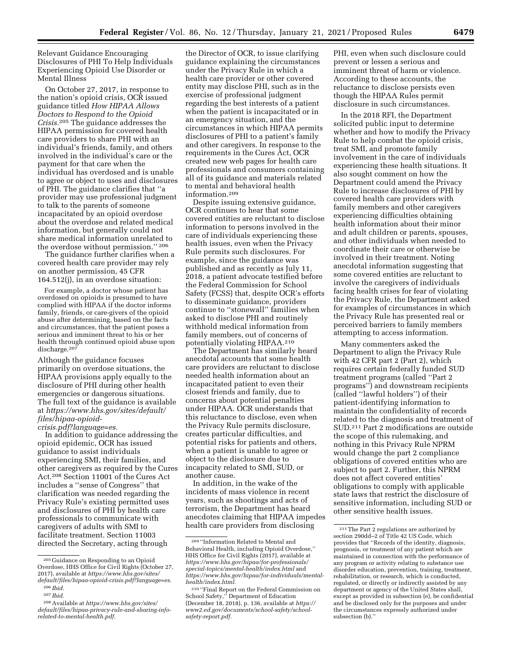Relevant Guidance Encouraging Disclosures of PHI To Help Individuals Experiencing Opioid Use Disorder or Mental Illness

On October 27, 2017, in response to the nation's opioid crisis, OCR issued guidance titled *How HIPAA Allows Doctors to Respond to the Opioid Crisis.*205 The guidance addresses the HIPAA permission for covered health care providers to share PHI with an individual's friends, family, and others involved in the individual's care or the payment for that care when the individual has overdosed and is unable to agree or object to uses and disclosures of PHI. The guidance clarifies that ''a provider may use professional judgment to talk to the parents of someone incapacitated by an opioid overdose about the overdose and related medical information, but generally could not share medical information unrelated to the overdose without permission.'' 206

The guidance further clarifies when a covered health care provider may rely on another permission, 45 CFR 164.512(j), in an overdose situation:

For example, a doctor whose patient has overdosed on opioids is presumed to have complied with HIPAA if the doctor informs family, friends, or care-givers of the opioid abuse after determining, based on the facts and circumstances, that the patient poses a serious and imminent threat to his or her health through continued opioid abuse upon discharge.<sup>207</sup>

Although the guidance focuses primarily on overdose situations, the HIPAA provisions apply equally to the disclosure of PHI during other health emergencies or dangerous situations. The full text of the guidance is available at *[https://www.hhs.gov/sites/default/](https://www.hhs.gov/sites/default/files/hipaa-opioid-crisis.pdf?language=es) [files/hipaa-opioid-](https://www.hhs.gov/sites/default/files/hipaa-opioid-crisis.pdf?language=es)*

*[crisis.pdf?language=es.](https://www.hhs.gov/sites/default/files/hipaa-opioid-crisis.pdf?language=es)* 

In addition to guidance addressing the opioid epidemic, OCR has issued guidance to assist individuals experiencing SMI, their families, and other caregivers as required by the Cures Act.208 Section 11001 of the Cures Act includes a ''sense of Congress'' that clarification was needed regarding the Privacy Rule's existing permitted uses and disclosures of PHI by health care professionals to communicate with caregivers of adults with SMI to facilitate treatment. Section 11003 directed the Secretary, acting through

the Director of OCR, to issue clarifying guidance explaining the circumstances under the Privacy Rule in which a health care provider or other covered entity may disclose PHI, such as in the exercise of professional judgment regarding the best interests of a patient when the patient is incapacitated or in an emergency situation, and the circumstances in which HIPAA permits disclosures of PHI to a patient's family and other caregivers. In response to the requirements in the Cures Act, OCR created new web pages for health care professionals and consumers containing all of its guidance and materials related to mental and behavioral health information.209

Despite issuing extensive guidance, OCR continues to hear that some covered entities are reluctant to disclose information to persons involved in the care of individuals experiencing these health issues, even when the Privacy Rule permits such disclosures. For example, since the guidance was published and as recently as July 11, 2018, a patient advocate testified before the Federal Commission for School Safety (FCSS) that, despite OCR's efforts to disseminate guidance, providers continue to ''stonewall'' families when asked to disclose PHI and routinely withhold medical information from family members, out of concerns of potentially violating HIPAA.210

The Department has similarly heard anecdotal accounts that some health care providers are reluctant to disclose needed health information about an incapacitated patient to even their closest friends and family, due to concerns about potential penalties under HIPAA. OCR understands that this reluctance to disclose, even when the Privacy Rule permits disclosure, creates particular difficulties, and potential risks for patients and others, when a patient is unable to agree or object to the disclosure due to incapacity related to SMI, SUD, or another cause.

In addition, in the wake of the incidents of mass violence in recent years, such as shootings and acts of terrorism, the Department has heard anecdotes claiming that HIPAA impedes health care providers from disclosing

PHI, even when such disclosure could prevent or lessen a serious and imminent threat of harm or violence. According to these accounts, the reluctance to disclose persists even though the HIPAA Rules permit disclosure in such circumstances.

In the 2018 RFI, the Department solicited public input to determine whether and how to modify the Privacy Rule to help combat the opioid crisis, treat SMI, and promote family involvement in the care of individuals experiencing these health situations. It also sought comment on how the Department could amend the Privacy Rule to increase disclosures of PHI by covered health care providers with family members and other caregivers experiencing difficulties obtaining health information about their minor and adult children or parents, spouses, and other individuals when needed to coordinate their care or otherwise be involved in their treatment. Noting anecdotal information suggesting that some covered entities are reluctant to involve the caregivers of individuals facing health crises for fear of violating the Privacy Rule, the Department asked for examples of circumstances in which the Privacy Rule has presented real or perceived barriers to family members attempting to access information.

Many commenters asked the Department to align the Privacy Rule with 42 CFR part 2 (Part 2), which requires certain federally funded SUD treatment programs (called ''Part 2 programs'') and downstream recipients (called ''lawful holders'') of their patient-identifying information to maintain the confidentiality of records related to the diagnosis and treatment of SUD.211 Part 2 modifications are outside the scope of this rulemaking, and nothing in this Privacy Rule NPRM would change the part 2 compliance obligations of covered entities who are subject to part 2. Further, this NPRM does not affect covered entities' obligations to comply with applicable state laws that restrict the disclosure of sensitive information, including SUD or other sensitive health issues.

<sup>205</sup> Guidance on Responding to an Opioid Overdose, HHS Office for Civil Rights (October 27, 2017), available at *[https://www.hhs.gov/sites/](https://www.hhs.gov/sites/default/files/hipaa-opioid-crisis.pdf?language=es) [default/files/hipaa-opioid-crisis.pdf?language=es.](https://www.hhs.gov/sites/default/files/hipaa-opioid-crisis.pdf?language=es)* 

<sup>206</sup> *Ibid.*  207 *Ibid.* 

<sup>208</sup>Available at *[https://www.hhs.gov/sites/](https://www.hhs.gov/sites/default/files/hipaa-privacy-rule-and-sharing-info-related-to-mental-health.pdf)  [default/files/hipaa-privacy-rule-and-sharing-info](https://www.hhs.gov/sites/default/files/hipaa-privacy-rule-and-sharing-info-related-to-mental-health.pdf)[related-to-mental-health.pdf.](https://www.hhs.gov/sites/default/files/hipaa-privacy-rule-and-sharing-info-related-to-mental-health.pdf)* 

<sup>209</sup> ''Information Related to Mental and Behavioral Health, including Opioid Overdose,'' HHS Office for Civil Rights (2017), available at *[https://www.hhs.gov/hipaa/for-professionals/](https://www.hhs.gov/hipaa/for-professionals/special-topics/mental-health/index.html)  [special-topics/mental-health/index.html](https://www.hhs.gov/hipaa/for-professionals/special-topics/mental-health/index.html)* and *[https://www.hhs.gov/hipaa/for-individuals/mental](https://www.hhs.gov/hipaa/for-individuals/mental-health/index.html)[health/index.html.](https://www.hhs.gov/hipaa/for-individuals/mental-health/index.html)* 

<sup>210</sup> ''Final Report on the Federal Commission on School Safety,'' Department of Education (December 18, 2018), p. 136, available at *[https://](https://www2.ed.gov/documents/school-safety/school-safety-report.pdf) [www2.ed.gov/documents/school-safety/school](https://www2.ed.gov/documents/school-safety/school-safety-report.pdf)[safety-report.pdf.](https://www2.ed.gov/documents/school-safety/school-safety-report.pdf)* 

<sup>211</sup>The Part 2 regulations are authorized by section 290dd–2 of Title 42 US Code, which provides that ''Records of the identity, diagnosis, prognosis, or treatment of any patient which are maintained in connection with the performance of any program or activity relating to substance use disorder education, prevention, training, treatment, rehabilitation, or research, which is conducted, regulated, or directly or indirectly assisted by any department or agency of the United States shall, except as provided in subsection (e), be confidential and be disclosed only for the purposes and under the circumstances expressly authorized under subsection (b).''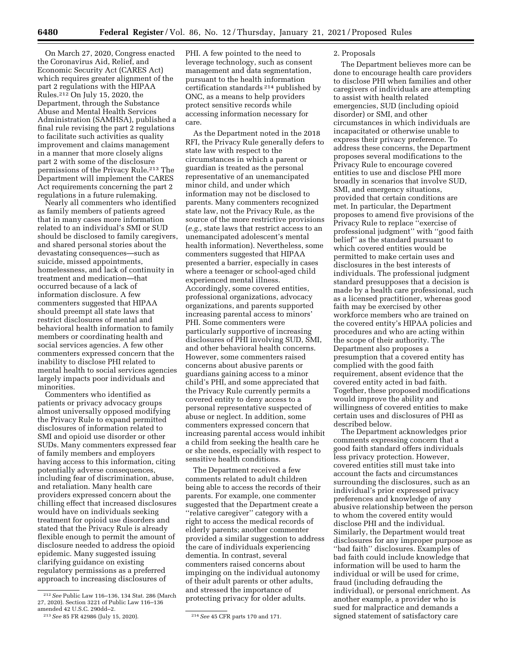On March 27, 2020, Congress enacted the Coronavirus Aid, Relief, and Economic Security Act (CARES Act) which requires greater alignment of the part 2 regulations with the HIPAA Rules.212 On July 15, 2020, the Department, through the Substance Abuse and Mental Health Services Administration (SAMHSA), published a final rule revising the part 2 regulations to facilitate such activities as quality improvement and claims management in a manner that more closely aligns part 2 with some of the disclosure permissions of the Privacy Rule.213 The Department will implement the CARES Act requirements concerning the part 2 regulations in a future rulemaking.

Nearly all commenters who identified as family members of patients agreed that in many cases more information related to an individual's SMI or SUD should be disclosed to family caregivers, and shared personal stories about the devastating consequences—such as suicide, missed appointments, homelessness, and lack of continuity in treatment and medication—that occurred because of a lack of information disclosure. A few commenters suggested that HIPAA should preempt all state laws that restrict disclosures of mental and behavioral health information to family members or coordinating health and social services agencies. A few other commenters expressed concern that the inability to disclose PHI related to mental health to social services agencies largely impacts poor individuals and minorities.

Commenters who identified as patients or privacy advocacy groups almost universally opposed modifying the Privacy Rule to expand permitted disclosures of information related to SMI and opioid use disorder or other SUDs. Many commenters expressed fear of family members and employers having access to this information, citing potentially adverse consequences, including fear of discrimination, abuse, and retaliation. Many health care providers expressed concern about the chilling effect that increased disclosures would have on individuals seeking treatment for opioid use disorders and stated that the Privacy Rule is already flexible enough to permit the amount of disclosure needed to address the opioid epidemic. Many suggested issuing clarifying guidance on existing regulatory permissions as a preferred approach to increasing disclosures of

PHI. A few pointed to the need to leverage technology, such as consent management and data segmentation, pursuant to the health information certification standards 214 published by ONC, as a means to help providers protect sensitive records while accessing information necessary for care.

As the Department noted in the 2018 RFI, the Privacy Rule generally defers to state law with respect to the circumstances in which a parent or guardian is treated as the personal representative of an unemancipated minor child, and under which information may not be disclosed to parents. Many commenters recognized state law, not the Privacy Rule, as the source of the more restrictive provisions (*e.g.,* state laws that restrict access to an unemancipated adolescent's mental health information). Nevertheless, some commenters suggested that HIPAA presented a barrier, especially in cases where a teenager or school-aged child experienced mental illness. Accordingly, some covered entities, professional organizations, advocacy organizations, and parents supported increasing parental access to minors' PHI. Some commenters were particularly supportive of increasing disclosures of PHI involving SUD, SMI, and other behavioral health concerns. However, some commenters raised concerns about abusive parents or guardians gaining access to a minor child's PHI, and some appreciated that the Privacy Rule currently permits a covered entity to deny access to a personal representative suspected of abuse or neglect. In addition, some commenters expressed concern that increasing parental access would inhibit a child from seeking the health care he or she needs, especially with respect to sensitive health conditions.

The Department received a few comments related to adult children being able to access the records of their parents. For example, one commenter suggested that the Department create a ''relative caregiver'' category with a right to access the medical records of elderly parents; another commenter provided a similar suggestion to address the care of individuals experiencing dementia. In contrast, several commenters raised concerns about impinging on the individual autonomy of their adult parents or other adults, and stressed the importance of protecting privacy for older adults.

#### 2. Proposals

The Department believes more can be done to encourage health care providers to disclose PHI when families and other caregivers of individuals are attempting to assist with health related emergencies, SUD (including opioid disorder) or SMI, and other circumstances in which individuals are incapacitated or otherwise unable to express their privacy preference. To address these concerns, the Department proposes several modifications to the Privacy Rule to encourage covered entities to use and disclose PHI more broadly in scenarios that involve SUD, SMI, and emergency situations, provided that certain conditions are met. In particular, the Department proposes to amend five provisions of the Privacy Rule to replace ''exercise of professional judgment'' with ''good faith belief'' as the standard pursuant to which covered entities would be permitted to make certain uses and disclosures in the best interests of individuals. The professional judgment standard presupposes that a decision is made by a health care professional, such as a licensed practitioner, whereas good faith may be exercised by other workforce members who are trained on the covered entity's HIPAA policies and procedures and who are acting within the scope of their authority. The Department also proposes a presumption that a covered entity has complied with the good faith requirement, absent evidence that the covered entity acted in bad faith. Together, these proposed modifications would improve the ability and willingness of covered entities to make certain uses and disclosures of PHI as described below.

The Department acknowledges prior comments expressing concern that a good faith standard offers individuals less privacy protection. However, covered entities still must take into account the facts and circumstances surrounding the disclosures, such as an individual's prior expressed privacy preferences and knowledge of any abusive relationship between the person to whom the covered entity would disclose PHI and the individual. Similarly, the Department would treat disclosures for any improper purpose as ''bad faith'' disclosures. Examples of bad faith could include knowledge that information will be used to harm the individual or will be used for crime, fraud (including defrauding the individual), or personal enrichment. As another example, a provider who is sued for malpractice and demands a signed statement of satisfactory care

<sup>212</sup>*See* Public Law 116–136, 134 Stat. 286 (March 27, 2020). Section 3221 of Public Law 116–136 amended 42 U.S.C. 290dd–2.

<sup>213</sup>*See* 85 FR 42986 (July 15, 2020). 214*See* 45 CFR parts 170 and 171.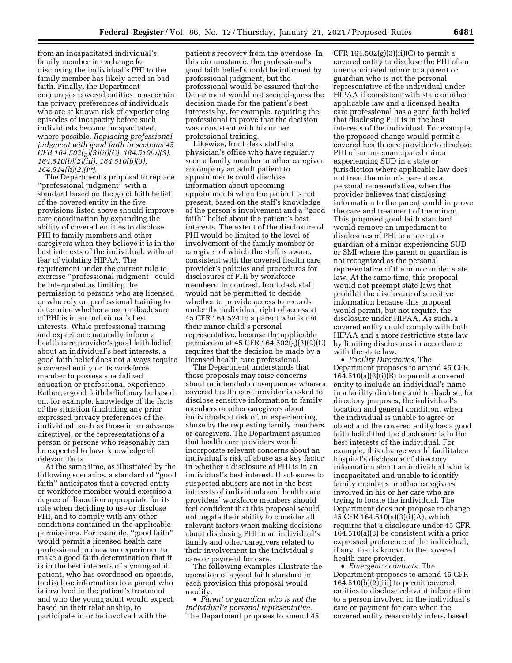from an incapacitated individual's family member in exchange for disclosing the individual's PHI to the family member has likely acted in bad faith. Finally, the Department encourages covered entities to ascertain the privacy preferences of individuals who are at known risk of experiencing episodes of incapacity before such individuals become incapacitated, where possible. *Replacing professional judgment with good faith in sections 45 CFR 164.502(g)(3)(ii)(C), 164.510(a)(3), 164.510(b)(2)(iii), 164.510(b)(3), 164.514(h)(2)(iv).* 

The Department's proposal to replace ''professional judgment'' with a standard based on the good faith belief of the covered entity in the five provisions listed above should improve care coordination by expanding the ability of covered entities to disclose PHI to family members and other caregivers when they believe it is in the best interests of the individual, without fear of violating HIPAA. The requirement under the current rule to exercise ''professional judgment'' could be interpreted as limiting the permission to persons who are licensed or who rely on professional training to determine whether a use or disclosure of PHI is in an individual's best interests. While professional training and experience naturally inform a health care provider's good faith belief about an individual's best interests, a good faith belief does not always require a covered entity or its workforce member to possess specialized education or professional experience. Rather, a good faith belief may be based on, for example, knowledge of the facts of the situation (including any prior expressed privacy preferences of the individual, such as those in an advance directive), or the representations of a person or persons who reasonably can be expected to have knowledge of relevant facts.

At the same time, as illustrated by the following scenarios, a standard of ''good faith'' anticipates that a covered entity or workforce member would exercise a degree of discretion appropriate for its role when deciding to use or disclose PHI, and to comply with any other conditions contained in the applicable permissions. For example, ''good faith'' would permit a licensed health care professional to draw on experience to make a good faith determination that it is in the best interests of a young adult patient, who has overdosed on opioids, to disclose information to a parent who is involved in the patient's treatment and who the young adult would expect, based on their relationship, to participate in or be involved with the

patient's recovery from the overdose. In this circumstance, the professional's good faith belief should be informed by professional judgment, but the professional would be assured that the Department would not second-guess the decision made for the patient's best interests by, for example, requiring the professional to prove that the decision was consistent with his or her professional training.

Likewise, front desk staff at a physician's office who have regularly seen a family member or other caregiver accompany an adult patient to appointments could disclose information about upcoming appointments when the patient is not present, based on the staff's knowledge of the person's involvement and a ''good faith'' belief about the patient's best interests. The extent of the disclosure of PHI would be limited to the level of involvement of the family member or caregiver of which the staff is aware, consistent with the covered health care provider's policies and procedures for disclosures of PHI by workforce members. In contrast, front desk staff would not be permitted to decide whether to provide access to records under the individual right of access at 45 CFR 164.524 to a parent who is not their minor child's personal representative, because the applicable permission at 45 CFR  $164.502(g)(3)(2)(C)$ requires that the decision be made by a licensed health care professional.

The Department understands that these proposals may raise concerns about unintended consequences where a covered health care provider is asked to disclose sensitive information to family members or other caregivers about individuals at risk of, or experiencing, abuse by the requesting family members or caregivers. The Department assumes that health care providers would incorporate relevant concerns about an individual's risk of abuse as a key factor in whether a disclosure of PHI is in an individual's best interest. Disclosures to suspected abusers are not in the best interests of individuals and health care providers' workforce members should feel confident that this proposal would not negate their ability to consider all relevant factors when making decisions about disclosing PHI to an individual's family and other caregivers related to their involvement in the individual's care or payment for care.

The following examples illustrate the operation of a good faith standard in each provision this proposal would modify:

• *Parent or guardian who is not the individual's personal representative.*  The Department proposes to amend 45 CFR  $164.502(g)(3)(ii)(C)$  to permit a covered entity to disclose the PHI of an unemancipated minor to a parent or guardian who is not the personal representative of the individual under HIPAA if consistent with state or other applicable law and a licensed health care professional has a good faith belief that disclosing PHI is in the best interests of the individual. For example, the proposed change would permit a covered health care provider to disclose PHI of an un-emancipated minor experiencing SUD in a state or jurisdiction where applicable law does not treat the minor's parent as a personal representative, when the provider believes that disclosing information to the parent could improve the care and treatment of the minor. This proposed good faith standard would remove an impediment to disclosures of PHI to a parent or guardian of a minor experiencing SUD or SMI where the parent or guardian is not recognized as the personal representative of the minor under state law. At the same time, this proposal would not preempt state laws that prohibit the disclosure of sensitive information because this proposal would permit, but not require, the disclosure under HIPAA. As such, a covered entity could comply with both HIPAA and a more restrictive state law by limiting disclosures in accordance with the state law.

• *Facility Directories.* The Department proposes to amend 45 CFR  $164.510(a)(3)(i)(B)$  to permit a covered entity to include an individual's name in a facility directory and to disclose, for directory purposes, the individual's location and general condition, when the individual is unable to agree or object and the covered entity has a good faith belief that the disclosure is in the best interests of the individual. For example, this change would facilitate a hospital's disclosure of directory information about an individual who is incapacitated and unable to identify family members or other caregivers involved in his or her care who are trying to locate the individual. The Department does not propose to change 45 CFR 164.510(a)(3)(i)(A), which requires that a disclosure under 45 CFR 164.510(a)(3) be consistent with a prior expressed preference of the individual, if any, that is known to the covered health care provider.

• *Emergency contacts.* The Department proposes to amend 45 CFR 164.510(b)(2)(iii) to permit covered entities to disclose relevant information to a person involved in the individual's care or payment for care when the covered entity reasonably infers, based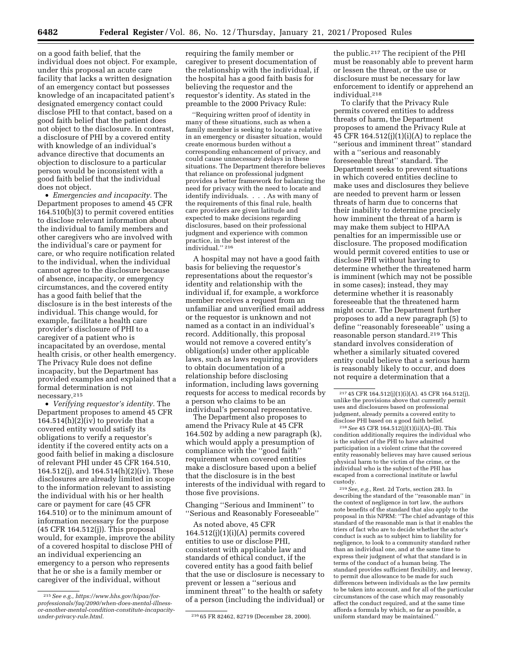on a good faith belief, that the individual does not object. For example, under this proposal an acute care facility that lacks a written designation of an emergency contact but possesses knowledge of an incapacitated patient's designated emergency contact could disclose PHI to that contact, based on a good faith belief that the patient does not object to the disclosure. In contrast, a disclosure of PHI by a covered entity with knowledge of an individual's advance directive that documents an objection to disclosure to a particular person would be inconsistent with a good faith belief that the individual does not object.

• *Emergencies and incapacity.* The Department proposes to amend 45 CFR 164.510(b)(3) to permit covered entities to disclose relevant information about the individual to family members and other caregivers who are involved with the individual's care or payment for care, or who require notification related to the individual, when the individual cannot agree to the disclosure because of absence, incapacity, or emergency circumstances, and the covered entity has a good faith belief that the disclosure is in the best interests of the individual. This change would, for example, facilitate a health care provider's disclosure of PHI to a caregiver of a patient who is incapacitated by an overdose, mental health crisis, or other health emergency. The Privacy Rule does not define incapacity, but the Department has provided examples and explained that a formal determination is not necessary.215

• *Verifying requestor's identity.* The Department proposes to amend 45 CFR  $164.514(h)(2)(iv)$  to provide that a covered entity would satisfy its obligations to verify a requestor's identity if the covered entity acts on a good faith belief in making a disclosure of relevant PHI under 45 CFR 164.510, 164.512(j), and 164.514(h)(2)(iv). These disclosures are already limited in scope to the information relevant to assisting the individual with his or her health care or payment for care (45 CFR 164.510) or to the minimum amount of information necessary for the purpose (45 CFR 164.512(j)). This proposal would, for example, improve the ability of a covered hospital to disclose PHI of an individual experiencing an emergency to a person who represents that he or she is a family member or caregiver of the individual, without

requiring the family member or caregiver to present documentation of the relationship with the individual, if the hospital has a good faith basis for believing the requestor and the requestor's identity. As stated in the preamble to the 2000 Privacy Rule:

''Requiring written proof of identity in many of these situations, such as when a family member is seeking to locate a relative in an emergency or disaster situation, would create enormous burden without a corresponding enhancement of privacy, and could cause unnecessary delays in these situations. The Department therefore believes that reliance on professional judgment provides a better framework for balancing the need for privacy with the need to locate and identify individuals. . . . As with many of the requirements of this final rule, health care providers are given latitude and expected to make decisions regarding disclosures, based on their professional judgment and experience with common practice, in the best interest of the individual.'' 216

A hospital may not have a good faith basis for believing the requestor's representations about the requestor's identity and relationship with the individual if, for example, a workforce member receives a request from an unfamiliar and unverified email address or the requestor is unknown and not named as a contact in an individual's record. Additionally, this proposal would not remove a covered entity's obligation(s) under other applicable laws, such as laws requiring providers to obtain documentation of a relationship before disclosing information, including laws governing requests for access to medical records by a person who claims to be an individual's personal representative.

The Department also proposes to amend the Privacy Rule at 45 CFR 164.502 by adding a new paragraph (k), which would apply a presumption of compliance with the ''good faith'' requirement when covered entities make a disclosure based upon a belief that the disclosure is in the best interests of the individual with regard to those five provisions.

Changing ''Serious and Imminent'' to ''Serious and Reasonably Foreseeable''

As noted above, 45 CFR  $164.512(j)(1)(i)(A)$  permits covered entities to use or disclose PHI, consistent with applicable law and standards of ethical conduct, if the covered entity has a good faith belief that the use or disclosure is necessary to prevent or lessen a ''serious and imminent threat'' to the health or safety of a person (including the individual) or

the public.217 The recipient of the PHI must be reasonably able to prevent harm or lessen the threat, or the use or disclosure must be necessary for law enforcement to identify or apprehend an individual.218

To clarify that the Privacy Rule permits covered entities to address threats of harm, the Department proposes to amend the Privacy Rule at 45 CFR 164.512(j)(1)(i)(A) to replace the ''serious and imminent threat'' standard with a "serious and reasonably foreseeable threat'' standard. The Department seeks to prevent situations in which covered entities decline to make uses and disclosures they believe are needed to prevent harm or lessen threats of harm due to concerns that their inability to determine precisely how imminent the threat of a harm is may make them subject to HIPAA penalties for an impermissible use or disclosure. The proposed modification would permit covered entities to use or disclose PHI without having to determine whether the threatened harm is imminent (which may not be possible in some cases); instead, they may determine whether it is reasonably foreseeable that the threatened harm might occur. The Department further proposes to add a new paragraph (5) to define ''reasonably foreseeable'' using a reasonable person standard.219 This standard involves consideration of whether a similarly situated covered entity could believe that a serious harm is reasonably likely to occur, and does not require a determination that a

218*See* 45 CFR 164.512(j)(1)(ii)(A)–(B). This condition additionally requires the individual who is the subject of the PHI to have admitted participation in a violent crime that the covered entity reasonably believes may have caused serious physical harm to the victim of the crime, or the individual who is the subject of the PHI has escaped from a correctional institute or lawful custody.

219*See, e.g.,* Rest. 2d Torts, section 283. In describing the standard of the ''reasonable man'' in the context of negligence in tort law, the authors note benefits of the standard that also apply to the proposal in this NPRM: ''The chief advantage of this standard of the reasonable man is that it enables the triers of fact who are to decide whether the actor's conduct is such as to subject him to liability for negligence, to look to a community standard rather than an individual one, and at the same time to express their judgment of what that standard is in terms of the conduct of a human being. The standard provides sufficient flexibility, and leeway, to permit due allowance to be made for such differences between individuals as the law permits to be taken into account, and for all of the particular circumstances of the case which may reasonably affect the conduct required, and at the same time affords a formula by which, so far as possible, a uniform standard may be maintained.

<sup>215</sup>*See e.g., [https://www.hhs.gov/hipaa/for](https://www.hhs.gov/hipaa/for-professionals/faq/2090/when-does-mental-illness-or-another-mental-condition-constitute-incapacity-under-privacy-rule.html)professionals/faq/2090/when-does-mental-illness[or-another-mental-condition-constitute-incapacity-](https://www.hhs.gov/hipaa/for-professionals/faq/2090/when-does-mental-illness-or-another-mental-condition-constitute-incapacity-under-privacy-rule.html)*

*[under-privacy-rule.html.](https://www.hhs.gov/hipaa/for-professionals/faq/2090/when-does-mental-illness-or-another-mental-condition-constitute-incapacity-under-privacy-rule.html)* 216 65 FR 82462, 82719 (December 28, 2000).

<sup>217</sup> 45 CFR 164.512(j)(1)(i)(A). 45 CFR 164.512(j), unlike the provisions above that currently permit uses and disclosures based on professional judgment, already permits a covered entity to disclose PHI based on a good faith belief.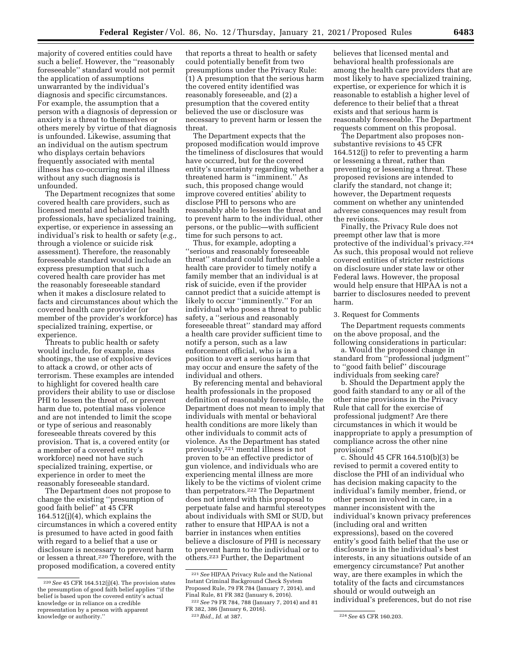majority of covered entities could have such a belief. However, the ''reasonably foreseeable'' standard would not permit the application of assumptions unwarranted by the individual's diagnosis and specific circumstances. For example, the assumption that a person with a diagnosis of depression or anxiety is a threat to themselves or others merely by virtue of that diagnosis is unfounded. Likewise, assuming that an individual on the autism spectrum who displays certain behaviors frequently associated with mental illness has co-occurring mental illness without any such diagnosis is unfounded.

The Department recognizes that some covered health care providers, such as licensed mental and behavioral health professionals, have specialized training, expertise, or experience in assessing an individual's risk to health or safety (*e.g.,*  through a violence or suicide risk assessment). Therefore, the reasonably foreseeable standard would include an express presumption that such a covered health care provider has met the reasonably foreseeable standard when it makes a disclosure related to facts and circumstances about which the covered health care provider (or member of the provider's workforce) has specialized training, expertise, or experience.

Threats to public health or safety would include, for example, mass shootings, the use of explosive devices to attack a crowd, or other acts of terrorism. These examples are intended to highlight for covered health care providers their ability to use or disclose PHI to lessen the threat of, or prevent harm due to, potential mass violence and are not intended to limit the scope or type of serious and reasonably foreseeable threats covered by this provision. That is, a covered entity (or a member of a covered entity's workforce) need not have such specialized training, expertise, or experience in order to meet the reasonably foreseeable standard.

The Department does not propose to change the existing ''presumption of good faith belief'' at 45 CFR 164.512(j)(4), which explains the circumstances in which a covered entity is presumed to have acted in good faith with regard to a belief that a use or disclosure is necessary to prevent harm or lessen a threat.220 Therefore, with the proposed modification, a covered entity

that reports a threat to health or safety could potentially benefit from two presumptions under the Privacy Rule: (1) A presumption that the serious harm the covered entity identified was reasonably foreseeable, and (2) a presumption that the covered entity believed the use or disclosure was necessary to prevent harm or lessen the threat.

The Department expects that the proposed modification would improve the timeliness of disclosures that would have occurred, but for the covered entity's uncertainty regarding whether a threatened harm is ''imminent.'' As such, this proposed change would improve covered entities' ability to disclose PHI to persons who are reasonably able to lessen the threat and to prevent harm to the individual, other persons, or the public—with sufficient time for such persons to act.

Thus, for example, adopting a ''serious and reasonably foreseeable threat'' standard could further enable a health care provider to timely notify a family member that an individual is at risk of suicide, even if the provider cannot predict that a suicide attempt is likely to occur ''imminently.'' For an individual who poses a threat to public safety, a "serious and reasonably foreseeable threat'' standard may afford a health care provider sufficient time to notify a person, such as a law enforcement official, who is in a position to avert a serious harm that may occur and ensure the safety of the individual and others.

By referencing mental and behavioral health professionals in the proposed definition of reasonably foreseeable, the Department does not mean to imply that individuals with mental or behavioral health conditions are more likely than other individuals to commit acts of violence. As the Department has stated previously,221 mental illness is not proven to be an effective predictor of gun violence, and individuals who are experiencing mental illness are more likely to be the victims of violent crime than perpetrators.222 The Department does not intend with this proposal to perpetuate false and harmful stereotypes about individuals with SMI or SUD, but rather to ensure that HIPAA is not a barrier in instances when entities believe a disclosure of PHI is necessary to prevent harm to the individual or to others.223 Further, the Department

believes that licensed mental and behavioral health professionals are among the health care providers that are most likely to have specialized training, expertise, or experience for which it is reasonable to establish a higher level of deference to their belief that a threat exists and that serious harm is reasonably foreseeable. The Department requests comment on this proposal.

The Department also proposes nonsubstantive revisions to 45 CFR 164.512(j) to refer to preventing a harm or lessening a threat, rather than preventing or lessening a threat. These proposed revisions are intended to clarify the standard, not change it; however, the Department requests comment on whether any unintended adverse consequences may result from the revisions.

Finally, the Privacy Rule does not preempt other law that is more protective of the individual's privacy.224 As such, this proposal would not relieve covered entities of stricter restrictions on disclosure under state law or other Federal laws. However, the proposal would help ensure that HIPAA is not a barrier to disclosures needed to prevent harm.

## 3. Request for Comments

The Department requests comments on the above proposal, and the following considerations in particular:

a. Would the proposed change in standard from ''professional judgment'' to ''good faith belief'' discourage individuals from seeking care?

b. Should the Department apply the good faith standard to any or all of the other nine provisions in the Privacy Rule that call for the exercise of professional judgment? Are there circumstances in which it would be inappropriate to apply a presumption of compliance across the other nine provisions?

c. Should 45 CFR 164.510(b)(3) be revised to permit a covered entity to disclose the PHI of an individual who has decision making capacity to the individual's family member, friend, or other person involved in care, in a manner inconsistent with the individual's known privacy preferences (including oral and written expressions), based on the covered entity's good faith belief that the use or disclosure is in the individual's best interests, in any situations outside of an emergency circumstance? Put another way, are there examples in which the totality of the facts and circumstances should or would outweigh an individual's preferences, but do not rise

<sup>220</sup>*See* 45 CFR 164.512(j)(4). The provision states the presumption of good faith belief applies ''if the belief is based upon the covered entity's actual knowledge or in reliance on a credible representation by a person with apparent knowledge or authority.''

<sup>221</sup>*See* HIPAA Privacy Rule and the National Instant Criminal Background Check System Proposed Rule, 79 FR 784 (January 7, 2014), and Final Rule, 81 FR 382 (January 6, 2016).

<sup>222</sup>*See* 79 FR 784, 788 (January 7, 2014) and 81 FR 382, 386 (January 6, 2016).<br><sup>223</sup> *Ibid., Id.* at 387.

<sup>223</sup> *Ibid., Id.* at 387. 224*See* 45 CFR 160.203.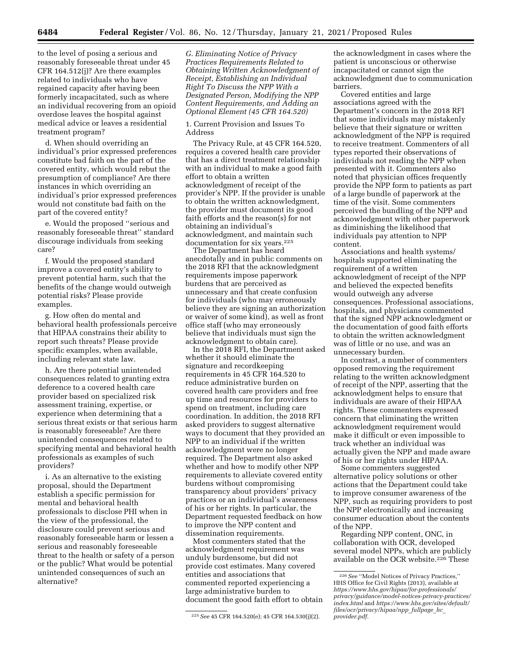to the level of posing a serious and reasonably foreseeable threat under 45 CFR 164.512(j)? Are there examples related to individuals who have regained capacity after having been formerly incapacitated, such as where an individual recovering from an opioid overdose leaves the hospital against medical advice or leaves a residential treatment program?

d. When should overriding an individual's prior expressed preferences constitute bad faith on the part of the covered entity, which would rebut the presumption of compliance? Are there instances in which overriding an individual's prior expressed preferences would not constitute bad faith on the part of the covered entity?

e. Would the proposed ''serious and reasonably foreseeable threat'' standard discourage individuals from seeking care?

f. Would the proposed standard improve a covered entity's ability to prevent potential harm, such that the benefits of the change would outweigh potential risks? Please provide examples.

g. How often do mental and behavioral health professionals perceive that HIPAA constrains their ability to report such threats? Please provide specific examples, when available, including relevant state law.

h. Are there potential unintended consequences related to granting extra deference to a covered health care provider based on specialized risk assessment training, expertise, or experience when determining that a serious threat exists or that serious harm is reasonably foreseeable? Are there unintended consequences related to specifying mental and behavioral health professionals as examples of such providers?

i. As an alternative to the existing proposal, should the Department establish a specific permission for mental and behavioral health professionals to disclose PHI when in the view of the professional, the disclosure could prevent serious and reasonably foreseeable harm or lessen a serious and reasonably foreseeable threat to the health or safety of a person or the public? What would be potential unintended consequences of such an alternative?

*G. Eliminating Notice of Privacy Practices Requirements Related to Obtaining Written Acknowledgment of Receipt, Establishing an Individual Right To Discuss the NPP With a Designated Person, Modifying the NPP Content Requirements, and Adding an Optional Element (45 CFR 164.520)* 

1. Current Provision and Issues To Address

The Privacy Rule, at 45 CFR 164.520, requires a covered health care provider that has a direct treatment relationship with an individual to make a good faith effort to obtain a written acknowledgment of receipt of the provider's NPP. If the provider is unable to obtain the written acknowledgment, the provider must document its good faith efforts and the reason(s) for not obtaining an individual's acknowledgment, and maintain such documentation for six years.<sup>225</sup>

The Department has heard anecdotally and in public comments on the 2018 RFI that the acknowledgment requirements impose paperwork burdens that are perceived as unnecessary and that create confusion for individuals (who may erroneously believe they are signing an authorization or waiver of some kind), as well as front office staff (who may erroneously believe that individuals must sign the acknowledgment to obtain care).

In the 2018 RFI, the Department asked whether it should eliminate the signature and recordkeeping requirements in 45 CFR 164.520 to reduce administrative burden on covered health care providers and free up time and resources for providers to spend on treatment, including care coordination. In addition, the 2018 RFI asked providers to suggest alternative ways to document that they provided an NPP to an individual if the written acknowledgment were no longer required. The Department also asked whether and how to modify other NPP requirements to alleviate covered entity burdens without compromising transparency about providers' privacy practices or an individual's awareness of his or her rights. In particular, the Department requested feedback on how to improve the NPP content and dissemination requirements.

Most commenters stated that the acknowledgment requirement was unduly burdensome, but did not provide cost estimates. Many covered entities and associations that commented reported experiencing a large administrative burden to document the good faith effort to obtain

the acknowledgment in cases where the patient is unconscious or otherwise incapacitated or cannot sign the acknowledgment due to communication barriers.

Covered entities and large associations agreed with the Department's concern in the 2018 RFI that some individuals may mistakenly believe that their signature or written acknowledgment of the NPP is required to receive treatment. Commenters of all types reported their observations of individuals not reading the NPP when presented with it. Commenters also noted that physician offices frequently provide the NPP form to patients as part of a large bundle of paperwork at the time of the visit. Some commenters perceived the bundling of the NPP and acknowledgment with other paperwork as diminishing the likelihood that individuals pay attention to NPP content.

Associations and health systems/ hospitals supported eliminating the requirement of a written acknowledgment of receipt of the NPP and believed the expected benefits would outweigh any adverse consequences. Professional associations, hospitals, and physicians commented that the signed NPP acknowledgment or the documentation of good faith efforts to obtain the written acknowledgment was of little or no use, and was an unnecessary burden.

In contrast, a number of commenters opposed removing the requirement relating to the written acknowledgment of receipt of the NPP, asserting that the acknowledgment helps to ensure that individuals are aware of their HIPAA rights. These commenters expressed concern that eliminating the written acknowledgment requirement would make it difficult or even impossible to track whether an individual was actually given the NPP and made aware of his or her rights under HIPAA.

Some commenters suggested alternative policy solutions or other actions that the Department could take to improve consumer awareness of the NPP, such as requiring providers to post the NPP electronically and increasing consumer education about the contents of the NPP.

Regarding NPP content, ONC, in collaboration with OCR, developed several model NPPs, which are publicly available on the OCR website.226 These

<sup>225</sup>*See* 45 CFR 164.520(e); 45 CFR 164.530(j)(2).

<sup>226</sup>*See* ''Model Notices of Privacy Practices,'' HHS Office for Civil Rights (2013), available at *[https://www.hhs.gov/hipaa/for-professionals/](https://www.hhs.gov/hipaa/for-professionals/privacy/guidance/model-notices-privacy-practices/index.html)  [privacy/guidance/model-notices-privacy-practices/](https://www.hhs.gov/hipaa/for-professionals/privacy/guidance/model-notices-privacy-practices/index.html) [index.html](https://www.hhs.gov/hipaa/for-professionals/privacy/guidance/model-notices-privacy-practices/index.html)* and *[https://www.hhs.gov/sites/default/](https://www.hhs.gov/sites/default/files/ocr/privacy/hipaa/npp_fullpage_hc_provider.pdf)  [files/ocr/privacy/hipaa/npp](https://www.hhs.gov/sites/default/files/ocr/privacy/hipaa/npp_fullpage_hc_provider.pdf)*\_*fullpage*\_*hc*\_ *[provider.pdf.](https://www.hhs.gov/sites/default/files/ocr/privacy/hipaa/npp_fullpage_hc_provider.pdf)*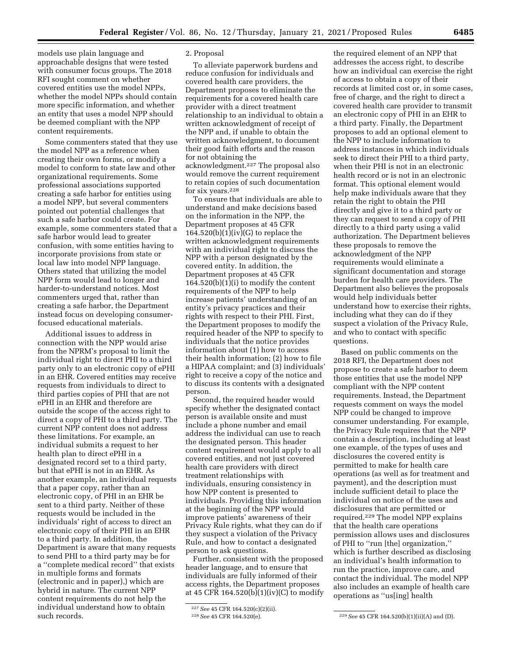models use plain language and approachable designs that were tested with consumer focus groups. The 2018 RFI sought comment on whether covered entities use the model NPPs, whether the model NPPs should contain more specific information, and whether an entity that uses a model NPP should be deemed compliant with the NPP content requirements.

Some commenters stated that they use the model NPP as a reference when creating their own forms, or modify a model to conform to state law and other organizational requirements. Some professional associations supported creating a safe harbor for entities using a model NPP, but several commenters pointed out potential challenges that such a safe harbor could create. For example, some commenters stated that a safe harbor would lead to greater confusion, with some entities having to incorporate provisions from state or local law into model NPP language. Others stated that utilizing the model NPP form would lead to longer and harder-to-understand notices. Most commenters urged that, rather than creating a safe harbor, the Department instead focus on developing consumerfocused educational materials.

Additional issues to address in connection with the NPP would arise from the NPRM's proposal to limit the individual right to direct PHI to a third party only to an electronic copy of ePHI in an EHR. Covered entities may receive requests from individuals to direct to third parties copies of PHI that are not ePHI in an EHR and therefore are outside the scope of the access right to direct a copy of PHI to a third party. The current NPP content does not address these limitations. For example, an individual submits a request to her health plan to direct ePHI in a designated record set to a third party, but that ePHI is not in an EHR. As another example, an individual requests that a paper copy, rather than an electronic copy, of PHI in an EHR be sent to a third party. Neither of these requests would be included in the individuals' right of access to direct an electronic copy of their PHI in an EHR to a third party. In addition, the Department is aware that many requests to send PHI to a third party may be for a ''complete medical record'' that exists in multiple forms and formats (electronic and in paper),) which are hybrid in nature. The current NPP content requirements do not help the individual understand how to obtain such records.

## 2. Proposal

To alleviate paperwork burdens and reduce confusion for individuals and covered health care providers, the Department proposes to eliminate the requirements for a covered health care provider with a direct treatment relationship to an individual to obtain a written acknowledgment of receipt of the NPP and, if unable to obtain the written acknowledgment, to document their good faith efforts and the reason for not obtaining the acknowledgment.227 The proposal also would remove the current requirement to retain copies of such documentation for six years.228

To ensure that individuals are able to understand and make decisions based on the information in the NPP, the Department proposes at 45 CFR  $164.520(b)(1)(iv)(G)$  to replace the written acknowledgment requirements with an individual right to discuss the NPP with a person designated by the covered entity. In addition, the Department proposes at 45 CFR 164.520(b)(1)(i) to modify the content requirements of the NPP to help increase patients' understanding of an entity's privacy practices and their rights with respect to their PHI. First, the Department proposes to modify the required header of the NPP to specify to individuals that the notice provides information about (1) how to access their health information; (2) how to file a HIPAA complaint; and (3) individuals' right to receive a copy of the notice and to discuss its contents with a designated person.

Second, the required header would specify whether the designated contact person is available onsite and must include a phone number and email address the individual can use to reach the designated person. This header content requirement would apply to all covered entities, and not just covered health care providers with direct treatment relationships with individuals, ensuring consistency in how NPP content is presented to individuals. Providing this information at the beginning of the NPP would improve patients' awareness of their Privacy Rule rights, what they can do if they suspect a violation of the Privacy Rule, and how to contact a designated person to ask questions.

Further, consistent with the proposed header language, and to ensure that individuals are fully informed of their access rights, the Department proposes at 45 CFR 164.520(b) $(1)(iv)(C)$  to modify

the required element of an NPP that addresses the access right, to describe how an individual can exercise the right of access to obtain a copy of their records at limited cost or, in some cases, free of charge, and the right to direct a covered health care provider to transmit an electronic copy of PHI in an EHR to a third party. Finally, the Department proposes to add an optional element to the NPP to include information to address instances in which individuals seek to direct their PHI to a third party, when their PHI is not in an electronic health record or is not in an electronic format. This optional element would help make individuals aware that they retain the right to obtain the PHI directly and give it to a third party or they can request to send a copy of PHI directly to a third party using a valid authorization. The Department believes these proposals to remove the acknowledgment of the NPP requirements would eliminate a significant documentation and storage burden for health care providers. The Department also believes the proposals would help individuals better understand how to exercise their rights, including what they can do if they suspect a violation of the Privacy Rule, and who to contact with specific questions.

Based on public comments on the 2018 RFI, the Department does not propose to create a safe harbor to deem those entities that use the model NPP compliant with the NPP content requirements. Instead, the Department requests comment on ways the model NPP could be changed to improve consumer understanding. For example, the Privacy Rule requires that the NPP contain a description, including at least one example, of the types of uses and disclosures the covered entity is permitted to make for health care operations (as well as for treatment and payment), and the description must include sufficient detail to place the individual on notice of the uses and disclosures that are permitted or required.229 The model NPP explains that the health care operations permission allows uses and disclosures of PHI to ''run [the] organization,'' which is further described as disclosing an individual's health information to run the practice, improve care, and contact the individual. The model NPP also includes an example of health care operations as ''us[ing] health

<sup>227</sup>*See* 45 CFR 164.520(c)(2)(ii).

<sup>&</sup>lt;sup>229</sup> See 45 CFR 164.520(b)(1)(ii)(A) and (D).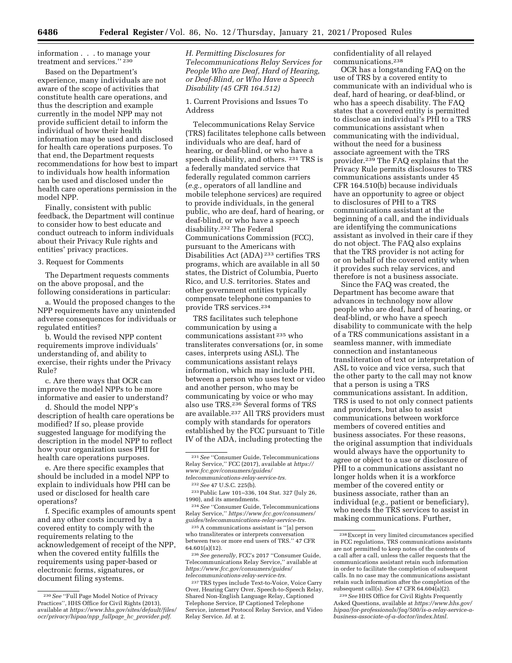information . . . to manage your treatment and services.'' 230

Based on the Department's experience, many individuals are not aware of the scope of activities that constitute health care operations, and thus the description and example currently in the model NPP may not provide sufficient detail to inform the individual of how their health information may be used and disclosed for health care operations purposes. To that end, the Department requests recommendations for how best to impart to individuals how health information can be used and disclosed under the health care operations permission in the model NPP.

Finally, consistent with public feedback, the Department will continue to consider how to best educate and conduct outreach to inform individuals about their Privacy Rule rights and entities' privacy practices.

## 3. Request for Comments

The Department requests comments on the above proposal, and the following considerations in particular:

a. Would the proposed changes to the NPP requirements have any unintended adverse consequences for individuals or regulated entities?

b. Would the revised NPP content requirements improve individuals' understanding of, and ability to exercise, their rights under the Privacy Rule?

c. Are there ways that OCR can improve the model NPPs to be more informative and easier to understand?

d. Should the model NPP's description of health care operations be modified? If so, please provide suggested language for modifying the description in the model NPP to reflect how your organization uses PHI for health care operations purposes.

e. Are there specific examples that should be included in a model NPP to explain to individuals how PHI can be used or disclosed for health care operations?

f. Specific examples of amounts spent and any other costs incurred by a covered entity to comply with the requirements relating to the acknowledgement of receipt of the NPP, when the covered entity fulfills the requirements using paper-based or electronic forms, signatures, or document filing systems.

*H. Permitting Disclosures for Telecommunications Relay Services for People Who are Deaf, Hard of Hearing, or Deaf-Blind, or Who Have a Speech Disability (45 CFR 164.512)* 

1. Current Provisions and Issues To Address

Telecommunications Relay Service (TRS) facilitates telephone calls between individuals who are deaf, hard of hearing, or deaf-blind, or who have a speech disability, and others. 231 TRS is a federally mandated service that federally regulated common carriers (*e.g.,* operators of all landline and mobile telephone services) are required to provide individuals, in the general public, who are deaf, hard of hearing, or deaf-blind, or who have a speech disability.232 The Federal Communications Commission (FCC), pursuant to the Americans with Disabilities Act (ADA) 233 certifies TRS programs, which are available in all 50 states, the District of Columbia, Puerto Rico, and U.S. territories. States and other government entities typically compensate telephone companies to provide TRS services.234

TRS facilitates such telephone communication by using a communications assistant 235 who transliterates conversations (or, in some cases, interprets using ASL). The communications assistant relays information, which may include PHI, between a person who uses text or video and another person, who may be communicating by voice or who may also use TRS.236 Several forms of TRS are available.237 All TRS providers must comply with standards for operators established by the FCC pursuant to Title IV of the ADA, including protecting the

234*See* ''Consumer Guide, Telecommunications Relay Service,'' *[https://www.fcc.gov/consumers/](https://www.fcc.gov/consumers/guides/telecommunications-relay-service-trs) [guides/telecommunications-relay-service-trs.](https://www.fcc.gov/consumers/guides/telecommunications-relay-service-trs)* 

235A communications assistant is ''[a] person who transliterates or interprets conversation between two or more end users of TRS.'' 47 CFR 64.601(a)(12).

236*See generally,* FCC's 2017 ''Consumer Guide, Telecommunications Relay Service,'' available at *[https://www.fcc.gov/consumers/guides/](https://www.fcc.gov/consumers/guides/telecommunications-relay-service-trs)  [telecommunications-relay-service-trs.](https://www.fcc.gov/consumers/guides/telecommunications-relay-service-trs)* 

237TRS types include Text-to-Voice, Voice Carry Over, Hearing Carry Over, Speech-to-Speech Relay, Shared Non-English Language Relay, Captioned Telephone Service, IP Captioned Telephone Service, internet Protocol Relay Service, and Video Relay Service. *Id.* at 2.

confidentiality of all relayed communications.238

OCR has a longstanding FAQ on the use of TRS by a covered entity to communicate with an individual who is deaf, hard of hearing, or deaf-blind, or who has a speech disability. The FAQ states that a covered entity is permitted to disclose an individual's PHI to a TRS communications assistant when communicating with the individual, without the need for a business associate agreement with the TRS provider.239 The FAQ explains that the Privacy Rule permits disclosures to TRS communications assistants under 45 CFR 164.510(b) because individuals have an opportunity to agree or object to disclosures of PHI to a TRS communications assistant at the beginning of a call, and the individuals are identifying the communications assistant as involved in their care if they do not object. The FAQ also explains that the TRS provider is not acting for or on behalf of the covered entity when it provides such relay services, and therefore is not a business associate.

Since the FAQ was created, the Department has become aware that advances in technology now allow people who are deaf, hard of hearing, or deaf-blind, or who have a speech disability to communicate with the help of a TRS communications assistant in a seamless manner, with immediate connection and instantaneous transliteration of text or interpretation of ASL to voice and vice versa, such that the other party to the call may not know that a person is using a TRS communications assistant. In addition, TRS is used to not only connect patients and providers, but also to assist communications between workforce members of covered entities and business associates. For these reasons, the original assumption that individuals would always have the opportunity to agree or object to a use or disclosure of PHI to a communications assistant no longer holds when it is a workforce member of the covered entity or business associate, rather than an individual (*e.g.,* patient or beneficiary), who needs the TRS services to assist in making communications. Further,

<sup>230</sup>*See* ''Full Page Model Notice of Privacy Practices'', HHS Office for Civil Rights (2013), available at *[https://www.hhs.gov/sites/default/files/](https://www.hhs.gov/sites/default/files/ocr/privacy/hipaa/npp_fullpage_hc_provider.pdf) [ocr/privacy/hipaa/npp](https://www.hhs.gov/sites/default/files/ocr/privacy/hipaa/npp_fullpage_hc_provider.pdf)*\_*fullpage*\_*hc*\_*provider.pdf.* 

<sup>231</sup>*See* ''Consumer Guide, Telecommunications Relay Service,'' FCC (2017), available at *[https://](https://www.fcc.gov/consumers/guides/telecommunications-relay-service-trs) [www.fcc.gov/consumers/guides/](https://www.fcc.gov/consumers/guides/telecommunications-relay-service-trs)  [telecommunications-relay-service-trs.](https://www.fcc.gov/consumers/guides/telecommunications-relay-service-trs)* 

<sup>232</sup>*See* 47 U.S.C. 225(b).

<sup>233</sup>Public Law 101–336, 104 Stat. 327 (July 26, 1990), and its amendments.

<sup>238</sup>Except in very limited circumstances specified in FCC regulations, TRS communications assistants are not permitted to keep notes of the contents of a call after a call, unless the caller requests that the communications assistant retain such information in order to facilitate the completion of subsequent calls. In no case may the communications assistant retain such information after the completion of the subsequent call(s). *See* 47 CFR 64.604(a)(2).

<sup>239</sup>*See* HHS Office for Civil Rights Frequently Asked Questions, available at *[https://www.hhs.gov/](https://www.hhs.gov/hipaa/for-professionals/faq/500/is-a-relay-service-a-business-associate-of-a-doctor/index.html)  [hipaa/for-professionals/faq/500/is-a-relay-service-a](https://www.hhs.gov/hipaa/for-professionals/faq/500/is-a-relay-service-a-business-associate-of-a-doctor/index.html)[business-associate-of-a-doctor/index.html.](https://www.hhs.gov/hipaa/for-professionals/faq/500/is-a-relay-service-a-business-associate-of-a-doctor/index.html)*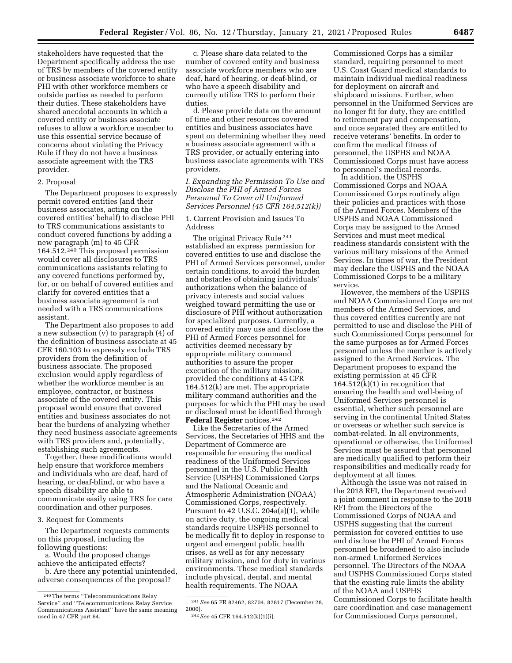stakeholders have requested that the Department specifically address the use of TRS by members of the covered entity or business associate workforce to share PHI with other workforce members or outside parties as needed to perform their duties. These stakeholders have shared anecdotal accounts in which a covered entity or business associate refuses to allow a workforce member to use this essential service because of concerns about violating the Privacy Rule if they do not have a business associate agreement with the TRS provider.

# 2. Proposal

The Department proposes to expressly permit covered entities (and their business associates, acting on the covered entities' behalf) to disclose PHI to TRS communications assistants to conduct covered functions by adding a new paragraph (m) to 45 CFR 164.512.240 This proposed permission would cover all disclosures to TRS communications assistants relating to any covered functions performed by, for, or on behalf of covered entities and clarify for covered entities that a business associate agreement is not needed with a TRS communications assistant.

The Department also proposes to add a new subsection (v) to paragraph (4) of the definition of business associate at 45 CFR 160.103 to expressly exclude TRS providers from the definition of business associate. The proposed exclusion would apply regardless of whether the workforce member is an employee, contractor, or business associate of the covered entity. This proposal would ensure that covered entities and business associates do not bear the burdens of analyzing whether they need business associate agreements with TRS providers and, potentially, establishing such agreements.

Together, these modifications would help ensure that workforce members and individuals who are deaf, hard of hearing, or deaf-blind, or who have a speech disability are able to communicate easily using TRS for care coordination and other purposes.

### 3. Request for Comments

The Department requests comments on this proposal, including the following questions:

a. Would the proposed change achieve the anticipated effects?

b. Are there any potential unintended, adverse consequences of the proposal?

c. Please share data related to the number of covered entity and business associate workforce members who are deaf, hard of hearing, or deaf-blind, or who have a speech disability and currently utilize TRS to perform their duties.

d. Please provide data on the amount of time and other resources covered entities and business associates have spent on determining whether they need a business associate agreement with a TRS provider, or actually entering into business associate agreements with TRS providers.

*I. Expanding the Permission To Use and Disclose the PHI of Armed Forces Personnel To Cover all Uniformed Services Personnel (45 CFR 164.512(k))* 

### 1. Current Provision and Issues To Address

The original Privacy Rule 241 established an express permission for covered entities to use and disclose the PHI of Armed Services personnel, under certain conditions, to avoid the burden and obstacles of obtaining individuals' authorizations when the balance of privacy interests and social values weighed toward permitting the use or disclosure of PHI without authorization for specialized purposes. Currently, a covered entity may use and disclose the PHI of Armed Forces personnel for activities deemed necessary by appropriate military command authorities to assure the proper execution of the military mission, provided the conditions at 45 CFR 164.512(k) are met. The appropriate military command authorities and the purposes for which the PHI may be used or disclosed must be identified through **Federal Register** notices.242

Like the Secretaries of the Armed Services, the Secretaries of HHS and the Department of Commerce are responsible for ensuring the medical readiness of the Uniformed Services personnel in the U.S. Public Health Service (USPHS) Commissioned Corps and the National Oceanic and Atmospheric Administration (NOAA) Commissioned Corps, respectively. Pursuant to 42 U.S.C. 204a(a)(1), while on active duty, the ongoing medical standards require USPHS personnel to be medically fit to deploy in response to urgent and emergent public health crises, as well as for any necessary military mission, and for duty in various environments. These medical standards include physical, dental, and mental health requirements. The NOAA

Commissioned Corps has a similar standard, requiring personnel to meet U.S. Coast Guard medical standards to maintain individual medical readiness for deployment on aircraft and shipboard missions. Further, when personnel in the Uniformed Services are no longer fit for duty, they are entitled to retirement pay and compensation, and once separated they are entitled to receive veterans' benefits. In order to confirm the medical fitness of personnel, the USPHS and NOAA Commissioned Corps must have access to personnel's medical records. In addition, the USPHS

Commissioned Corps and NOAA Commissioned Corps routinely align their policies and practices with those of the Armed Forces. Members of the USPHS and NOAA Commissioned Corps may be assigned to the Armed Services and must meet medical readiness standards consistent with the various military missions of the Armed Services. In times of war, the President may declare the USPHS and the NOAA Commissioned Corps to be a military service.

However, the members of the USPHS and NOAA Commissioned Corps are not members of the Armed Services, and thus covered entities currently are not permitted to use and disclose the PHI of such Commissioned Corps personnel for the same purposes as for Armed Forces personnel unless the member is actively assigned to the Armed Services. The Department proposes to expand the existing permission at 45 CFR  $164.512(k)(1)$  in recognition that ensuring the health and well-being of Uniformed Services personnel is essential, whether such personnel are serving in the continental United States or overseas or whether such service is combat-related. In all environments, operational or otherwise, the Uniformed Services must be assured that personnel are medically qualified to perform their responsibilities and medically ready for deployment at all times.

Although the issue was not raised in the 2018 RFI, the Department received a joint comment in response to the 2018 RFI from the Directors of the Commissioned Corps of NOAA and USPHS suggesting that the current permission for covered entities to use and disclose the PHI of Armed Forces personnel be broadened to also include non-armed Uniformed Services personnel. The Directors of the NOAA and USPHS Commissioned Corps stated that the existing rule limits the ability of the NOAA and USPHS Commissioned Corps to facilitate health care coordination and case management for Commissioned Corps personnel,

<sup>240</sup>The terms ''Telecommunications Relay Service'' and ''Telecommunications Relay Service Communications Assistant'' have the same meaning used in 47 CFR part 64.

<sup>241</sup>*See* 65 FR 82462, 82704, 82817 (December 28, 2000).

<sup>242</sup>*See* 45 CFR 164.512(k)(1)(i).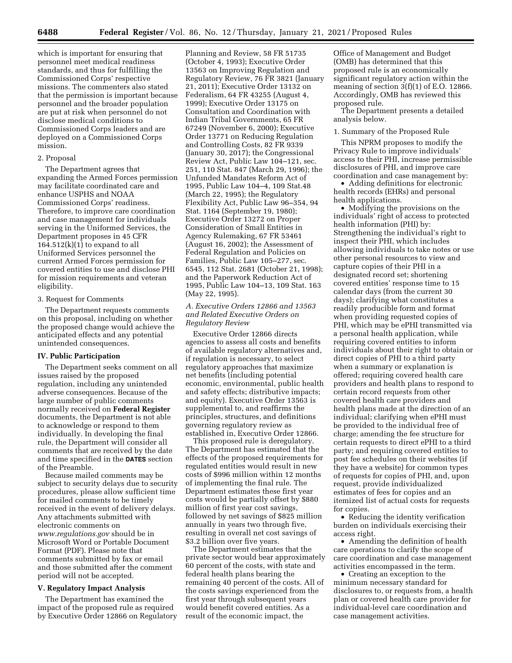which is important for ensuring that personnel meet medical readiness standards, and thus for fulfilling the Commissioned Corps' respective missions. The commenters also stated that the permission is important because personnel and the broader population are put at risk when personnel do not disclose medical conditions to Commissioned Corps leaders and are deployed on a Commissioned Corps mission.

#### 2. Proposal

The Department agrees that expanding the Armed Forces permission may facilitate coordinated care and enhance USPHS and NOAA Commissioned Corps' readiness. Therefore, to improve care coordination and case management for individuals serving in the Uniformed Services, the Department proposes in 45 CFR  $164.512(k)(1)$  to expand to all Uniformed Services personnel the current Armed Forces permission for covered entities to use and disclose PHI for mission requirements and veteran eligibility.

### 3. Request for Comments

The Department requests comments on this proposal, including on whether the proposed change would achieve the anticipated effects and any potential unintended consequences.

## **IV. Public Participation**

The Department seeks comment on all issues raised by the proposed regulation, including any unintended adverse consequences. Because of the large number of public comments normally received on **Federal Register**  documents, the Department is not able to acknowledge or respond to them individually. In developing the final rule, the Department will consider all comments that are received by the date and time specified in the **DATES** section of the Preamble.

Because mailed comments may be subject to security delays due to security procedures, please allow sufficient time for mailed comments to be timely received in the event of delivery delays. Any attachments submitted with electronic comments on *[www.regulations.gov](http://www.regulations.gov)* should be in Microsoft Word or Portable Document Format (PDF). Please note that comments submitted by fax or email and those submitted after the comment period will not be accepted.

### **V. Regulatory Impact Analysis**

The Department has examined the impact of the proposed rule as required by Executive Order 12866 on Regulatory

Planning and Review, 58 FR 51735 (October 4, 1993); Executive Order 13563 on Improving Regulation and Regulatory Review, 76 FR 3821 (January 21, 2011); Executive Order 13132 on Federalism, 64 FR 43255 (August 4, 1999); Executive Order 13175 on Consultation and Coordination with Indian Tribal Governments, 65 FR 67249 (November 6, 2000); Executive Order 13771 on Reducing Regulation and Controlling Costs, 82 FR 9339 (January 30, 2017); the Congressional Review Act, Public Law 104–121, sec. 251, 110 Stat. 847 (March 29, 1996); the Unfunded Mandates Reform Act of 1995, Public Law 104–4, 109 Stat.48 (March 22, 1995); the Regulatory Flexibility Act, Public Law 96–354, 94 Stat. 1164 (September 19, 1980); Executive Order 13272 on Proper Consideration of Small Entities in Agency Rulemaking, 67 FR 53461 (August 16, 2002); the Assessment of Federal Regulation and Policies on Families, Public Law 105–277, sec. 6545, 112 Stat. 2681 (October 21, 1998); and the Paperwork Reduction Act of 1995, Public Law 104–13, 109 Stat. 163 (May 22, 1995).

### *A. Executive Orders 12866 and 13563 and Related Executive Orders on Regulatory Review*

Executive Order 12866 directs agencies to assess all costs and benefits of available regulatory alternatives and, if regulation is necessary, to select regulatory approaches that maximize net benefits (including potential economic, environmental, public health and safety effects; distributive impacts; and equity). Executive Order 13563 is supplemental to, and reaffirms the principles, structures, and definitions governing regulatory review as established in, Executive Order 12866.

This proposed rule is deregulatory. The Department has estimated that the effects of the proposed requirements for regulated entities would result in new costs of \$996 million within 12 months of implementing the final rule. The Department estimates these first year costs would be partially offset by \$880 million of first year cost savings, followed by net savings of \$825 million annually in years two through five, resulting in overall net cost savings of \$3.2 billion over five years.

The Department estimates that the private sector would bear approximately 60 percent of the costs, with state and federal health plans bearing the remaining 40 percent of the costs. All of the costs savings experienced from the first year through subsequent years would benefit covered entities. As a result of the economic impact, the

Office of Management and Budget (OMB) has determined that this proposed rule is an economically significant regulatory action within the meaning of section  $3(f)(1)$  of E.O. 12866. Accordingly, OMB has reviewed this proposed rule.

The Department presents a detailed analysis below.

## 1. Summary of the Proposed Rule

This NPRM proposes to modify the Privacy Rule to improve individuals' access to their PHI, increase permissible disclosures of PHI, and improve care coordination and case management by:

• Adding definitions for electronic health records (EHRs) and personal health applications.

• Modifying the provisions on the individuals' right of access to protected health information (PHI) by: Strengthening the individual's right to inspect their PHI, which includes allowing individuals to take notes or use other personal resources to view and capture copies of their PHI in a designated record set; shortening covered entities' response time to 15 calendar days (from the current 30 days); clarifying what constitutes a readily producible form and format when providing requested copies of PHI, which may be ePHI transmitted via a personal health application, while requiring covered entities to inform individuals about their right to obtain or direct copies of PHI to a third party when a summary or explanation is offered; requiring covered health care providers and health plans to respond to certain record requests from other covered health care providers and health plans made at the direction of an individual; clarifying when ePHI must be provided to the individual free of charge; amending the fee structure for certain requests to direct ePHI to a third party; and requiring covered entities to post fee schedules on their websites (if they have a website) for common types of requests for copies of PHI, and, upon request, provide individualized estimates of fees for copies and an itemized list of actual costs for requests for copies.

• Reducing the identity verification burden on individuals exercising their access right.

• Amending the definition of health care operations to clarify the scope of care coordination and case management activities encompassed in the term.

• Creating an exception to the minimum necessary standard for disclosures to, or requests from, a health plan or covered health care provider for individual-level care coordination and case management activities.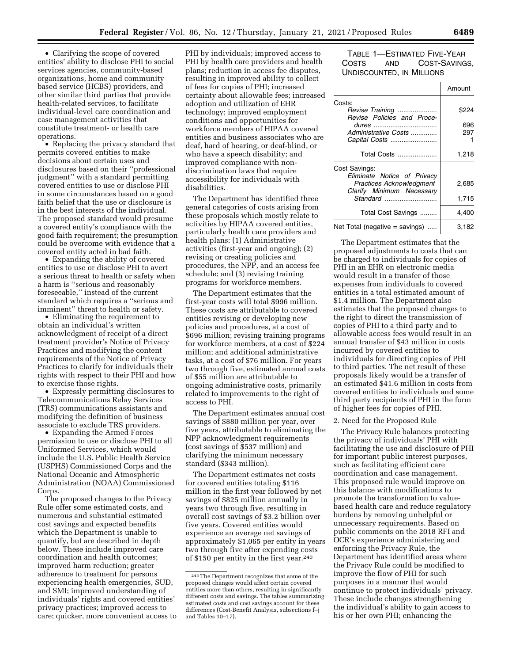• Clarifying the scope of covered entities' ability to disclose PHI to social services agencies, community-based organizations, home and community based service (HCBS) providers, and other similar third parties that provide health-related services, to facilitate individual-level care coordination and case management activities that constitute treatment- or health care operations.

• Replacing the privacy standard that permits covered entities to make decisions about certain uses and disclosures based on their ''professional judgment" with a standard permitting covered entities to use or disclose PHI in some circumstances based on a good faith belief that the use or disclosure is in the best interests of the individual. The proposed standard would presume a covered entity's compliance with the good faith requirement; the presumption could be overcome with evidence that a covered entity acted in bad faith.

• Expanding the ability of covered entities to use or disclose PHI to avert a serious threat to health or safety when a harm is ''serious and reasonably foreseeable,'' instead of the current standard which requires a ''serious and imminent'' threat to health or safety.

• Eliminating the requirement to obtain an individual's written acknowledgment of receipt of a direct treatment provider's Notice of Privacy Practices and modifying the content requirements of the Notice of Privacy Practices to clarify for individuals their rights with respect to their PHI and how to exercise those rights.

• Expressly permitting disclosures to Telecommunications Relay Services (TRS) communications assistants and modifying the definition of business associate to exclude TRS providers.

• Expanding the Armed Forces permission to use or disclose PHI to all Uniformed Services, which would include the U.S. Public Health Service (USPHS) Commissioned Corps and the National Oceanic and Atmospheric Administration (NOAA) Commissioned Corps.

The proposed changes to the Privacy Rule offer some estimated costs, and numerous and substantial estimated cost savings and expected benefits which the Department is unable to quantify, but are described in depth below. These include improved care coordination and health outcomes; improved harm reduction; greater adherence to treatment for persons experiencing health emergencies, SUD, and SMI; improved understanding of individuals' rights and covered entities' privacy practices; improved access to care; quicker, more convenient access to PHI by individuals; improved access to PHI by health care providers and health plans; reduction in access fee disputes, resulting in improved ability to collect of fees for copies of PHI; increased certainty about allowable fees; increased adoption and utilization of EHR technology; improved employment conditions and opportunities for workforce members of HIPAA covered entities and business associates who are deaf, hard of hearing, or deaf-blind, or who have a speech disability; and improved compliance with nondiscrimination laws that require accessibility for individuals with disabilities.

The Department has identified three general categories of costs arising from these proposals which mostly relate to activities by HIPAA covered entities, particularly health care providers and health plans: (1) Administrative activities (first-year and ongoing); (2) revising or creating policies and procedures, the NPP, and an access fee schedule; and (3) revising training programs for workforce members.

The Department estimates that the first-year costs will total \$996 million. These costs are attributable to covered entities revising or developing new policies and procedures, at a cost of \$696 million; revising training programs for workforce members, at a cost of \$224 million; and additional administrative tasks, at a cost of \$76 million. For years two through five, estimated annual costs of \$55 million are attributable to ongoing administrative costs, primarily related to improvements to the right of access to PHI.

The Department estimates annual cost savings of \$880 million per year, over five years, attributable to eliminating the NPP acknowledgment requirements (cost savings of \$537 million) and clarifying the minimum necessary standard (\$343 million).

The Department estimates net costs for covered entities totaling \$116 million in the first year followed by net savings of \$825 million annually in years two through five, resulting in overall cost savings of \$3.2 billion over five years. Covered entities would experience an average net savings of approximately \$1,065 per entity in years two through five after expending costs of \$150 per entity in the first year.243

TABLE 1—ESTIMATED FIVE-YEAR COSTS AND COST-SAVINGS, UNDISCOUNTED, IN MILLIONS

|                                                                                             | Amount   |
|---------------------------------------------------------------------------------------------|----------|
| Costs:                                                                                      |          |
| Revise Training<br>Revise Policies and Proce-                                               | \$224    |
|                                                                                             | 696      |
| Administrative Costs                                                                        | 297      |
| Capital Costs                                                                               |          |
| Total Costs                                                                                 | 1,218    |
| Cost Savings:                                                                               |          |
| Eliminate Notice of Privacy<br><b>Practices Acknowledgment</b><br>Clarify Minimum Necessary | 2,685    |
| $Standard$                                                                                  | 1,715    |
| Total Cost Savings                                                                          | 4,400    |
| Net Total (negative $=$ savings)                                                            | $-3,182$ |

The Department estimates that the proposed adjustments to costs that can be charged to individuals for copies of PHI in an EHR on electronic media would result in a transfer of those expenses from individuals to covered entities in a total estimated amount of \$1.4 million. The Department also estimates that the proposed changes to the right to direct the transmission of copies of PHI to a third party and to allowable access fees would result in an annual transfer of \$43 million in costs incurred by covered entities to individuals for directing copies of PHI to third parties. The net result of these proposals likely would be a transfer of an estimated \$41.6 million in costs from covered entities to individuals and some third party recipients of PHI in the form of higher fees for copies of PHI.

#### 2. Need for the Proposed Rule

The Privacy Rule balances protecting the privacy of individuals' PHI with facilitating the use and disclosure of PHI for important public interest purposes, such as facilitating efficient care coordination and case management. This proposed rule would improve on this balance with modifications to promote the transformation to valuebased health care and reduce regulatory burdens by removing unhelpful or unnecessary requirements. Based on public comments on the 2018 RFI and OCR's experience administering and enforcing the Privacy Rule, the Department has identified areas where the Privacy Rule could be modified to improve the flow of PHI for such purposes in a manner that would continue to protect individuals' privacy. These include changes strengthening the individual's ability to gain access to his or her own PHI; enhancing the

<sup>243</sup>The Department recognizes that some of the proposed changes would affect certain covered entities more than others, resulting in significantly different costs and savings. The tables summarizing estimated costs and cost savings account for these differences (Cost-Benefit Analysis, subsections f–j and Tables 10–17).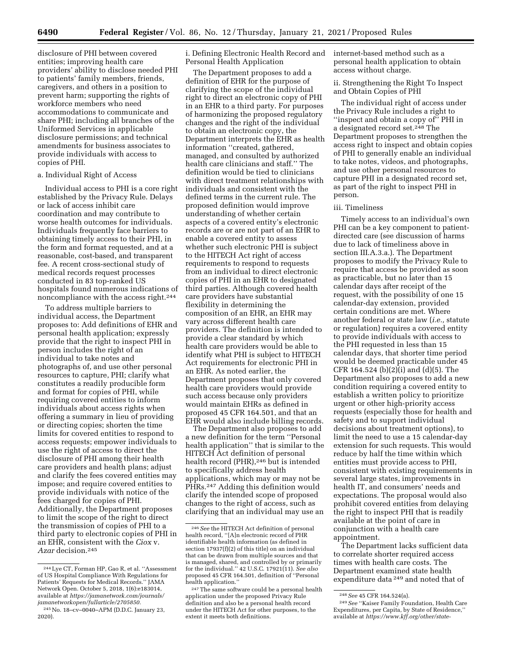disclosure of PHI between covered entities; improving health care providers' ability to disclose needed PHI to patients' family members, friends, caregivers, and others in a position to prevent harm; supporting the rights of workforce members who need accommodations to communicate and share PHI; including all branches of the Uniformed Services in applicable disclosure permissions; and technical amendments for business associates to provide individuals with access to copies of PHI.

## a. Individual Right of Access

Individual access to PHI is a core right established by the Privacy Rule. Delays or lack of access inhibit care coordination and may contribute to worse health outcomes for individuals. Individuals frequently face barriers to obtaining timely access to their PHI, in the form and format requested, and at a reasonable, cost-based, and transparent fee. A recent cross-sectional study of medical records request processes conducted in 83 top-ranked US hospitals found numerous indications of noncompliance with the access right.244

To address multiple barriers to individual access, the Department proposes to: Add definitions of EHR and personal health application; expressly provide that the right to inspect PHI in person includes the right of an individual to take notes and photographs of, and use other personal resources to capture, PHI; clarify what constitutes a readily producible form and format for copies of PHI, while requiring covered entities to inform individuals about access rights when offering a summary in lieu of providing or directing copies; shorten the time limits for covered entities to respond to access requests; empower individuals to use the right of access to direct the disclosure of PHI among their health care providers and health plans; adjust and clarify the fees covered entities may impose; and require covered entities to provide individuals with notice of the fees charged for copies of PHI. Additionally, the Department proposes to limit the scope of the right to direct the transmission of copies of PHI to a third party to electronic copies of PHI in an EHR, consistent with the *Ciox* v. *Azar* decision.245

i. Defining Electronic Health Record and Personal Health Application

The Department proposes to add a definition of EHR for the purpose of clarifying the scope of the individual right to direct an electronic copy of PHI in an EHR to a third party. For purposes of harmonizing the proposed regulatory changes and the right of the individual to obtain an electronic copy, the Department interprets the EHR as health information ''created, gathered, managed, and consulted by authorized health care clinicians and staff.'' The definition would be tied to clinicians with direct treatment relationships with individuals and consistent with the defined terms in the current rule. The proposed definition would improve understanding of whether certain aspects of a covered entity's electronic records are or are not part of an EHR to enable a covered entity to assess whether such electronic PHI is subject to the HITECH Act right of access requirements to respond to requests from an individual to direct electronic copies of PHI in an EHR to designated third parties. Although covered health care providers have substantial flexibility in determining the composition of an EHR, an EHR may vary across different health care providers. The definition is intended to provide a clear standard by which health care providers would be able to identify what PHI is subject to HITECH Act requirements for electronic PHI in an EHR. As noted earlier, the Department proposes that only covered health care providers would provide such access because only providers would maintain EHRs as defined in proposed 45 CFR 164.501, and that an EHR would also include billing records.

The Department also proposes to add a new definition for the term ''Personal health application'' that is similar to the HITECH Act definition of personal health record (PHR),<sup>246</sup> but is intended to specifically address health applications, which may or may not be PHRs.247 Adding this definition would clarify the intended scope of proposed changes to the right of access, such as clarifying that an individual may use an

internet-based method such as a personal health application to obtain access without charge.

ii. Strengthening the Right To Inspect and Obtain Copies of PHI

The individual right of access under the Privacy Rule includes a right to "inspect and obtain a copy of" PHI in a designated record set.248 The Department proposes to strengthen the access right to inspect and obtain copies of PHI to generally enable an individual to take notes, videos, and photographs, and use other personal resources to capture PHI in a designated record set, as part of the right to inspect PHI in person.

### iii. Timeliness

Timely access to an individual's own PHI can be a key component to patientdirected care (see discussion of harms due to lack of timeliness above in section III.A.3.a.). The Department proposes to modify the Privacy Rule to require that access be provided as soon as practicable, but no later than 15 calendar days after receipt of the request, with the possibility of one 15 calendar-day extension, provided certain conditions are met. Where another federal or state law (*i.e.,* statute or regulation) requires a covered entity to provide individuals with access to the PHI requested in less than 15 calendar days, that shorter time period would be deemed practicable under 45 CFR 164.524 (b)(2)(i) and (d)(5). The Department also proposes to add a new condition requiring a covered entity to establish a written policy to prioritize urgent or other high-priority access requests (especially those for health and safety and to support individual decisions about treatment options), to limit the need to use a 15 calendar-day extension for such requests. This would reduce by half the time within which entities must provide access to PHI, consistent with existing requirements in several large states, improvements in health IT, and consumers' needs and expectations. The proposal would also prohibit covered entities from delaying the right to inspect PHI that is readily available at the point of care in conjunction with a health care appointment.

The Department lacks sufficient data to correlate shorter required access times with health care costs. The Department examined state health expenditure data 249 and noted that of

<sup>244</sup>Lye CT, Forman HP, Gao R, et al. ''Assessment of US Hospital Compliance With Regulations for Patients' Requests for Medical Records.'' JAMA Network Open. October 5, 2018, 1(6):e183014, available at *[https://jamanetwork.com/journals/](https://jamanetwork.com/journals/jamanetworkopen/fullarticle/2705850) [jamanetworkopen/fullarticle/2705850.](https://jamanetwork.com/journals/jamanetworkopen/fullarticle/2705850)* 

<sup>245</sup>No. 18–cv–0040–APM (D.D.C. January 23, 2020).

<sup>246</sup>*See* the HITECH Act definition of personal health record, ''[A]n electronic record of PHR identifiable health information (as defined in section 17937(f)(2) of this title) on an individual that can be drawn from multiple sources and that is managed, shared, and controlled by or primarily for the individual.'' 42 U.S.C. 17921(11). *See also*  proposed 45 CFR 164.501, definition of ''Personal health application.''

<sup>247</sup>The same software could be a personal health application under the proposed Privacy Rule definition and also be a personal health record under the HITECH Act for other purposes, to the extent it meets both definitions.

<sup>248</sup>*See* 45 CFR 164.524(a).

<sup>249</sup>*See* ''Kaiser Family Foundation, Health Care Expenditures, per Capita, by State of Residence,'' available at *[https://www.kff.org/other/state-](https://www.kff.org/other/state-indicator/health-spending-per-capita/?currentTimeframe=0&sortModel=%7B%22colId%22:%22Location%22,%22sort%22:%22asc%22%7D)*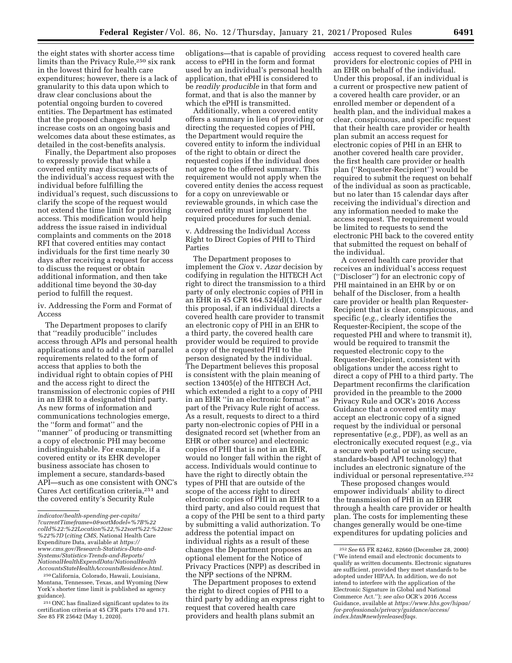the eight states with shorter access time limits than the Privacy Rule,<sup>250</sup> six rank in the lowest third for health care expenditures; however, there is a lack of granularity to this data upon which to draw clear conclusions about the potential ongoing burden to covered entities. The Department has estimated that the proposed changes would increase costs on an ongoing basis and welcomes data about these estimates, as detailed in the cost-benefits analysis.

Finally, the Department also proposes to expressly provide that while a covered entity may discuss aspects of the individual's access request with the individual before fulfilling the individual's request, such discussions to clarify the scope of the request would not extend the time limit for providing access. This modification would help address the issue raised in individual complaints and comments on the 2018 RFI that covered entities may contact individuals for the first time nearly 30 days after receiving a request for access to discuss the request or obtain additional information, and then take additional time beyond the 30-day period to fulfill the request.

iv. Addressing the Form and Format of Access

The Department proposes to clarify that ''readily producible'' includes access through APIs and personal health applications and to add a set of parallel requirements related to the form of access that applies to both the individual right to obtain copies of PHI and the access right to direct the transmission of electronic copies of PHI in an EHR to a designated third party. As new forms of information and communications technologies emerge, the ''form and format'' and the ''manner'' of producing or transmitting a copy of electronic PHI may become indistinguishable. For example, if a covered entity or its EHR developer business associate has chosen to implement a secure, standards-based API—such as one consistent with ONC's Cures Act certification criteria,251 and the covered entity's Security Rule

250California, Colorado, Hawaii, Louisiana, Montana, Tennessee, Texas, and Wyoming (New York's shorter time limit is published as agency guidance).

251ONC has finalized significant updates to its certification criteria at 45 CFR parts 170 and 171. *See* 85 FR 25642 (May 1, 2020).

obligations—that is capable of providing access to ePHI in the form and format used by an individual's personal health application, that ePHI is considered to be *readily producible* in that form and format, and that is also the manner by which the ePHI is transmitted.

Additionally, when a covered entity offers a summary in lieu of providing or directing the requested copies of PHI, the Department would require the covered entity to inform the individual of the right to obtain or direct the requested copies if the individual does not agree to the offered summary. This requirement would not apply when the covered entity denies the access request for a copy on unreviewable or reviewable grounds, in which case the covered entity must implement the required procedures for such denial.

v. Addressing the Individual Access Right to Direct Copies of PHI to Third Parties

The Department proposes to implement the *Ciox* v. *Azar* decision by codifying in regulation the HITECH Act right to direct the transmission to a third party of only electronic copies of PHI in an EHR in 45 CFR 164.524(d)(1). Under this proposal, if an individual directs a covered health care provider to transmit an electronic copy of PHI in an EHR to a third party, the covered health care provider would be required to provide a copy of the requested PHI to the person designated by the individual. The Department believes this proposal is consistent with the plain meaning of section 13405(e) of the HITECH Act, which extended a right to a copy of PHI in an EHR ''in an electronic format'' as part of the Privacy Rule right of access. As a result, requests to direct to a third party non-electronic copies of PHI in a designated record set (whether from an EHR or other source) and electronic copies of PHI that is not in an EHR, would no longer fall within the right of access. Individuals would continue to have the right to directly obtain the types of PHI that are outside of the scope of the access right to direct electronic copies of PHI in an EHR to a third party, and also could request that a copy of the PHI be sent to a third party by submitting a valid authorization. To address the potential impact on individual rights as a result of these changes the Department proposes an optional element for the Notice of Privacy Practices (NPP) as described in the NPP sections of the NPRM.

The Department proposes to extend the right to direct copies of PHI to a third party by adding an express right to request that covered health care providers and health plans submit an

access request to covered health care providers for electronic copies of PHI in an EHR on behalf of the individual. Under this proposal, if an individual is a current or prospective new patient of a covered health care provider, or an enrolled member or dependent of a health plan, and the individual makes a clear, conspicuous, and specific request that their health care provider or health plan submit an access request for electronic copies of PHI in an EHR to another covered health care provider, the first health care provider or health plan (''Requester-Recipient'') would be required to submit the request on behalf of the individual as soon as practicable, but no later than 15 calendar days after receiving the individual's direction and any information needed to make the access request. The requirement would be limited to requests to send the electronic PHI back to the covered entity that submitted the request on behalf of the individual.

A covered health care provider that receives an individual's access request (''Discloser'') for an electronic copy of PHI maintained in an EHR by or on behalf of the Discloser, from a health care provider or health plan Requester-Recipient that is clear, conspicuous, and specific (*e.g.,* clearly identifies the Requester-Recipient, the scope of the requested PHI and where to transmit it), would be required to transmit the requested electronic copy to the Requester-Recipient, consistent with obligations under the access right to direct a copy of PHI to a third party. The Department reconfirms the clarification provided in the preamble to the 2000 Privacy Rule and OCR's 2016 Access Guidance that a covered entity may accept an electronic copy of a signed request by the individual or personal representative (*e.g.,* PDF), as well as an electronically executed request (*e.g.,* via a secure web portal or using secure, standards-based API technology) that includes an electronic signature of the individual or personal representative.252

These proposed changes would empower individuals' ability to direct the transmission of PHI in an EHR through a health care provider or health plan. The costs for implementing these changes generally would be one-time expenditures for updating policies and

*[indicator/health-spending-per-capita/](https://www.kff.org/other/state-indicator/health-spending-per-capita/?currentTimeframe=0&sortModel=%7B%22colId%22:%22Location%22,%22sort%22:%22asc%22%7D)  [?currentTimeframe=0&sortModel=%7B%22](https://www.kff.org/other/state-indicator/health-spending-per-capita/?currentTimeframe=0&sortModel=%7B%22colId%22:%22Location%22,%22sort%22:%22asc%22%7D) [colId%22:%22Location%22,%22sort%22:%22asc](https://www.kff.org/other/state-indicator/health-spending-per-capita/?currentTimeframe=0&sortModel=%7B%22colId%22:%22Location%22,%22sort%22:%22asc%22%7D) [%22%7D](https://www.kff.org/other/state-indicator/health-spending-per-capita/?currentTimeframe=0&sortModel=%7B%22colId%22:%22Location%22,%22sort%22:%22asc%22%7D)* (*citing CMS,* National Health Care Expenditure Data, available at *[https://](https://www.cms.gov/Research-Statistics-Data-and-Systems/Statistics-Trends-and-Reports/NationalHealthExpendData/NationalHealthAccountsStateHealthAccountsResidence.html) [www.cms.gov/Research-Statistics-Data-and-](https://www.cms.gov/Research-Statistics-Data-and-Systems/Statistics-Trends-and-Reports/NationalHealthExpendData/NationalHealthAccountsStateHealthAccountsResidence.html)[Systems/Statistics-Trends-and-Reports/](https://www.cms.gov/Research-Statistics-Data-and-Systems/Statistics-Trends-and-Reports/NationalHealthExpendData/NationalHealthAccountsStateHealthAccountsResidence.html) [NationalHealthExpendData/NationalHealth](https://www.cms.gov/Research-Statistics-Data-and-Systems/Statistics-Trends-and-Reports/NationalHealthExpendData/NationalHealthAccountsStateHealthAccountsResidence.html) [AccountsStateHealthAccountsResidence.html.](https://www.cms.gov/Research-Statistics-Data-and-Systems/Statistics-Trends-and-Reports/NationalHealthExpendData/NationalHealthAccountsStateHealthAccountsResidence.html)* 

<sup>252</sup>*See* 65 FR 82462, 82660 (December 28, 2000) (''We intend email and electronic documents to qualify as written documents. Electronic signatures are sufficient, provided they meet standards to be adopted under HIPAA. In addition, we do not intend to interfere with the application of the Electronic Signature in Global and National Commerce Act.''); *see also* OCR's 2016 Access Guidance, available at *[https://www.hhs.gov/hipaa/](https://www.hhs.gov/hipaa/for-professionals/privacy/guidance/access/index.html#newlyreleasedfaqs) [for-professionals/privacy/guidance/access/](https://www.hhs.gov/hipaa/for-professionals/privacy/guidance/access/index.html#newlyreleasedfaqs)  [index.html#newlyreleasedfaqs.](https://www.hhs.gov/hipaa/for-professionals/privacy/guidance/access/index.html#newlyreleasedfaqs)*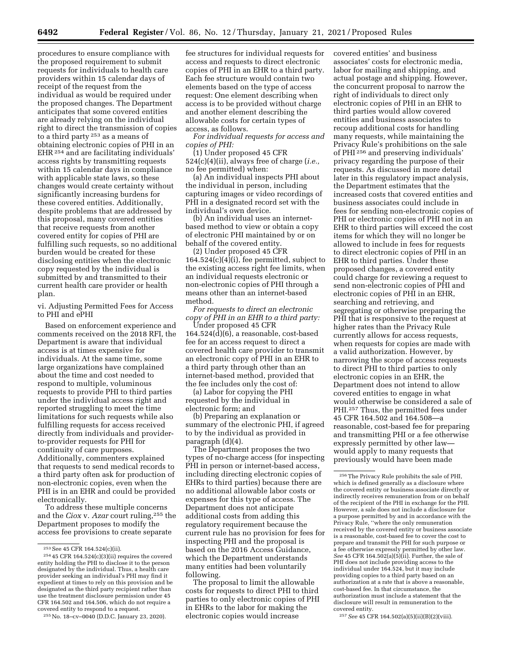procedures to ensure compliance with the proposed requirement to submit requests for individuals to health care providers within 15 calendar days of receipt of the request from the individual as would be required under the proposed changes. The Department anticipates that some covered entities are already relying on the individual right to direct the transmission of copies to a third party 253 as a means of obtaining electronic copies of PHI in an EHR<sup>254</sup> and are facilitating individuals' access rights by transmitting requests within 15 calendar days in compliance with applicable state laws, so these changes would create certainty without significantly increasing burdens for these covered entities. Additionally, despite problems that are addressed by this proposal, many covered entities that receive requests from another covered entity for copies of PHI are fulfilling such requests, so no additional burden would be created for these disclosing entities when the electronic copy requested by the individual is submitted by and transmitted to their current health care provider or health plan.

vi. Adjusting Permitted Fees for Access to PHI and ePHI

Based on enforcement experience and comments received on the 2018 RFI, the Department is aware that individual access is at times expensive for individuals. At the same time, some large organizations have complained about the time and cost needed to respond to multiple, voluminous requests to provide PHI to third parties under the individual access right and reported struggling to meet the time limitations for such requests while also fulfilling requests for access received directly from individuals and providerto-provider requests for PHI for continuity of care purposes. Additionally, commenters explained that requests to send medical records to a third party often ask for production of non-electronic copies, even when the PHI is in an EHR and could be provided electronically.

To address these multiple concerns and the *Ciox* v. *Azar* court ruling,255 the Department proposes to modify the access fee provisions to create separate

255No. 18–cv–0040 (D.D.C. January 23, 2020).

fee structures for individual requests for access and requests to direct electronic copies of PHI in an EHR to a third party. Each fee structure would contain two elements based on the type of access request: One element describing when access is to be provided without charge and another element describing the allowable costs for certain types of access, as follows.

*For individual requests for access and copies of PHI:* 

(1) Under proposed 45 CFR 524(c)(4)(ii), always free of charge (*i.e.,*  no fee permitted) when:

(a) An individual inspects PHI about the individual in person, including capturing images or video recordings of PHI in a designated record set with the individual's own device.

(b) An individual uses an internetbased method to view or obtain a copy of electronic PHI maintained by or on behalf of the covered entity.

(2) Under proposed 45 CFR 164.524(c)(4)(i), fee permitted, subject to the existing access right fee limits, when an individual requests electronic or non-electronic copies of PHI through a means other than an internet-based method.

*For requests to direct an electronic copy of PHI in an EHR to a third party:* 

Under proposed 45 CFR 164.524(d)(6), a reasonable, cost-based fee for an access request to direct a covered health care provider to transmit an electronic copy of PHI in an EHR to a third party through other than an internet-based method, provided that the fee includes only the cost of:

(a) Labor for copying the PHI requested by the individual in electronic form; and

(b) Preparing an explanation or summary of the electronic PHI, if agreed to by the individual as provided in paragraph (d)(4).

The Department proposes the two types of no-charge access (for inspecting PHI in person or internet-based access, including directing electronic copies of EHRs to third parties) because there are no additional allowable labor costs or expenses for this type of access. The Department does not anticipate additional costs from adding this regulatory requirement because the current rule has no provision for fees for inspecting PHI and the proposal is based on the 2016 Access Guidance, which the Department understands many entities had been voluntarily following.

The proposal to limit the allowable costs for requests to direct PHI to third parties to only electronic copies of PHI in EHRs to the labor for making the electronic copies would increase

covered entities' and business associates' costs for electronic media, labor for mailing and shipping, and actual postage and shipping. However, the concurrent proposal to narrow the right of individuals to direct only electronic copies of PHI in an EHR to third parties would allow covered entities and business associates to recoup additional costs for handling many requests, while maintaining the Privacy Rule's prohibitions on the sale of PHI 256 and preserving individuals' privacy regarding the purpose of their requests. As discussed in more detail later in this regulatory impact analysis, the Department estimates that the increased costs that covered entities and business associates could include in fees for sending non-electronic copies of PHI or electronic copies of PHI not in an EHR to third parties will exceed the cost items for which they will no longer be allowed to include in fees for requests to direct electronic copies of PHI in an EHR to third parties. Under these proposed changes, a covered entity could charge for reviewing a request to send non-electronic copies of PHI and electronic copies of PHI in an EHR, searching and retrieving, and segregating or otherwise preparing the PHI that is responsive to the request at higher rates than the Privacy Rule currently allows for access requests, when requests for copies are made with a valid authorization. However, by narrowing the scope of access requests to direct PHI to third parties to only electronic copies in an EHR, the Department does not intend to allow covered entities to engage in what would otherwise be considered a sale of PHI.257 Thus, the permitted fees under 45 CFR 164.502 and 164.508—a reasonable, cost-based fee for preparing and transmitting PHI or a fee otherwise expressly permitted by other law would apply to many requests that previously would have been made

257*See* 45 CFR 164.502(a)(5)(ii)(B)(2)(viii).

<sup>&</sup>lt;sup>253</sup> See 45 CFR 164.524(c)(ii).<br><sup>254</sup> 45 CFR 164.524(c)(3)(ii) requires the covered entity holding the PHI to disclose it to the person designated by the individual. Thus, a health care provider seeking an individual's PHI may find it expedient at times to rely on this provision and be designated as the third party recipient rather than use the treatment disclosure permission under 45 CFR 164.502 and 164.506, which do not require a covered entity to respond to a request.

<sup>256</sup>The Privacy Rule prohibits the sale of PHI, which is defined generally as a disclosure where the covered entity or business associate directly or indirectly receives remuneration from or on behalf of the recipient of the PHI in exchange for the PHI. However, a sale does not include a disclosure for a purpose permitted by and in accordance with the Privacy Rule, ''where the only remuneration received by the covered entity or business associate is a reasonable, cost-based fee to cover the cost to prepare and transmit the PHI for such purpose or a fee otherwise expressly permitted by other law.  $See$  45 CFR 164.502(a)(5)(ii). Further, the sale of PHI does not include providing access to the individual under 164.524, but it may include providing copies to a third party based on an authorization at a rate that is above a reasonable, cost-based fee. In that circumstance, the authorization must include a statement that the disclosure will result in remuneration to the covered entity.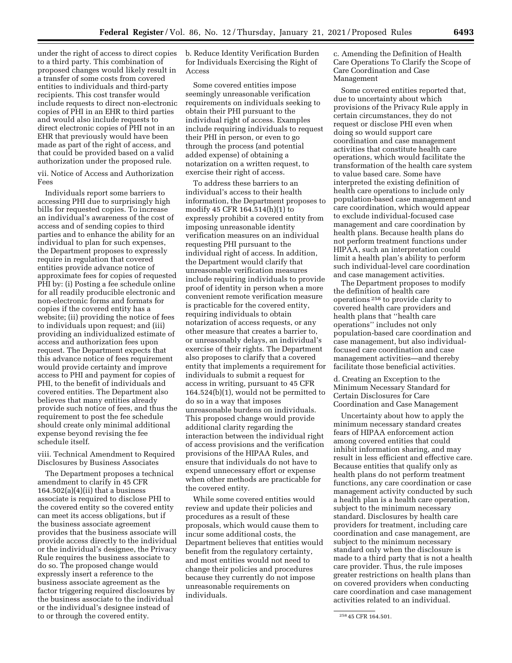under the right of access to direct copies to a third party. This combination of proposed changes would likely result in a transfer of some costs from covered entities to individuals and third-party recipients. This cost transfer would include requests to direct non-electronic copies of PHI in an EHR to third parties and would also include requests to direct electronic copies of PHI not in an EHR that previously would have been made as part of the right of access, and that could be provided based on a valid authorization under the proposed rule.

vii. Notice of Access and Authorization Fees

Individuals report some barriers to accessing PHI due to surprisingly high bills for requested copies. To increase an individual's awareness of the cost of access and of sending copies to third parties and to enhance the ability for an individual to plan for such expenses, the Department proposes to expressly require in regulation that covered entities provide advance notice of approximate fees for copies of requested PHI by: (i) Posting a fee schedule online for all readily producible electronic and non-electronic forms and formats for copies if the covered entity has a website; (ii) providing the notice of fees to individuals upon request; and (iii) providing an individualized estimate of access and authorization fees upon request. The Department expects that this advance notice of fees requirement would provide certainty and improve access to PHI and payment for copies of PHI, to the benefit of individuals and covered entities. The Department also believes that many entities already provide such notice of fees, and thus the requirement to post the fee schedule should create only minimal additional expense beyond revising the fee schedule itself.

viii. Technical Amendment to Required Disclosures by Business Associates

The Department proposes a technical amendment to clarify in 45 CFR  $164.502(a)(4)(ii)$  that a business associate is required to disclose PHI to the covered entity so the covered entity can meet its access obligations, but if the business associate agreement provides that the business associate will provide access directly to the individual or the individual's designee, the Privacy Rule requires the business associate to do so. The proposed change would expressly insert a reference to the business associate agreement as the factor triggering required disclosures by the business associate to the individual or the individual's designee instead of to or through the covered entity.

b. Reduce Identity Verification Burden for Individuals Exercising the Right of Access

Some covered entities impose seemingly unreasonable verification requirements on individuals seeking to obtain their PHI pursuant to the individual right of access. Examples include requiring individuals to request their PHI in person, or even to go through the process (and potential added expense) of obtaining a notarization on a written request, to exercise their right of access.

To address these barriers to an individual's access to their health information, the Department proposes to modify 45 CFR 164.514(h)(1) to expressly prohibit a covered entity from imposing unreasonable identity verification measures on an individual requesting PHI pursuant to the individual right of access. In addition, the Department would clarify that unreasonable verification measures include requiring individuals to provide proof of identity in person when a more convenient remote verification measure is practicable for the covered entity, requiring individuals to obtain notarization of access requests, or any other measure that creates a barrier to, or unreasonably delays, an individual's exercise of their rights. The Department also proposes to clarify that a covered entity that implements a requirement for individuals to submit a request for access in writing, pursuant to 45 CFR 164.524(b)(1), would not be permitted to do so in a way that imposes unreasonable burdens on individuals. This proposed change would provide additional clarity regarding the interaction between the individual right of access provisions and the verification provisions of the HIPAA Rules, and ensure that individuals do not have to expend unnecessary effort or expense when other methods are practicable for the covered entity.

While some covered entities would review and update their policies and procedures as a result of these proposals, which would cause them to incur some additional costs, the Department believes that entities would benefit from the regulatory certainty, and most entities would not need to change their policies and procedures because they currently do not impose unreasonable requirements on individuals.

c. Amending the Definition of Health Care Operations To Clarify the Scope of Care Coordination and Case Management

Some covered entities reported that, due to uncertainty about which provisions of the Privacy Rule apply in certain circumstances, they do not request or disclose PHI even when doing so would support care coordination and case management activities that constitute health care operations, which would facilitate the transformation of the health care system to value based care. Some have interpreted the existing definition of health care operations to include only population-based case management and care coordination, which would appear to exclude individual-focused case management and care coordination by health plans. Because health plans do not perform treatment functions under HIPAA, such an interpretation could limit a health plan's ability to perform such individual-level care coordination and case management activities.

The Department proposes to modify the definition of health care operations 258 to provide clarity to covered health care providers and health plans that ''health care operations'' includes not only population-based care coordination and case management, but also individualfocused care coordination and case management activities—and thereby facilitate those beneficial activities.

d. Creating an Exception to the Minimum Necessary Standard for Certain Disclosures for Care Coordination and Case Management

Uncertainty about how to apply the minimum necessary standard creates fears of HIPAA enforcement action among covered entities that could inhibit information sharing, and may result in less efficient and effective care. Because entities that qualify only as health plans do not perform treatment functions, any care coordination or case management activity conducted by such a health plan is a health care operation, subject to the minimum necessary standard. Disclosures by health care providers for treatment, including care coordination and case management, are subject to the minimum necessary standard only when the disclosure is made to a third party that is not a health care provider. Thus, the rule imposes greater restrictions on health plans than on covered providers when conducting care coordination and case management activities related to an individual.

<sup>258</sup> 45 CFR 164.501.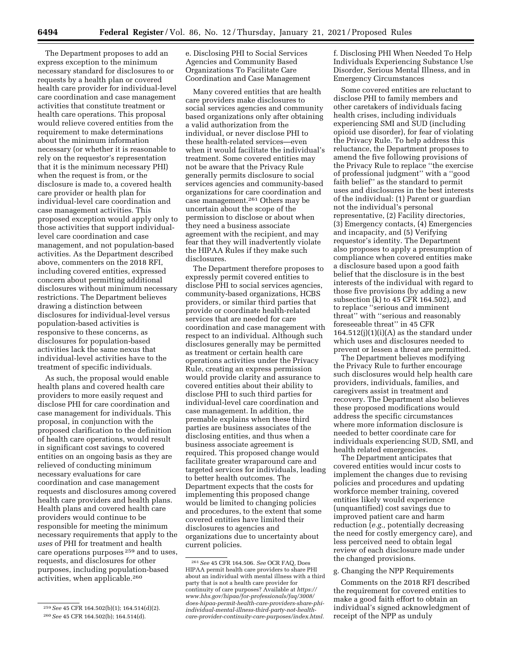The Department proposes to add an express exception to the minimum necessary standard for disclosures to or requests by a health plan or covered health care provider for individual-level care coordination and case management activities that constitute treatment or health care operations. This proposal would relieve covered entities from the requirement to make determinations about the minimum information necessary (or whether it is reasonable to rely on the requestor's representation that it is the minimum necessary PHI) when the request is from, or the disclosure is made to, a covered health care provider or health plan for individual-level care coordination and case management activities. This proposed exception would apply only to those activities that support individuallevel care coordination and case management, and not population-based activities. As the Department described above, commenters on the 2018 RFI, including covered entities, expressed concern about permitting additional disclosures without minimum necessary restrictions. The Department believes drawing a distinction between disclosures for individual-level versus population-based activities is responsive to these concerns, as disclosures for population-based activities lack the same nexus that individual-level activities have to the treatment of specific individuals.

As such, the proposal would enable health plans and covered health care providers to more easily request and disclose PHI for care coordination and case management for individuals. This proposal, in conjunction with the proposed clarification to the definition of health care operations, would result in significant cost savings to covered entities on an ongoing basis as they are relieved of conducting minimum necessary evaluations for care coordination and case management requests and disclosures among covered health care providers and health plans. Health plans and covered health care providers would continue to be responsible for meeting the minimum necessary requirements that apply to the *uses* of PHI for treatment and health care operations purposes <sup>259</sup> and to uses, requests, and disclosures for other purposes, including population-based activities, when applicable.260

e. Disclosing PHI to Social Services Agencies and Community Based Organizations To Facilitate Care Coordination and Case Management

Many covered entities that are health care providers make disclosures to social services agencies and community based organizations only after obtaining a valid authorization from the individual, or never disclose PHI to these health-related services—even when it would facilitate the individual's treatment. Some covered entities may not be aware that the Privacy Rule generally permits disclosure to social services agencies and community-based organizations for care coordination and case management.261 Others may be uncertain about the scope of the permission to disclose or about when they need a business associate agreement with the recipient, and may fear that they will inadvertently violate the HIPAA Rules if they make such disclosures.

The Department therefore proposes to expressly permit covered entities to disclose PHI to social services agencies, community-based organizations, HCBS providers, or similar third parties that provide or coordinate health-related services that are needed for care coordination and case management with respect to an individual. Although such disclosures generally may be permitted as treatment or certain health care operations activities under the Privacy Rule, creating an express permission would provide clarity and assurance to covered entities about their ability to disclose PHI to such third parties for individual-level care coordination and case management. In addition, the premable explains when these third parties are business associates of the disclosing entities, and thus when a business associate agreement is required. This proposed change would facilitate greater wraparound care and targeted services for individuals, leading to better health outcomes. The Department expects that the costs for implementing this proposed change would be limited to changing policies and procedures, to the extent that some covered entities have limited their disclosures to agencies and organizations due to uncertainty about current policies.

f. Disclosing PHI When Needed To Help Individuals Experiencing Substance Use Disorder, Serious Mental Illness, and in Emergency Circumstances

Some covered entities are reluctant to disclose PHI to family members and other caretakers of individuals facing health crises, including individuals experiencing SMI and SUD (including opioid use disorder), for fear of violating the Privacy Rule. To help address this reluctance, the Department proposes to amend the five following provisions of the Privacy Rule to replace ''the exercise of professional judgment'' with a ''good faith belief'' as the standard to permit uses and disclosures in the best interests of the individual: (1) Parent or guardian not the individual's personal representative, (2) Facility directories, (3) Emergency contacts, (4) Emergencies and incapacity, and (5) Verifying requestor's identity. The Department also proposes to apply a presumption of compliance when covered entities make a disclosure based upon a good faith belief that the disclosure is in the best interests of the individual with regard to those five provisions (by adding a new subsection (k) to 45 CFR 164.502), and to replace ''serious and imminent threat'' with ''serious and reasonably foreseeable threat'' in 45 CFR  $164.512(j)(1)(i)(A)$  as the standard under which uses and disclosures needed to prevent or lessen a threat are permitted.

The Department believes modifying the Privacy Rule to further encourage such disclosures would help health care providers, individuals, families, and caregivers assist in treatment and recovery. The Department also believes these proposed modifications would address the specific circumstances where more information disclosure is needed to better coordinate care for individuals experiencing SUD, SMI, and health related emergencies.

The Department anticipates that covered entities would incur costs to implement the changes due to revising policies and procedures and updating workforce member training, covered entities likely would experience (unquantified) cost savings due to improved patient care and harm reduction (*e.g.,* potentially decreasing the need for costly emergency care), and less perceived need to obtain legal review of each disclosure made under the changed provisions.

# g. Changing the NPP Requirements

Comments on the 2018 RFI described the requirement for covered entities to make a good faith effort to obtain an individual's signed acknowledgment of receipt of the NPP as unduly

<sup>259</sup>*See* 45 CFR 164.502(b)(1); 164.514(d)(2). 260*See* 45 CFR 164.502(b); 164.514(d).

<sup>261</sup>*See* 45 CFR 164.506. *See* OCR FAQ, Does HIPAA permit health care providers to share PHI about an individual with mental illness with a third party that is not a health care provider for continuity of care purposes? Available at *[https://](https://www.hhs.gov/hipaa/for-professionals/faq/3008/does-hipaa-permit-health-care-providers-share-phi-individual-mental-illness-third-party-not-health-care-provider-continuity-care-purposes/index.html) www.hhs.gov/hipaa/for-professionals/faq/3008/ does-hipaa-permit-health-care-providers-share-phiindividual-mental-illness-third-party-not-health[care-provider-continuity-care-purposes/index.html.](https://www.hhs.gov/hipaa/for-professionals/faq/3008/does-hipaa-permit-health-care-providers-share-phi-individual-mental-illness-third-party-not-health-care-provider-continuity-care-purposes/index.html)*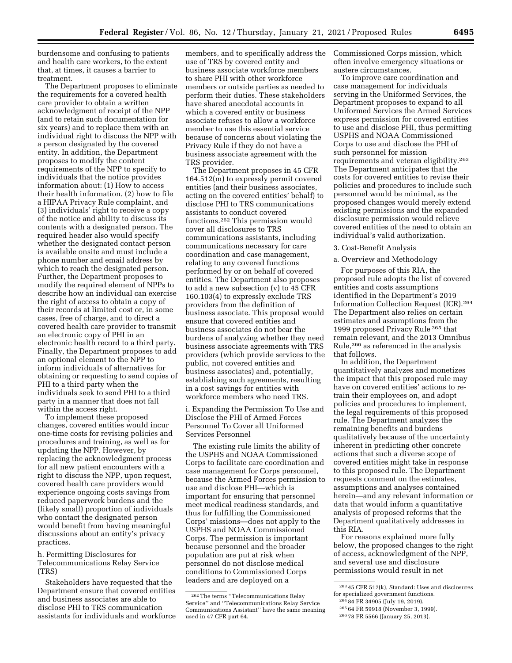burdensome and confusing to patients and health care workers, to the extent that, at times, it causes a barrier to treatment.

The Department proposes to eliminate the requirements for a covered health care provider to obtain a written acknowledgment of receipt of the NPP (and to retain such documentation for six years) and to replace them with an individual right to discuss the NPP with a person designated by the covered entity. In addition, the Department proposes to modify the content requirements of the NPP to specify to individuals that the notice provides information about: (1) How to access their health information, (2) how to file a HIPAA Privacy Rule complaint, and (3) individuals' right to receive a copy of the notice and ability to discuss its contents with a designated person. The required header also would specify whether the designated contact person is available onsite and must include a phone number and email address by which to reach the designated person. Further, the Department proposes to modify the required element of NPPs to describe how an individual can exercise the right of access to obtain a copy of their records at limited cost or, in some cases, free of charge, and to direct a covered health care provider to transmit an electronic copy of PHI in an electronic health record to a third party. Finally, the Department proposes to add an optional element to the NPP to inform individuals of alternatives for obtaining or requesting to send copies of PHI to a third party when the individuals seek to send PHI to a third party in a manner that does not fall within the access right.

To implement these proposed changes, covered entities would incur one-time costs for revising policies and procedures and training, as well as for updating the NPP. However, by replacing the acknowledgment process for all new patient encounters with a right to discuss the NPP, upon request, covered health care providers would experience ongoing costs savings from reduced paperwork burdens and the (likely small) proportion of individuals who contact the designated person would benefit from having meaningful discussions about an entity's privacy practices.

h. Permitting Disclosures for Telecommunications Relay Service (TRS)

Stakeholders have requested that the Department ensure that covered entities and business associates are able to disclose PHI to TRS communication assistants for individuals and workforce

members, and to specifically address the use of TRS by covered entity and business associate workforce members to share PHI with other workforce members or outside parties as needed to perform their duties. These stakeholders have shared anecdotal accounts in which a covered entity or business associate refuses to allow a workforce member to use this essential service because of concerns about violating the Privacy Rule if they do not have a business associate agreement with the TRS provider.

The Department proposes in 45 CFR 164.512(m) to expressly permit covered entities (and their business associates, acting on the covered entities' behalf) to disclose PHI to TRS communications assistants to conduct covered functions.262 This permission would cover all disclosures to TRS communications assistants, including communications necessary for care coordination and case management, relating to any covered functions performed by or on behalf of covered entities. The Department also proposes to add a new subsection (v) to 45 CFR 160.103(4) to expressly exclude TRS providers from the definition of business associate. This proposal would ensure that covered entities and business associates do not bear the burdens of analyzing whether they need business associate agreements with TRS providers (which provide services to the public, not covered entities and business associates) and, potentially, establishing such agreements, resulting in a cost savings for entities with workforce members who need TRS.

i. Expanding the Permission To Use and Disclose the PHI of Armed Forces Personnel To Cover all Uniformed Services Personnel

The existing rule limits the ability of the USPHS and NOAA Commissioned Corps to facilitate care coordination and case management for Corps personnel, because the Armed Forces permission to use and disclose PHI—which is important for ensuring that personnel meet medical readiness standards, and thus for fulfilling the Commissioned Corps' missions—does not apply to the USPHS and NOAA Commissioned Corps. The permission is important because personnel and the broader population are put at risk when personnel do not disclose medical conditions to Commissioned Corps leaders and are deployed on a

Commissioned Corps mission, which often involve emergency situations or austere circumstances.

To improve care coordination and case management for individuals serving in the Uniformed Services, the Department proposes to expand to all Uniformed Services the Armed Services express permission for covered entities to use and disclose PHI, thus permitting USPHS and NOAA Commissioned Corps to use and disclose the PHI of such personnel for mission requirements and veteran eligibility.263 The Department anticipates that the costs for covered entities to revise their policies and procedures to include such personnel would be minimal, as the proposed changes would merely extend existing permissions and the expanded disclosure permission would relieve covered entities of the need to obtain an individual's valid authorization.

3. Cost-Benefit Analysis

## a. Overview and Methodology

For purposes of this RIA, the proposed rule adopts the list of covered entities and costs assumptions identified in the Department's 2019 Information Collection Request (ICR).264 The Department also relies on certain estimates and assumptions from the 1999 proposed Privacy Rule 265 that remain relevant, and the 2013 Omnibus Rule,266 as referenced in the analysis that follows.

In addition, the Department quantitatively analyzes and monetizes the impact that this proposed rule may have on covered entities' actions to retrain their employees on, and adopt policies and procedures to implement, the legal requirements of this proposed rule. The Department analyzes the remaining benefits and burdens qualitatively because of the uncertainty inherent in predicting other concrete actions that such a diverse scope of covered entities might take in response to this proposed rule. The Department requests comment on the estimates, assumptions and analyses contained herein—and any relevant information or data that would inform a quantitative analysis of proposed reforms that the Department qualitatively addresses in this RIA.

For reasons explained more fully below, the proposed changes to the right of access, acknowledgment of the NPP, and several use and disclosure permissions would result in net

<sup>262</sup>The terms ''Telecommunications Relay Service'' and ''Telecommunications Relay Service Communications Assistant'' have the same meaning used in 47 CFR part 64.

<sup>263</sup> 45 CFR 512(k), Standard: Uses and disclosures for specialized government functions.

<sup>264</sup> 84 FR 34905 (July 19, 2019).

<sup>265</sup> 64 FR 59918 (November 3, 1999).

<sup>266</sup> 78 FR 5566 (January 25, 2013).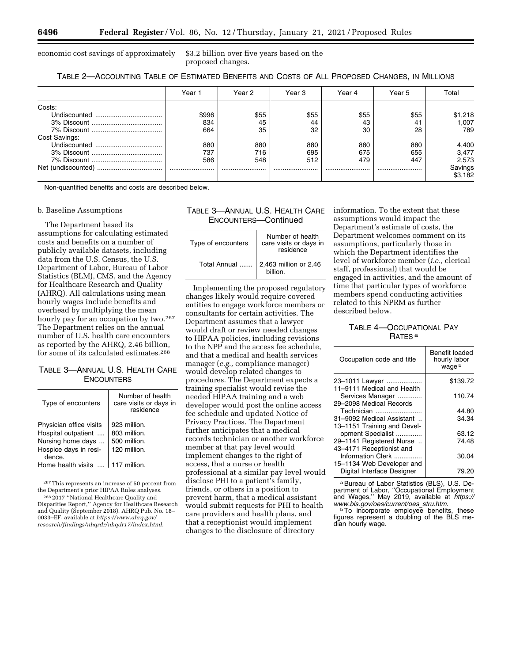economic cost savings of approximately \$3.2 billion over five years based on the

proposed changes.

| TABLE 2—ACCOUNTING TABLE OF ESTIMATED BENEFITS AND COSTS OF ALL PROPOSED CHANGES, IN MILLIONS |  |
|-----------------------------------------------------------------------------------------------|--|
|-----------------------------------------------------------------------------------------------|--|

|               | Year 1 | Year 2 | Year 3 | Year 4 | Year 5 | Total              |
|---------------|--------|--------|--------|--------|--------|--------------------|
| Costs:        |        |        |        |        |        |                    |
|               | \$996  | \$55   | \$55   | \$55   | \$55   | \$1,218            |
|               | 834    | 45     | 44     | 43     | 41     | 1,007              |
|               | 664    | 35     | 32     | 30     | 28     | 789                |
| Cost Savings: |        |        |        |        |        |                    |
|               | 880    | 880    | 880    | 880    | 880    | 4,400              |
|               | 737    | 716    | 695    | 675    | 655    | 3,477              |
|               | 586    | 548    | 512    | 479    | 447    | 2,573              |
|               |        | .<br>. |        |        |        | Savings<br>\$3,182 |

Non-quantified benefits and costs are described below.

### b. Baseline Assumptions

The Department based its assumptions for calculating estimated costs and benefits on a number of publicly available datasets, including data from the U.S. Census, the U.S. Department of Labor, Bureau of Labor Statistics (BLM), CMS, and the Agency for Healthcare Research and Quality (AHRQ). All calculations using mean hourly wages include benefits and overhead by multiplying the mean hourly pay for an occupation by two.267 The Department relies on the annual number of U.S. health care encounters as reported by the AHRQ, 2.46 billion, for some of its calculated estimates.268

# TABLE 3—ANNUAL U.S. HEALTH CARE **ENCOUNTERS**

| Type of encounters                                                                                     | Number of health<br>care visits or days in<br>residence      |
|--------------------------------------------------------------------------------------------------------|--------------------------------------------------------------|
| Physician office visits<br>Hospital outpatient<br>Nursing home days<br>Hospice days in resi-<br>dence. | 923 million.<br>803 million.<br>500 million.<br>120 million. |
| Home health visits                                                                                     | 117 million.                                                 |
|                                                                                                        |                                                              |

267This represents an increase of 50 percent from the Department's prior HIPAA Rules analyses. 268 2017 ''National Healthcare Quality and

# TABLE 3—ANNUAL U.S. HEALTH CARE ENCOUNTERS—Continued

| Type of encounters | Number of health<br>care visits or days in<br>residence |
|--------------------|---------------------------------------------------------|
| Total Annual       | 2,463 million or 2.46<br>billion.                       |

Implementing the proposed regulatory changes likely would require covered entities to engage workforce members or consultants for certain activities. The Department assumes that a lawyer would draft or review needed changes to HIPAA policies, including revisions to the NPP and the access fee schedule, and that a medical and health services manager (*e.g.,* compliance manager) would develop related changes to procedures. The Department expects a training specialist would revise the needed HIPAA training and a web developer would post the online access fee schedule and updated Notice of Privacy Practices. The Department further anticipates that a medical records technician or another workforce member at that pay level would implement changes to the right of access, that a nurse or health professional at a similar pay level would disclose PHI to a patient's family, friends, or others in a position to prevent harm, that a medical assistant would submit requests for PHI to health care providers and health plans, and that a receptionist would implement changes to the disclosure of directory

information. To the extent that these assumptions would impact the Department's estimate of costs, the Department welcomes comment on its assumptions, particularly those in which the Department identifies the level of workforce member (*i.e.,* clerical staff, professional) that would be engaged in activities, and the amount of time that particular types of workforce members spend conducting activities related to this NPRM as further described below.

# TABLE 4—OCCUPATIONAL PAY RATES a

| Occupation code and title                        | Benefit loaded<br>hourly labor<br>waqe b |
|--------------------------------------------------|------------------------------------------|
| 23-1011 Lawyer                                   | \$139.72                                 |
| 11-9111 Medical and Health<br>Services Manager   | 110.74                                   |
| 29-2098 Medical Records<br>Technician            | 44.80                                    |
| 31-9092 Medical Assistant                        | 34.34                                    |
| 13-1151 Training and Devel-<br>opment Specialist | 63.12                                    |
| 29-1141 Registered Nurse                         | 74.48                                    |
| 43-4171 Receptionist and<br>Information Clerk    | 30.04                                    |
| 15-1134 Web Developer and                        |                                          |
| Digital Interface Designer                       | 79.20                                    |

a Bureau of Labor Statistics (BLS), U.S. Department of Labor, ''Occupational Employment and Wages,'' May 2019, available at *[https://](https://www.bls.gov/oes/current/oes_stru.htm) [www.bls.gov/oes/current/oes](https://www.bls.gov/oes/current/oes_stru.htm)*\_*stru.htm.* bTo incorporate employee benefits, these

figures represent a doubling of the BLS median hourly wage.

Disparities Report,'' Agency for Healthcare Research and Quality (September 2018). AHRQ Pub. No. 18– 0033–EF, available at *[https://www.ahrq.gov/](https://www.ahrq.gov/research/findings/nhqrdr/nhqdr17/index.html) [research/findings/nhqrdr/nhqdr17/index.html.](https://www.ahrq.gov/research/findings/nhqrdr/nhqdr17/index.html)*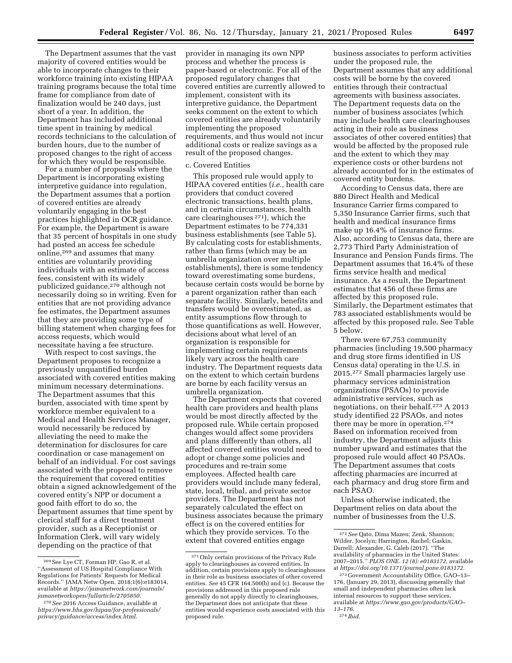The Department assumes that the vast majority of covered entities would be able to incorporate changes to their workforce training into existing HIPAA training programs because the total time frame for compliance from date of finalization would be 240 days, just short of a year. In addition, the Department has included additional time spent in training by medical records technicians to the calculation of burden hours, due to the number of proposed changes to the right of access for which they would be responsible.

For a number of proposals where the Department is incorporating existing interpretive guidance into regulation, the Department assumes that a portion of covered entities are already voluntarily engaging in the best practices highlighted in OCR guidance. For example, the Department is aware that 35 percent of hospitals in one study had posted an access fee schedule online,269 and assumes that many entities are voluntarily providing individuals with an estimate of access fees, consistent with its widely publicized guidance,<sup>270</sup> although not necessarily doing so in writing. Even for entities that are not providing advance fee estimates, the Department assumes that they are providing some type of billing statement when charging fees for access requests, which would necessitate having a fee structure.

With respect to cost savings, the Department proposes to recognize a previously unquantified burden associated with covered entities making minimum necessary determinations. The Department assumes that this burden, associated with time spent by workforce member equivalent to a Medical and Health Services Manager, would necessarily be reduced by alleviating the need to make the determination for disclosures for care coordination or case management on behalf of an individual. For cost savings associated with the proposal to remove the requirement that covered entities obtain a signed acknowledgement of the covered entity's NPP or document a good faith effort to do so, the Department assumes that time spent by clerical staff for a direct treatment provider, such as a Receptionist or Information Clerk, will vary widely depending on the practice of that

provider in managing its own NPP process and whether the process is paper-based or electronic. For all of the proposed regulatory changes that covered entities are currently allowed to implement, consistent with its interpretive guidance, the Department seeks comment on the extent to which covered entities are already voluntarily implementing the proposed requirements, and thus would not incur additional costs or realize savings as a result of the proposed changes.

### c. Covered Entities

This proposed rule would apply to HIPAA covered entities (*i.e.,* health care providers that conduct covered electronic transactions, health plans, and in certain circumstances, health care clearinghouses 271), which the Department estimates to be 774,331 business establishments (see Table 5). By calculating costs for establishments, rather than firms (which may be an umbrella organization over multiple establishments), there is some tendency toward overestimating some burdens, because certain costs would be borne by a parent organization rather than each separate facility. Similarly, benefits and transfers would be overestimated, as entity assumptions flow through to those quantifications as well. However, decisions about what level of an organization is responsible for implementing certain requirements likely vary across the health care industry. The Department requests data on the extent to which certain burdens are borne by each facility versus an umbrella organization.

The Department expects that covered health care providers and health plans would be most directly affected by the proposed rule. While certain proposed changes would affect some providers and plans differently than others, all affected covered entities would need to adopt or change some policies and procedures and re-train some employees. Affected health care providers would include many federal, state, local, tribal, and private sector providers. The Department has not separately calculated the effect on business associates because the primary effect is on the covered entities for which they provide services. To the extent that covered entities engage

business associates to perform activities under the proposed rule, the Department assumes that any additional costs will be borne by the covered entities through their contractual agreements with business associates. The Department requests data on the number of business associates (which may include health care clearinghouses acting in their role as business associates of other covered entities) that would be affected by the proposed rule and the extent to which they may experience costs or other burdens not already accounted for in the estimates of covered entity burdens.

According to Census data, there are 880 Direct Health and Medical Insurance Carrier firms compared to 5,350 Insurance Carrier firms, such that health and medical insurance firms make up 16.4% of insurance firms. Also, according to Census data, there are 2,773 Third Party Administration of Insurance and Pension Funds firms. The Department assumes that 16.4% of these firms service health and medical insurance. As a result, the Department estimates that 456 of these firms are affected by this proposed rule. Similarly, the Department estimates that 783 associated establishments would be affected by this proposed rule. See Table 5 below.

There were 67,753 community pharmacies (including 19,500 pharmacy and drug store firms identified in US Census data) operating in the U.S. in 2015.272 Small pharmacies largely use pharmacy services administration organizations (PSAOs) to provide administrative services, such as negotiations, on their behalf.273 A 2013 study identified 22 PSAOs, and notes there may be more in operation.274 Based on information received from industry, the Department adjusts this number upward and estimates that the proposed rule would affect 40 PSAOs. The Department assumes that costs affecting pharmacies are incurred at each pharmacy and drug store firm and each PSAO.

Unless otherwise indicated, the Department relies on data about the number of businesses from the U.S.

<sup>269</sup>See Lye CT, Forman HP, Gao R, et al. ''Assessment of US Hospital Compliance With Regulations for Patients' Requests for Medical Records.'' JAMA Netw Open. 2018;1(6):e183014, available at *[https://jamanetwork.com/journals/](https://jamanetwork.com/journals/jamanetworkopen/fullarticle/2705850) [jamanetworkopen/fullarticle/2705850.](https://jamanetwork.com/journals/jamanetworkopen/fullarticle/2705850)* 

<sup>270</sup>*See* 2016 Access Guidance, available at *[https://www.hhs.gov/hipaa/for-professionals/](https://www.hhs.gov/hipaa/for-professionals/privacy/guidance/access/index.html)  [privacy/guidance/access/index.html.](https://www.hhs.gov/hipaa/for-professionals/privacy/guidance/access/index.html)* 

<sup>271</sup>Only certain provisions of the Privacy Rule apply to clearinghouses as covered entities. In addition, certain provisions apply to clearinghouses in their role as business associates of other covered entities. *See* 45 CFR 164.500(b) and (c). Because the provisions addressed in this proposed rule generally do not apply directly to clearinghouses, the Department does not anticipate that these entities would experience costs associated with this proposed rule.

<sup>272</sup>*See* Qato, Dima Mazen; Zenk, Shannon; Wilder, Jocelyn; Harrington, Rachel; Gaskin, Darrell; Alexander, G. Caleb (2017). ''The availability of pharmacies in the United States: 2007–2015.'' *PLOS ONE. 12 (8): e0183172,* available at *[https://doi.org/10.1371/journal.pone.0183172.](https://doi.org/10.1371/journal.pone.0183172)* 

<sup>273</sup> Government Accountability Office, GAO–13– 176, (January 29, 2013), discussing generally that small and independent pharmacies often lack internal resources to support these services, available at *[https://www.gao.gov/products/GAO–](https://www.gao.gov/products/GAO-13-176) [13–176.](https://www.gao.gov/products/GAO-13-176)*  274 *Ibid.*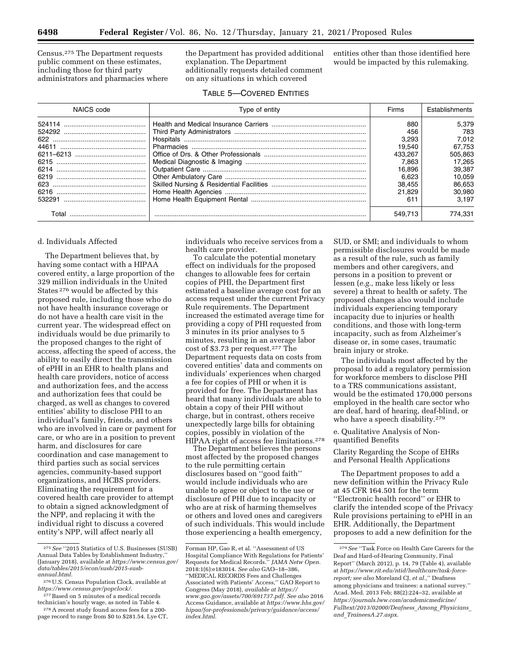Census.275 The Department requests public comment on these estimates, including those for third party administrators and pharmacies where the Department has provided additional explanation. The Department additionally requests detailed comment on any situations in which covered

entities other than those identified here would be impacted by this rulemaking.

|  |  | <b>TABLE 5-COVERED ENTITIES</b> |
|--|--|---------------------------------|
|--|--|---------------------------------|

| NAICS code | Type of entity | Firms   | Establishments |
|------------|----------------|---------|----------------|
|            |                | 880     | 5.379          |
|            |                | 456     | 783            |
|            |                | 3.293   | 7.012          |
|            |                | 19.540  | 67.753         |
|            |                | 433.267 | 505,863        |
|            |                | 7.863   | 17.265         |
|            |                | 16.896  | 39.387         |
|            |                | 6.623   | 10.059         |
|            |                | 38.455  | 86,653         |
|            |                | 21.829  | 30.980         |
|            |                | 611     | 3.197          |
| Total      |                | 549.713 | 774,331        |

### d. Individuals Affected

The Department believes that, by having some contact with a HIPAA covered entity, a large proportion of the 329 million individuals in the United States 276 would be affected by this proposed rule, including those who do not have health insurance coverage or do not have a health care visit in the current year. The widespread effect on individuals would be due primarily to the proposed changes to the right of access, affecting the speed of access, the ability to easily direct the transmission of ePHI in an EHR to health plans and health care providers, notice of access and authorization fees, and the access and authorization fees that could be charged, as well as changes to covered entities' ability to disclose PHI to an individual's family, friends, and others who are involved in care or payment for care, or who are in a position to prevent harm, and disclosures for care coordination and case management to third parties such as social services agencies, community-based support organizations, and HCBS providers. Eliminating the requirement for a covered health care provider to attempt to obtain a signed acknowledgment of the NPP, and replacing it with the individual right to discuss a covered entity's NPP, will affect nearly all

individuals who receive services from a health care provider.

To calculate the potential monetary effect on individuals for the proposed changes to allowable fees for certain copies of PHI, the Department first estimated a baseline average cost for an access request under the current Privacy Rule requirements. The Department increased the estimated average time for providing a copy of PHI requested from 3 minutes in its prior analyses to 5 minutes, resulting in an average labor cost of \$3.73 per request.277 The Department requests data on costs from covered entities' data and comments on individuals' experiences when charged a fee for copies of PHI or when it is provided for free. The Department has heard that many individuals are able to obtain a copy of their PHI without charge, but in contrast, others receive unexpectedly large bills for obtaining copies, possibly in violation of the HIPAA right of access fee limitations.278

The Department believes the persons most affected by the proposed changes to the rule permitting certain disclosures based on ''good faith'' would include individuals who are unable to agree or object to the use or disclosure of PHI due to incapacity or who are at risk of harming themselves or others and loved ones and caregivers of such individuals. This would include those experiencing a health emergency,

SUD, or SMI; and individuals to whom permissible disclosures would be made as a result of the rule, such as family members and other caregivers, and persons in a position to prevent or lessen (*e.g.,* make less likely or less severe) a threat to health or safety. The proposed changes also would include individuals experiencing temporary incapacity due to injuries or health conditions, and those with long-term incapacity, such as from Alzheimer's disease or, in some cases, traumatic brain injury or stroke.

The individuals most affected by the proposal to add a regulatory permission for workforce members to disclose PHI to a TRS communications assistant, would be the estimated 170,000 persons employed in the health care sector who are deaf, hard of hearing, deaf-blind, or who have a speech disability.<sup>279</sup>

e. Qualitative Analysis of Nonquantified Benefits

Clarity Regarding the Scope of EHRs and Personal Health Applications

The Department proposes to add a new definition within the Privacy Rule at 45 CFR 164.501 for the term ''Electronic health record'' or EHR to clarify the intended scope of the Privacy Rule provisions pertaining to ePHI in an EHR. Additionally, the Department proposes to add a new definition for the

<sup>275</sup>*See* ''2015 Statistics of U.S. Businesses (SUSB) Annual Data Tables by Establishment Industry,'' (January 2018), available at *[https://www.census.gov/](https://www.census.gov/data/tables/2015/econ/susb/2015-susb-annual.html) [data/tables/2015/econ/susb/2015-susb](https://www.census.gov/data/tables/2015/econ/susb/2015-susb-annual.html)[annual.html.](https://www.census.gov/data/tables/2015/econ/susb/2015-susb-annual.html)* 

<sup>276</sup>U.S. Census Population Clock, available at *[https://www.census.gov/popclock/.](https://www.census.gov/popclock/)* 

 $^{277}$  Based on 5 minutes of a medical records technician's hourly wage, as noted in Table 4.

<sup>&</sup>lt;sup>278</sup> A recent study found access fees for a 200page record to range from \$0 to \$281.54. Lye CT,

Forman HP, Gao R, et al. ''Assessment of US Hospital Compliance With Regulations for Patients' Requests for Medical Records.'' *JAMA Netw Open.*  2018:1(6):e183014. *See also* GAO–18–386, ''MEDICAL RECORDS Fees and Challenges Associated with Patients' Access*,*'' GAO Report to Congress (May 2018), *available at [https://](https://www.gao.gov/assets/700/691737.pdf) [www.gao.gov/assets/700/691737.pdf.](https://www.gao.gov/assets/700/691737.pdf) See also* 2016 Access Guidance, available at *[https://www.hhs.gov/](https://www.hhs.gov/hipaa/for-professionals/privacy/guidance/access/index.html) [hipaa/for-professionals/privacy/guidance/access/](https://www.hhs.gov/hipaa/for-professionals/privacy/guidance/access/index.html)  [index.html.](https://www.hhs.gov/hipaa/for-professionals/privacy/guidance/access/index.html)* 

<sup>279</sup>*See* ''Task Force on Health Care Careers for the Deaf and Hard-of-Hearing Community, Final Report'' (March 2012), p. 14, 79 (Table 4), available at *[https://www.rit.edu/ntid/healthcare/task-force](https://www.rit.edu/ntid/healthcare/task-force-report)[report;](https://www.rit.edu/ntid/healthcare/task-force-report) see also* Moreland CJ, *et al.,*'' Deafness among physicians and trainees: a national survey.'' Acad. Med. 2013 Feb; 88(2):224–32, available at *[https://journals.lww.com/academicmedicine/](https://journals.lww.com/academicmedicine/Fulltext/2013/02000/Deafness_Among_Physicians_and_TraineesA.27.aspx)  [Fulltext/2013/02000/Deafness](https://journals.lww.com/academicmedicine/Fulltext/2013/02000/Deafness_Among_Physicians_and_TraineesA.27.aspx)*\_*Among*\_*Physicians*\_ *and*\_*[TraineesA.27.aspx.](https://journals.lww.com/academicmedicine/Fulltext/2013/02000/Deafness_Among_Physicians_and_TraineesA.27.aspx)*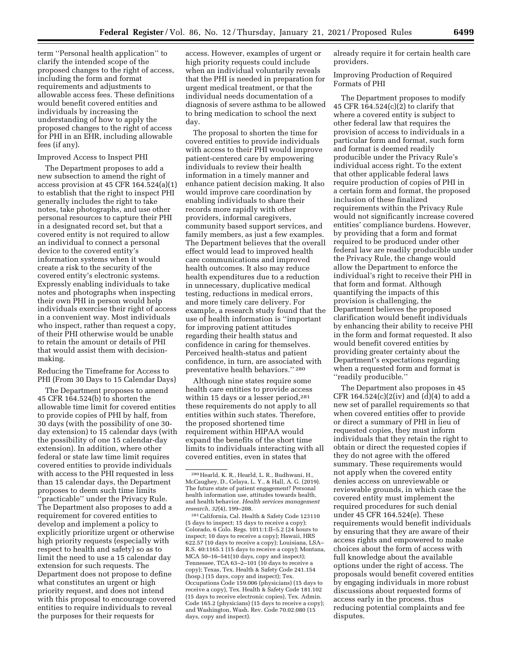term ''Personal health application'' to clarify the intended scope of the proposed changes to the right of access, including the form and format requirements and adjustments to allowable access fees. These definitions would benefit covered entities and individuals by increasing the understanding of how to apply the proposed changes to the right of access for PHI in an EHR, including allowable fees (if any).

### Improved Access to Inspect PHI

The Department proposes to add a new subsection to amend the right of access provision at 45 CFR 164.524(a)(1) to establish that the right to inspect PHI generally includes the right to take notes, take photographs, and use other personal resources to capture their PHI in a designated record set, but that a covered entity is not required to allow an individual to connect a personal device to the covered entity's information systems when it would create a risk to the security of the covered entity's electronic systems. Expressly enabling individuals to take notes and photographs when inspecting their own PHI in person would help individuals exercise their right of access in a convenient way. Most individuals who inspect, rather than request a copy, of their PHI otherwise would be unable to retain the amount or details of PHI that would assist them with decisionmaking.

### Reducing the Timeframe for Access to PHI (From 30 Days to 15 Calendar Days)

The Department proposes to amend 45 CFR 164.524(b) to shorten the allowable time limit for covered entities to provide copies of PHI by half, from 30 days (with the possibility of one 30 day extension) to 15 calendar days (with the possibility of one 15 calendar-day extension). In addition, where other federal or state law time limit requires covered entities to provide individuals with access to the PHI requested in less than 15 calendar days, the Department proposes to deem such time limits 'practicable'' under the Privacy Rule. The Department also proposes to add a requirement for covered entities to develop and implement a policy to explicitly prioritize urgent or otherwise high priority requests (especially with respect to health and safety) so as to limit the need to use a 15 calendar day extension for such requests. The Department does not propose to define what constitutes an urgent or high priority request, and does not intend with this proposal to encourage covered entities to require individuals to reveal the purposes for their requests for

access. However, examples of urgent or high priority requests could include when an individual voluntarily reveals that the PHI is needed in preparation for urgent medical treatment, or that the individual needs documentation of a diagnosis of severe asthma to be allowed to bring medication to school the next day.

The proposal to shorten the time for covered entities to provide individuals with access to their PHI would improve patient-centered care by empowering individuals to review their health information in a timely manner and enhance patient decision making. It also would improve care coordination by enabling individuals to share their records more rapidly with other providers, informal caregivers, community based support services, and family members, as just a few examples. The Department believes that the overall effect would lead to improved health care communications and improved health outcomes. It also may reduce health expenditures due to a reduction in unnecessary, duplicative medical testing, reductions in medical errors, and more timely care delivery. For example, a research study found that the use of health information is ''important for improving patient attitudes regarding their health status and confidence in caring for themselves. Perceived health-status and patient confidence, in turn, are associated with preventative health behaviors.'' 280

Although nine states require some health care entities to provide access within 15 days or a lesser period,<sup>281</sup> these requirements do not apply to all entities within such states. Therefore, the proposed shortened time requirement within HIPAA would expand the benefits of the short time limits to individuals interacting with all covered entities, even in states that

281California, Cal. Health & Safety Code 123110 (5 days to inspect; 15 days to receive a copy); Colorado, 6 Colo. Regs. 1011:1:II–5.2 (24 hours to inspect; 10 days to receive a copy); Hawaii, HRS 622.57 (10 days to receive a copy); Louisiana, LSA– R.S. 40:1165.1 (15 days to receive a copy); Montana, MCA 50–16–541(10 days, copy and inspect); Tennessee, TCA 63–2–101 (10 days to receive a copy); Texas, Tex. Health & Safety Code 241.154 (hosp.) (15 days, copy and inspect); Tex. Occupations Code 159.006 (physicians) (15 days to receive a copy), Tex. Health & Safety Code 181.102 (15 days to receive electronic copies), Tex. Admin. Code 165.2 (physicians) (15 days to receive a copy); and Washington, Wash. Rev. Code 70.02.080 (15 days, copy and inspect).

already require it for certain health care providers.

Improving Production of Required Formats of PHI

The Department proposes to modify 45 CFR 164.524(c)(2) to clarify that where a covered entity is subject to other federal law that requires the provision of access to individuals in a particular form and format, such form and format is deemed readily producible under the Privacy Rule's individual access right. To the extent that other applicable federal laws require production of copies of PHI in a certain form and format, the proposed inclusion of these finalized requirements within the Privacy Rule would not significantly increase covered entities' compliance burdens. However, by providing that a form and format required to be produced under other federal law are readily producible under the Privacy Rule, the change would allow the Department to enforce the individual's right to receive their PHI in that form and format. Although quantifying the impacts of this provision is challenging, the Department believes the proposed clarification would benefit individuals by enhancing their ability to receive PHI in the form and format requested. It also would benefit covered entities by providing greater certainty about the Department's expectations regarding when a requested form and format is ''readily producible.''

The Department also proposes in 45 CFR 164.524(c)(2(iv) and (d)(4) to add a new set of parallel requirements so that when covered entities offer to provide or direct a summary of PHI in lieu of requested copies, they must inform individuals that they retain the right to obtain or direct the requested copies if they do not agree with the offered summary. These requirements would not apply when the covered entity denies access on unreviewable or reviewable grounds, in which case the covered entity must implement the required procedures for such denial under 45 CFR 164.524(e). These requirements would benefit individuals by ensuring that they are aware of their access rights and empowered to make choices about the form of access with full knowledge about the available options under the right of access. The proposals would benefit covered entities by engaging individuals in more robust discussions about requested forms of access early in the process, thus reducing potential complaints and fee disputes.

<sup>280</sup>Hearld, K. R., Hearld, L. R., Budhwani, H., McCaughey, D., Celaya, L. Y., & Hall, A. G. (2019). The future state of patient engagement? Personal health information use, attitudes towards health, and health behavior. *Health services management research, 32*(4), 199–208.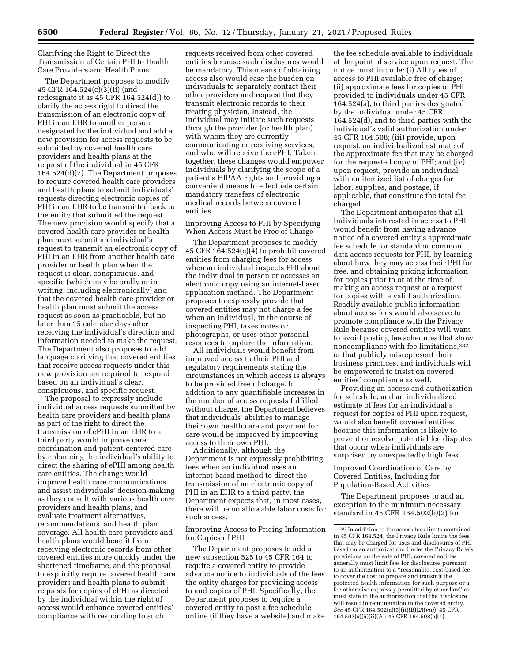Clarifying the Right to Direct the Transmission of Certain PHI to Health Care Providers and Health Plans

The Department proposes to modify 45 CFR 164.524(c)(3)(ii) (and redesignate it as 45 CFR 164.524(d)) to clarify the access right to direct the transmission of an electronic copy of PHI in an EHR to another person designated by the individual and add a new provision for access requests to be submitted by covered health care providers and health plans at the request of the individual in 45 CFR 164.524(d)(7). The Department proposes to require covered health care providers and health plans to submit individuals' requests directing electronic copies of PHI in an EHR to be transmitted back to the entity that submitted the request. The new provision would specify that a covered health care provider or health plan must submit an individual's request to transmit an electronic copy of PHI in an EHR from another health care provider or health plan when the request is clear, conspicuous, and specific (which may be orally or in writing, including electronically) and that the covered health care provider or health plan must submit the access request as soon as practicable, but no later than 15 calendar days after receiving the individual's direction and information needed to make the request. The Department also proposes to add language clarifying that covered entities that receive access requests under this new provision are required to respond based on an individual's clear, conspicuous, and specific request.

The proposal to expressly include individual access requests submitted by health care providers and health plans as part of the right to direct the transmission of ePHI in an EHR to a third party would improve care coordination and patient-centered care by enhancing the individual's ability to direct the sharing of ePHI among health care entities. The change would improve health care communications and assist individuals' decision-making as they consult with various health care providers and health plans, and evaluate treatment alternatives, recommendations, and health plan coverage. All health care providers and health plans would benefit from receiving electronic records from other covered entities more quickly under the shortened timeframe, and the proposal to explicitly require covered health care providers and health plans to submit requests for copies of ePHI as directed by the individual within the right of access would enhance covered entities' compliance with responding to such

requests received from other covered entities because such disclosures would be mandatory. This means of obtaining access also would ease the burden on individuals to separately contact their other providers and request that they transmit electronic records to their treating physician. Instead, the individual may initiate such requests through the provider (or health plan) with whom they are currently communicating or receiving services, and who will receive the ePHI. Taken together, these changes would empower individuals by clarifying the scope of a patient's HIPAA rights and providing a convenient means to effectuate certain mandatory transfers of electronic medical records between covered entities.

Improving Access to PHI by Specifying When Access Must be Free of Charge

The Department proposes to modify 45 CFR 164.524(c)(4) to prohibit covered entities from charging fees for access when an individual inspects PHI about the individual in person or accesses an electronic copy using an internet-based application method. The Department proposes to expressly provide that covered entities may not charge a fee when an individual, in the course of inspecting PHI, takes notes or photographs, or uses other personal resources to capture the information.

All individuals would benefit from improved access to their PHI and regulatory requirements stating the circumstances in which access is always to be provided free of charge. In addition to any quantifiable increases in the number of access requests fulfilled without charge, the Department believes that individuals' abilities to manage their own health care and payment for care would be improved by improving access to their own PHI.

Additionally, although the Department is not expressly prohibiting fees when an individual uses an internet-based method to direct the transmission of an electronic copy of PHI in an EHR to a third party, the Department expects that, in most cases, there will be no allowable labor costs for such access.

Improving Access to Pricing Information for Copies of PHI

The Department proposes to add a new subsection 525 to 45 CFR 164 to require a covered entity to provide advance notice to individuals of the fees the entity charges for providing access to and copies of PHI. Specifically, the Department proposes to require a covered entity to post a fee schedule online (if they have a website) and make

the fee schedule available to individuals at the point of service upon request. The notice must include: (i) All types of access to PHI available free of charge; (ii) approximate fees for copies of PHI provided to individuals under 45 CFR 164.524(a), to third parties designated by the individual under 45 CFR 164.524(d), and to third parties with the individual's valid authorization under 45 CFR 164.508; (iii) provide, upon request, an individualized estimate of the approximate fee that may be charged for the requested copy of PHI; and (iv) upon request, provide an individual with an itemized list of charges for labor, supplies, and postage, if applicable, that constitute the total fee charged.

The Department anticipates that all individuals interested in access to PHI would benefit from having advance notice of a covered entity's approximate fee schedule for standard or common data access requests for PHI, by learning about how they may access their PHI for free, and obtaining pricing information for copies prior to or at the time of making an access request or a request for copies with a valid authorization. Readily available public information about access fees would also serve to promote compliance with the Privacy Rule because covered entities will want to avoid posting fee schedules that show noncompliance with fee limitations,282 or that publicly misrepresent their business practices, and individuals will be empowered to insist on covered entities' compliance as well.

Providing an access and authorization fee schedule, and an individualized estimate of fees for an individual's request for copies of PHI upon request, would also benefit covered entities because this information is likely to prevent or resolve potential fee disputes that occur when individuals are surprised by unexpectedly high fees.

Improved Coordination of Care by Covered Entities, Including for Population-Based Activities

The Department proposes to add an exception to the minimum necessary standard in 45 CFR 164.502(b)(2) for

 $^{\rm 282}$  In addition to the access fees limits contained in 45 CFR 164.524, the Privacy Rule limits the fees that may be charged for uses and disclosures of PHI based on an authorization. Under the Privacy Rule's provisions on the sale of PHI, covered entities generally must limit fees for disclosures pursuant to an authorization to a ''reasonable, cost-based fee to cover the cost to prepare and transmit the protected health information for such purpose or a fee otherwise expressly permitted by other law'' or must state in the authorization that the disclosure will result in remuneration to the covered entity. *See* 45 CFR 164.502(a)(5)(ii)(B)(*2*)(*viii*); 45 CFR 164.502(a)(5)(ii)(A); 45 CFR 164.508(a)(4).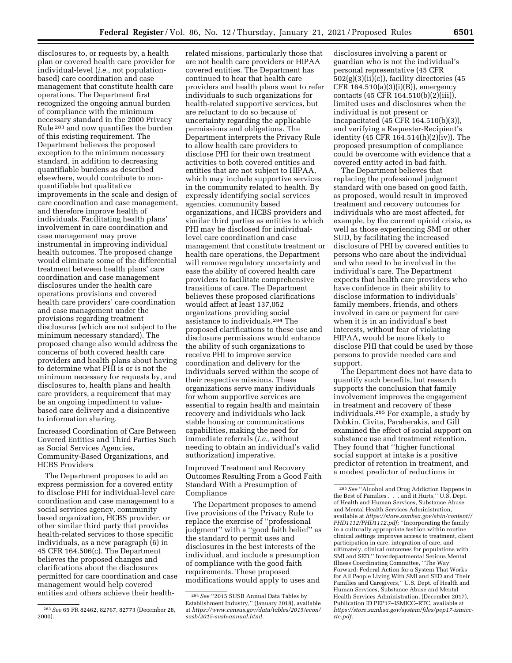disclosures to, or requests by, a health plan or covered health care provider for individual-level (*i.e.,* not populationbased) care coordination and case management that constitute health care operations. The Department first recognized the ongoing annual burden of compliance with the minimum necessary standard in the 2000 Privacy Rule 283 and now quantifies the burden of this existing requirement. The Department believes the proposed exception to the minimum necessary standard, in addition to decreasing quantifiable burdens as described elsewhere, would contribute to nonquantifiable but qualitative improvements in the scale and design of care coordination and case management, and therefore improve health of individuals. Facilitating health plans' involvement in care coordination and case management may prove instrumental in improving individual health outcomes. The proposed change would eliminate some of the differential treatment between health plans' care coordination and case management disclosures under the health care operations provisions and covered health care providers' care coordination and case management under the provisions regarding treatment disclosures (which are not subject to the minimum necessary standard). The proposed change also would address the concerns of both covered health care providers and health plans about having to determine what PHI is or is not the minimum necessary for requests by, and disclosures to, health plans and health care providers, a requirement that may be an ongoing impediment to valuebased care delivery and a disincentive to information sharing.

Increased Coordination of Care Between Covered Entities and Third Parties Such as Social Services Agencies, Community-Based Organizations, and HCBS Providers

The Department proposes to add an express permission for a covered entity to disclose PHI for individual-level care coordination and case management to a social services agency, community based organization, HCBS provider, or other similar third party that provides health-related services to those specific individuals, as a new paragraph (6) in 45 CFR 164.506(c). The Department believes the proposed changes and clarifications about the disclosures permitted for care coordination and case management would help covered entities and others achieve their health-

related missions, particularly those that are not health care providers or HIPAA covered entities. The Department has continued to hear that health care providers and health plans want to refer individuals to such organizations for health-related supportive services, but are reluctant to do so because of uncertainty regarding the applicable permissions and obligations. The Department interprets the Privacy Rule to allow health care providers to disclose PHI for their own treatment activities to both covered entities and entities that are not subject to HIPAA, which may include supportive services in the community related to health. By expressly identifying social services agencies, community based organizations, and HCBS providers and similar third parties as entities to which PHI may be disclosed for individuallevel care coordination and case management that constitute treatment or health care operations, the Department will remove regulatory uncertainty and ease the ability of covered health care providers to facilitate comprehensive transitions of care. The Department believes these proposed clarifications would affect at least 137,052 organizations providing social assistance to individuals.284 The proposed clarifications to these use and disclosure permissions would enhance the ability of such organizations to receive PHI to improve service coordination and delivery for the individuals served within the scope of their respective missions. These organizations serve many individuals for whom supportive services are essential to regain health and maintain recovery and individuals who lack stable housing or communications capabilities, making the need for immediate referrals (*i.e.,* without needing to obtain an individual's valid authorization) imperative.

Improved Treatment and Recovery Outcomes Resulting From a Good Faith Standard With a Presumption of Compliance

The Department proposes to amend five provisions of the Privacy Rule to replace the exercise of ''professional judgment'' with a ''good faith belief'' as the standard to permit uses and disclosures in the best interests of the individual, and include a presumption of compliance with the good faith requirements. These proposed modifications would apply to uses and

disclosures involving a parent or guardian who is not the individual's personal representative (45 CFR 502(g)(3)(ii)(c)), facility directories (45 CFR  $164.510(a)(3)(i)(B)$ , emergency contacts  $(45 \text{ CFR } 164.510(b)(2)(iii)),$ limited uses and disclosures when the individual is not present or incapacitated (45 CFR 164.510(b)(3)), and verifying a Requester-Recipient's identity  $(45 \text{ CFR } 164.514 \text{ (h)}(2) \text{ (iv)})$ . The proposed presumption of compliance could be overcome with evidence that a covered entity acted in bad faith.

The Department believes that replacing the professional judgment standard with one based on good faith, as proposed, would result in improved treatment and recovery outcomes for individuals who are most affected, for example, by the current opioid crisis, as well as those experiencing SMI or other SUD, by facilitating the increased disclosure of PHI by covered entities to persons who care about the individual and who need to be involved in the individual's care. The Department expects that health care providers who have confidence in their ability to disclose information to individuals' family members, friends, and others involved in care or payment for care when it is in an individual's best interests, without fear of violating HIPAA, would be more likely to disclose PHI that could be used by those persons to provide needed care and support.

The Department does not have data to quantify such benefits, but research supports the conclusion that family involvement improves the engagement in treatment and recovery of these individuals.285 For example, a study by Dobkin, Civita, Paraherakis, and Gill examined the effect of social support on substance use and treatment retention. They found that ''higher functional social support at intake is a positive predictor of retention in treatment, and a modest predictor of reductions in

<sup>283</sup>*See* 65 FR 82462, 82767, 82773 (December 28, 2000).

<sup>284</sup>*See* ''2015 SUSB Annual Data Tables by Establishment Industry,'' (January 2018), available at *[https://www.census.gov/data/tables/2015/econ/](https://www.census.gov/data/tables/2015/econ/susb/2015-susb-annual.html)  [susb/2015-susb-annual.html.](https://www.census.gov/data/tables/2015/econ/susb/2015-susb-annual.html)* 

<sup>285</sup>*See* ''Alcohol and Drug Addiction Happens in the Best of Families . . . and it Hurts,'' U.S. Dept. of Health and Human Services, Substance Abuse and Mental Health Services Administration, available at *[https://store.samhsa.gov/shin/content//](https://store.samhsa.gov/shin/content//PHD1112/PHD1112.pdf) [PHD1112/PHD1112.pdf;](https://store.samhsa.gov/shin/content//PHD1112/PHD1112.pdf)* ''Incorporating the family in a culturally appropriate fashion within routine clinical settings improves access to treatment, client participation in care, integration of care, and ultimately, clinical outcomes for populations with SMI and SED.'' Interdepartmental Serious Mental Illness Coordinating Committee, ''The Way Forward: Federal Action for a System That Works for All People Living With SMI and SED and Their Families and Caregivers,'' U.S. Dept. of Health and Human Services, Substance Abuse and Mental Health Services Administration, (December 2017), Publication ID PEP17–ISMICC–RTC, available at *[https://store.samhsa.gov/system/files/pep17-ismicc](https://store.samhsa.gov/system/files/pep17-ismicc-rtc.pdf)[rtc.pdf.](https://store.samhsa.gov/system/files/pep17-ismicc-rtc.pdf)*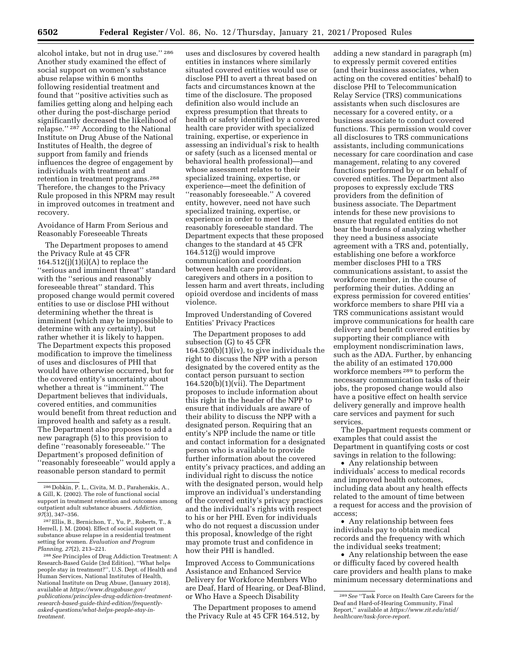alcohol intake, but not in drug use.'' 286 Another study examined the effect of social support on women's substance abuse relapse within 6 months following residential treatment and found that ''positive activities such as families getting along and helping each other during the post-discharge period significantly decreased the likelihood of relapse.'' 287 According to the National Institute on Drug Abuse of the National Institutes of Health, the degree of support from family and friends influences the degree of engagement by individuals with treatment and retention in treatment programs.288 Therefore, the changes to the Privacy Rule proposed in this NPRM may result in improved outcomes in treatment and recovery.

Avoidance of Harm From Serious and Reasonably Foreseeable Threats

The Department proposes to amend the Privacy Rule at 45 CFR  $164.512(j)(1)(i)(A)$  to replace the ''serious and imminent threat'' standard with the ''serious and reasonably foreseeable threat'' standard. This proposed change would permit covered entities to use or disclose PHI without determining whether the threat is imminent (which may be impossible to determine with any certainty), but rather whether it is likely to happen. The Department expects this proposed modification to improve the timeliness of uses and disclosures of PHI that would have otherwise occurred, but for the covered entity's uncertainty about whether a threat is ''imminent.'' The Department believes that individuals, covered entities, and communities would benefit from threat reduction and improved health and safety as a result. The Department also proposes to add a new paragraph (5) to this provision to define ''reasonably foreseeable.'' The Department's proposed definition of ''reasonably foreseeable'' would apply a reasonable person standard to permit

uses and disclosures by covered health entities in instances where similarly situated covered entities would use or disclose PHI to avert a threat based on facts and circumstances known at the time of the disclosure. The proposed definition also would include an express presumption that threats to health or safety identified by a covered health care provider with specialized training, expertise, or experience in assessing an individual's risk to health or safety (such as a licensed mental or behavioral health professional)—and whose assessment relates to their specialized training, expertise, or experience—meet the definition of ''reasonably foreseeable.'' A covered entity, however, need not have such specialized training, expertise, or experience in order to meet the reasonably foreseeable standard. The Department expects that these proposed changes to the standard at 45 CFR 164.512(j) would improve communication and coordination between health care providers, caregivers and others in a position to lessen harm and avert threats, including opioid overdose and incidents of mass violence.

Improved Understanding of Covered Entities' Privacy Practices

The Department proposes to add subsection (G) to 45 CFR 164.520(b)(1)(iv), to give individuals the right to discuss the NPP with a person designated by the covered entity as the contact person pursuant to section 164.520(b)(1)(vii). The Department proposes to include information about this right in the header of the NPP to ensure that individuals are aware of their ability to discuss the NPP with a designated person. Requiring that an entity's NPP include the name or title and contact information for a designated person who is available to provide further information about the covered entity's privacy practices, and adding an individual right to discuss the notice with the designated person, would help improve an individual's understanding of the covered entity's privacy practices and the individual's rights with respect to his or her PHI. Even for individuals who do not request a discussion under this proposal, knowledge of the right may promote trust and confidence in how their PHI is handled.

Improved Access to Communications Assistance and Enhanced Service Delivery for Workforce Members Who are Deaf, Hard of Hearing, or Deaf-Blind, or Who Have a Speech Disability

The Department proposes to amend the Privacy Rule at 45 CFR 164.512, by adding a new standard in paragraph (m) to expressly permit covered entities (and their business associates, when acting on the covered entities' behalf) to disclose PHI to Telecommunication Relay Service (TRS) communications assistants when such disclosures are necessary for a covered entity, or a business associate to conduct covered functions. This permission would cover all disclosures to TRS communications assistants, including communications necessary for care coordination and case management, relating to any covered functions performed by or on behalf of covered entities. The Department also proposes to expressly exclude TRS providers from the definition of business associate. The Department intends for these new provisions to ensure that regulated entities do not bear the burdens of analyzing whether they need a business associate agreement with a TRS and, potentially, establishing one before a workforce member discloses PHI to a TRS communications assistant, to assist the workforce member, in the course of performing their duties. Adding an express permission for covered entities' workforce members to share PHI via a TRS communications assistant would improve communications for health care delivery and benefit covered entities by supporting their compliance with employment nondiscrimination laws, such as the ADA. Further, by enhancing the ability of an estimated 170,000 workforce members 289 to perform the necessary communication tasks of their jobs, the proposed change would also have a positive effect on health service delivery generally and improve health care services and payment for such services.

The Department requests comment or examples that could assist the Department in quantifying costs or cost savings in relation to the following:

• Any relationship between individuals' access to medical records and improved health outcomes, including data about any health effects related to the amount of time between a request for access and the provision of access;

• Any relationship between fees individuals pay to obtain medical records and the frequency with which the individual seeks treatment;

• Any relationship between the ease or difficulty faced by covered health care providers and health plans to make minimum necessary determinations and

<sup>286</sup> Dobkin, P. L., Civita, M. D., Paraherakis, A., & Gill, K. (2002). The role of functional social support in treatment retention and outcomes among outpatient adult substance abusers. *Addiction, 97*(3), 347–356.

<sup>287</sup>Ellis, B., Bernichon, T., Yu, P., Roberts, T., & Herrell, J. M. (2004). Effect of social support on substance abuse relapse in a residential treatment setting for women. *Evaluation and Program Planning, 27*(2), 213–221.

<sup>288</sup>*See* Principles of Drug Addiction Treatment: A Research-Based Guide (3rd Edition), ''What helps people stay in treatment?'', U.S. Dept. of Health and Human Services, National Institutes of Health, National Institute on Drug Abuse, (January 2018), available at *[https://www.drugabuse.gov/](https://www.drugabuse.gov/publications/principles-drug-addiction-treatment-research-based-guide-third-edition/frequently-asked-questions/what-helps-people-stay-in-treatment)  [publications/principles-drug-addiction-treatment](https://www.drugabuse.gov/publications/principles-drug-addiction-treatment-research-based-guide-third-edition/frequently-asked-questions/what-helps-people-stay-in-treatment)research-based-guide-third-edition/frequentlyasked-questions/what-helps-people-stay-in[treatment.](https://www.drugabuse.gov/publications/principles-drug-addiction-treatment-research-based-guide-third-edition/frequently-asked-questions/what-helps-people-stay-in-treatment)* 

<sup>289</sup>*See* ''Task Force on Health Care Careers for the Deaf and Hard-of-Hearing Community, Final Report,'' available at *[https://www.rit.edu/ntid/](https://www.rit.edu/ntid/healthcare/task-force-report) [healthcare/task-force-report.](https://www.rit.edu/ntid/healthcare/task-force-report)*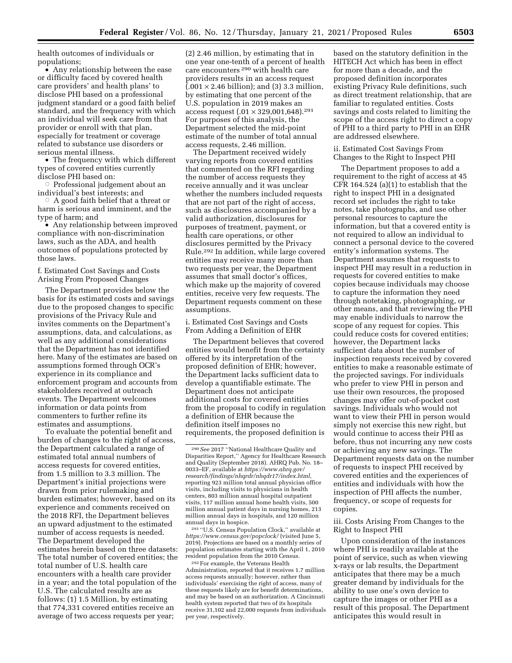health outcomes of individuals or populations;

• Any relationship between the ease or difficulty faced by covered health care providers' and health plans' to disclose PHI based on a professional judgment standard or a good faith belief standard, and the frequency with which an individual will seek care from that provider or enroll with that plan, especially for treatment or coverage related to substance use disorders or serious mental illness.

• The frequency with which different types of covered entities currently disclose PHI based on:

Æ Professional judgement about an individual's best interests; and

 $\overline{\circ}$  A good faith belief that a threat or harm is serious and imminent, and the type of harm; and

• Any relationship between improved compliance with non-discrimination laws, such as the ADA, and health outcomes of populations protected by those laws.

f. Estimated Cost Savings and Costs Arising From Proposed Changes

The Department provides below the basis for its estimated costs and savings due to the proposed changes to specific provisions of the Privacy Rule and invites comments on the Department's assumptions, data, and calculations, as well as any additional considerations that the Department has not identified here. Many of the estimates are based on assumptions formed through OCR's experience in its compliance and enforcement program and accounts from stakeholders received at outreach events. The Department welcomes information or data points from commenters to further refine its estimates and assumptions.

To evaluate the potential benefit and burden of changes to the right of access, the Department calculated a range of estimated total annual numbers of access requests for covered entities, from 1.5 million to 3.3 million. The Department's initial projections were drawn from prior rulemaking and burden estimates; however, based on its experience and comments received on the 2018 RFI, the Department believes an upward adjustment to the estimated number of access requests is needed. The Department developed the estimates herein based on three datasets: The total number of covered entities; the total number of U.S. health care encounters with a health care provider in a year; and the total population of the U.S. The calculated results are as follows: (1) 1.5 Million, by estimating that 774,331 covered entities receive an average of two access requests per year;

(2) 2.46 million, by estimating that in one year one-tenth of a percent of health care encounters 290 with health care providers results in an access request  $(0.001 \times 2.46 \text{ billion})$ ; and (3) 3.3 million, by estimating that one percent of the U.S. population in 2019 makes an access request  $(.01 \times 329,001,648).^{291}$ For purposes of this analysis, the Department selected the mid-point estimate of the number of total annual access requests, 2.46 million.

The Department received widely varying reports from covered entities that commented on the RFI regarding the number of access requests they receive annually and it was unclear whether the numbers included requests that are not part of the right of access, such as disclosures accompanied by a valid authorization, disclosures for purposes of treatment, payment, or health care operations, or other disclosures permitted by the Privacy Rule.292 In addition, while large covered entities may receive many more than two requests per year, the Department assumes that small doctor's offices, which make up the majority of covered entities, receive very few requests. The Department requests comment on these assumptions.

i. Estimated Cost Savings and Costs From Adding a Definition of EHR

The Department believes that covered entities would benefit from the certainty offered by its interpretation of the proposed definition of EHR; however, the Department lacks sufficient data to develop a quantifiable estimate. The Department does not anticipate additional costs for covered entities from the proposal to codify in regulation a definition of EHR because the definition itself imposes no requirements, the proposed definition is

291 ''U.S. Census Population Clock,'' available at *<https://www.census.gov/popclock/>* (visited June 5, 2019). Projections are based on a monthly series of population estimates starting with the April 1, 2010 resident population from the 2010 Census.

292For example, the Veterans Health Administration, reported that it receives 1.7 million access requests annually; however, rather than individuals' exercising the right of access, many of these requests likely are for benefit determinations, and may be based on an authorization. A Cincinnati health system reported that two of its hospitals receive 31,102 and 22,000 requests from individuals per year, respectively.

based on the statutory definition in the HITECH Act which has been in effect for more than a decade, and the proposed definition incorporates existing Privacy Rule definitions, such as direct treatment relationship, that are familiar to regulated entities. Costs savings and costs related to limiting the scope of the access right to direct a copy of PHI to a third party to PHI in an EHR are addressed elsewhere.

ii. Estimated Cost Savings From Changes to the Right to Inspect PHI

The Department proposes to add a requirement to the right of access at 45 CFR 164.524 (a)(1) to establish that the right to inspect PHI in a designated record set includes the right to take notes, take photographs, and use other personal resources to capture the information, but that a covered entity is not required to allow an individual to connect a personal device to the covered entity's information systems. The Department assumes that requests to inspect PHI may result in a reduction in requests for covered entities to make copies because individuals may choose to capture the information they need through notetaking, photographing, or other means, and that reviewing the PHI may enable individuals to narrow the scope of any request for copies. This could reduce costs for covered entities; however, the Department lacks sufficient data about the number of inspection requests received by covered entities to make a reasonable estimate of the projected savings. For individuals who prefer to view PHI in person and use their own resources, the proposed changes may offer out-of-pocket cost savings. Individuals who would not want to view their PHI in person would simply not exercise this new right, but would continue to access their PHI as before, thus not incurring any new costs or achieving any new savings. The Department requests data on the number of requests to inspect PHI received by covered entities and the experiences of entities and individuals with how the inspection of PHI affects the number, frequency, or scope of requests for copies.

iii. Costs Arising From Changes to the Right to Inspect PHI

Upon consideration of the instances where PHI is readily available at the point of service, such as when viewing x-rays or lab results, the Department anticipates that there may be a much greater demand by individuals for the ability to use one's own device to capture the images or other PHI as a result of this proposal. The Department anticipates this would result in

<sup>290</sup>*See* 2017 ''National Healthcare Quality and Disparities Report,'' Agency for Healthcare Research and Quality (September 2018). AHRQ Pub. No. 18– 0033–EF, available at *[https://www.ahrq.gov/](https://www.ahrq.gov/research/findings/nhqrdr/nhqdr17/index.html) [research/findings/nhqrdr/nhqdr17/index.html,](https://www.ahrq.gov/research/findings/nhqrdr/nhqdr17/index.html)*  reporting 923 million total annual physician office visits, including visits to physicians in health centers, 803 million annual hospital outpatient visits, 117 million annual home health visits, 500 million annual patient days in nursing homes, 213 million annual days in hospitals, and 120 million annual days in hospice.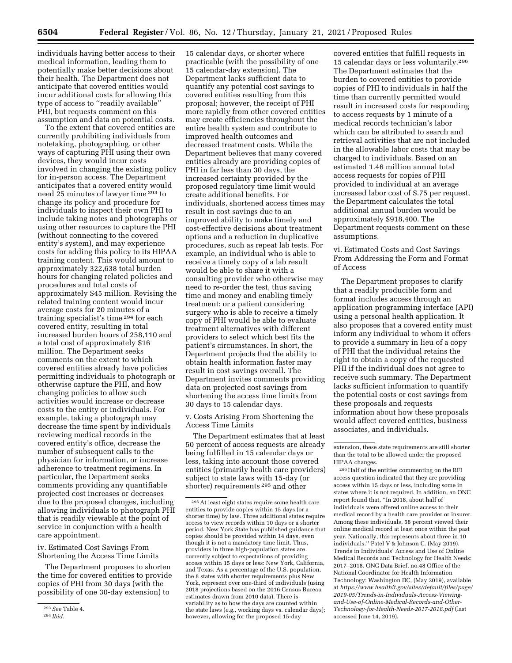individuals having better access to their medical information, leading them to potentially make better decisions about their health. The Department does not anticipate that covered entities would incur additional costs for allowing this type of access to ''readily available'' PHI, but requests comment on this assumption and data on potential costs.

To the extent that covered entities are currently prohibiting individuals from notetaking, photographing, or other ways of capturing PHI using their own devices, they would incur costs involved in changing the existing policy for in-person access. The Department anticipates that a covered entity would need 25 minutes of lawyer time 293 to change its policy and procedure for individuals to inspect their own PHI to include taking notes and photographs or using other resources to capture the PHI (without connecting to the covered entity's system), and may experience costs for adding this policy to its HIPAA training content. This would amount to approximately 322,638 total burden hours for changing related policies and procedures and total costs of approximately \$45 million. Revising the related training content would incur average costs for 20 minutes of a training specialist's time 294 for each covered entity, resulting in total increased burden hours of 258,110 and a total cost of approximately \$16 million. The Department seeks comments on the extent to which covered entities already have policies permitting individuals to photograph or otherwise capture the PHI, and how changing policies to allow such activities would increase or decrease costs to the entity or individuals. For example, taking a photograph may decrease the time spent by individuals reviewing medical records in the covered entity's office, decrease the number of subsequent calls to the physician for information, or increase adherence to treatment regimens. In particular, the Department seeks comments providing any quantifiable projected cost increases or decreases due to the proposed changes, including allowing individuals to photograph PHI that is readily viewable at the point of service in conjunction with a health care appointment.

iv. Estimated Cost Savings From Shortening the Access Time Limits

The Department proposes to shorten the time for covered entities to provide copies of PHI from 30 days (with the possibility of one 30-day extension) to

15 calendar days, or shorter where practicable (with the possibility of one 15 calendar-day extension). The Department lacks sufficient data to quantify any potential cost savings to covered entities resulting from this proposal; however, the receipt of PHI more rapidly from other covered entities may create efficiencies throughout the entire health system and contribute to improved health outcomes and decreased treatment costs. While the Department believes that many covered entities already are providing copies of PHI in far less than 30 days, the increased certainty provided by the proposed regulatory time limit would create additional benefits. For individuals, shortened access times may result in cost savings due to an improved ability to make timely and cost-effective decisions about treatment options and a reduction in duplicative procedures, such as repeat lab tests. For example, an individual who is able to receive a timely copy of a lab result would be able to share it with a consulting provider who otherwise may need to re-order the test, thus saving time and money and enabling timely treatment; or a patient considering surgery who is able to receive a timely copy of PHI would be able to evaluate treatment alternatives with different providers to select which best fits the patient's circumstances. In short, the Department projects that the ability to obtain health information faster may result in cost savings overall. The Department invites comments providing data on projected cost savings from shortening the access time limits from 30 days to 15 calendar days.

v. Costs Arising From Shortening the Access Time Limits

The Department estimates that at least 50 percent of access requests are already being fulfilled in 15 calendar days or less, taking into account those covered entities (primarily health care providers) subject to state laws with 15-day (or shorter) requirements 295 and other

covered entities that fulfill requests in 15 calendar days or less voluntarily.296 The Department estimates that the burden to covered entities to provide copies of PHI to individuals in half the time than currently permitted would result in increased costs for responding to access requests by 1 minute of a medical records technician's labor which can be attributed to search and retrieval activities that are not included in the allowable labor costs that may be charged to individuals. Based on an estimated 1.46 million annual total access requests for copies of PHI provided to individual at an average increased labor cost of \$.75 per request, the Department calculates the total additional annual burden would be approximately \$918,400. The Department requests comment on these assumptions.

vi. Estimated Costs and Cost Savings From Addressing the Form and Format of Access

The Department proposes to clarify that a readily producible form and format includes access through an application programming interface (API) using a personal health application. It also proposes that a covered entity must inform any individual to whom it offers to provide a summary in lieu of a copy of PHI that the individual retains the right to obtain a copy of the requested PHI if the individual does not agree to receive such summary. The Department lacks sufficient information to quantify the potential costs or cost savings from these proposals and requests information about how these proposals would affect covered entities, business associates, and individuals.

296Half of the entities commenting on the RFI access question indicated that they are providing access within 15 days or less, including some in states where it is not required. In addition, an ONC report found that, ''In 2018, about half of individuals were offered online access to their medical record by a health care provider or insurer. Among these individuals, 58 percent viewed their online medical record at least once within the past year. Nationally, this represents about three in 10 individuals.'' Patel V & Johnson C. (May 2019). Trends in Individuals' Access and Use of Online Medical Records and Technology for Health Needs: 2017–2018. ONC Data Brief, no.48 Office of the National Coordinator for Health Information Technology: Washington DC, (May 2019), available at *[https://www.healthit.gov/sites/default/files/page/](https://www.healthit.gov/sites/default/files/page/2019-05/Trends-in-Individuals-Access-Viewing-and-Use-of-Online-Medical-Records-and-Other-Technology-for-Health-Needs-2017-2018.pdf)  [2019-05/Trends-in-Individuals-Access-Viewing](https://www.healthit.gov/sites/default/files/page/2019-05/Trends-in-Individuals-Access-Viewing-and-Use-of-Online-Medical-Records-and-Other-Technology-for-Health-Needs-2017-2018.pdf)[and-Use-of-Online-Medical-Records-and-Other-](https://www.healthit.gov/sites/default/files/page/2019-05/Trends-in-Individuals-Access-Viewing-and-Use-of-Online-Medical-Records-and-Other-Technology-for-Health-Needs-2017-2018.pdf)[Technology-for-Health-Needs-2017-2018.pdf](https://www.healthit.gov/sites/default/files/page/2019-05/Trends-in-Individuals-Access-Viewing-and-Use-of-Online-Medical-Records-and-Other-Technology-for-Health-Needs-2017-2018.pdf)* (last accessed June 14, 2019).

<sup>293</sup>*See* Table 4.

<sup>294</sup> *Ibid.* 

 $^{\rm 295}\, \rm{At}$  least eight states require some health care entities to provide copies within 15 days (or a shorter time) by law. Three additional states require access to view records within 10 days or a shorter period. New York State has published guidance that copies should be provided within 14 days, even though it is not a mandatory time limit. Thus, providers in three high-population states are currently subject to expectations of providing access within 15 days or less: New York, California, and Texas. As a percentage of the U.S. population, the 8 states with shorter requirements plus New York, represent over one-third of individuals (using 2018 projections based on the 2016 Census Bureau estimates drawn from 2010 data). There is variability as to how the days are counted within the state laws (*e.g.,* working days vs. calendar days); however, allowing for the proposed 15-day

extension, these state requirements are still shorter than the total to be allowed under the proposed HIPAA changes.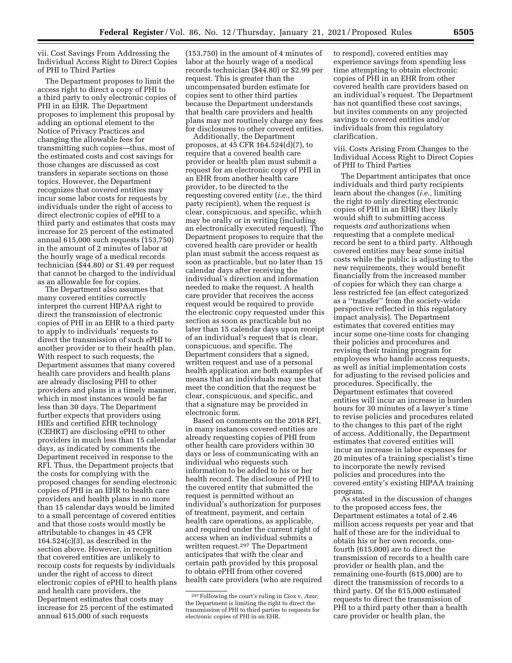vii. Cost Savings From Addressing the Individual Access Right to Direct Copies of PHI to Third Parties

The Department proposes to limit the access right to direct a copy of PHI to a third party to only electronic copies of PHI in an EHR. The Department proposes to implement this proposal by adding an optional element to the Notice of Privacy Practices and changing the allowable fees for transmitting such copies—thus, most of the estimated costs and cost savings for those changes are discussed as cost transfers in separate sections on those topics. However, the Department recognizes that covered entities may incur some labor costs for requests by individuals under the right of access to direct electronic copies of ePHI to a third party and estimates that costs may increase for 25 percent of the estimated annual 615,000 such requests (153,750) in the amount of 2 minutes of labor at the hourly wage of a medical records technician (\$44.80) or \$1.49 per request that cannot be charged to the individual as an allowable fee for copies.

The Department also assumes that many covered entities correctly interpret the current HIPAA right to direct the transmission of electronic copies of PHI in an EHR to a third party to apply to individuals' requests to direct the transmission of such ePHI to another provider or to their health plan. With respect to such requests, the Department assumes that many covered health care providers and health plans are already disclosing PHI to other providers and plans in a timely manner, which in most instances would be far less than 30 days. The Department further expects that providers using HIEs and certified EHR technology (CEHRT) are disclosing ePHI to other providers in much less than 15 calendar days, as indicated by comments the Department received in response to the RFI. Thus, the Department projects that the costs for complying with the proposed changes for sending electronic copies of PHI in an EHR to health care providers and health plans in no more than 15 calendar days would be limited to a small percentage of covered entities and that those costs would mostly be attributable to changes in 45 CFR  $164.524(c)(3)$ , as described in the section above. However, in recognition that covered entities are unlikely to recoup costs for requests by individuals under the right of access to direct electronic copies of ePHI to health plans and health care providers, the Department estimates that costs may increase for 25 percent of the estimated annual 615,000 of such requests

(153,750) in the amount of 4 minutes of labor at the hourly wage of a medical records technician (\$44.80) or \$2.99 per request. This is greater than the uncompensated burden estimate for copies sent to other third parties because the Department understands that health care providers and health plans may not routinely charge any fees for disclosures to other covered entities.

Additionally, the Department proposes, at 45 CFR 164.524(d)(7), to require that a covered health care provider or health plan must submit a request for an electronic copy of PHI in an EHR from another health care provider, to be directed to the requesting covered entity (*i.e.,* the third party recipient), when the request is clear, conspicuous, and specific, which may be orally or in writing (including an electronically executed request). The Department proposes to require that the covered health care provider or health plan must submit the access request as soon as practicable, but no later than 15 calendar days after receiving the individual's direction and information needed to make the request. A health care provider that receives the access request would be required to provide the electronic copy requested under this section as soon as practicable but no later than 15 calendar days upon receipt of an individual's request that is clear, conspicuous, and specific. The Department considers that a signed, written request and use of a personal health application are both examples of means that an individuals may use that meet the condition that the request be clear, conspicuous, and specific, and that a signature may be provided in electronic form.

Based on comments on the 2018 RFI, in many instances covered entities are already requesting copies of PHI from other health care providers within 30 days or less of communicating with an individual who requests such information to be added to his or her health record. The disclosure of PHI to the covered entity that submitted the request is permitted without an individual's authorization for purposes of treatment, payment, and certain health care operations, as applicable, and required under the current right of access when an individual submits a written request.297 The Department anticipates that with the clear and certain path provided by this proposal to obtain ePHI from other covered health care providers (who are required to respond), covered entities may experience savings from spending less time attempting to obtain electronic copies of PHI in an EHR from other covered health care providers based on an individual's request. The Department has not quantified these cost savings, but invites comments on any projected savings to covered entities and/or individuals from this regulatory clarification.

viii. Costs Arising From Changes to the Individual Access Right to Direct Copies of PHI to Third Parties

The Department anticipates that once individuals and third party recipients learn about the changes (*i.e.,* limiting the right to only directing electronic copies of PHI in an EHR) they likely would shift to submitting access requests *and* authorizations when requesting that a complete medical record be sent to a third party. Although covered entities may bear some initial costs while the public is adjusting to the new requirements, they would benefit financially from the increased number of copies for which they can charge a less restricted fee (an effect categorized as a ''transfer'' from the society-wide perspective reflected in this regulatory impact analysis). The Department estimates that covered entities may incur some one-time costs for changing their policies and procedures and revising their training program for employees who handle access requests, as well as initial implementation costs for adjusting to the revised policies and procedures. Specifically, the Department estimates that covered entities will incur an increase in burden hours for 30 minutes of a lawyer's time to revise policies and procedures related to the changes to this part of the right of access. Additionally, the Department estimates that covered entities will incur an increase in labor expenses for 20 minutes of a training specialist's time to incorporate the newly revised policies and procedures into the covered entity's existing HIPAA training program.

As stated in the discussion of changes to the proposed access fees, the Department estimates a total of 2.46 million access requests per year and that half of these are for the individual to obtain his or her own records, onefourth (615,000) are to direct the transmission of records to a health care provider or health plan, and the remaining one-fourth (615,000) are to direct the transmission of records to a third party. Of the 615,000 estimated requests to direct the transmission of PHI to a third party other than a health care provider or health plan, the

<sup>297</sup>Following the court's ruling in *Ciox* v. *Azar,*  the Department is limiting the right to direct the transmission of PHI to third parties to requests for electronic copies of PHI in an EHR.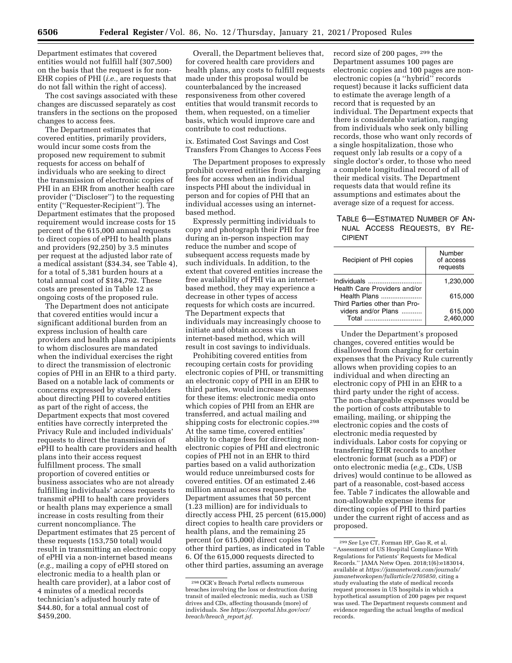Department estimates that covered entities would not fulfill half (307,500) on the basis that the request is for non-EHR copies of PHI (*i.e.,* are requests that do not fall within the right of access).

The cost savings associated with these changes are discussed separately as cost transfers in the sections on the proposed changes to access fees.

The Department estimates that covered entities, primarily providers, would incur some costs from the proposed new requirement to submit requests for access on behalf of individuals who are seeking to direct the transmission of electronic copies of PHI in an EHR from another health care provider (''Discloser'') to the requesting entity (''Requester-Recipient''). The Department estimates that the proposed requirement would increase costs for 15 percent of the 615,000 annual requests to direct copies of ePHI to health plans and providers (92,250) by 3.5 minutes per request at the adjusted labor rate of a medical assistant (\$34.34, see Table 4), for a total of 5,381 burden hours at a total annual cost of \$184,792. These costs are presented in Table 12 as ongoing costs of the proposed rule.

The Department does not anticipate that covered entities would incur a significant additional burden from an express inclusion of health care providers and health plans as recipients to whom disclosures are mandated when the individual exercises the right to direct the transmission of electronic copies of PHI in an EHR to a third party. Based on a notable lack of comments or concerns expressed by stakeholders about directing PHI to covered entities as part of the right of access, the Department expects that most covered entities have correctly interpreted the Privacy Rule and included individuals' requests to direct the transmission of ePHI to health care providers and health plans into their access request fulfillment process. The small proportion of covered entities or business associates who are not already fulfilling individuals' access requests to transmit ePHI to health care providers or health plans may experience a small increase in costs resulting from their current noncompliance. The Department estimates that 25 percent of these requests (153,750 total) would result in transmitting an electronic copy of ePHI via a non-internet based means (*e.g.,* mailing a copy of ePHI stored on electronic media to a health plan or health care provider), at a labor cost of 4 minutes of a medical records technician's adjusted hourly rate of \$44.80, for a total annual cost of \$459,200.

Overall, the Department believes that, for covered health care providers and health plans, any costs to fulfill requests made under this proposal would be counterbalanced by the increased responsiveness from other covered entities that would transmit records to them, when requested, on a timelier basis, which would improve care and contribute to cost reductions.

## ix. Estimated Cost Savings and Cost Transfers From Changes to Access Fees

The Department proposes to expressly prohibit covered entities from charging fees for access when an individual inspects PHI about the individual in person and for copies of PHI that an individual accesses using an internetbased method.

Expressly permitting individuals to copy and photograph their PHI for free during an in-person inspection may reduce the number and scope of subsequent access requests made by such individuals. In addition, to the extent that covered entities increase the free availability of PHI via an internetbased method, they may experience a decrease in other types of access requests for which costs are incurred. The Department expects that individuals may increasingly choose to initiate and obtain access via an internet-based method, which will result in cost savings to individuals.

Prohibiting covered entities from recouping certain costs for providing electronic copies of PHI, or transmitting an electronic copy of PHI in an EHR to third parties, would increase expenses for these items: electronic media onto which copies of PHI from an EHR are transferred, and actual mailing and shipping costs for electronic copies.298 At the same time, covered entities' ability to charge fees for directing nonelectronic copies of PHI and electronic copies of PHI not in an EHR to third parties based on a valid authorization would reduce unreimbursed costs for covered entities. Of an estimated 2.46 million annual access requests, the Department assumes that 50 percent (1.23 million) are for individuals to directly access PHI, 25 percent (615,000) direct copies to health care providers or health plans, and the remaining 25 percent (or 615,000) direct copies to other third parties, as indicated in Table 6. Of the 615,000 requests directed to other third parties, assuming an average

record size of 200 pages, 299 the Department assumes 100 pages are electronic copies and 100 pages are nonelectronic copies (a ''hybrid'' records request) because it lacks sufficient data to estimate the average length of a record that is requested by an individual. The Department expects that there is considerable variation, ranging from individuals who seek only billing records, those who want only records of a single hospitalization, those who request only lab results or a copy of a single doctor's order, to those who need a complete longitudinal record of all of their medical visits. The Department requests data that would refine its assumptions and estimates about the average size of a request for access.

# TABLE 6—ESTIMATED NUMBER OF AN-NUAL ACCESS REQUESTS, BY RE-CIPIENT

| Recipient of PHI copies                                                       | Number<br>of access<br>requests |
|-------------------------------------------------------------------------------|---------------------------------|
|                                                                               | 1.230.000                       |
| Health Care Providers and/or<br>Health Plans<br>Third Parties other than Pro- | 615.000                         |
| viders and/or Plans                                                           | 615,000                         |
| Total                                                                         | 2.460.000                       |

Under the Department's proposed changes, covered entities would be disallowed from charging for certain expenses that the Privacy Rule currently allows when providing copies to an individual and when directing an electronic copy of PHI in an EHR to a third party under the right of access. The non-chargeable expenses would be the portion of costs attributable to emailing, mailing, or shipping the electronic copies and the costs of electronic media requested by individuals. Labor costs for copying or transferring EHR records to another electronic format (such as a PDF) or onto electronic media (*e.g.,* CDs, USB drives) would continue to be allowed as part of a reasonable, cost-based access fee. Table 7 indicates the allowable and non-allowable expense items for directing copies of PHI to third parties under the current right of access and as proposed.

<sup>298</sup>OCR's Breach Portal reflects numerous breaches involving the loss or destruction during transit of mailed electronic media, such as USB drives and CDs, affecting thousands (more) of individuals. *See [https://ocrportal.hhs.gov/ocr/](https://ocrportal.hhs.gov/ocr/breach/breach_report.jsf) [breach/breach](https://ocrportal.hhs.gov/ocr/breach/breach_report.jsf)*\_*report.jsf.* 

<sup>299</sup>*See* Lye CT, Forman HP, Gao R, et al. ''Assessment of US Hospital Compliance With Regulations for Patients' Requests for Medical Records.'' JAMA Netw Open. 2018;1(6):e183014, available at *[https://jamanetwork.com/journals/](https://jamanetwork.com/journals/jamanetworkopen/fullarticle/2705850) [jamanetworkopen/fullarticle/2705850,](https://jamanetwork.com/journals/jamanetworkopen/fullarticle/2705850)* citing a study evaluating the state of medical records request processes in US hospitals in which a hypothetical assumption of 200 pages per request was used. The Department requests comment and evidence regarding the actual lengths of medical records.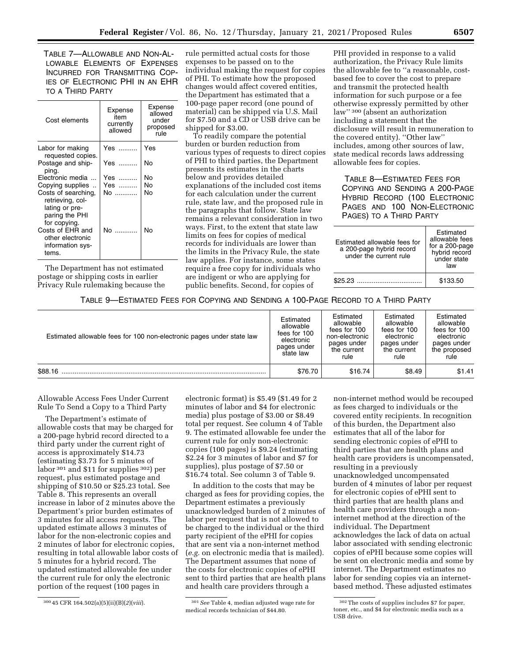TABLE 7—ALLOWABLE AND NON-AL-LOWABLE ELEMENTS OF EXPENSES INCURRED FOR TRANSMITTING COP-IES OF ELECTRONIC PHI IN AN EHR TO A THIRD PARTY

| Cost elements                                                                               | Expense<br>item<br>currently<br>allowed | Expense<br>allowed<br>under<br>proposed<br>rule |
|---------------------------------------------------------------------------------------------|-----------------------------------------|-------------------------------------------------|
| Labor for making<br>requested copies.                                                       | Yes                                     | Yes                                             |
| Postage and ship-<br>ping.                                                                  | Yes                                     | No                                              |
| Electronic media                                                                            | Yes ……….                                | N٥                                              |
| Copying supplies                                                                            | Yes                                     | No                                              |
| Costs of searching,<br>retrieving, col-<br>lating or pre-<br>paring the PHI<br>for copying. | No                                      | No                                              |
| Costs of EHR and<br>other electronic<br>information sys-<br>tems.                           | No                                      | N٥                                              |

The Department has not estimated postage or shipping costs in earlier Privacy Rule rulemaking because the rule permitted actual costs for those expenses to be passed on to the individual making the request for copies of PHI. To estimate how the proposed changes would affect covered entities, the Department has estimated that a 100-page paper record (one pound of material) can be shipped via U.S. Mail for \$7.50 and a CD or USB drive can be shipped for \$3.00.

To readily compare the potential burden or burden reduction from various types of requests to direct copies of PHI to third parties, the Department presents its estimates in the charts below and provides detailed explanations of the included cost items for each calculation under the current rule, state law, and the proposed rule in the paragraphs that follow. State law remains a relevant consideration in two ways. First, to the extent that state law limits on fees for copies of medical records for individuals are lower than the limits in the Privacy Rule, the state law applies. For instance, some states require a free copy for individuals who are indigent or who are applying for public benefits. Second, for copies of

PHI provided in response to a valid authorization, the Privacy Rule limits the allowable fee to ''a reasonable, costbased fee to cover the cost to prepare and transmit the protected health information for such purpose or a fee otherwise expressly permitted by other law'' 300 (absent an authorization including a statement that the disclosure will result in remuneration to the covered entity). ''Other law'' includes, among other sources of law, state medical records laws addressing allowable fees for copies.

TABLE 8—ESTIMATED FEES FOR COPYING AND SENDING A 200-PAGE HYBRID RECORD (100 ELECTRONIC PAGES AND 100 NON-ELECTRONIC PAGES) TO A THIRD PARTY

| Estimated allowable fees for<br>a 200-page hybrid record<br>under the current rule | Estimated<br>allowable fees<br>for a 200-page<br>hybrid record<br>under state<br>law |
|------------------------------------------------------------------------------------|--------------------------------------------------------------------------------------|
| \$25.23                                                                            | \$133.50                                                                             |

# TABLE 9—ESTIMATED FEES FOR COPYING AND SENDING A 100-PAGE RECORD TO A THIRD PARTY

| Estimated allowable fees for 100 non-electronic pages under state law | Estimated<br>allowable<br>fees for 100<br>electronic<br>pages under<br>state law | Estimated<br>allowable<br>fees for 100<br>non-electronic<br>pages under<br>the current<br>rule | Estimated<br>allowable<br>fees for 100<br>electronic<br>pages under<br>the current<br>rule | Estimated<br>allowable<br>fees for 100<br>electronic<br>pages under<br>the proposed<br>rule |
|-----------------------------------------------------------------------|----------------------------------------------------------------------------------|------------------------------------------------------------------------------------------------|--------------------------------------------------------------------------------------------|---------------------------------------------------------------------------------------------|
| \$88.16                                                               | \$76.70                                                                          | \$16.74                                                                                        | \$8.49                                                                                     | \$1.41                                                                                      |

Allowable Access Fees Under Current Rule To Send a Copy to a Third Party

The Department's estimate of allowable costs that may be charged for a 200-page hybrid record directed to a third party under the current right of access is approximately \$14.73 (estimating \$3.73 for 5 minutes of labor 301 and \$11 for supplies 302) per request, plus estimated postage and shipping of \$10.50 or \$25.23 total. See Table 8. This represents an overall increase in labor of 2 minutes above the Department's prior burden estimates of 3 minutes for all access requests. The updated estimate allows 3 minutes of labor for the non-electronic copies and 2 minutes of labor for electronic copies, resulting in total allowable labor costs of 5 minutes for a hybrid record. The updated estimated allowable fee under the current rule for only the electronic portion of the request (100 pages in

electronic format) is \$5.49 (\$1.49 for 2 minutes of labor and \$4 for electronic media) plus postage of \$3.00 or \$8.49 total per request. See column 4 of Table 9. The estimated allowable fee under the current rule for only non-electronic copies (100 pages) is \$9.24 (estimating \$2.24 for 3 minutes of labor and \$7 for supplies), plus postage of \$7.50 or \$16.74 total. See column 3 of Table 9.

In addition to the costs that may be charged as fees for providing copies, the Department estimates a previously unacknowledged burden of 2 minutes of labor per request that is not allowed to be charged to the individual or the third party recipient of the ePHI for copies that are sent via a non-internet method (*e.g.* on electronic media that is mailed). The Department assumes that none of the costs for electronic copies of ePHI sent to third parties that are health plans and health care providers through a

non-internet method would be recouped as fees charged to individuals or the covered entity recipients. In recognition of this burden, the Department also estimates that all of the labor for sending electronic copies of ePHI to third parties that are health plans and health care providers is uncompensated, resulting in a previously unacknowledged uncompensated burden of 4 minutes of labor per request for electronic copies of ePHI sent to third parties that are health plans and health care providers through a noninternet method at the direction of the individual. The Department acknowledges the lack of data on actual labor associated with sending electronic copies of ePHI because some copies will be sent on electronic media and some by internet. The Department estimates no labor for sending copies via an internetbased method. These adjusted estimates

<sup>300</sup> 45 CFR 164.502(a)(5)(ii)(B)(*2*)(*viii*). 301*See* Table 4, median adjusted wage rate for medical records technician of \$44.80.

<sup>302</sup>The costs of supplies includes \$7 for paper, toner, etc., and \$4 for electronic media such as a USB drive.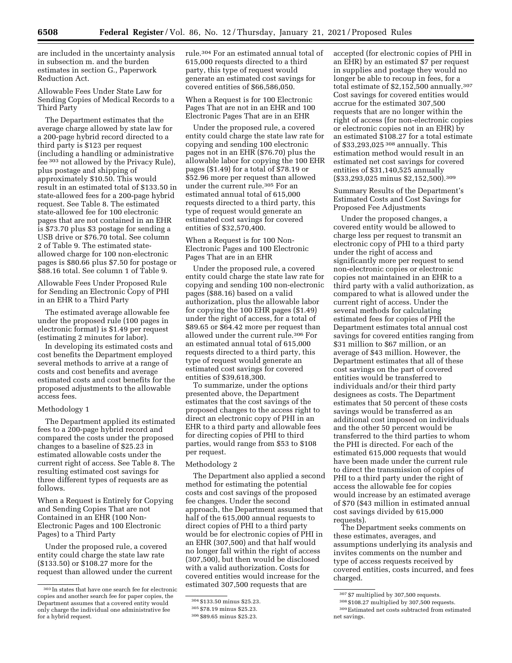are included in the uncertainty analysis in subsection m. and the burden estimates in section G., Paperwork Reduction Act.

Allowable Fees Under State Law for Sending Copies of Medical Records to a Third Party

The Department estimates that the average charge allowed by state law for a 200-page hybrid record directed to a third party is \$123 per request (including a handling or administrative fee 303 not allowed by the Privacy Rule), plus postage and shipping of approximately \$10.50. This would result in an estimated total of \$133.50 in state-allowed fees for a 200-page hybrid request. See Table 8. The estimated state-allowed fee for 100 electronic pages that are not contained in an EHR is \$73.70 plus \$3 postage for sending a USB drive or \$76.70 total. See column 2 of Table 9. The estimated stateallowed charge for 100 non-electronic pages is \$80.66 plus \$7.50 for postage or \$88.16 total. See column 1 of Table 9.

Allowable Fees Under Proposed Rule for Sending an Electronic Copy of PHI in an EHR to a Third Party

The estimated average allowable fee under the proposed rule (100 pages in electronic format) is \$1.49 per request (estimating 2 minutes for labor).

In developing its estimated costs and cost benefits the Department employed several methods to arrive at a range of costs and cost benefits and average estimated costs and cost benefits for the proposed adjustments to the allowable access fees.

# Methodology 1

The Department applied its estimated fees to a 200-page hybrid record and compared the costs under the proposed changes to a baseline of \$25.23 in estimated allowable costs under the current right of access. See Table 8. The resulting estimated cost savings for three different types of requests are as follows.

When a Request is Entirely for Copying and Sending Copies That are not Contained in an EHR (100 Non-Electronic Pages and 100 Electronic Pages) to a Third Party

Under the proposed rule, a covered entity could charge the state law rate (\$133.50) or \$108.27 more for the request than allowed under the current rule.304 For an estimated annual total of 615,000 requests directed to a third party, this type of request would generate an estimated cost savings for covered entities of \$66,586,050.

When a Request is for 100 Electronic Pages That are not in an EHR and 100 Electronic Pages That are in an EHR

Under the proposed rule, a covered entity could charge the state law rate for copying and sending 100 electronic pages not in an EHR (\$76.70) plus the allowable labor for copying the 100 EHR pages (\$1.49) for a total of \$78.19 or \$52.96 more per request than allowed under the current rule.305 For an estimated annual total of 615,000 requests directed to a third party, this type of request would generate an estimated cost savings for covered entities of \$32,570,400.

When a Request is for 100 Non-Electronic Pages and 100 Electronic Pages That are in an EHR

Under the proposed rule, a covered entity could charge the state law rate for copying and sending 100 non-electronic pages (\$88.16) based on a valid authorization, plus the allowable labor for copying the 100 EHR pages (\$1.49) under the right of access, for a total of \$89.65 or \$64.42 more per request than allowed under the current rule.306 For an estimated annual total of 615,000 requests directed to a third party, this type of request would generate an estimated cost savings for covered entities of \$39,618,300.

To summarize, under the options presented above, the Department estimates that the cost savings of the proposed changes to the access right to direct an electronic copy of PHI in an EHR to a third party and allowable fees for directing copies of PHI to third parties, would range from \$53 to \$108 per request.

### Methodology 2

The Department also applied a second method for estimating the potential costs and cost savings of the proposed fee changes. Under the second approach, the Department assumed that half of the 615,000 annual requests to direct copies of PHI to a third party would be for electronic copies of PHI in an EHR (307,500) and that half would no longer fall within the right of access (307,500), but then would be disclosed with a valid authorization. Costs for covered entities would increase for the estimated 307,500 requests that are

accepted (for electronic copies of PHI in an EHR) by an estimated \$7 per request in supplies and postage they would no longer be able to recoup in fees, for a total estimate of \$2,152,500 annually.307 Cost savings for covered entities would accrue for the estimated 307,500 requests that are no longer within the right of access (for non-electronic copies or electronic copies not in an EHR) by an estimated \$108.27 for a total estimate of \$33,293,025 308 annually. This estimation method would result in an estimated net cost savings for covered entities of \$31,140,525 annually (\$33,293,025 minus \$2,152,500).309

Summary Results of the Department's Estimated Costs and Cost Savings for Proposed Fee Adjustments

Under the proposed changes, a covered entity would be allowed to charge less per request to transmit an electronic copy of PHI to a third party under the right of access and significantly more per request to send non-electronic copies or electronic copies not maintained in an EHR to a third party with a valid authorization, as compared to what is allowed under the current right of access. Under the several methods for calculating estimated fees for copies of PHI the Department estimates total annual cost savings for covered entities ranging from \$31 million to \$67 million, or an average of \$43 million. However, the Department estimates that all of these cost savings on the part of covered entities would be transferred to individuals and/or their third party designees as costs. The Department estimates that 50 percent of these costs savings would be transferred as an additional cost imposed on individuals and the other 50 percent would be transferred to the third parties to whom the PHI is directed. For each of the estimated 615,000 requests that would have been made under the current rule to direct the transmission of copies of PHI to a third party under the right of access the allowable fee for copies would increase by an estimated average of \$70 (\$43 million in estimated annual cost savings divided by 615,000 requests).

The Department seeks comments on these estimates, averages, and assumptions underlying its analysis and invites comments on the number and type of access requests received by covered entities, costs incurred, and fees charged.

<sup>303</sup> In states that have one search fee for electronic copies and another search fee for paper copies, the Department assumes that a covered entity would only charge the individual one administrative fee for a hybrid request.

<sup>304</sup> \$133.50 minus \$25.23.

<sup>305</sup> \$78.19 minus \$25.23.

<sup>306</sup> \$89.65 minus \$25.23.

<sup>307</sup> \$7 multiplied by 307,500 requests.

<sup>308</sup> \$108.27 multiplied by 307,500 requests.

<sup>309</sup>Estimated net costs subtracted from estimated net savings.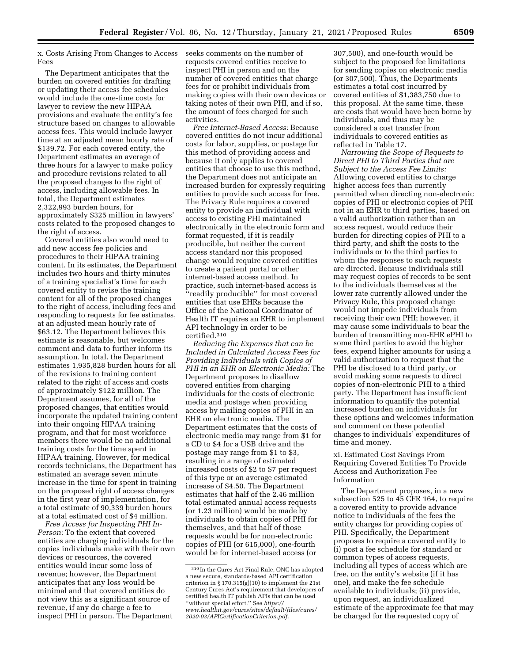x. Costs Arising From Changes to Access

The Department anticipates that the burden on covered entities for drafting or updating their access fee schedules would include the one-time costs for lawyer to review the new HIPAA provisions and evaluate the entity's fee structure based on changes to allowable access fees. This would include lawyer time at an adjusted mean hourly rate of \$139.72. For each covered entity, the Department estimates an average of three hours for a lawyer to make policy and procedure revisions related to all the proposed changes to the right of access, including allowable fees. In total, the Department estimates 2,322,993 burden hours, for approximately \$325 million in lawyers' costs related to the proposed changes to the right of access.

Fees

Covered entities also would need to add new access fee policies and procedures to their HIPAA training content. In its estimates, the Department includes two hours and thirty minutes of a training specialist's time for each covered entity to revise the training content for all of the proposed changes to the right of access, including fees and responding to requests for fee estimates, at an adjusted mean hourly rate of \$63.12. The Department believes this estimate is reasonable, but welcomes comment and data to further inform its assumption. In total, the Department estimates 1,935,828 burden hours for all of the revisions to training content related to the right of access and costs of approximately \$122 million. The Department assumes, for all of the proposed changes, that entities would incorporate the updated training content into their ongoing HIPAA training program, and that for most workforce members there would be no additional training costs for the time spent in HIPAA training. However, for medical records technicians, the Department has estimated an average seven minute increase in the time for spent in training on the proposed right of access changes in the first year of implementation, for a total estimate of 90,339 burden hours at a total estimated cost of \$4 million.

*Free Access for Inspecting PHI In-Person:* To the extent that covered entities are charging individuals for the copies individuals make with their own devices or resources, the covered entities would incur some loss of revenue; however, the Department anticipates that any loss would be minimal and that covered entities do not view this as a significant source of revenue, if any do charge a fee to inspect PHI in person. The Department

seeks comments on the number of requests covered entities receive to inspect PHI in person and on the number of covered entities that charge fees for or prohibit individuals from making copies with their own devices or taking notes of their own PHI, and if so, the amount of fees charged for such activities.

*Free Internet-Based Access:* Because covered entities do not incur additional costs for labor, supplies, or postage for this method of providing access and because it only applies to covered entities that choose to use this method, the Department does not anticipate an increased burden for expressly requiring entities to provide such access for free. The Privacy Rule requires a covered entity to provide an individual with access to existing PHI maintained electronically in the electronic form and format requested, if it is readily producible, but neither the current access standard nor this proposed change would require covered entities to create a patient portal or other internet-based access method. In practice, such internet-based access is ''readily producible'' for most covered entities that use EHRs because the Office of the National Coordinator of Health IT requires an EHR to implement API technology in order to be certified.310

*Reducing the Expenses that can be Included in Calculated Access Fees for Providing Individuals with Copies of PHI in an EHR on Electronic Media:* The Department proposes to disallow covered entities from charging individuals for the costs of electronic media and postage when providing access by mailing copies of PHI in an EHR on electronic media. The Department estimates that the costs of electronic media may range from \$1 for a CD to \$4 for a USB drive and the postage may range from \$1 to \$3, resulting in a range of estimated increased costs of \$2 to \$7 per request of this type or an average estimated increase of \$4.50. The Department estimates that half of the 2.46 million total estimated annual access requests (or 1.23 million) would be made by individuals to obtain copies of PHI for themselves, and that half of those requests would be for non-electronic copies of PHI (or 615,000), one-fourth would be for internet-based access (or

307,500), and one-fourth would be subject to the proposed fee limitations for sending copies on electronic media (or 307,500). Thus, the Departments estimates a total cost incurred by covered entities of \$1,383,750 due to this proposal. At the same time, these are costs that would have been borne by individuals, and thus may be considered a cost transfer from individuals to covered entities as reflected in Table 17.

*Narrowing the Scope of Requests to Direct PHI to Third Parties that are Subject to the Access Fee Limits:*  Allowing covered entities to charge higher access fees than currently permitted when directing non-electronic copies of PHI or electronic copies of PHI not in an EHR to third parties, based on a valid authorization rather than an access request, would reduce their burden for directing copies of PHI to a third party, and shift the costs to the individuals or to the third parties to whom the responses to such requests are directed. Because individuals still may request copies of records to be sent to the individuals themselves at the lower rate currently allowed under the Privacy Rule, this proposed change would not impede individuals from receiving their own PHI; however, it may cause some individuals to bear the burden of transmitting non-EHR ePHI to some third parties to avoid the higher fees, expend higher amounts for using a valid authorization to request that the PHI be disclosed to a third party, or avoid making some requests to direct copies of non-electronic PHI to a third party. The Department has insufficient information to quantify the potential increased burden on individuals for these options and welcomes information and comment on these potential changes to individuals' expenditures of time and money.

xi. Estimated Cost Savings From Requiring Covered Entities To Provide Access and Authorization Fee Information

The Department proposes, in a new subsection 525 to 45 CFR 164, to require a covered entity to provide advance notice to individuals of the fees the entity charges for providing copies of PHI. Specifically, the Department proposes to require a covered entity to (i) post a fee schedule for standard or common types of access requests, including all types of access which are free, on the entity's website (if it has one), and make the fee schedule available to individuals; (ii) provide, upon request, an individualized estimate of the approximate fee that may be charged for the requested copy of

<sup>310</sup> In the Cures Act Final Rule, ONC has adopted a new secure, standards-based API certification criterion in § 170.315(g)(10) to implement the 21st Century Cures Act's requirement that developers of certified health IT publish APIs that can be used ''without special effort.'' See *[https://](https://www.healthit.gov/cures/sites/default/files/cures/2020-03/APICertificationCriterion.pdf) [www.healthit.gov/cures/sites/default/files/cures/](https://www.healthit.gov/cures/sites/default/files/cures/2020-03/APICertificationCriterion.pdf)  [2020-03/APICertificationCriterion.pdf.](https://www.healthit.gov/cures/sites/default/files/cures/2020-03/APICertificationCriterion.pdf)*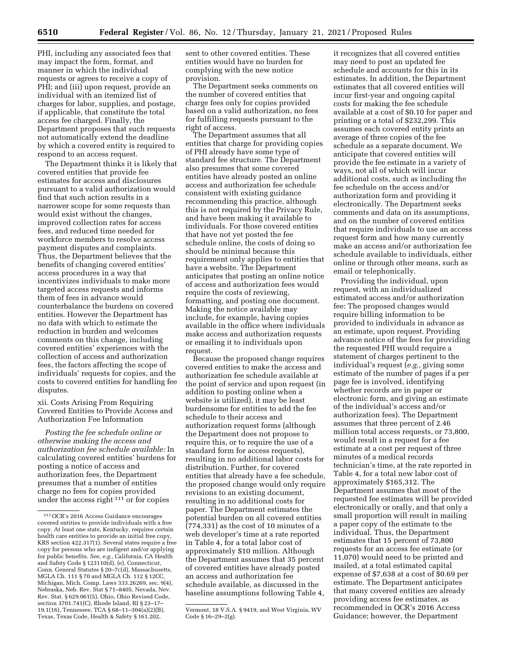PHI, including any associated fees that may impact the form, format, and manner in which the individual requests or agrees to receive a copy of PHI; and (iii) upon request, provide an individual with an itemized list of charges for labor, supplies, and postage, if applicable, that constitute the total access fee charged. Finally, the Department proposes that such requests not automatically extend the deadline by which a covered entity is required to respond to an access request.

The Department thinks it is likely that covered entities that provide fee estimates for access and disclosures pursuant to a valid authorization would find that such action results in a narrower scope for some requests than would exist without the changes, improved collection rates for access fees, and reduced time needed for workforce members to resolve access payment disputes and complaints. Thus, the Department believes that the benefits of changing covered entities' access procedures in a way that incentivizes individuals to make more targeted access requests and informs them of fees in advance would counterbalance the burdens on covered entities. However the Department has no data with which to estimate the reduction in burden and welcomes comments on this change, including covered entities' experiences with the collection of access and authorization fees, the factors affecting the scope of individuals' requests for copies, and the costs to covered entities for handling fee disputes.

xii. Costs Arising From Requiring Covered Entities to Provide Access and Authorization Fee Information

*Posting the fee schedule online or otherwise making the access and authorization fee schedule available:* In calculating covered entities' burdens for posting a notice of access and authorization fees, the Department presumes that a number of entities charge no fees for copies provided under the access right 311 or for copies

sent to other covered entities. These entities would have no burden for complying with the new notice provision.

The Department seeks comments on the number of covered entities that charge fees only for copies provided based on a valid authorization, no fees for fulfilling requests pursuant to the right of access.

The Department assumes that all entities that charge for providing copies of PHI already have some type of standard fee structure. The Department also presumes that some covered entities have already posted an online access and authorization fee schedule consistent with existing guidance recommending this practice, although this is not required by the Privacy Rule, and have been making it available to individuals. For those covered entities that have not yet posted the fee schedule online, the costs of doing so should be minimal because this requirement only applies to entities that have a website. The Department anticipates that posting an online notice of access and authorization fees would require the costs of reviewing, formatting, and posting one document. Making the notice available may include, for example, having copies available in the office where individuals make access and authorization requests or emailing it to individuals upon request.

Because the proposed change requires covered entities to make the access and authorization fee schedule available at the point of service and upon request (in addition to posting online when a website is utilized), it may be least burdensome for entities to add the fee schedule to their access and authorization request forms (although the Department does not propose to require this, or to require the use of a standard form for access requests), resulting in no additional labor costs for distribution. Further, for covered entities that already have a fee schedule, the proposed change would only require revisions to an existing document, resulting in no additional costs for paper. The Department estimates the potential burden on all covered entities (774,331) as the cost of 10 minutes of a web developer's time at a rate reported in Table 4, for a total labor cost of approximately \$10 million. Although the Department assumes that 35 percent of covered entities have already posted an access and authorization fee schedule available, as discussed in the baseline assumptions following Table 4,

it recognizes that all covered entities may need to post an updated fee schedule and accounts for this in its estimates. In addition, the Department estimates that all covered entities will incur first-year and ongoing capital costs for making the fee schedule available at a cost of \$0.10 for paper and printing or a total of \$232,299. This assumes each covered entity prints an average of three copies of the fee schedule as a separate document. We anticipate that covered entities will provide the fee estimate in a variety of ways, not all of which will incur additional costs, such as including the fee schedule on the access and/or authorization form and providing it electronically. The Department seeks comments and data on its assumptions, and on the number of covered entities that require individuals to use an access request form and how many currently make an access and/or authorization fee schedule available to individuals, either online or through other means, such as email or telephonically.

Providing the individual, upon request, with an individualized estimated access and/or authorization fee: The proposed changes would require billing information to be provided to individuals in advance as an estimate, upon request. Providing advance notice of the fees for providing the requested PHI would require a statement of charges pertinent to the individual's request (*e.g.,* giving some estimate of the number of pages if a per page fee is involved, identifying whether records are in paper or electronic form, and giving an estimate of the individual's access and/or authorization fees). The Department assumes that three percent of 2.46 million total access requests, or 73,800, would result in a request for a fee estimate at a cost per request of three minutes of a medical records technician's time, at the rate reported in Table 4, for a total new labor cost of approximately \$165,312. The Department assumes that most of the requested fee estimates will be provided electronically or orally, and that only a small proportion will result in mailing a paper copy of the estimate to the individual. Thus, the Department estimates that 15 percent of 73,800 requests for an access fee estimate (or 11,070) would need to be printed and mailed, at a total estimated capital expense of \$7,638 at a cost of \$0.69 per estimate. The Department anticipates that many covered entities are already providing access fee estimates, as recommended in OCR's 2016 Access Guidance; however, the Department

<sup>311</sup>OCR's 2016 Access Guidance encourages covered entities to provide individuals with a free copy. At least one state, Kentucky, requires certain health care entities to provide an initial free copy, KRS section 422.317(1). Several states require a free copy for persons who are indigent and/or applying for public benefits. *See, e.g.,* California, CA Health and Safety Code § 123110(d), (e), Connecticut, Conn. General Statutes § 20–7c(d), Massachusetts, MGLA Ch. 111 § 70 and MGLA Ch. 112 § 12CC, Michigan, Mich. Comp. Laws 333.26269, sec. 9(4), Nebraska, Neb. Rev. Stat § 71–8405, Nevada, Nev. Rev. Stat. § 629.061(5), Ohio, Ohio Revised Code, section 3701.741(C), Rhode Island, RI § 23–17– 19.1(16), Tennessee, TCA § 68–11–304(a)(2)(B), Texas, Texas Code, Health & Safety § 161.202,

Vermont, 18 V.S.A. § 9419, and West Virginia, WV Code § 16–29–2(g).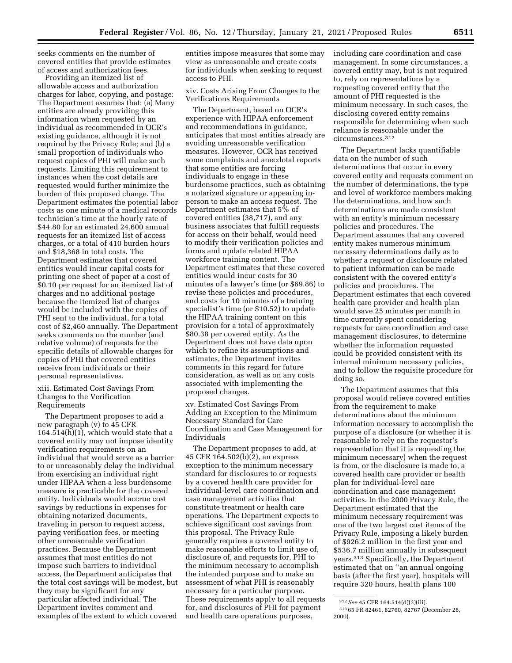seeks comments on the number of covered entities that provide estimates of access and authorization fees.

Providing an itemized list of allowable access and authorization charges for labor, copying, and postage: The Department assumes that: (a) Many entities are already providing this information when requested by an individual as recommended in OCR's existing guidance, although it is not required by the Privacy Rule; and (b) a small proportion of individuals who request copies of PHI will make such requests. Limiting this requirement to instances when the cost details are requested would further minimize the burden of this proposed change. The Department estimates the potential labor costs as one minute of a medical records technician's time at the hourly rate of \$44.80 for an estimated 24,600 annual requests for an itemized list of access charges, or a total of 410 burden hours and \$18,368 in total costs. The Department estimates that covered entities would incur capital costs for printing one sheet of paper at a cost of \$0.10 per request for an itemized list of charges and no additional postage because the itemized list of charges would be included with the copies of PHI sent to the individual, for a total cost of \$2,460 annually. The Department seeks comments on the number (and relative volume) of requests for the specific details of allowable charges for copies of PHI that covered entities receive from individuals or their personal representatives.

xiii. Estimated Cost Savings From Changes to the Verification Requirements

The Department proposes to add a new paragraph (v) to 45 CFR  $164.514(h)(1)$ , which would state that a covered entity may not impose identity verification requirements on an individual that would serve as a barrier to or unreasonably delay the individual from exercising an individual right under HIPAA when a less burdensome measure is practicable for the covered entity. Individuals would accrue cost savings by reductions in expenses for obtaining notarized documents, traveling in person to request access, paying verification fees, or meeting other unreasonable verification practices. Because the Department assumes that most entities do not impose such barriers to individual access, the Department anticipates that the total cost savings will be modest, but they may be significant for any particular affected individual. The Department invites comment and examples of the extent to which covered

entities impose measures that some may view as unreasonable and create costs for individuals when seeking to request access to PHI.

xiv. Costs Arising From Changes to the Verifications Requirements

The Department, based on OCR's experience with HIPAA enforcement and recommendations in guidance, anticipates that most entities already are avoiding unreasonable verification measures. However, OCR has received some complaints and anecdotal reports that some entities are forcing individuals to engage in these burdensome practices, such as obtaining a notarized signature or appearing inperson to make an access request. The Department estimates that 5% of covered entities (38,717), and any business associates that fulfill requests for access on their behalf, would need to modify their verification policies and forms and update related HIPAA workforce training content. The Department estimates that these covered entities would incur costs for 30 minutes of a lawyer's time (or \$69.86) to revise these policies and procedures, and costs for 10 minutes of a training specialist's time (or \$10.52) to update the HIPAA training content on this provision for a total of approximately \$80.38 per covered entity. As the Department does not have data upon which to refine its assumptions and estimates, the Department invites comments in this regard for future consideration, as well as on any costs associated with implementing the proposed changes.

xv. Estimated Cost Savings From Adding an Exception to the Minimum Necessary Standard for Care Coordination and Case Management for Individuals

The Department proposes to add, at 45 CFR 164.502(b)(2), an express exception to the minimum necessary standard for disclosures to or requests by a covered health care provider for individual-level care coordination and case management activities that constitute treatment or health care operations. The Department expects to achieve significant cost savings from this proposal. The Privacy Rule generally requires a covered entity to make reasonable efforts to limit use of, disclosure of, and requests for, PHI to the minimum necessary to accomplish the intended purpose and to make an assessment of what PHI is reasonably necessary for a particular purpose. These requirements apply to all requests for, and disclosures of PHI for payment and health care operations purposes,

including care coordination and case management. In some circumstances, a covered entity may, but is not required to, rely on representations by a requesting covered entity that the amount of PHI requested is the minimum necessary. In such cases, the disclosing covered entity remains responsible for determining when such reliance is reasonable under the circumstances.312

The Department lacks quantifiable data on the number of such determinations that occur in every covered entity and requests comment on the number of determinations, the type and level of workforce members making the determinations, and how such determinations are made consistent with an entity's minimum necessary policies and procedures. The Department assumes that any covered entity makes numerous minimum necessary determinations daily as to whether a request or disclosure related to patient information can be made consistent with the covered entity's policies and procedures. The Department estimates that each covered health care provider and health plan would save 25 minutes per month in time currently spent considering requests for care coordination and case management disclosures, to determine whether the information requested could be provided consistent with its internal minimum necessary policies, and to follow the requisite procedure for doing so.

The Department assumes that this proposal would relieve covered entities from the requirement to make determinations about the minimum information necessary to accomplish the purpose of a disclosure (or whether it is reasonable to rely on the requestor's representation that it is requesting the minimum necessary) when the request is from, or the disclosure is made to, a covered health care provider or health plan for individual-level care coordination and case management activities. In the 2000 Privacy Rule, the Department estimated that the minimum necessary requirement was one of the two largest cost items of the Privacy Rule, imposing a likely burden of \$926.2 million in the first year and \$536.7 million annually in subsequent years.313 Specifically, the Department estimated that on ''an annual ongoing basis (after the first year), hospitals will require 320 hours, health plans 100

<sup>312</sup>*See* 45 CFR 164.514(d)(3)(iii). 313 65 FR 82461, 82760, 82767 (December 28,

<sup>2000).</sup>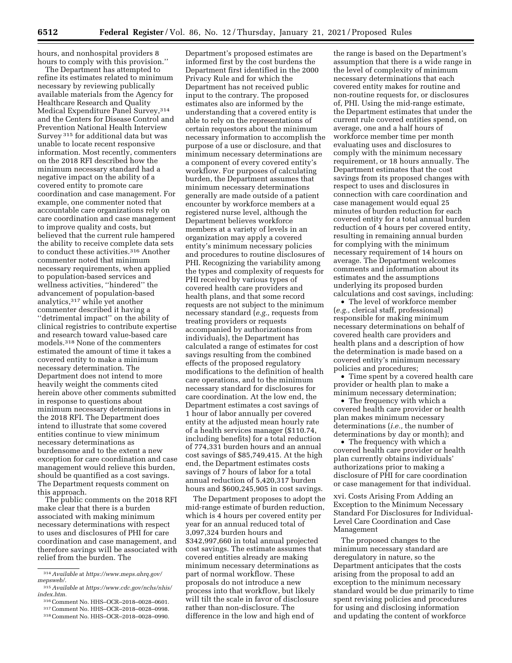Department's proposed estimates are

hours, and nonhospital providers 8 hours to comply with this provision.''

The Department has attempted to refine its estimates related to minimum necessary by reviewing publically available materials from the Agency for Healthcare Research and Quality Medical Expenditure Panel Survey, 314 and the Centers for Disease Control and Prevention National Health Interview Survey 315 for additional data but was unable to locate recent responsive information. Most recently, commenters on the 2018 RFI described how the minimum necessary standard had a negative impact on the ability of a covered entity to promote care coordination and case management. For example, one commenter noted that accountable care organizations rely on care coordination and case management to improve quality and costs, but believed that the current rule hampered the ability to receive complete data sets to conduct these activities.316 Another commenter noted that minimum necessary requirements, when applied to population-based services and wellness activities, ''hindered'' the advancement of population-based analytics,317 while yet another commenter described it having a ''detrimental impact'' on the ability of clinical registries to contribute expertise and research toward value-based care models.318 None of the commenters estimated the amount of time it takes a covered entity to make a minimum necessary determination. The Department does not intend to more heavily weight the comments cited herein above other comments submitted in response to questions about minimum necessary determinations in the 2018 RFI. The Department does intend to illustrate that some covered entities continue to view minimum necessary determinations as burdensome and to the extent a new exception for care coordination and case management would relieve this burden, should be quantified as a cost savings. The Department requests comment on this approach.

The public comments on the 2018 RFI make clear that there is a burden associated with making minimum necessary determinations with respect to uses and disclosures of PHI for care coordination and case management, and therefore savings will be associated with relief from the burden. The

informed first by the cost burdens the Department first identified in the 2000 Privacy Rule and for which the Department has not received public input to the contrary. The proposed estimates also are informed by the understanding that a covered entity is able to rely on the representations of certain requestors about the minimum necessary information to accomplish the purpose of a use or disclosure, and that minimum necessary determinations are a component of every covered entity's workflow. For purposes of calculating burden, the Department assumes that minimum necessary determinations generally are made outside of a patient encounter by workforce members at a registered nurse level, although the Department believes workforce members at a variety of levels in an organization may apply a covered entity's minimum necessary policies and procedures to routine disclosures of PHI. Recognizing the variability among the types and complexity of requests for PHI received by various types of covered health care providers and health plans, and that some record requests are not subject to the minimum necessary standard (*e.g.,* requests from treating providers or requests accompanied by authorizations from individuals), the Department has calculated a range of estimates for cost savings resulting from the combined effects of the proposed regulatory modifications to the definition of health care operations, and to the minimum necessary standard for disclosures for care coordination. At the low end, the Department estimates a cost savings of 1 hour of labor annually per covered entity at the adjusted mean hourly rate of a health services manager (\$110.74, including benefits) for a total reduction of 774,331 burden hours and an annual cost savings of \$85,749,415. At the high end, the Department estimates costs savings of 7 hours of labor for a total annual reduction of 5,420,317 burden hours and \$600,245,905 in cost savings.

The Department proposes to adopt the mid-range estimate of burden reduction, which is 4 hours per covered entity per year for an annual reduced total of 3,097,324 burden hours and \$342,997,660 in total annual projected cost savings. The estimate assumes that covered entities already are making minimum necessary determinations as part of normal workflow. These proposals do not introduce a new process into that workflow, but likely will tilt the scale in favor of disclosure rather than non-disclosure. The difference in the low and high end of

the range is based on the Department's assumption that there is a wide range in the level of complexity of minimum necessary determinations that each covered entity makes for routine and non-routine requests for, or disclosures of, PHI. Using the mid-range estimate, the Department estimates that under the current rule covered entities spend, on average, one and a half hours of workforce member time per month evaluating uses and disclosures to comply with the minimum necessary requirement, or 18 hours annually. The Department estimates that the cost savings from its proposed changes with respect to uses and disclosures in connection with care coordination and case management would equal 25 minutes of burden reduction for each covered entity for a total annual burden reduction of 4 hours per covered entity, resulting in remaining annual burden for complying with the minimum necessary requirement of 14 hours on average. The Department welcomes comments and information about its estimates and the assumptions underlying its proposed burden calculations and cost savings, including:

• The level of workforce member (*e.g.,* clerical staff, professional) responsible for making minimum necessary determinations on behalf of covered health care providers and health plans and a description of how the determination is made based on a covered entity's minimum necessary policies and procedures;

• Time spent by a covered health care provider or health plan to make a minimum necessary determination;

• The frequency with which a covered health care provider or health plan makes minimum necessary determinations (*i.e.,* the number of determinations by day or month); and

• The frequency with which a covered health care provider or health plan currently obtains individuals' authorizations prior to making a disclosure of PHI for care coordination or case management for that individual.

xvi. Costs Arising From Adding an Exception to the Minimum Necessary Standard For Disclosures for Individual-Level Care Coordination and Case Management

The proposed changes to the minimum necessary standard are deregulatory in nature, so the Department anticipates that the costs arising from the proposal to add an exception to the minimum necessary standard would be due primarily to time spent revising policies and procedures for using and disclosing information and updating the content of workforce

<sup>314</sup>*Available* at *[https://www.meps.ahrq.gov/](https://www.meps.ahrq.gov/mepsweb/)  [mepsweb/.](https://www.meps.ahrq.gov/mepsweb/)* 

<sup>315</sup>*Available* at *[https://www.cdc.gov/nchs/nhis/](https://www.cdc.gov/nchs/nhis/index.htm)  [index.htm.](https://www.cdc.gov/nchs/nhis/index.htm)* 

<sup>317</sup> Comment No. HHS–OCR–2018–0028–0998.<br>318 Comment No. HHS–OCR–2018–0028–0990.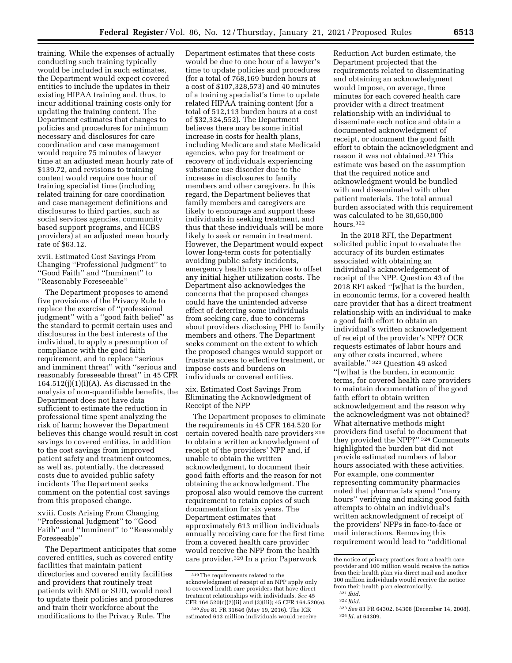training. While the expenses of actually conducting such training typically would be included in such estimates, the Department would expect covered entities to include the updates in their existing HIPAA training and, thus, to incur additional training costs only for updating the training content. The Department estimates that changes to policies and procedures for minimum necessary and disclosures for care coordination and case management would require 75 minutes of lawyer time at an adjusted mean hourly rate of \$139.72, and revisions to training content would require one hour of training specialist time (including related training for care coordination and case management definitions and disclosures to third parties, such as social services agencies, community based support programs, and HCBS providers) at an adjusted mean hourly rate of \$63.12.

xvii. Estimated Cost Savings From Changing ''Professional Judgment'' to ''Good Faith'' and ''Imminent'' to ''Reasonably Foreseeable''

The Department proposes to amend five provisions of the Privacy Rule to replace the exercise of ''professional judgment'' with a ''good faith belief'' as the standard to permit certain uses and disclosures in the best interests of the individual, to apply a presumption of compliance with the good faith requirement, and to replace ''serious and imminent threat'' with ''serious and reasonably foreseeable threat'' in 45 CFR  $164.512(j)(1)(i)(A)$ . As discussed in the analysis of non-quantifiable benefits, the Department does not have data sufficient to estimate the reduction in professional time spent analyzing the risk of harm; however the Department believes this change would result in cost savings to covered entities, in addition to the cost savings from improved patient safety and treatment outcomes, as well as, potentially, the decreased costs due to avoided public safety incidents The Department seeks comment on the potential cost savings from this proposed change.

xviii. Costs Arising From Changing ''Professional Judgment'' to ''Good Faith'' and ''Imminent'' to ''Reasonably Foreseeable''

The Department anticipates that some covered entities, such as covered entity facilities that maintain patient directories and covered entity facilities and providers that routinely treat patients with SMI or SUD, would need to update their policies and procedures and train their workforce about the modifications to the Privacy Rule. The

Department estimates that these costs would be due to one hour of a lawyer's time to update policies and procedures (for a total of 768,169 burden hours at a cost of \$107,328,573) and 40 minutes of a training specialist's time to update related HIPAA training content (for a total of 512,113 burden hours at a cost of \$32,324,552). The Department believes there may be some initial increase in costs for health plans, including Medicare and state Medicaid agencies, who pay for treatment or recovery of individuals experiencing substance use disorder due to the increase in disclosures to family members and other caregivers. In this regard, the Department believes that family members and caregivers are likely to encourage and support these individuals in seeking treatment, and thus that these individuals will be more likely to seek or remain in treatment. However, the Department would expect lower long-term costs for potentially avoiding public safety incidents, emergency health care services to offset any initial higher utilization costs. The Department also acknowledges the concerns that the proposed changes could have the unintended adverse effect of deterring some individuals from seeking care, due to concerns about providers disclosing PHI to family members and others. The Department seeks comment on the extent to which the proposed changes would support or frustrate access to effective treatment, or impose costs and burdens on individuals or covered entities.

xix. Estimated Cost Savings From Eliminating the Acknowledgment of Receipt of the NPP

The Department proposes to eliminate the requirements in 45 CFR 164.520 for certain covered health care providers 319 to obtain a written acknowledgment of receipt of the providers' NPP and, if unable to obtain the written acknowledgment, to document their good faith efforts and the reason for not obtaining the acknowledgment. The proposal also would remove the current requirement to retain copies of such documentation for six years. The Department estimates that approximately 613 million individuals annually receiving care for the first time from a covered health care provider would receive the NPP from the health care provider.320 In a prior Paperwork

Reduction Act burden estimate, the Department projected that the requirements related to disseminating and obtaining an acknowledgment would impose, on average, three minutes for each covered health care provider with a direct treatment relationship with an individual to disseminate each notice and obtain a documented acknowledgment of receipt, or document the good faith effort to obtain the acknowledgment and reason it was not obtained.321 This estimate was based on the assumption that the required notice and acknowledgment would be bundled with and disseminated with other patient materials. The total annual burden associated with this requirement was calculated to be 30,650,000 hours.322

In the 2018 RFI, the Department solicited public input to evaluate the accuracy of its burden estimates associated with obtaining an individual's acknowledgement of receipt of the NPP. Question 43 of the 2018 RFI asked ''[w]hat is the burden, in economic terms, for a covered health care provider that has a direct treatment relationship with an individual to make a good faith effort to obtain an individual's written acknowledgement of receipt of the provider's NPP? OCR requests estimates of labor hours and any other costs incurred, where available.'' 323 Question 49 asked ''[w]hat is the burden, in economic terms, for covered health care providers to maintain documentation of the good faith effort to obtain written acknowledgement and the reason why the acknowledgment was not obtained? What alternative methods might providers find useful to document that they provided the NPP?'' 324 Comments highlighted the burden but did not provide estimated numbers of labor hours associated with these activities. For example, one commenter representing community pharmacies noted that pharmacists spend ''many hours'' verifying and making good faith attempts to obtain an individual's written acknowledgment of receipt of the providers' NPPs in face-to-face or mail interactions. Removing this requirement would lead to ''additional

322 *Ibid.* 

<sup>319</sup>The requirements related to the acknowledgment of receipt of an NPP apply only to covered health care providers that have direct treatment relationships with individuals. *See* 45 CFR 164.520(c)(2)(ii) and (3)(iii); 45 CFR 164.520(e).

<sup>320</sup>*See* 81 FR 31646 (May 19, 2016). The ICR estimated 613 million individuals would receive

the notice of privacy practices from a health care provider and 100 million would receive the notice from their health plan via direct mail and another 100 million individuals would receive the notice from their health plan electronically.

<sup>321</sup> *Ibid.* 

<sup>323</sup>*See* 83 FR 64302, 64308 (December 14, 2008). 324 *Id.* at 64309.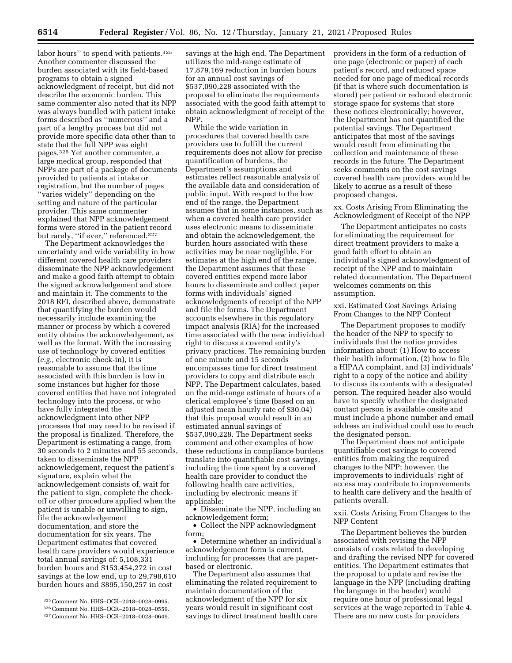labor hours" to spend with patients.<sup>325</sup> Another commenter discussed the burden associated with its field-based programs to obtain a signed acknowledgment of receipt, but did not describe the economic burden. This same commenter also noted that its NPP was always bundled with patient intake forms described as ''numerous'' and a part of a lengthy process but did not provide more specific data other than to state that the full NPP was eight pages.326 Yet another commenter, a large medical group, responded that NPPs are part of a package of documents provided to patients at intake or registration, but the number of pages ''varies widely'' depending on the setting and nature of the particular provider. This same commenter explained that NPP acknowledgement forms were stored in the patient record but rarely, "if ever," referenced.<sup>327</sup>

The Department acknowledges the uncertainty and wide variability in how different covered health care providers disseminate the NPP acknowledgement and make a good faith attempt to obtain the signed acknowledgement and store and maintain it. The comments to the 2018 RFI, described above, demonstrate that quantifying the burden would necessarily include examining the manner or process by which a covered entity obtains the acknowledgement, as well as the format. With the increasing use of technology by covered entities (*e.g.,* electronic check-in), it is reasonable to assume that the time associated with this burden is low in some instances but higher for those covered entities that have not integrated technology into the process, or who have fully integrated the acknowledgment into other NPP processes that may need to be revised if the proposal is finalized. Therefore, the Department is estimating a range, from 30 seconds to 2 minutes and 55 seconds, taken to disseminate the NPP acknowledgement, request the patient's signature, explain what the acknowledgement consists of, wait for the patient to sign, complete the checkoff or other procedure applied when the patient is unable or unwilling to sign, file the acknowledgement documentation, and store the documentation for six years. The Department estimates that covered health care providers would experience total annual savings of: 5,108,331 burden hours and \$153,454,272 in cost savings at the low end, up to 29,798,610 burden hours and \$895,150,257 in cost

savings at the high end. The Department utilizes the mid-range estimate of 17,879,169 reduction in burden hours for an annual cost savings of \$537,090,228 associated with the proposal to eliminate the requirements associated with the good faith attempt to obtain acknowledgment of receipt of the NPP.

While the wide variation in procedures that covered health care providers use to fulfill the current requirements does not allow for precise quantification of burdens, the Department's assumptions and estimates reflect reasonable analysis of the available data and consideration of public input. With respect to the low end of the range, the Department assumes that in some instances, such as when a covered health care provider uses electronic means to disseminate and obtain the acknowledgement, the burden hours associated with these activities may be near negligible. For estimates at the high end of the range, the Department assumes that these covered entities expend more labor hours to disseminate and collect paper forms with individuals' signed acknowledgments of receipt of the NPP and file the forms. The Department accounts elsewhere in this regulatory impact analysis (RIA) for the increased time associated with the new individual right to discuss a covered entity's privacy practices. The remaining burden of one minute and 15 seconds encompasses time for direct treatment providers to copy and distribute each NPP. The Department calculates, based on the mid-range estimate of hours of a clerical employee's time (based on an adjusted mean hourly rate of \$30.04) that this proposal would result in an estimated annual savings of \$537,090,228. The Department seeks comment and other examples of how these reductions in compliance burdens translate into quantifiable cost savings, including the time spent by a covered health care provider to conduct the following health care activities, including by electronic means if applicable:

• Disseminate the NPP, including an acknowledgement form;

• Collect the NPP acknowledgment form;

• Determine whether an individual's acknowledgement form is current, including for processes that are paperbased or electronic.

The Department also assumes that eliminating the related requirement to maintain documentation of the acknowledgment of the NPP for six years would result in significant cost savings to direct treatment health care providers in the form of a reduction of one page (electronic or paper) of each patient's record, and reduced space needed for one page of medical records (if that is where such documentation is stored) per patient or reduced electronic storage space for systems that store these notices electronically; however, the Department has not quantified the potential savings. The Department anticipates that most of the savings would result from eliminating the collection and maintenance of these records in the future. The Department seeks comments on the cost savings covered health care providers would be likely to accrue as a result of these proposed changes.

xx. Costs Arising From Eliminating the Acknowledgment of Receipt of the NPP

The Department anticipates no costs for eliminating the requirement for direct treatment providers to make a good faith effort to obtain an individual's signed acknowledgment of receipt of the NPP and to maintain related documentation. The Department welcomes comments on this assumption.

xxi. Estimated Cost Savings Arising From Changes to the NPP Content

The Department proposes to modify the header of the NPP to specify to individuals that the notice provides information about: (1) How to access their health information, (2) how to file a HIPAA complaint, and (3) individuals' right to a copy of the notice and ability to discuss its contents with a designated person. The required header also would have to specify whether the designated contact person is available onsite and must include a phone number and email address an individual could use to reach the designated person.

The Department does not anticipate quantifiable cost savings to covered entities from making the required changes to the NPP; however, the improvements to individuals' right of access may contribute to improvements to health care delivery and the health of patients overall.

xxii. Costs Arising From Changes to the NPP Content

The Department believes the burden associated with revising the NPP consists of costs related to developing and drafting the revised NPP for covered entities. The Department estimates that the proposal to update and revise the language in the NPP (including drafting the language in the header) would require one hour of professional legal services at the wage reported in Table 4. There are no new costs for providers

<sup>325</sup>Comment No. HHS–OCR–2018–0028–0995.

<sup>326</sup>Comment No. HHS–OCR–2018–0028–0559.

<sup>327</sup>Comment No. HHS–OCR–2018–0028–0649.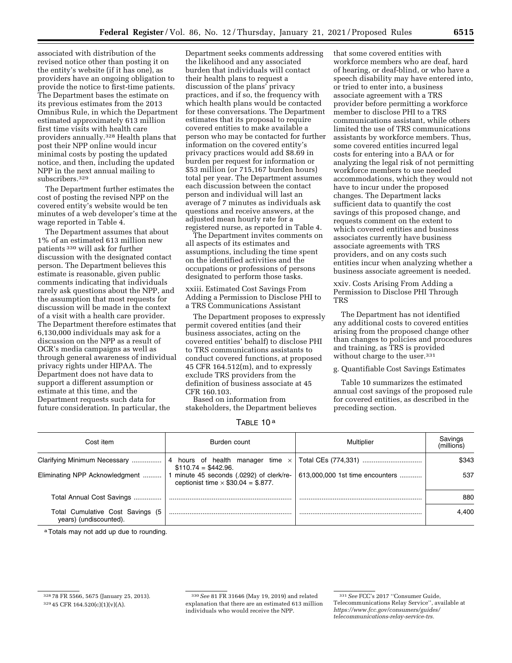associated with distribution of the revised notice other than posting it on the entity's website (if it has one), as providers have an ongoing obligation to provide the notice to first-time patients. The Department bases the estimate on its previous estimates from the 2013 Omnibus Rule, in which the Department estimated approximately 613 million first time visits with health care providers annually.328 Health plans that post their NPP online would incur minimal costs by posting the updated notice, and then, including the updated NPP in the next annual mailing to subscribers.329

The Department further estimates the cost of posting the revised NPP on the covered entity's website would be ten minutes of a web developer's time at the wage reported in Table 4.

The Department assumes that about 1% of an estimated 613 million new patients 330 will ask for further discussion with the designated contact person. The Department believes this estimate is reasonable, given public comments indicating that individuals rarely ask questions about the NPP, and the assumption that most requests for discussion will be made in the context of a visit with a health care provider. The Department therefore estimates that 6,130,000 individuals may ask for a discussion on the NPP as a result of OCR's media campaigns as well as through general awareness of individual privacy rights under HIPAA. The Department does not have data to support a different assumption or estimate at this time, and the Department requests such data for future consideration. In particular, the

Department seeks comments addressing the likelihood and any associated burden that individuals will contact their health plans to request a discussion of the plans' privacy practices, and if so, the frequency with which health plans would be contacted for these conversations. The Department estimates that its proposal to require covered entities to make available a person who may be contacted for further information on the covered entity's privacy practices would add \$8.69 in burden per request for information or \$53 million (or 715,167 burden hours) total per year. The Department assumes each discussion between the contact person and individual will last an average of 7 minutes as individuals ask questions and receive answers, at the adjusted mean hourly rate for a registered nurse, as reported in Table 4.

The Department invites comments on all aspects of its estimates and assumptions, including the time spent on the identified activities and the occupations or professions of persons designated to perform those tasks.

xxiii. Estimated Cost Savings From Adding a Permission to Disclose PHI to a TRS Communications Assistant

The Department proposes to expressly permit covered entities (and their business associates, acting on the covered entities' behalf) to disclose PHI to TRS communications assistants to conduct covered functions, at proposed 45 CFR 164.512(m), and to expressly exclude TRS providers from the definition of business associate at 45 CFR 160.103.

Based on information from stakeholders, the Department believes

TABLE 10 a

| Cost item                                                  | Burden count                                                                           | Multiplier                      | Savings<br>(millions) |
|------------------------------------------------------------|----------------------------------------------------------------------------------------|---------------------------------|-----------------------|
| Clarifying Minimum Necessary                               | 4 hours of health manager time $\times$<br>$$110.74 = $442.96.$                        |                                 | \$343                 |
| Eliminating NPP Acknowledgment                             | 1 minute 45 seconds (.0292) of clerk/re-<br>ceptionist time $\times$ \$30.04 = \$.877. | 613,000,000 1st time encounters | 537                   |
| Total Annual Cost Savings                                  |                                                                                        |                                 | 880                   |
| Total Cumulative Cost Savings (5<br>years) (undiscounted). |                                                                                        |                                 | 4.400                 |

a Totals may not add up due to rounding.

that some covered entities with

xxiv. Costs Arising From Adding a Permission to Disclose PHI Through TRS

The Department has not identified any additional costs to covered entities arising from the proposed change other than changes to policies and procedures and training, as TRS is provided without charge to the user.<sup>331</sup>

g. Quantifiable Cost Savings Estimates

Table 10 summarizes the estimated annual cost savings of the proposed rule for covered entities, as described in the preceding section.

<sup>328</sup> 78 FR 5566, 5675 (January 25, 2013).

<sup>329</sup> 45 CFR 164.520(c)(1)(v)(A).

<sup>330</sup>*See* 81 FR 31646 (May 19, 2019) and related explanation that there are an estimated 613 million individuals who would receive the NPP.

workforce members who are deaf, hard of hearing, or deaf-blind, or who have a speech disability may have entered into, or tried to enter into, a business associate agreement with a TRS provider before permitting a workforce member to disclose PHI to a TRS communications assistant, while others limited the use of TRS communications assistants by workforce members. Thus, some covered entities incurred legal costs for entering into a BAA or for analyzing the legal risk of not permitting workforce members to use needed accommodations, which they would not have to incur under the proposed changes. The Department lacks sufficient data to quantify the cost savings of this proposed change, and requests comment on the extent to which covered entities and business associates currently have business associate agreements with TRS providers, and on any costs such entities incur when analyzing whether a business associate agreement is needed.

<sup>331</sup>*See* FCC's 2017 ''Consumer Guide, Telecommunications Relay Service'', available at *[https://www.fcc.gov/consumers/guides/](https://www.fcc.gov/consumers/guides/telecommunications-relay-service-trs)  [telecommunications-relay-service-trs.](https://www.fcc.gov/consumers/guides/telecommunications-relay-service-trs)*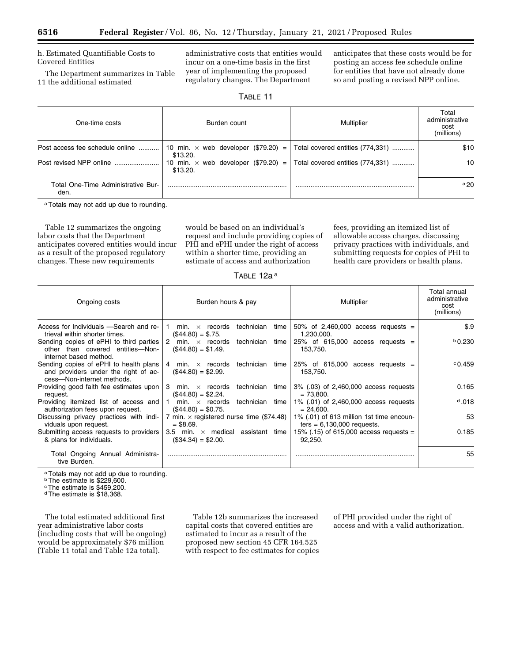h. Estimated Quantifiable Costs to Covered Entities

The Department summarizes in Table 11 the additional estimated

administrative costs that entities would incur on a one-time basis in the first year of implementing the proposed regulatory changes. The Department

anticipates that these costs would be for posting an access fee schedule online for entities that have not already done so and posting a revised NPP online.

|  | 21<br>\HI |  |  |
|--|-----------|--|--|
|  |           |  |  |

| One-time costs                             | Burden count | Multiplier                                                                  | Total<br>administrative<br>cost<br>(millions) |
|--------------------------------------------|--------------|-----------------------------------------------------------------------------|-----------------------------------------------|
| Post access fee schedule online            | \$13.20.     | 10 min. $\times$ web developer (\$79.20) = Total covered entities (774,331) | \$10                                          |
| Post revised NPP online                    | \$13.20.     | 10 min. $\times$ web developer (\$79.20) = Total covered entities (774,331) | 10                                            |
| Total One-Time Administrative Bur-<br>den. |              |                                                                             | $a_{20}$                                      |

aTotals may not add up due to rounding.

Table 12 summarizes the ongoing labor costs that the Department anticipates covered entities would incur as a result of the proposed regulatory changes. These new requirements

would be based on an individual's request and include providing copies of PHI and ePHI under the right of access within a shorter time, providing an estimate of access and authorization

fees, providing an itemized list of allowable access charges, discussing privacy practices with individuals, and submitting requests for copies of PHI to health care providers or health plans.

TABLE 12a a

| Ongoing costs                                                                                                | Burden hours & pay                                                   | Multiplier                                                                           | Total annual<br>administrative<br>cost<br>(millions) |
|--------------------------------------------------------------------------------------------------------------|----------------------------------------------------------------------|--------------------------------------------------------------------------------------|------------------------------------------------------|
| Access for Individuals -Search and re-<br>trieval within shorter times.                                      | technician<br>$min. \times$ records<br>time<br>$($44.80) = $.75.$    | 50% of 2,460,000 access requests $=$<br>1,230,000.                                   | \$.9                                                 |
| Sending copies of ePHI to third parties<br>other than covered entities—Non-<br>internet based method.        | 2<br>min. $\times$ records<br>technician time<br>$($44.80) = $1.49.$ | 25% of 615,000 access requests =<br>153,750.                                         | $b$ 0.230                                            |
| Sending copies of ePHI to health plans<br>and providers under the right of ac-<br>cess-Non-internet methods. | $($44.80) = $2.99.$                                                  | 4 min. $\times$ records technician time 25% of 615,000 access requests =<br>153,750. | $^{\circ}$ 0.459                                     |
| Providing good faith fee estimates upon<br>request.                                                          | 3 min. $\times$ records<br>technician<br>time<br>$($44.80) = $2.24.$ | 3% (.03) of 2,460,000 access requests<br>$= 73.800.$                                 | 0.165                                                |
| Providing itemized list of access and<br>authorization fees upon request.                                    | 1 min. $\times$ records<br>technician time<br>$($44.80) = $0.75.$    | 1% (.01) of 2,460,000 access requests<br>$= 24.600.$                                 | 0.018                                                |
| Discussing privacy practices with indi-<br>viduals upon request.                                             | 7 min. $\times$ registered nurse time (\$74.48)<br>$=$ \$8.69.       | 1% (.01) of 613 million 1st time encoun-<br>ters = $6,130,000$ requests.             | 53                                                   |
| Submitting access requests to providers<br>& plans for individuals.                                          | 3.5 min. $\times$ medical assistant time<br>$($34.34) = $2.00.$      | 15% (.15) of 615,000 access requests =<br>92,250.                                    | 0.185                                                |
| Total Ongoing Annual Administra-<br>tive Burden.                                                             |                                                                      |                                                                                      | 55                                                   |

a Totals may not add up due to rounding.

**b** The estimate is \$229,600.

cThe estimate is \$459,200.

dThe estimate is \$18,368.

The total estimated additional first year administrative labor costs (including costs that will be ongoing) would be approximately \$76 million (Table 11 total and Table 12a total).

Table 12b summarizes the increased capital costs that covered entities are estimated to incur as a result of the proposed new section 45 CFR 164.525 with respect to fee estimates for copies

of PHI provided under the right of access and with a valid authorization.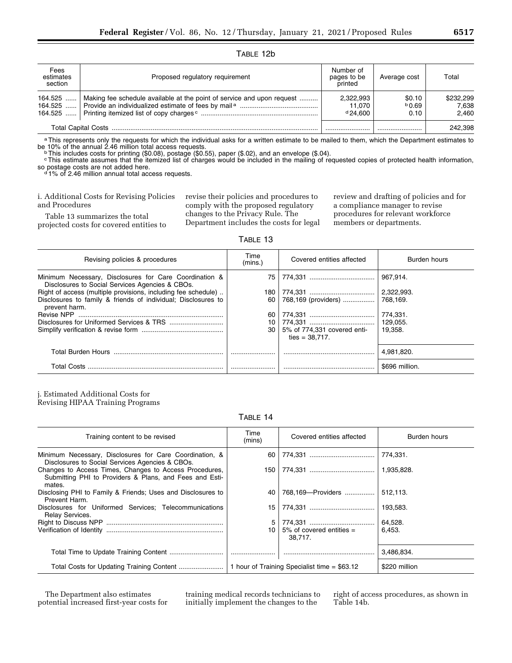TABLE 12b

| Fees<br>estimates<br>section | Proposed regulatory requirement                                        | Number of<br>pages to be<br>printed | Average cost            | Total                       |
|------------------------------|------------------------------------------------------------------------|-------------------------------------|-------------------------|-----------------------------|
| 164.525<br>164.525           | Making fee schedule available at the point of service and upon request | 2,322,993<br>11.070<br>$d$ 24.600   | \$0.10<br>b0.69<br>0.10 | \$232,299<br>7.638<br>2.460 |
|                              |                                                                        |                                     |                         | 242.398                     |

a This represents only the requests for which the individual asks for a written estimate to be mailed to them, which the Department estimates to be 10% of the annual 2.46 million total access requests.<br><sup>b</sup>This includes costs for printing (\$0.08), postage (\$0.55), paper (\$.02), and an envelope (\$.04).

cThis estimate assumes that the itemized list of charges would be included in the mailing of requested copies of protected health information, so postage costs are not added here.<br> $d$  1% of 2.46 million annual total access requests.

i. Additional Costs for Revising Policies and Procedures

Table 13 summarizes the total projected costs for covered entities to revise their policies and procedures to comply with the proposed regulatory changes to the Privacy Rule. The Department includes the costs for legal review and drafting of policies and for a compliance manager to revise procedures for relevant workforce members or departments.

TABLE 13

| Revising policies & procedures                                                                            | Time<br>(mins.) | Covered entities affected                        | Burden hours   |
|-----------------------------------------------------------------------------------------------------------|-----------------|--------------------------------------------------|----------------|
| Minimum Necessary, Disclosures for Care Coordination &<br>Disclosures to Social Services Agencies & CBOs. | 75              |                                                  | 967.914.       |
| Right of access (multiple provisions, including fee schedule)                                             |                 |                                                  | 2,322,993.     |
| Disclosures to family & friends of individual; Disclosures to<br>prevent harm.                            | 60              | 768,169 (providers)                              | 768.169.       |
|                                                                                                           | 60              |                                                  | 774,331.       |
|                                                                                                           | 10              |                                                  | 129.055.       |
|                                                                                                           | 30              | 5% of 774,331 covered enti-<br>ties = $38.717$ . | 19.358.        |
| Total Burden Hours                                                                                        |                 |                                                  | 4.981.820.     |
| <b>Total Costs</b>                                                                                        |                 |                                                  | \$696 million. |

j. Estimated Additional Costs for Revising HIPAA Training Programs

TABLE 14

| Training content to be revised                                                                                              | Time<br>(mins)                               | Covered entities affected              | Burden hours  |
|-----------------------------------------------------------------------------------------------------------------------------|----------------------------------------------|----------------------------------------|---------------|
| Minimum Necessary, Disclosures for Care Coordination, &<br>Disclosures to Social Services Agencies & CBOs.                  | 60                                           |                                        | 774.331.      |
| Changes to Access Times, Changes to Access Procedures,<br>Submitting PHI to Providers & Plans, and Fees and Esti-<br>mates. |                                              |                                        | 1,935,828.    |
| Disclosing PHI to Family & Friends; Uses and Disclosures to<br>Prevent Harm.                                                | 40                                           | 768,169-Providers                      | 512,113.      |
| Disclosures for Uniformed Services; Telecommunications<br>Relay Services.                                                   | 15 <sub>1</sub>                              |                                        | 193.583.      |
|                                                                                                                             | 5                                            |                                        | 64.528.       |
|                                                                                                                             | 10 <sup>1</sup>                              | $5\%$ of covered entities =<br>38.717. | 6.453.        |
|                                                                                                                             |                                              |                                        | 3,486,834.    |
|                                                                                                                             | 1 hour of Training Specialist time = \$63.12 |                                        | \$220 million |

The Department also estimates potential increased first-year costs for training medical records technicians to initially implement the changes to the

right of access procedures, as shown in Table 14b.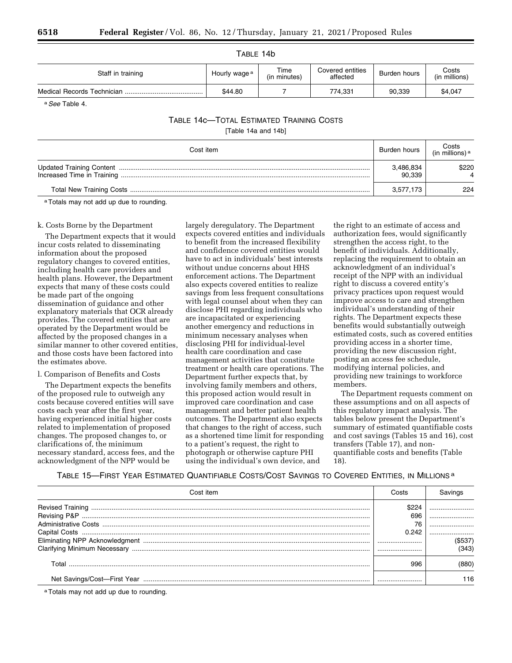| Staff in training | Hourly wage <sup>a</sup> | Time<br>(in minutes) | Covered entities<br>affected | Burden hours | Costs<br>(in millions) |
|-------------------|--------------------------|----------------------|------------------------------|--------------|------------------------|
|                   | \$44.80                  |                      | 774.331                      | 90.339       | \$4.047                |

a*See* Table 4.

# TABLE 14c—TOTAL ESTIMATED TRAINING COSTS

[Table 14a and 14b]

| Cost item | Burden hours        | ∣ Costs<br>(in millions) <sup>a</sup> |
|-----------|---------------------|---------------------------------------|
|           | 3,486,834<br>90.339 | \$220                                 |
|           | 3.577.173           | 224                                   |

aTotals may not add up due to rounding.

# k. Costs Borne by the Department

The Department expects that it would incur costs related to disseminating information about the proposed regulatory changes to covered entities, including health care providers and health plans. However, the Department expects that many of these costs could be made part of the ongoing dissemination of guidance and other explanatory materials that OCR already provides. The covered entities that are operated by the Department would be affected by the proposed changes in a similar manner to other covered entities, and those costs have been factored into the estimates above.

#### l. Comparison of Benefits and Costs

The Department expects the benefits of the proposed rule to outweigh any costs because covered entities will save costs each year after the first year, having experienced initial higher costs related to implementation of proposed changes. The proposed changes to, or clarifications of, the minimum necessary standard, access fees, and the acknowledgment of the NPP would be

largely deregulatory. The Department expects covered entities and individuals to benefit from the increased flexibility and confidence covered entities would have to act in individuals' best interests without undue concerns about HHS enforcement actions. The Department also expects covered entities to realize savings from less frequent consultations with legal counsel about when they can disclose PHI regarding individuals who are incapacitated or experiencing another emergency and reductions in minimum necessary analyses when disclosing PHI for individual-level health care coordination and case management activities that constitute treatment or health care operations. The Department further expects that, by involving family members and others, this proposed action would result in improved care coordination and case management and better patient health outcomes. The Department also expects that changes to the right of access, such as a shortened time limit for responding to a patient's request, the right to photograph or otherwise capture PHI using the individual's own device, and

the right to an estimate of access and authorization fees, would significantly strengthen the access right, to the benefit of individuals. Additionally, replacing the requirement to obtain an acknowledgment of an individual's receipt of the NPP with an individual right to discuss a covered entity's privacy practices upon request would improve access to care and strengthen individual's understanding of their rights. The Department expects these benefits would substantially outweigh estimated costs, such as covered entities providing access in a shorter time, providing the new discussion right, posting an access fee schedule, modifying internal policies, and providing new trainings to workforce members.

The Department requests comment on these assumptions and on all aspects of this regulatory impact analysis. The tables below present the Department's summary of estimated quantifiable costs and cost savings (Tables 15 and 16), cost transfers (Table 17), and nonquantifiable costs and benefits (Table 18).

# TABLE 15—FIRST YEAR ESTIMATED QUANTIFIABLE COSTS/COST SAVINGS TO COVERED ENTITIES, IN MILLIONS a

| Cost item                                | Costs | Savings |
|------------------------------------------|-------|---------|
|                                          |       |         |
|                                          | 696   |         |
|                                          | 76    |         |
|                                          | 0.242 |         |
|                                          |       | (\$537) |
|                                          |       | (343)   |
|                                          | 996   | (880)   |
|                                          |       | 116     |
| a Totals may not add up due to rounding. |       |         |

TABLE 14b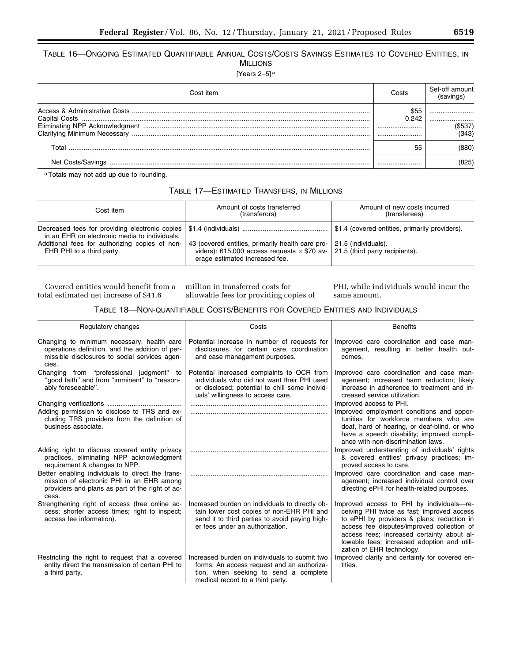TABLE 16—ONGOING ESTIMATED QUANTIFIABLE ANNUAL COSTS/COSTS SAVINGS ESTIMATES TO COVERED ENTITIES, IN MILLIONS

[Years 2–5] a

| Cost item         | Costs | Set-off amount |
|-------------------|-------|----------------|
|                   | በ 242 |                |
|                   |       | (343)          |
| Total             | 55    | 880)           |
| Net Costs/Savings |       |                |

aTotals may not add up due to rounding.

| TABLE 17—ESTIMATED TRANSFERS, IN MILLIONS |  |  |
|-------------------------------------------|--|--|
|-------------------------------------------|--|--|

| Cost item                                                                                                                    | Amount of costs transferred<br>(transferors)                                                                                             | Amount of new costs incurred<br>(transferees)                                                             |
|------------------------------------------------------------------------------------------------------------------------------|------------------------------------------------------------------------------------------------------------------------------------------|-----------------------------------------------------------------------------------------------------------|
| in an EHR on electronic media to individuals.<br>Additional fees for authorizing copies of non-<br>EHR PHI to a third party. | 43 (covered entities, primarily health care pro-<br>viders): 615,000 access requests $\times$ \$70 av-<br>erage estimated increased fee. | \$1.4 (covered entities, primarily providers).<br>21.5 (individuals).<br>  21.5 (third party recipients). |

Covered entities would benefit from a million in transferred costs for total estimated net increase of \$41.6

allowable fees for providing copies of

PHI, while individuals would incur the same amount.

# TABLE 18—NON-QUANTIFIABLE COSTS/BENEFITS FOR COVERED ENTITIES AND INDIVIDUALS

| Regulatory changes                                                                                                                                        | Costs                                                                                                                                                                             | <b>Benefits</b>                                                                                                                                                                                                                                                                                               |
|-----------------------------------------------------------------------------------------------------------------------------------------------------------|-----------------------------------------------------------------------------------------------------------------------------------------------------------------------------------|---------------------------------------------------------------------------------------------------------------------------------------------------------------------------------------------------------------------------------------------------------------------------------------------------------------|
| Changing to minimum necessary, health care<br>operations definition, and the addition of per-<br>missible disclosures to social services agen-<br>cies.   | Potential increase in number of requests for<br>disclosures for certain care coordination<br>and case management purposes.                                                        | Improved care coordination and case man-<br>agement, resulting in better health out-<br>comes.                                                                                                                                                                                                                |
| Changing from "professional judgment" to<br>"good faith" and from "imminent" to "reason-<br>ably foreseeable".                                            | Potential increased complaints to OCR from<br>individuals who did not want their PHI used<br>or disclosed; potential to chill some individ-<br>uals' willingness to access care.  | Improved care coordination and case man-<br>agement; increased harm reduction; likely<br>increase in adherence to treatment and in-<br>creased service utilization.                                                                                                                                           |
|                                                                                                                                                           |                                                                                                                                                                                   | Improved access to PHI.                                                                                                                                                                                                                                                                                       |
| Adding permission to disclose to TRS and ex-<br>cluding TRS providers from the definition of<br>business associate.                                       |                                                                                                                                                                                   | Improved employment conditions and oppor-<br>tunities for workforce members who are<br>deaf, hard of hearing, or deaf-blind, or who<br>have a speech disability; improved compli-<br>ance with non-discrimination laws.                                                                                       |
| Adding right to discuss covered entity privacy<br>practices, eliminating NPP acknowledgment<br>requirement & changes to NPP.                              |                                                                                                                                                                                   | Improved understanding of individuals' rights<br>& covered entities' privacy practices; im-<br>proved access to care.                                                                                                                                                                                         |
| Better enabling individuals to direct the trans-<br>mission of electronic PHI in an EHR among<br>providers and plans as part of the right of ac-<br>cess. |                                                                                                                                                                                   | Improved care coordination and case man-<br>agement; increased individual control over<br>directing ePHI for health-related purposes.                                                                                                                                                                         |
| Strengthening right of access (free online ac-<br>cess; shorter access times; right to inspect;<br>access fee information).                               | Increased burden on individuals to directly ob-<br>tain lower cost copies of non-EHR PHI and<br>send it to third parties to avoid paying high-<br>er fees under an authorization. | Improved access to PHI by individuals-re-<br>ceiving PHI twice as fast; improved access<br>to ePHI by providers & plans; reduction in<br>access fee disputes/improved collection of<br>access fees; increased certainty about al-<br>lowable fees; increased adoption and utili-<br>zation of EHR technology. |
| Restricting the right to request that a covered<br>entity direct the transmission of certain PHI to<br>a third party.                                     | Increased burden on individuals to submit two<br>forms: An access request and an authoriza-<br>tion, when seeking to send a complete<br>medical record to a third party.          | Improved clarity and certainty for covered en-<br>tities.                                                                                                                                                                                                                                                     |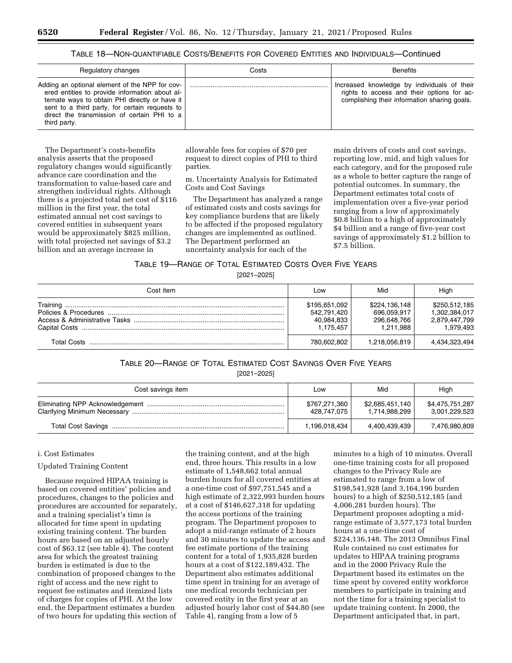# TABLE 18—NON-QUANTIFIABLE COSTS/BENEFITS FOR COVERED ENTITIES AND INDIVIDUALS—Continued

| Regulatory changes                                                                                                                                                                                                                                                  | Costs | <b>Benefits</b>                                                                                                                           |
|---------------------------------------------------------------------------------------------------------------------------------------------------------------------------------------------------------------------------------------------------------------------|-------|-------------------------------------------------------------------------------------------------------------------------------------------|
| Adding an optional element of the NPP for cov-<br>ered entities to provide information about al-<br>ternate ways to obtain PHI directly or have it<br>sent to a third party, for certain requests to<br>direct the transmission of certain PHI to a<br>third party. |       | Increased knowledge by individuals of their<br>rights to access and their options for ac-<br>complishing their information sharing goals. |

The Department's costs-benefits analysis asserts that the proposed regulatory changes would significantly advance care coordination and the transformation to value-based care and strengthen individual rights. Although there is a projected total net cost of \$116 million in the first year, the total estimated annual net cost savings to covered entities in subsequent years would be approximately \$825 million, with total projected net savings of \$3.2 billion and an average increase in

allowable fees for copies of \$70 per request to direct copies of PHI to third parties.

m. Uncertainty Analysis for Estimated Costs and Cost Savings

The Department has analyzed a range of estimated costs and costs savings for key compliance burdens that are likely to be affected if the proposed regulatory changes are implemented as outlined. The Department performed an uncertainty analysis for each of the

main drivers of costs and cost savings, reporting low, mid, and high values for each category, and for the proposed rule as a whole to better capture the range of potential outcomes. In summary, the Department estimates total costs of implementation over a five-year period ranging from a low of approximately \$0.8 billion to a high of approximately \$4 billion and a range of five-year cost savings of approximately \$1.2 billion to \$7.5 billion.

# TABLE 19—RANGE OF TOTAL ESTIMATED COSTS OVER FIVE YEARS

[2021–2025]

| Cost item | Low                                                     | Mid                                                      | High                                                         |
|-----------|---------------------------------------------------------|----------------------------------------------------------|--------------------------------------------------------------|
|           | \$195,651,092<br>542,791,420<br>40,984,833<br>1.175.457 | \$224,136,148<br>696.059.917<br>296,648,766<br>1.211.988 | \$250,512,185<br>1.302.384.017<br>2,879,447,799<br>1.979.493 |
|           | 780.602.802                                             | 1,218,056,819                                            | 4,434,323,494                                                |

# TABLE 20—RANGE OF TOTAL ESTIMATED COST SAVINGS OVER FIVE YEARS [2021–2025]

| Cost savings item | LOW                          | Mid                              | High                             |
|-------------------|------------------------------|----------------------------------|----------------------------------|
|                   | \$767,271,360<br>428,747,075 | \$2,685,451,140<br>1,714,988,299 | \$4,475,751,287<br>3,001,229,523 |
|                   | 1,196,018,434                | 4,400,439,439                    | 7,476,980,809                    |

# i. Cost Estimates

#### Updated Training Content

Because required HIPAA training is based on covered entities' policies and procedures, changes to the policies and procedures are accounted for separately, and a training specialist's time is allocated for time spent in updating existing training content. The burden hours are based on an adjusted hourly cost of \$63.12 (see table 4). The content area for which the greatest training burden is estimated is due to the combination of proposed changes to the right of access and the new right to request fee estimates and itemized lists of charges for copies of PHI. At the low end, the Department estimates a burden of two hours for updating this section of

the training content, and at the high end, three hours. This results in a low estimate of 1,548,662 total annual burden hours for all covered entities at a one-time cost of \$97,751,545 and a high estimate of 2,322,993 burden hours at a cost of \$146,627,318 for updating the access portions of the training program. The Department proposes to adopt a mid-range estimate of 2 hours and 30 minutes to update the access and fee estimate portions of the training content for a total of 1,935,828 burden hours at a cost of \$122,189,432. The Department also estimates additional time spent in training for an average of one medical records technician per covered entity in the first year at an adjusted hourly labor cost of \$44.80 (see Table 4), ranging from a low of 5

minutes to a high of 10 minutes. Overall one-time training costs for all proposed changes to the Privacy Rule are estimated to range from a low of \$198,541,928 (and 3,164,196 burden hours) to a high of \$250,512,185 (and 4,006,281 burden hours). The Department proposes adopting a midrange estimate of 3,577,173 total burden hours at a one-time cost of \$224,136,148. The 2013 Omnibus Final Rule contained no cost estimates for updates to HIPAA training programs and in the 2000 Privacy Rule the Department based its estimates on the time spent by covered entity workforce members to participate in training and not the time for a training specialist to update training content. In 2000, the Department anticipated that, in part,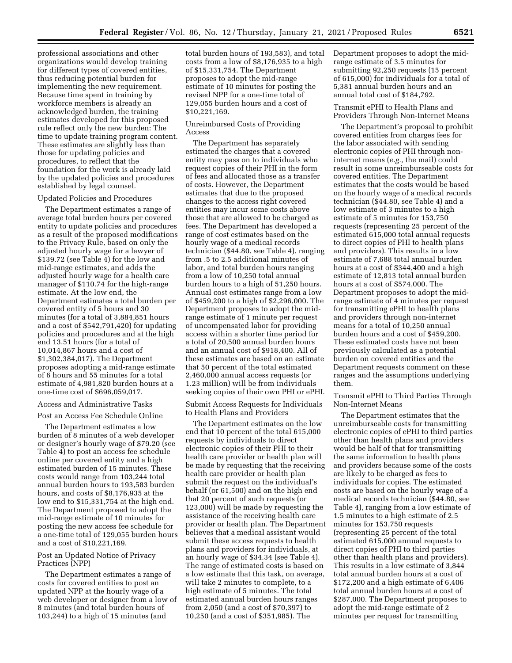professional associations and other organizations would develop training for different types of covered entities, thus reducing potential burden for implementing the new requirement. Because time spent in training by workforce members is already an acknowledged burden, the training estimates developed for this proposed rule reflect only the new burden: The time to update training program content. These estimates are slightly less than those for updating policies and procedures, to reflect that the foundation for the work is already laid by the updated policies and procedures established by legal counsel.

#### Updated Policies and Procedures

The Department estimates a range of average total burden hours per covered entity to update policies and procedures as a result of the proposed modifications to the Privacy Rule, based on only the adjusted hourly wage for a lawyer of \$139.72 (see Table 4) for the low and mid-range estimates, and adds the adjusted hourly wage for a health care manager of \$110.74 for the high-range estimate. At the low end, the Department estimates a total burden per covered entity of 5 hours and 30 minutes (for a total of 3,884,851 hours and a cost of \$542,791,420) for updating policies and procedures and at the high end 13.51 hours (for a total of 10,014,867 hours and a cost of \$1,302,384,017). The Department proposes adopting a mid-range estimate of 6 hours and 55 minutes for a total estimate of 4,981,820 burden hours at a one-time cost of \$696,059,017.

### Access and Administrative Tasks

Post an Access Fee Schedule Online

The Department estimates a low burden of 8 minutes of a web developer or designer's hourly wage of \$79.20 (see Table 4) to post an access fee schedule online per covered entity and a high estimated burden of 15 minutes. These costs would range from 103,244 total annual burden hours to 193,583 burden hours, and costs of \$8,176,935 at the low end to \$15,331,754 at the high end. The Department proposed to adopt the mid-range estimate of 10 minutes for posting the new access fee schedule for a one-time total of 129,055 burden hours and a cost of \$10,221,169.

### Post an Updated Notice of Privacy Practices (NPP)

The Department estimates a range of costs for covered entities to post an updated NPP at the hourly wage of a web developer or designer from a low of 8 minutes (and total burden hours of 103,244) to a high of 15 minutes (and

total burden hours of 193,583), and total costs from a low of \$8,176,935 to a high of \$15,331,754. The Department proposes to adopt the mid-range estimate of 10 minutes for posting the revised NPP for a one-time total of 129,055 burden hours and a cost of \$10,221,169.

# Unreimbursed Costs of Providing Access

The Department has separately estimated the charges that a covered entity may pass on to individuals who request copies of their PHI in the form of fees and allocated those as a transfer of costs. However, the Department estimates that due to the proposed changes to the access right covered entities may incur some costs above those that are allowed to be charged as fees. The Department has developed a range of cost estimates based on the hourly wage of a medical records technician (\$44.80, see Table 4), ranging from .5 to 2.5 additional minutes of labor, and total burden hours ranging from a low of 10,250 total annual burden hours to a high of 51,250 hours. Annual cost estimates range from a low of \$459,200 to a high of \$2,296,000. The Department proposes to adopt the midrange estimate of 1 minute per request of uncompensated labor for providing access within a shorter time period for a total of 20,500 annual burden hours and an annual cost of \$918,400. All of these estimates are based on an estimate that 50 percent of the total estimated 2,460,000 annual access requests (or 1.23 million) will be from individuals seeking copies of their own PHI or ePHI.

Submit Access Requests for Individuals to Health Plans and Providers

The Department estimates on the low end that 10 percent of the total 615,000 requests by individuals to direct electronic copies of their PHI to their health care provider or health plan will be made by requesting that the receiving health care provider or health plan submit the request on the individual's behalf (or 61,500) and on the high end that 20 percent of such requests (or 123,000) will be made by requesting the assistance of the receiving health care provider or health plan. The Department believes that a medical assistant would submit these access requests to health plans and providers for individuals, at an hourly wage of \$34.34 (see Table 4). The range of estimated costs is based on a low estimate that this task, on average, will take 2 minutes to complete, to a high estimate of 5 minutes. The total estimated annual burden hours ranges from 2,050 (and a cost of \$70,397) to 10,250 (and a cost of \$351,985). The

Department proposes to adopt the midrange estimate of 3.5 minutes for submitting 92,250 requests (15 percent of 615,000) for individuals for a total of 5,381 annual burden hours and an annual total cost of \$184,792.

# Transmit ePHI to Health Plans and Providers Through Non-Internet Means

The Department's proposal to prohibit covered entities from charges fees for the labor associated with sending electronic copies of PHI through noninternet means (*e.g.,* the mail) could result in some unreimburseable costs for covered entities. The Department estimates that the costs would be based on the hourly wage of a medical records technician (\$44.80, see Table 4) and a low estimate of 3 minutes to a high estimate of 5 minutes for 153,750 requests (representing 25 percent of the estimated 615,000 total annual requests to direct copies of PHI to health plans and providers). This results in a low estimate of 7,688 total annual burden hours at a cost of \$344,400 and a high estimate of 12,813 total annual burden hours at a cost of \$574,000. The Department proposes to adopt the midrange estimate of 4 minutes per request for transmitting ePHI to health plans and providers through non-internet means for a total of 10,250 annual burden hours and a cost of \$459,200. These estimated costs have not been previously calculated as a potential burden on covered entities and the Department requests comment on these ranges and the assumptions underlying them.

Transmit ePHI to Third Parties Through Non-Internet Means

The Department estimates that the unreimburseable costs for transmitting electronic copies of ePHI to third parties other than health plans and providers would be half of that for transmitting the same information to health plans and providers because some of the costs are likely to be charged as fees to individuals for copies. The estimated costs are based on the hourly wage of a medical records technician (\$44.80, see Table 4), ranging from a low estimate of 1.5 minutes to a high estimate of 2.5 minutes for 153,750 requests (representing 25 percent of the total estimated 615,000 annual requests to direct copies of PHI to third parties other than health plans and providers). This results in a low estimate of 3,844 total annual burden hours at a cost of \$172,200 and a high estimate of 6,406 total annual burden hours at a cost of \$287,000. The Department proposes to adopt the mid-range estimate of 2 minutes per request for transmitting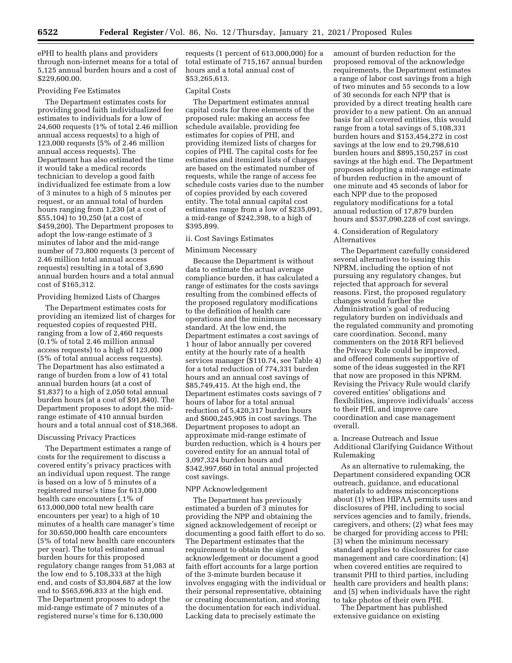ePHI to health plans and providers through non-internet means for a total of 5,125 annual burden hours and a cost of \$229,600.00.

### Providing Fee Estimates

The Department estimates costs for providing good faith individualized fee estimates to individuals for a low of 24,600 requests (1% of total 2.46 million annual access requests) to a high of 123,000 requests (5% of 2.46 million annual access requests). The Department has also estimated the time it would take a medical records technician to develop a good faith individualized fee estimate from a low of 3 minutes to a high of 5 minutes per request, or an annual total of burden hours ranging from 1,230 (at a cost of \$55,104) to 10,250 (at a cost of \$459,200). The Department proposes to adopt the low-range estimate of 3 minutes of labor and the mid-range number of 73,800 requests (3 percent of 2.46 million total annual access requests) resulting in a total of 3,690 annual burden hours and a total annual cost of \$165,312.

# Providing Itemized Lists of Charges

The Department estimates costs for providing an itemized list of charges for requested copies of requested PHI, ranging from a low of 2,460 requests (0.1% of total 2.46 million annual access requests) to a high of 123,000 (5% of total annual access requests). The Department has also estimated a range of burden from a low of 41 total annual burden hours (at a cost of \$1,837) to a high of 2,050 total annual burden hours (at a cost of \$91,840). The Department proposes to adopt the midrange estimate of 410 annual burden hours and a total annual cost of \$18,368.

# Discussing Privacy Practices

The Department estimates a range of costs for the requirement to discuss a covered entity's privacy practices with an individual upon request. The range is based on a low of 5 minutes of a registered nurse's time for 613,000 health care encounters (.1% of 613,000,000 total new health care encounters per year) to a high of 10 minutes of a health care manager's time for 30,650,000 health care encounters (5% of total new health care encounters per year). The total estimated annual burden hours for this proposed regulatory change ranges from 51,083 at the low end to 5,108,333 at the high end, and costs of \$3,804,687 at the low end to \$565,696,833 at the high end. The Department proposes to adopt the mid-range estimate of 7 minutes of a registered nurse's time for 6,130,000

requests (1 percent of 613,000,000) for a total estimate of 715,167 annual burden hours and a total annual cost of \$53,265,613.

# Capital Costs

The Department estimates annual capital costs for three elements of the proposed rule: making an access fee schedule available, providing fee estimates for copies of PHI, and providing itemized lists of charges for copies of PHI. The capital costs for fee estimates and itemized lists of charges are based on the estimated number of requests, while the range of access fee schedule costs varies due to the number of copies provided by each covered entity. The total annual capital cost estimates range from a low of \$235,091, a mid-range of \$242,398, to a high of \$395,899.

# ii. Cost Savings Estimates

#### Minimum Necessary

Because the Department is without data to estimate the actual average compliance burden, it has calculated a range of estimates for the costs savings resulting from the combined effects of the proposed regulatory modifications to the definition of health care operations and the minimum necessary standard. At the low end, the Department estimates a cost savings of 1 hour of labor annually per covered entity at the hourly rate of a health services manager (\$110.74, see Table 4) for a total reduction of 774,331 burden hours and an annual cost savings of \$85,749,415. At the high end, the Department estimates costs savings of 7 hours of labor for a total annual reduction of 5,420,317 burden hours and \$600,245,905 in cost savings. The Department proposes to adopt an approximate mid-range estimate of burden reduction, which is 4 hours per covered entity for an annual total of 3,097,324 burden hours and \$342,997,660 in total annual projected cost savings.

#### NPP Acknowledgement

The Department has previously estimated a burden of 3 minutes for providing the NPP and obtaining the signed acknowledgement of receipt or documenting a good faith effort to do so. The Department estimates that the requirement to obtain the signed acknowledgement or document a good faith effort accounts for a large portion of the 3-minute burden because it involves engaging with the individual or their personal representative, obtaining or creating documentation, and storing the documentation for each individual. Lacking data to precisely estimate the

amount of burden reduction for the proposed removal of the acknowledge requirements, the Department estimates a range of labor cost savings from a high of two minutes and 55 seconds to a low of 30 seconds for each NPP that is provided by a direct treating health care provider to a new patient. On an annual basis for all covered entities, this would range from a total savings of 5,108,331 burden hours and \$153,454,272 in cost savings at the low end to 29,798,610 burden hours and \$895,150,257 in cost savings at the high end. The Department proposes adopting a mid-range estimate of burden reduction in the amount of one minute and 45 seconds of labor for each NPP due to the proposed regulatory modifications for a total annual reduction of 17,879 burden hours and \$537,090,228 of cost savings.

# 4. Consideration of Regulatory Alternatives

The Department carefully considered several alternatives to issuing this NPRM, including the option of not pursuing any regulatory changes, but rejected that approach for several reasons. First, the proposed regulatory changes would further the Administration's goal of reducing regulatory burden on individuals and the regulated community and promoting care coordination. Second, many commenters on the 2018 RFI believed the Privacy Rule could be improved, and offered comments supportive of some of the ideas suggested in the RFI that now are proposed in this NPRM. Revising the Privacy Rule would clarify covered entities' obligations and flexibilities, improve individuals' access to their PHI, and improve care coordination and case management overall.

# a. Increase Outreach and Issue Additional Clarifying Guidance Without Rulemaking

As an alternative to rulemaking, the Department considered expanding OCR outreach, guidance, and educational materials to address misconceptions about (1) when HIPAA permits uses and disclosures of PHI, including to social services agencies and to family, friends, caregivers, and others; (2) what fees may be charged for providing access to PHI; (3) when the minimum necessary standard applies to disclosures for case management and care coordination; (4) when covered entities are required to transmit PHI to third parties, including health care providers and health plans; and (5) when individuals have the right to take photos of their own PHI.

The Department has published extensive guidance on existing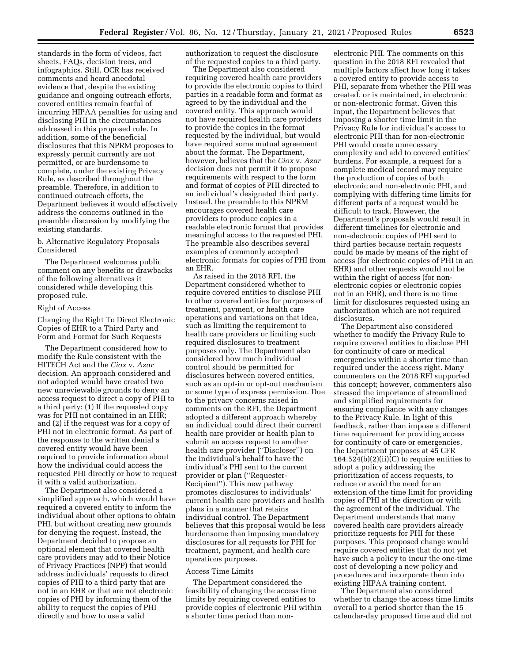standards in the form of videos, fact sheets, FAQs, decision trees, and infographics. Still, OCR has received comments and heard anecdotal evidence that, despite the existing guidance and ongoing outreach efforts, covered entities remain fearful of incurring HIPAA penalties for using and disclosing PHI in the circumstances addressed in this proposed rule. In addition, some of the beneficial disclosures that this NPRM proposes to expressly permit currently are not permitted, or are burdensome to complete, under the existing Privacy Rule, as described throughout the preamble. Therefore, in addition to continued outreach efforts, the Department believes it would effectively address the concerns outlined in the preamble discussion by modifying the existing standards.

# b. Alternative Regulatory Proposals Considered

The Department welcomes public comment on any benefits or drawbacks of the following alternatives it considered while developing this proposed rule.

#### Right of Access

Changing the Right To Direct Electronic Copies of EHR to a Third Party and Form and Format for Such Requests

The Department considered how to modify the Rule consistent with the HITECH Act and the *Ciox* v. *Azar*  decision. An approach considered and not adopted would have created two new unreviewable grounds to deny an access request to direct a copy of PHI to a third party: (1) If the requested copy was for PHI not contained in an EHR; and (2) if the request was for a copy of PHI not in electronic format. As part of the response to the written denial a covered entity would have been required to provide information about how the individual could access the requested PHI directly or how to request it with a valid authorization.

The Department also considered a simplified approach, which would have required a covered entity to inform the individual about other options to obtain PHI, but without creating new grounds for denying the request. Instead, the Department decided to propose an optional element that covered health care providers may add to their Notice of Privacy Practices (NPP) that would address individuals' requests to direct copies of PHI to a third party that are not in an EHR or that are not electronic copies of PHI by informing them of the ability to request the copies of PHI directly and how to use a valid

authorization to request the disclosure of the requested copies to a third party.

The Department also considered requiring covered health care providers to provide the electronic copies to third parties in a readable form and format as agreed to by the individual and the covered entity. This approach would not have required health care providers to provide the copies in the format requested by the individual, but would have required some mutual agreement about the format. The Department, however, believes that the *Ciox* v. *Azar*  decision does not permit it to propose requirements with respect to the form and format of copies of PHI directed to an individual's designated third party. Instead, the preamble to this NPRM encourages covered health care providers to produce copies in a readable electronic format that provides meaningful access to the requested PHI. The preamble also describes several examples of commonly accepted electronic formats for copies of PHI from an EHR.

As raised in the 2018 RFI, the Department considered whether to require covered entities to disclose PHI to other covered entities for purposes of treatment, payment, or health care operations and variations on that idea, such as limiting the requirement to health care providers or limiting such required disclosures to treatment purposes only. The Department also considered how much individual control should be permitted for disclosures between covered entities, such as an opt-in or opt-out mechanism or some type of express permission. Due to the privacy concerns raised in comments on the RFI, the Department adopted a different approach whereby an individual could direct their current health care provider or health plan to submit an access request to another health care provider (''Discloser'') on the individual's behalf to have the individual's PHI sent to the current provider or plan (''Requester-Recipient''). This new pathway promotes disclosures to individuals' current health care providers and health plans in a manner that retains individual control. The Department believes that this proposal would be less burdensome than imposing mandatory disclosures for all requests for PHI for treatment, payment, and health care operations purposes.

#### Access Time Limits

The Department considered the feasibility of changing the access time limits by requiring covered entities to provide copies of electronic PHI within a shorter time period than non-

electronic PHI. The comments on this question in the 2018 RFI revealed that multiple factors affect how long it takes a covered entity to provide access to PHI, separate from whether the PHI was created, or is maintained, in electronic or non-electronic format. Given this input, the Department believes that imposing a shorter time limit in the Privacy Rule for individual's access to electronic PHI than for non-electronic PHI would create unnecessary complexity and add to covered entities' burdens. For example, a request for a complete medical record may require the production of copies of both electronic and non-electronic PHI, and complying with differing time limits for different parts of a request would be difficult to track. However, the Department's proposals would result in different timelines for electronic and non-electronic copies of PHI sent to third parties because certain requests could be made by means of the right of access (for electronic copies of PHI in an EHR) and other requests would not be within the right of access (for nonelectronic copies or electronic copies not in an EHR), and there is no time limit for disclosures requested using an authorization which are not required disclosures.

The Department also considered whether to modify the Privacy Rule to require covered entities to disclose PHI for continuity of care or medical emergencies within a shorter time than required under the access right. Many commenters on the 2018 RFI supported this concept; however, commenters also stressed the importance of streamlined and simplified requirements for ensuring compliance with any changes to the Privacy Rule. In light of this feedback, rather than impose a different time requirement for providing access for continuity of care or emergencies, the Department proposes at 45 CFR  $164.524(b)(2)(ii)(C)$  to require entities to adopt a policy addressing the prioritization of access requests, to reduce or avoid the need for an extension of the time limit for providing copies of PHI at the direction or with the agreement of the individual. The Department understands that many covered health care providers already prioritize requests for PHI for these purposes. This proposed change would require covered entities that do not yet have such a policy to incur the one-time cost of developing a new policy and procedures and incorporate them into existing HIPAA training content.

The Department also considered whether to change the access time limits overall to a period shorter than the 15 calendar-day proposed time and did not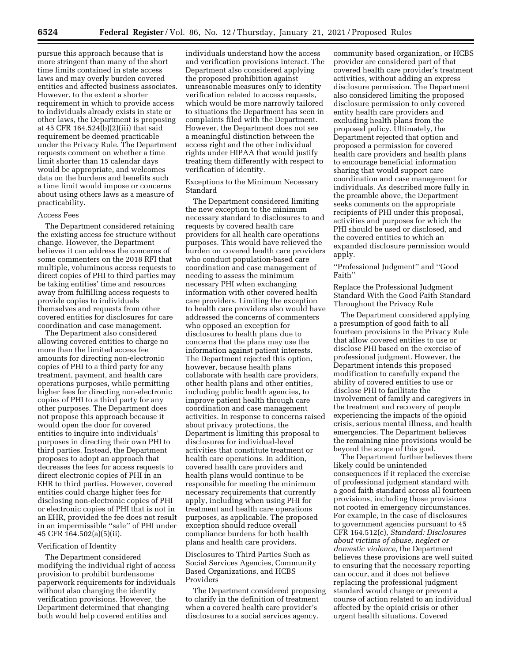pursue this approach because that is more stringent than many of the short time limits contained in state access laws and may overly burden covered entities and affected business associates. However, to the extent a shorter requirement in which to provide access to individuals already exists in state or other laws, the Department is proposing at 45 CFR 164.524(b)(2)(iii) that said requirement be deemed practicable under the Privacy Rule. The Department requests comment on whether a time limit shorter than 15 calendar days would be appropriate, and welcomes data on the burdens and benefits such a time limit would impose or concerns about using others laws as a measure of practicability.

#### Access Fees

The Department considered retaining the existing access fee structure without change. However, the Department believes it can address the concerns of some commenters on the 2018 RFI that multiple, voluminous access requests to direct copies of PHI to third parties may be taking entities' time and resources away from fulfilling access requests to provide copies to individuals themselves and requests from other covered entities for disclosures for care coordination and case management.

The Department also considered allowing covered entities to charge no more than the limited access fee amounts for directing non-electronic copies of PHI to a third party for any treatment, payment, and health care operations purposes, while permitting higher fees for directing non-electronic copies of PHI to a third party for any other purposes. The Department does not propose this approach because it would open the door for covered entities to inquire into individuals' purposes in directing their own PHI to third parties. Instead, the Department proposes to adopt an approach that decreases the fees for access requests to direct electronic copies of PHI in an EHR to third parties. However, covered entities could charge higher fees for disclosing non-electronic copies of PHI or electronic copies of PHI that is not in an EHR, provided the fee does not result in an impermissible ''sale'' of PHI under 45 CFR 164.502(a)(5)(ii).

#### Verification of Identity

The Department considered modifying the individual right of access provision to prohibit burdensome paperwork requirements for individuals without also changing the identity verification provisions. However, the Department determined that changing both would help covered entities and

individuals understand how the access and verification provisions interact. The Department also considered applying the proposed prohibition against unreasonable measures only to identity verification related to access requests, which would be more narrowly tailored to situations the Department has seen in complaints filed with the Department. However, the Department does not see a meaningful distinction between the access right and the other individual rights under HIPAA that would justify treating them differently with respect to verification of identity.

Exceptions to the Minimum Necessary Standard

The Department considered limiting the new exception to the minimum necessary standard to disclosures to and requests by covered health care providers for all health care operations purposes. This would have relieved the burden on covered health care providers who conduct population-based care coordination and case management of needing to assess the minimum necessary PHI when exchanging information with other covered health care providers. Limiting the exception to health care providers also would have addressed the concerns of commenters who opposed an exception for disclosures to health plans due to concerns that the plans may use the information against patient interests. The Department rejected this option, however, because health plans collaborate with health care providers, other health plans and other entities, including public health agencies, to improve patient health through care coordination and case management activities. In response to concerns raised about privacy protections, the Department is limiting this proposal to disclosures for individual-level activities that constitute treatment or health care operations. In addition, covered health care providers and health plans would continue to be responsible for meeting the minimum necessary requirements that currently apply, including when using PHI for treatment and health care operations purposes, as applicable. The proposed exception should reduce overall compliance burdens for both health plans and health care providers.

Disclosures to Third Parties Such as Social Services Agencies, Community Based Organizations, and HCBS Providers

The Department considered proposing to clarify in the definition of treatment when a covered health care provider's disclosures to a social services agency,

community based organization, or HCBS provider are considered part of that covered health care provider's treatment activities, without adding an express disclosure permission. The Department also considered limiting the proposed disclosure permission to only covered entity health care providers and excluding health plans from the proposed policy. Ultimately, the Department rejected that option and proposed a permission for covered health care providers and health plans to encourage beneficial information sharing that would support care coordination and case management for individuals. As described more fully in the preamble above, the Department seeks comments on the appropriate recipients of PHI under this proposal, activities and purposes for which the PHI should be used or disclosed, and the covered entities to which an expanded disclosure permission would apply.

''Professional Judgment'' and ''Good Faith''

Replace the Professional Judgment Standard With the Good Faith Standard Throughout the Privacy Rule

The Department considered applying a presumption of good faith to all fourteen provisions in the Privacy Rule that allow covered entities to use or disclose PHI based on the exercise of professional judgment. However, the Department intends this proposed modification to carefully expand the ability of covered entities to use or disclose PHI to facilitate the involvement of family and caregivers in the treatment and recovery of people experiencing the impacts of the opioid crisis, serious mental illness, and health emergencies. The Department believes the remaining nine provisions would be beyond the scope of this goal.

The Department further believes there likely could be unintended consequences if it replaced the exercise of professional judgment standard with a good faith standard across all fourteen provisions, including those provisions not rooted in emergency circumstances. For example, in the case of disclosures to government agencies pursuant to 45 CFR 164.512(c), *Standard: Disclosures about victims of abuse, neglect or domestic violence,* the Department believes these provisions are well suited to ensuring that the necessary reporting can occur, and it does not believe replacing the professional judgment standard would change or prevent a course of action related to an individual affected by the opioid crisis or other urgent health situations. Covered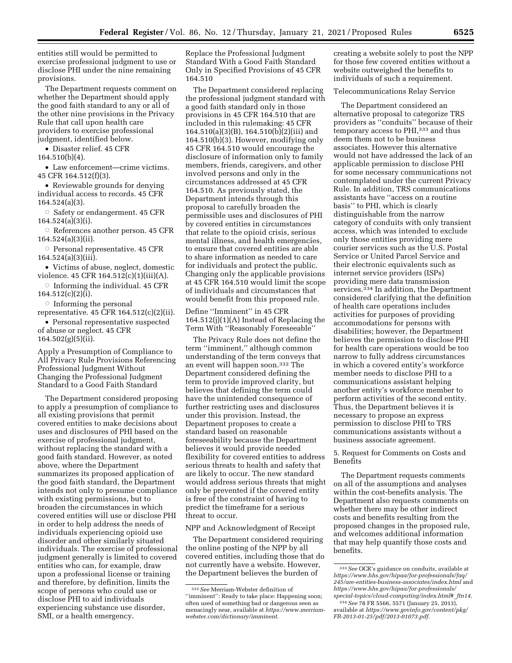entities still would be permitted to exercise professional judgment to use or disclose PHI under the nine remaining provisions.

The Department requests comment on whether the Department should apply the good faith standard to any or all of the other nine provisions in the Privacy Rule that call upon health care providers to exercise professional judgment, identified below.

• Disaster relief. 45 CFR

164.510(b)(4).

• Law enforcement—crime victims. 45 CFR 164.512(f)(3).

• Reviewable grounds for denying individual access to records. 45 CFR 164.524(a)(3).

Æ Safety or endangerment. 45 CFR 164.524(a)(3)(i).

 $\circ$  References another person. 45 CFR 164.524(a)(3)(ii).

 $\circ$  Personal representative. 45 CFR 164.524(a)(3)(iii).

• Victims of abuse, neglect, domestic violence. 45 CFR 164.512(c)(1)(iii)(A).

 $\circ$  Informing the individual. 45 CFR 164.512(c)(2)(i).

 $\circ$  Informing the personal

representative. 45 CFR 164.512(c)(2)(ii). • Personal representative suspected

of abuse or neglect. 45 CFR 164.502(g)(5)(ii).

Apply a Presumption of Compliance to All Privacy Rule Provisions Referencing Professional Judgment Without Changing the Professional Judgment Standard to a Good Faith Standard

The Department considered proposing to apply a presumption of compliance to all existing provisions that permit covered entities to make decisions about uses and disclosures of PHI based on the exercise of professional judgment, without replacing the standard with a good faith standard. However, as noted above, where the Department summarizes its proposed application of the good faith standard, the Department intends not only to presume compliance with existing permissions, but to broaden the circumstances in which covered entities will use or disclose PHI in order to help address the needs of individuals experiencing opioid use disorder and other similarly situated individuals. The exercise of professional judgment generally is limited to covered entities who can, for example, draw upon a professional license or training and therefore, by definition, limits the scope of persons who could use or disclose PHI to aid individuals experiencing substance use disorder, SMI, or a health emergency.

Replace the Professional Judgment Standard With a Good Faith Standard Only in Specified Provisions of 45 CFR 164.510

The Department considered replacing the professional judgment standard with a good faith standard only in those provisions in 45 CFR 164.510 that are included in this rulemaking: 45 CFR 164.510(a)(3)(B), 164.510(b)(2)(iii) and 164.510(b)(3). However, modifying only 45 CFR 164.510 would encourage the disclosure of information only to family members, friends, caregivers, and other involved persons and only in the circumstances addressed at 45 CFR 164.510. As previously stated, the Department intends through this proposal to carefully broaden the permissible uses and disclosures of PHI by covered entities in circumstances that relate to the opioid crisis, serious mental illness, and health emergencies, to ensure that covered entities are able to share information as needed to care for individuals and protect the public. Changing only the applicable provisions at 45 CFR 164.510 would limit the scope of individuals and circumstances that would benefit from this proposed rule.

Define ''Imminent'' in 45 CFR 164.512(j)(1)(A) Instead of Replacing the Term With ''Reasonably Foreseeable''

The Privacy Rule does not define the term ''imminent,'' although common understanding of the term conveys that an event will happen soon.332 The Department considered defining the term to provide improved clarity, but believes that defining the term could have the unintended consequence of further restricting uses and disclosures under this provision. Instead, the Department proposes to create a standard based on reasonable foreseeability because the Department believes it would provide needed flexibility for covered entities to address serious threats to health and safety that are likely to occur. The new standard would address serious threats that might only be prevented if the covered entity is free of the constraint of having to predict the timeframe for a serious threat to occur.

#### NPP and Acknowledgment of Receipt

The Department considered requiring the online posting of the NPP by all covered entities, including those that do not currently have a website. However, the Department believes the burden of

creating a website solely to post the NPP for those few covered entities without a website outweighed the benefits to individuals of such a requirement.

#### Telecommunications Relay Service

The Department considered an alternative proposal to categorize TRS providers as ''conduits'' because of their temporary access to PHI,333 and thus deem them not to be business associates. However this alternative would not have addressed the lack of an applicable permission to disclose PHI for some necessary communications not contemplated under the current Privacy Rule. In addition, TRS communications assistants have ''access on a routine basis'' to PHI, which is clearly distinguishable from the narrow category of conduits with only transient access, which was intended to exclude only those entities providing mere courier services such as the U.S. Postal Service or United Parcel Service and their electronic equivalents such as internet service providers (ISPs) providing mere data transmission services.<sup>334</sup> In addition, the Department considered clarifying that the definition of health care operations includes activities for purposes of providing accommodations for persons with disabilities; however, the Department believes the permission to disclose PHI for health care operations would be too narrow to fully address circumstances in which a covered entity's workforce member needs to disclose PHI to a communications assistant helping another entity's workforce member to perform activities of the second entity. Thus, the Department believes it is necessary to propose an express permission to disclose PHI to TRS communications assistants without a business associate agreement.

5. Request for Comments on Costs and Benefits

The Department requests comments on all of the assumptions and analyses within the cost-benefits analysis. The Department also requests comments on whether there may be other indirect costs and benefits resulting from the proposed changes in the proposed rule, and welcomes additional information that may help quantify those costs and benefits.

<sup>332</sup>*See* Merriam-Webster definition of ''imminent'': Ready to take place: Happening soon; often used of something bad or dangerous seen as menacingly near, available at *[https://www.merriam](https://www.merriam-webster.com/dictionary/imminent)[webster.com/dictionary/imminent.](https://www.merriam-webster.com/dictionary/imminent)* 

<sup>333</sup>*See* OCR's guidance on conduits, available at *[https://www.hhs.gov/hipaa/for-professionals/faq/](https://www.hhs.gov/hipaa/for-professionals/faq/245/are-entities-business-associates/index.html)  [245/are-entities-business-associates/index.html](https://www.hhs.gov/hipaa/for-professionals/faq/245/are-entities-business-associates/index.html)* and *[https://www.hhs.gov/hipaa/for-professionals/](https://www.hhs.gov/hipaa/for-professionals/special-topics/cloud-computing/index.html#_ftn14)  [special-topics/cloud-computing/index.html#](https://www.hhs.gov/hipaa/for-professionals/special-topics/cloud-computing/index.html#_ftn14)*\_*ftn14.* 

<sup>334</sup>*See* 78 FR 5566, 5571 (January 25, 2013), available at *[https://www.govinfo.gov/content/pkg/](https://www.govinfo.gov/content/pkg/FR-2013-01-25/pdf/2013-01073.pdf)  [FR-2013-01-25/pdf/2013-01073.pdf.](https://www.govinfo.gov/content/pkg/FR-2013-01-25/pdf/2013-01073.pdf)*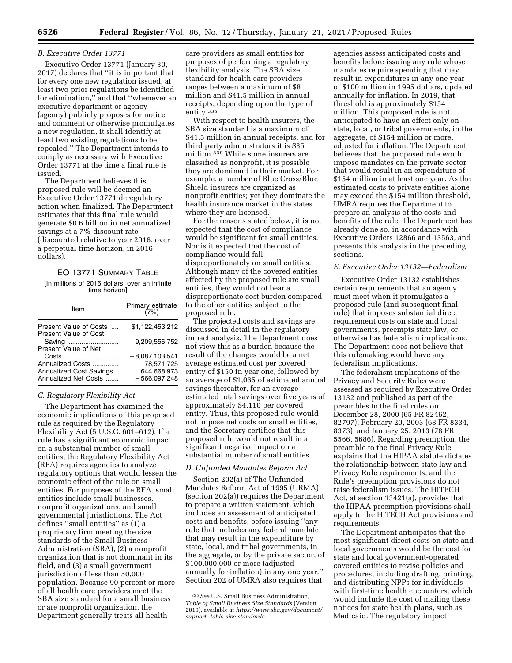### *B. Executive Order 13771*

Executive Order 13771 (January 30, 2017) declares that ''it is important that for every one new regulation issued, at least two prior regulations be identified for elimination,'' and that ''whenever an executive department or agency (agency) publicly proposes for notice and comment or otherwise promulgates a new regulation, it shall identify at least two existing regulations to be repealed.'' The Department intends to comply as necessary with Executive Order 13771 at the time a final rule is issued.

The Department believes this proposed rule will be deemed an Executive Order 13771 deregulatory action when finalized. The Department estimates that this final rule would generate \$0.6 billion in net annualized savings at a 7% discount rate (discounted relative to year 2016, over a perpetual time horizon, in 2016 dollars).

# EO 13771 SUMMARY TABLE [In millions of 2016 dollars, over an infinite time horizon]

| ltem                                                        | Primary estimate<br>(7%)                      |
|-------------------------------------------------------------|-----------------------------------------------|
| Present Value of Costs<br><b>Present Value of Cost</b>      | \$1.122.453.212                               |
| Saving<br>Present Value of Net                              | 9.209.556.752                                 |
| Costs<br>Annualized Costs<br><b>Annualized Cost Savings</b> | $-8,087,103,541$<br>78.571.725<br>644,668,973 |
| Annualized Net Costs                                        | $-566.097.248$                                |

#### *C. Regulatory Flexibility Act*

The Department has examined the economic implications of this proposed rule as required by the Regulatory Flexibility Act (5 U.S.C. 601–612). If a rule has a significant economic impact on a substantial number of small entities, the Regulatory Flexibility Act (RFA) requires agencies to analyze regulatory options that would lessen the economic effect of the rule on small entities. For purposes of the RFA, small entities include small businesses, nonprofit organizations, and small governmental jurisdictions. The Act defines ''small entities'' as (1) a proprietary firm meeting the size standards of the Small Business Administration (SBA), (2) a nonprofit organization that is not dominant in its field, and (3) a small government jurisdiction of less than 50,000 population. Because 90 percent or more of all health care providers meet the SBA size standard for a small business or are nonprofit organization, the Department generally treats all health

care providers as small entities for purposes of performing a regulatory flexibility analysis. The SBA size standard for health care providers ranges between a maximum of \$8 million and \$41.5 million in annual receipts, depending upon the type of entity.335

With respect to health insurers, the SBA size standard is a maximum of \$41.5 million in annual receipts, and for third party administrators it is \$35 million.336 While some insurers are classified as nonprofit, it is possible they are dominant in their market. For example, a number of Blue Cross/Blue Shield insurers are organized as nonprofit entities; yet they dominate the health insurance market in the states where they are licensed.

For the reasons stated below, it is not expected that the cost of compliance would be significant for small entities. Nor is it expected that the cost of compliance would fall disproportionately on small entities. Although many of the covered entities affected by the proposed rule are small entities, they would not bear a disproportionate cost burden compared to the other entities subject to the proposed rule.

The projected costs and savings are discussed in detail in the regulatory impact analysis. The Department does not view this as a burden because the result of the changes would be a net average estimated cost per covered entity of \$150 in year one, followed by an average of \$1,065 of estimated annual savings thereafter, for an average estimated total savings over five years of approximately \$4,110 per covered entity. Thus, this proposed rule would not impose net costs on small entities, and the Secretary certifies that this proposed rule would not result in a significant negative impact on a substantial number of small entities.

#### *D. Unfunded Mandates Reform Act*

Section 202(a) of The Unfunded Mandates Reform Act of 1995 (URMA) (section 202(a)) requires the Department to prepare a written statement, which includes an assessment of anticipated costs and benefits, before issuing ''any rule that includes any federal mandate that may result in the expenditure by state, local, and tribal governments, in the aggregate, or by the private sector, of \$100,000,000 or more (adjusted annually for inflation) in any one year.'' Section 202 of UMRA also requires that

agencies assess anticipated costs and benefits before issuing any rule whose mandates require spending that may result in expenditures in any one year of \$100 million in 1995 dollars, updated annually for inflation. In 2019, that threshold is approximately \$154 million. This proposed rule is not anticipated to have an effect only on state, local, or tribal governments, in the aggregate, of \$154 million or more, adjusted for inflation. The Department believes that the proposed rule would impose mandates on the private sector that would result in an expenditure of \$154 million in at least one year. As the estimated costs to private entities alone may exceed the \$154 million threshold, UMRA requires the Department to prepare an analysis of the costs and benefits of the rule. The Department has already done so, in accordance with Executive Orders 12866 and 13563, and presents this analysis in the preceding sections.

#### *E. Executive Order 13132—Federalism*

Executive Order 13132 establishes certain requirements that an agency must meet when it promulgates a proposed rule (and subsequent final rule) that imposes substantial direct requirement costs on state and local governments, preempts state law, or otherwise has federalism implications. The Department does not believe that this rulemaking would have any federalism implications.

The federalism implications of the Privacy and Security Rules were assessed as required by Executive Order 13132 and published as part of the preambles to the final rules on December 28, 2000 (65 FR 82462, 82797), February 20, 2003 (68 FR 8334, 8373), and January 25, 2013 (78 FR 5566, 5686). Regarding preemption, the preamble to the final Privacy Rule explains that the HIPAA statute dictates the relationship between state law and Privacy Rule requirements, and the Rule's preemption provisions do not raise federalism issues. The HITECH Act, at section 13421(a), provides that the HIPAA preemption provisions shall apply to the HITECH Act provisions and requirements.

The Department anticipates that the most significant direct costs on state and local governments would be the cost for state and local government-operated covered entities to revise policies and procedures, including drafting, printing, and distributing NPPs for individuals with first-time health encounters, which would include the cost of mailing these notices for state health plans, such as Medicaid. The regulatory impact

<sup>335</sup>*See* U.S. Small Business Administration, *Table of Small Business Size Standards* (Version 2019), available at *[https://www.sba.gov/document/](https://www.sba.gov/document/support--table-size-standards) [support--table-size-standards.](https://www.sba.gov/document/support--table-size-standards)*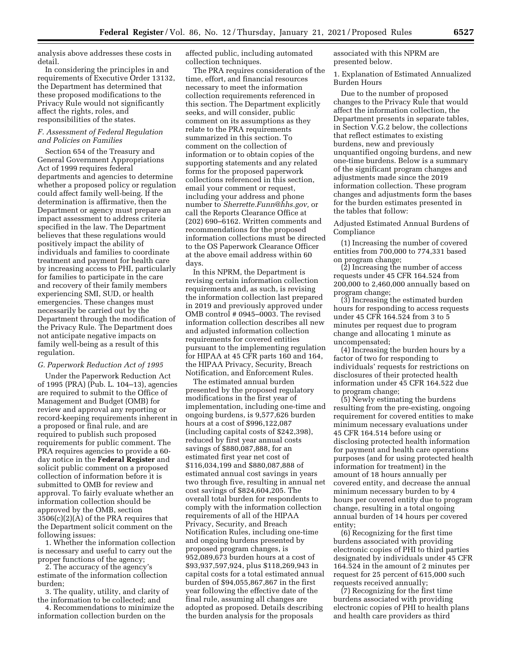analysis above addresses these costs in detail.

In considering the principles in and requirements of Executive Order 13132, the Department has determined that these proposed modifications to the Privacy Rule would not significantly affect the rights, roles, and responsibilities of the states.

### *F. Assessment of Federal Regulation and Policies on Families*

Section 654 of the Treasury and General Government Appropriations Act of 1999 requires federal departments and agencies to determine whether a proposed policy or regulation could affect family well-being. If the determination is affirmative, then the Department or agency must prepare an impact assessment to address criteria specified in the law. The Department believes that these regulations would positively impact the ability of individuals and families to coordinate treatment and payment for health care by increasing access to PHI, particularly for families to participate in the care and recovery of their family members experiencing SMI, SUD, or health emergencies. These changes must necessarily be carried out by the Department through the modification of the Privacy Rule. The Department does not anticipate negative impacts on family well-being as a result of this regulation.

#### *G. Paperwork Reduction Act of 1995*

Under the Paperwork Reduction Act of 1995 (PRA) (Pub. L. 104–13), agencies are required to submit to the Office of Management and Budget (OMB) for review and approval any reporting or record-keeping requirements inherent in a proposed or final rule, and are required to publish such proposed requirements for public comment. The PRA requires agencies to provide a 60 day notice in the **Federal Register** and solicit public comment on a proposed collection of information before it is submitted to OMB for review and approval. To fairly evaluate whether an information collection should be approved by the OMB, section 3506(c)(2)(A) of the PRA requires that the Department solicit comment on the following issues:

1. Whether the information collection is necessary and useful to carry out the proper functions of the agency;

2. The accuracy of the agency's estimate of the information collection burden;

3. The quality, utility, and clarity of the information to be collected; and

4. Recommendations to minimize the information collection burden on the

affected public, including automated collection techniques.

The PRA requires consideration of the time, effort, and financial resources necessary to meet the information collection requirements referenced in this section. The Department explicitly seeks, and will consider, public comment on its assumptions as they relate to the PRA requirements summarized in this section. To comment on the collection of information or to obtain copies of the supporting statements and any related forms for the proposed paperwork collections referenced in this section, email your comment or request, including your address and phone number to *[Sherrette.Funn@hhs.gov,](mailto:Sherrette.Funn@hhs.gov)* or call the Reports Clearance Office at (202) 690–6162. Written comments and recommendations for the proposed information collections must be directed to the OS Paperwork Clearance Officer at the above email address within 60 days.

In this NPRM, the Department is revising certain information collection requirements and, as such, is revising the information collection last prepared in 2019 and previously approved under OMB control # 0945–0003. The revised information collection describes all new and adjusted information collection requirements for covered entities pursuant to the implementing regulation for HIPAA at 45 CFR parts 160 and 164, the HIPAA Privacy, Security, Breach Notification, and Enforcement Rules.

The estimated annual burden presented by the proposed regulatory modifications in the first year of implementation, including one-time and ongoing burdens, is 9,577,626 burden hours at a cost of \$996,122,087 (including capital costs of \$242,398), reduced by first year annual costs savings of \$880,087,888, for an estimated first year net cost of \$116,034,199 and \$880,087,888 of estimated annual cost savings in years two through five, resulting in annual net cost savings of \$824,604,205. The overall total burden for respondents to comply with the information collection requirements of all of the HIPAA Privacy, Security, and Breach Notification Rules, including one-time and ongoing burdens presented by proposed program changes, is 952,089,673 burden hours at a cost of \$93,937,597,924, plus \$118,269,943 in capital costs for a total estimated annual burden of \$94,055,867,867 in the first year following the effective date of the final rule, assuming all changes are adopted as proposed. Details describing the burden analysis for the proposals

associated with this NPRM are presented below.

1. Explanation of Estimated Annualized Burden Hours

Due to the number of proposed changes to the Privacy Rule that would affect the information collection, the Department presents in separate tables, in Section V.G.2 below, the collections that reflect estimates to existing burdens, new and previously unquantified ongoing burdens, and new one-time burdens. Below is a summary of the significant program changes and adjustments made since the 2019 information collection. These program changes and adjustments form the bases for the burden estimates presented in the tables that follow:

Adjusted Estimated Annual Burdens of Compliance

(1) Increasing the number of covered entities from 700,000 to 774,331 based on program change;

(2) Increasing the number of access requests under 45 CFR 164.524 from 200,000 to 2,460,000 annually based on program change;

(3) Increasing the estimated burden hours for responding to access requests under 45 CFR 164.524 from 3 to 5 minutes per request due to program change and allocating 1 minute as uncompensated;

(4) Increasing the burden hours by a factor of two for responding to individuals' requests for restrictions on disclosures of their protected health information under 45 CFR 164.522 due to program change;

(5) Newly estimating the burdens resulting from the pre-existing, ongoing requirement for covered entities to make minimum necessary evaluations under 45 CFR 164.514 before using or disclosing protected health information for payment and health care operations purposes (and for using protected health information for treatment) in the amount of 18 hours annually per covered entity, and decrease the annual minimum necessary burden to by 4 hours per covered entity due to program change, resulting in a total ongoing annual burden of 14 hours per covered entity;

(6) Recognizing for the first time burdens associated with providing electronic copies of PHI to third parties designated by individuals under 45 CFR 164.524 in the amount of 2 minutes per request for 25 percent of 615,000 such requests received annually;

(7) Recognizing for the first time burdens associated with providing electronic copies of PHI to health plans and health care providers as third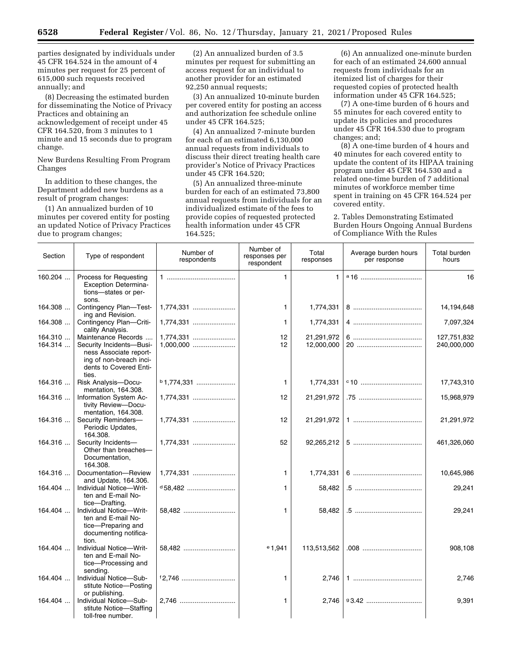parties designated by individuals under 45 CFR 164.524 in the amount of 4 minutes per request for 25 percent of 615,000 such requests received annually; and

(8) Decreasing the estimated burden for disseminating the Notice of Privacy Practices and obtaining an acknowledgement of receipt under 45 CFR 164.520, from 3 minutes to 1 minute and 15 seconds due to program change.

New Burdens Resulting From Program Changes

In addition to these changes, the Department added new burdens as a result of program changes:

(1) An annualized burden of 10 minutes per covered entity for posting an updated Notice of Privacy Practices due to program changes;

(2) An annualized burden of 3.5 minutes per request for submitting an access request for an individual to another provider for an estimated 92,250 annual requests;

(3) An annualized 10-minute burden per covered entity for posting an access and authorization fee schedule online under 45 CFR 164.525;

(4) An annualized 7-minute burden for each of an estimated 6,130,000 annual requests from individuals to discuss their direct treating health care provider's Notice of Privacy Practices under 45 CFR 164.520;

(5) An annualized three-minute burden for each of an estimated 73,800 annual requests from individuals for an individualized estimate of the fees to provide copies of requested protected health information under 45 CFR 164.525;

(6) An annualized one-minute burden for each of an estimated 24,600 annual requests from individuals for an itemized list of charges for their requested copies of protected health information under 45 CFR 164.525;

(7) A one-time burden of 6 hours and 55 minutes for each covered entity to update its policies and procedures under 45 CFR 164.530 due to program changes; and;

(8) A one-time burden of 4 hours and 40 minutes for each covered entity to update the content of its HIPAA training program under 45 CFR 164.530 and a related one-time burden of 7 additional minutes of workforce member time spent in training on 45 CFR 164.524 per covered entity.

2. Tables Demonstrating Estimated Burden Hours Ongoing Annual Burdens of Compliance With the Rules

| Section            | Type of respondent                                                                                                                      | Number of<br>respondents | Number of<br>responses per<br>respondent | Total<br>responses       | Average burden hours<br>per response | Total burden<br>hours      |
|--------------------|-----------------------------------------------------------------------------------------------------------------------------------------|--------------------------|------------------------------------------|--------------------------|--------------------------------------|----------------------------|
| 160.204            | Process for Requesting<br><b>Exception Determina-</b><br>tions-states or per-<br>sons.                                                  |                          | $\mathbf{1}$                             | $\mathbf{1}$             |                                      | 16                         |
| 164.308            | Contingency Plan-Test-<br>ing and Revision.                                                                                             | 1,774,331                | 1                                        | 1,774,331                |                                      | 14,194,648                 |
| 164.308            | Contingency Plan-Criti-<br>cality Analysis.                                                                                             | 1,774,331                | 1                                        | 1,774,331                |                                      | 7,097,324                  |
| 164.310<br>164.314 | Maintenance Records<br>Security Incidents-Busi-<br>ness Associate report-<br>ing of non-breach inci-<br>dents to Covered Enti-<br>ties. |                          | 12<br>12                                 | 21,291,972<br>12,000,000 |                                      | 127,751,832<br>240,000,000 |
| 164.316            | Risk Analysis-Docu-<br>mentation, 164.308.                                                                                              | $b$ 1,774,331            | $\mathbf{1}$                             | 1,774,331                |                                      | 17,743,310                 |
| 164.316            | Information System Ac-<br>tivity Review-Docu-<br>mentation, 164.308.                                                                    | 1,774,331                | 12                                       | 21,291,972               |                                      | 15,968,979                 |
| 164.316            | Security Reminders-<br>Periodic Updates,<br>164.308.                                                                                    | 1,774,331                | 12                                       | 21,291,972               |                                      | 21,291,972                 |
| 164.316            | Security Incidents-<br>Other than breaches-<br>Documentation,<br>164.308.                                                               | 1,774,331                | 52                                       | 92,265,212               |                                      | 461,326,060                |
| 164.316            | Documentation-Review<br>and Update, 164.306.                                                                                            | 1,774,331                | $\mathbf{1}$                             | 1,774,331                |                                      | 10,645,986                 |
| 164.404            | Individual Notice-Writ-<br>ten and E-mail No-<br>tice-Drafting.                                                                         | $d$ 58,482               | 1                                        | 58,482                   |                                      | 29,241                     |
| 164.404            | Individual Notice-Writ-<br>ten and E-mail No-<br>tice-Preparing and<br>documenting notifica-<br>tion.                                   | 58,482                   | $\mathbf{1}$                             | 58,482                   |                                      | 29,241                     |
| 164.404            | Individual Notice-Writ-<br>ten and E-mail No-<br>tice-Processing and<br>sending.                                                        | 58.482                   | $e_{1,941}$                              | 113,513,562              |                                      | 908,108                    |
| 164.404            | Individual Notice-Sub-<br>stitute Notice-Posting<br>or publishing.                                                                      |                          | $\mathbf{1}$                             | 2,746                    |                                      | 2,746                      |
| 164.404            | Individual Notice-Sub-<br>stitute Notice-Staffing<br>toll-free number.                                                                  | 2,746                    | 1                                        | 2,746                    | 93.42                                | 9,391                      |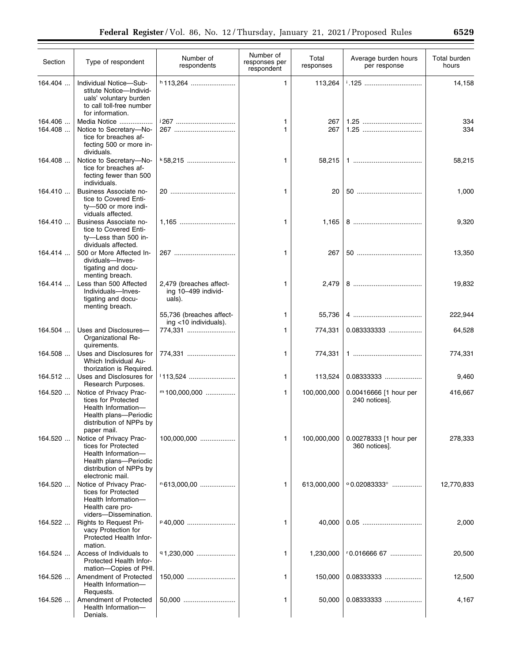| Section            | Type of respondent                                                                                                                            | Number of<br>respondents                                 | Number of<br>responses per<br>respondent | Total<br>responses | Average burden hours<br>per response    | Total burden<br>hours |
|--------------------|-----------------------------------------------------------------------------------------------------------------------------------------------|----------------------------------------------------------|------------------------------------------|--------------------|-----------------------------------------|-----------------------|
| 164.404            | Individual Notice-Sub-<br>stitute Notice-Individ-<br>uals' voluntary burden<br>to call toll-free number<br>for information.                   | $h$ 113,264                                              | $\mathbf{1}$                             | 113,264            | <sup>i</sup> .125                       | 14,158                |
| 164.406<br>164.408 | Media Notice<br>Notice to Secretary-No-<br>tice for breaches af-<br>fecting 500 or more in-<br>dividuals.                                     | 267                                                      | 1<br>$\mathbf{1}$                        | 267<br>267         | 1.25                                    | 334<br>334            |
| 164.408            | Notice to Secretary-No-<br>tice for breaches af-<br>fecting fewer than 500<br>individuals.                                                    | $k$ 58,215                                               | $\mathbf{1}$                             | 58,215             |                                         | 58,215                |
| 164.410            | Business Associate no-<br>tice to Covered Enti-<br>ty-500 or more indi-<br>viduals affected.                                                  |                                                          | $\mathbf{1}$                             | 20                 |                                         | 1,000                 |
| 164.410            | Business Associate no-<br>tice to Covered Enti-<br>ty-Less than 500 in-<br>dividuals affected.                                                |                                                          | 1                                        | 1,165              |                                         | 9,320                 |
| 164.414            | 500 or More Affected In-<br>dividuals-Inves-<br>tigating and docu-<br>menting breach.                                                         | 267                                                      | $\mathbf{1}$                             | 267                |                                         | 13,350                |
| 164.414            | Less than 500 Affected<br>Individuals-Inves-<br>tigating and docu-<br>menting breach.                                                         | 2,479 (breaches affect-<br>ing 10-499 individ-<br>uals). | 1                                        | 2,479              |                                         | 19,832                |
|                    |                                                                                                                                               | 55,736 (breaches affect-                                 | $\mathbf{1}$                             | 55,736             |                                         | 222,944               |
| 164.504            | Uses and Disclosures-<br>Organizational Re-<br>quirements.                                                                                    | ing $<$ 10 individuals).<br>774,331                      | 1                                        | 774,331            | 0.0833333333                            | 64,528                |
| 164.508            | Uses and Disclosures for<br>Which Individual Au-<br>thorization is Required.                                                                  | 774,331                                                  | 1                                        | 774,331            |                                         | 774,331               |
| 164.512            | Uses and Disclosures for<br>Research Purposes.                                                                                                |                                                          | $\mathbf{1}$                             | 113,524            | 0.08333333                              | 9,460                 |
| 164.520            | Notice of Privacy Prac-<br>tices for Protected<br>Health Information-<br>Health plans-Periodic<br>distribution of NPPs by<br>paper mail.      | $m$ 100,000,000                                          | 1                                        | 100,000,000        | 0.00416666 [1 hour per<br>240 notices]. | 416,667               |
| 164.520            | Notice of Privacy Prac-<br>tices for Protected<br>Health Information-<br>Health plans-Periodic<br>distribution of NPPs by<br>electronic mail. |                                                          | 1                                        | 100,000,000        | 0.00278333 [1 hour per<br>360 notices]. | 278,333               |
| 164.520            | Notice of Privacy Prac-<br>tices for Protected<br>Health Information-<br>Health care pro-<br>viders-Dissemination.                            | n 613,000,00                                             | 1                                        | 613,000,000        | $^{\circ}0.02083333^{\circ}$            | 12,770,833            |
| 164.522            | Rights to Request Pri-<br>vacy Protection for<br>Protected Health Infor-<br>mation.                                                           | P40,000                                                  | 1                                        | 40,000             |                                         | 2,000                 |
| 164.524            | Access of Individuals to<br>Protected Health Infor-<br>mation-Copies of PHI.                                                                  |                                                          | 1                                        | 1,230,000          | "0.016666 67                            | 20,500                |
| 164.526            | Amendment of Protected<br>Health Information-<br>Requests.                                                                                    | 150,000                                                  | 1                                        | 150,000            | 0.08333333                              | 12,500                |
| 164.526            | Amendment of Protected<br>Health Information-<br>Denials.                                                                                     |                                                          | 1                                        | 50,000             | 0.08333333                              | 4,167                 |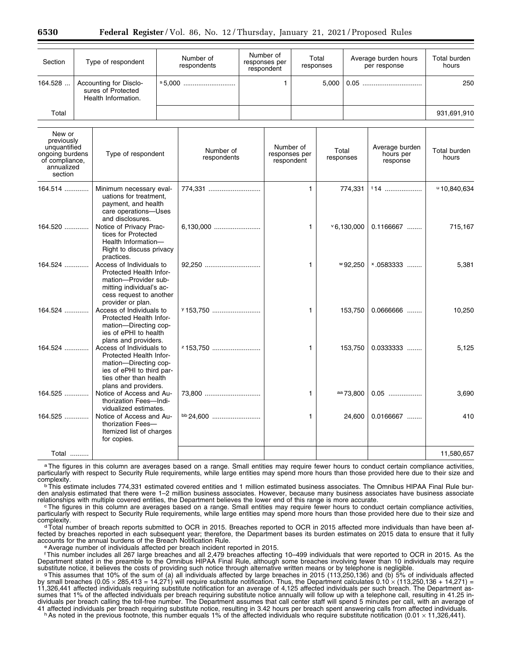| Section                                                                                            | Type of respondent<br>Accounting for Disclo-<br>sures of Protected<br>Health Information. |                                                                                                                                                             | Number of<br>respondents |                          | Number of<br>responses per<br>respondent<br>$\mathbf{1}$ |                                          | Total<br>responses<br>5,000 |                    | Average burden hours<br>per response |                                         | <b>Total burden</b><br>hours<br>250 |
|----------------------------------------------------------------------------------------------------|-------------------------------------------------------------------------------------------|-------------------------------------------------------------------------------------------------------------------------------------------------------------|--------------------------|--------------------------|----------------------------------------------------------|------------------------------------------|-----------------------------|--------------------|--------------------------------------|-----------------------------------------|-------------------------------------|
| 164.528                                                                                            |                                                                                           |                                                                                                                                                             |                          |                          |                                                          |                                          |                             |                    |                                      |                                         |                                     |
| Total                                                                                              |                                                                                           |                                                                                                                                                             |                          |                          |                                                          |                                          |                             |                    |                                      | 931,691,910                             |                                     |
| New or<br>previously<br>unquantified<br>ongoing burdens<br>of compliance,<br>annualized<br>section |                                                                                           | Type of respondent                                                                                                                                          |                          | Number of<br>respondents |                                                          | Number of<br>responses per<br>respondent |                             | Total<br>responses |                                      | Average burden<br>hours per<br>response | Total burden<br>hours               |
| 164.514                                                                                            |                                                                                           | Minimum necessary eval-<br>uations for treatment,<br>payment, and health<br>care operations-Uses<br>and disclosures.                                        |                          | 774,331                  |                                                          |                                          | 1.                          |                    | 774,331                              | $14$                                    | 410.840.634                         |
| 164.520                                                                                            |                                                                                           | Notice of Privacy Prac-<br>tices for Protected<br>Health Information-<br>Right to discuss privacy<br>practices.                                             |                          | 6,130,000                |                                                          |                                          | 1                           |                    | 90,000                               | 0.1166667                               | 715,167                             |
| $164.524$                                                                                          |                                                                                           | Access of Individuals to<br>Protected Health Infor-<br>mation-Provider sub-<br>mitting individual's ac-<br>cess request to another<br>provider or plan.     |                          | 92,250                   |                                                          |                                          | $\mathbf{1}$                |                    | $^{w}$ 92,250                        | $*0583333$                              | 5,381                               |
| 164.524                                                                                            |                                                                                           | Access of Individuals to<br>Protected Health Infor-<br>mation-Directing cop-<br>ies of ePHI to health<br>plans and providers.                               |                          | y 153.750                |                                                          |                                          | 1.                          |                    | 153.750                              | $0.0666666$                             | 10.250                              |
| 164.524                                                                                            |                                                                                           | Access of Individuals to<br>Protected Health Infor-<br>mation-Directing cop-<br>ies of ePHI to third par-<br>ties other than health<br>plans and providers. |                          | z 153,750                |                                                          |                                          | 1                           |                    | 153,750                              | 0.0333333                               | 5,125                               |
| $164.525$                                                                                          |                                                                                           | Notice of Access and Au-<br>thorization Fees-Indi-<br>vidualized estimates.                                                                                 |                          | 73,800                   |                                                          |                                          | 1.                          |                    | <sup>aa</sup> 73,800                 | $0.05$                                  | 3.690                               |
| 164.525                                                                                            |                                                                                           | Notice of Access and Au-<br>thorization Fees-<br>Itemized list of charges<br>for copies.                                                                    |                          | bb 24,600                |                                                          |                                          | 1.                          |                    | 24,600                               | $0.0166667$                             | 410                                 |
| Total                                                                                              |                                                                                           |                                                                                                                                                             |                          |                          |                                                          |                                          |                             |                    |                                      |                                         | 11,580,657                          |

aThe figures in this column are averages based on a range. Small entities may require fewer hours to conduct certain compliance activities, particularly with respect to Security Rule requirements, while large entities may spend more hours than those provided here due to their size and<br>complexity.

 $\rm{p}$ This estimate includes 774,331 estimated covered entities and 1 million estimated business associates. The Omnibus HIPAA Final Rule burden analysis estimated that there were 1–2 million business associates. However, because many business associates have business associate<br>relationships with multiple covered entities, the Department believes the lower end

The figures in this column are averages based on a range. Small entities may require fewer hours to conduct certain compliance activities, particularly with respect to Security Rule requirements, while large entities may spend more hours than those provided here due to their size and<br>complexity.

<sup>d</sup> Total number of breach reports submitted to OCR in 2015. Breaches reported to OCR in 2015 affected more individuals than have been affected by breaches reported in each subsequent year; therefore, the Department bases its burden estimates on 2015 data to ensure that it fully<br>accounts for the annual burdens of the Breach Notification Rule.

e Average number of individuals affected per breach incident reported in 2015.

fThis number includes all 267 large breaches and all 2,479 breaches affecting 10–499 individuals that were reported to OCR in 2015. As the Department stated in the preamble to the Omnibus HIPAA Final Rule, although some breaches involving fewer than 10 individuals may require substitute notice, it believes the costs of providing such notice through alternative written means or by telephone is negligible.<br>This assumes that 10% of the sum of (a) all individuals affected by large breaches in 2015

by small breaches (0.05  $\times$  285,413 = 14,271) will require substitute notification. Thus, the Department calculates 0.10  $\times$  (113,250,136 + 14,271) = 11,326,441 affected individuals requiring substitute notification for an average of 4,125 affected individuals per such breach. The Department assumes that 1% of the affected individuals per breach requiring substitute notice annually will follow up with a telephone call, resulting in 41.25 individuals per breach calling the toll-free number. The Department assumes that call center staff will spend 5 minutes per call, with an average of 41 affected individuals per breach requiring substitute notice, resulting in 3.42 hours per breach spent answering calls from affected individuals.<br>h As noted in the previous footnote, this number equals 1% of the affecte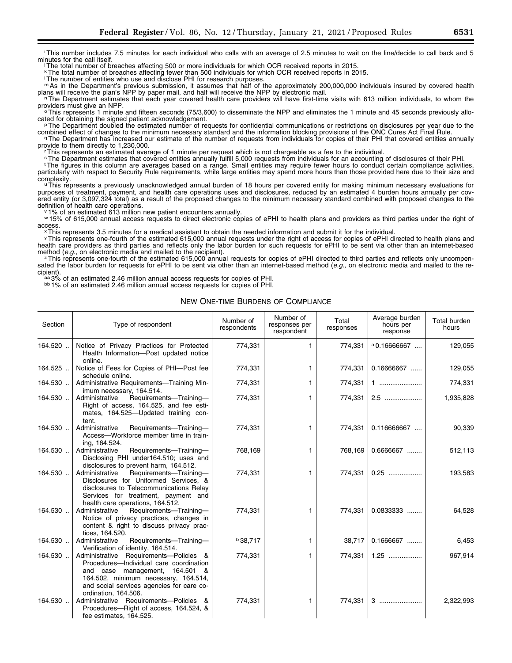iThis number includes 7.5 minutes for each individual who calls with an average of 2.5 minutes to wait on the line/decide to call back and 5 minutes for the call itself.

jThe total number of breaches affecting 500 or more individuals for which OCR received reports in 2015.

kThe total number of breaches affecting fewer than 500 individuals for which OCR received reports in 2015.

lThe number of entities who use and disclose PHI for research purposes.

m As in the Department's previous submission, it assumes that half of the approximately 200,000,000 individuals insured by covered health plans will receive the plan's NPP by paper mail, and half will receive the NPP by el

n The Department estimates that each year covered health care providers will have first-time visits with 613 million individuals, to whom the providers must give an NPP.

 $\cdot$  ∘This represents 1 minute and fifteen seconds (75/3,600) to disseminate the NPP and eliminates the 1 minute and 45 seconds previously allo-<br>cated for obtaining the signed patient acknowledgement.

PThe Department doubled the estimated number of requests for confidential communications or restrictions on disclosures per year due to the

combined effect of changes to the minimum necessary standard and the information blocking provisions of the ONC Cures Act Final Rule.<br>The Department has increased our estimate of the number of requests from individuals for

This represents an estimated average of 1 minute per request which is not chargeable as a fee to the individual.

sThe Department estimates that covered entities annually fulfill 5,000 requests from individuals for an accounting of disclosures of their PHI.

<sup>t</sup>The figures in this column are averages based on a range. Small entities may require fewer hours to conduct certain compliance activities, particularly with respect to Security Rule requirements, while large entities may spend more hours than those provided here due to their size and<br>complexity.

u This represents a previously unacknowledged annual burden of 18 hours per covered entity for making minimum necessary evaluations for purposes of treatment, payment, and health care operations uses and disclosures, reduced by an estimated 4 burden hours annually per covered entity (or 3,097,324 total) as a result of the proposed changes to the minimum necessary standard combined with proposed changes to the definition of health care operations.

 $v$  1% of an estimated 613 million new patient encounters annually.

w 15% of 615,000 annual access requests to direct electronic copies of ePHI to health plans and providers as third parties under the right of access.

<sup>x</sup>This represents 3.5 minutes for a medical assistant to obtain the needed information and submit it for the individual.

yThis represents one-fourth of the estimated 615,000 annual requests under the right of access for copies of ePHI directed to health plans and health care providers as third parties and reflects only the labor burden for such requests for ePHI to be sent via other than an internet-based method (e.g., on electronic media and mailed to the recipient).

<sup>z</sup> This represents one-fourth of the estimated 615,000 annual requests for copies of ePHI directed to third parties and reflects only uncompensated the labor burden for requests for ePHI to be sent via other than an internet-based method (*e.g.*, on electronic media and mailed to the re-<br>cipient).

aa 3% of an estimated 2.46 million annual access requests for copies of PHI.<br>bb 1% of an estimated 2.46 million annual access requests for copies of PHI.

NEW ONE-TIME BURDENS OF COMPLIANCE

| Section | Type of respondent                                                                                                                                                                                                                  | Number of<br>respondents | Number of<br>responses per<br>respondent | Total<br>responses | Average burden<br>hours per<br>response | Total burden<br>hours |
|---------|-------------------------------------------------------------------------------------------------------------------------------------------------------------------------------------------------------------------------------------|--------------------------|------------------------------------------|--------------------|-----------------------------------------|-----------------------|
| 164.520 | Notice of Privacy Practices for Protected<br>Health Information-Post updated notice<br>online.                                                                                                                                      | 774,331                  | 1.                                       | 774,331            | $^{\circ}$ 0.16666667                   | 129,055               |
| 164.525 | Notice of Fees for Copies of PHI-Post fee<br>schedule online.                                                                                                                                                                       | 774,331                  | 1.                                       | 774,331            | $0.16666667$                            | 129,055               |
| 164.530 | Administrative Requirements-Training Min-<br>imum necessary, 164.514.                                                                                                                                                               | 774,331                  | 1.                                       | 774,331            | 1                                       | 774,331               |
| 164.530 | Administrative<br>Requirements-Training-<br>Right of access, 164.525, and fee esti-<br>mates, 164.525-Updated training con-<br>tent.                                                                                                | 774,331                  | 1.                                       | 774,331            |                                         | 1,935,828             |
| 164.530 | Administrative<br>Requirements-Training-<br>Access-Workforce member time in train-<br>ing, 164.524.                                                                                                                                 | 774,331                  | 1                                        | 774,331            | 0.116666667                             | 90,339                |
| 164.530 | Administrative<br>Requirements-Training-<br>Disclosing PHI under164.510; uses and<br>disclosures to prevent harm, 164.512.                                                                                                          | 768,169                  | 1.                                       | 768,169            | $0.6666667$                             | 512,113               |
| 164.530 | Administrative<br>Requirements-Training-<br>Disclosures for Uniformed Services, &<br>disclosures to Telecommunications Relay<br>Services for treatment, payment and<br>health care operations, 164.512.                             | 774,331                  | 1.                                       | 774,331            | $0.25$                                  | 193,583               |
| 164.530 | Requirements-Training-<br>Administrative<br>Notice of privacy practices, changes in<br>content & right to discuss privacy prac-<br>tices, 164.520.                                                                                  | 774,331                  | 1                                        | 774,331            | 0.0833333                               | 64,528                |
| 164.530 | Requirements-Training-<br>Administrative<br>Verification of identity, 164.514.                                                                                                                                                      | <b>b</b> 38,717          | 1.                                       | 38,717             | $0.1666667$                             | 6,453                 |
| 164.530 | Administrative Requirements-Policies &<br>Procedures-Individual care coordination<br>management, 164.501 &<br>and case<br>164.502, minimum necessary, 164.514,<br>and social services agencies for care co-<br>ordination, 164.506. | 774,331                  | 1.                                       | 774,331            | $1.25$                                  | 967,914               |
| 164.530 | Administrative Requirements-Policies &<br>Procedures-Right of access, 164.524, &<br>fee estimates, 164.525.                                                                                                                         | 774,331                  | 1.                                       | 774,331            | 3                                       | 2,322,993             |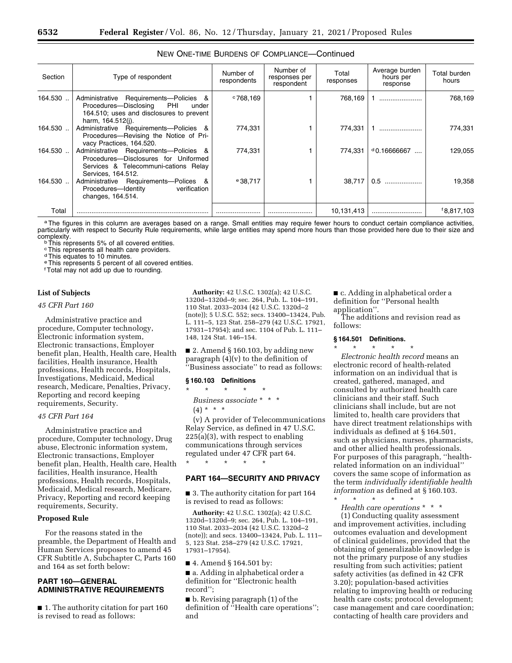| Section | Type of respondent                                                                                                                                 | Number of<br>respondents | Number of<br>responses per<br>respondent | Total<br>responses | Average burden<br>hours per<br>response | Total burden<br>hours  |
|---------|----------------------------------------------------------------------------------------------------------------------------------------------------|--------------------------|------------------------------------------|--------------------|-----------------------------------------|------------------------|
| 164.530 | Administrative Requirements--Policies &<br>Procedures--Disclosing<br>PHI<br>under<br>164.510; uses and disclosures to prevent<br>harm, 164.512(i). | $^{\circ}768.169$        |                                          | 768,169            |                                         | 768,169                |
| 164.530 | Administrative Requirements-Policies &<br>Procedures-Revising the Notice of Pri-<br>vacy Practices, 164.520.                                       | 774,331                  |                                          | 774.331            |                                         | 774,331                |
| 164.530 | Administrative Requirements-Policies &<br>Procedures---Disclosures for Uniformed<br>Services & Telecommuni-cations Relay<br>Services, 164.512.     | 774.331                  |                                          | 774.331            | $d$ 0.16666667                          | 129.055                |
| 164.530 | Administrative Requirements-Polices &<br>Procedures-Identity<br>verification<br>changes, 164.514.                                                  | $e$ 38.717               |                                          | 38.717             | 0.5                                     | 19,358                 |
| Total   |                                                                                                                                                    |                          |                                          | 10,131,413         |                                         | <sup>f</sup> 8,817,103 |

# NEW ONE-TIME BURDENS OF COMPLIANCE—Continued

a The figures in this column are averages based on a range. Small entities may require fewer hours to conduct certain compliance activities, particularly with respect to Security Rule requirements, while large entities may spend more hours than those provided here due to their size and<br>complexity.

<sup>b</sup>This represents 5% of all covered entities.

cThis represents all health care providers.

<sup>d</sup>This equates to 10 minutes.

eThis represents 5 percent of all covered entities.

fTotal may not add up due to rounding.

#### **List of Subjects**

#### *45 CFR Part 160*

Administrative practice and procedure, Computer technology, Electronic information system, Electronic transactions, Employer benefit plan, Health, Health care, Health facilities, Health insurance, Health professions, Health records, Hospitals, Investigations, Medicaid, Medical research, Medicare, Penalties, Privacy, Reporting and record keeping requirements, Security.

# *45 CFR Part 164*

Administrative practice and procedure, Computer technology, Drug abuse, Electronic information system, Electronic transactions, Employer benefit plan, Health, Health care, Health facilities, Health insurance, Health professions, Health records, Hospitals, Medicaid, Medical research, Medicare, Privacy, Reporting and record keeping requirements, Security.

#### **Proposed Rule**

For the reasons stated in the preamble, the Department of Health and Human Services proposes to amend 45 CFR Subtitle A, Subchapter C, Parts 160 and 164 as set forth below:

# **PART 160—GENERAL ADMINISTRATIVE REQUIREMENTS**

■ 1. The authority citation for part 160 is revised to read as follows:

**Authority:** 42 U.S.C. 1302(a); 42 U.S.C. 1320d–1320d–9; sec. 264, Pub. L. 104–191, 110 Stat. 2033–2034 (42 U.S.C. 1320d–2 (note)); 5 U.S.C. 552; secs. 13400–13424, Pub. L. 111–5, 123 Stat. 258–279 (42 U.S.C. 17921, 17931–17954); and sec. 1104 of Pub. L. 111– 148, 124 Stat. 146–154.

■ 2. Amend § 160.103, by adding new paragraph (4)(v) to the definition of ''Business associate'' to read as follows:

#### **§ 160.103 Definitions**

\* \* \* \* \* *Business associate* \* \* \*  $(4) * * * *$ 

(v) A provider of Telecommunications Relay Service, as defined in 47 U.S.C. 225(a)(3), with respect to enabling communications through services regulated under 47 CFR part 64. \* \* \* \* \*

# **PART 164—SECURITY AND PRIVACY**

■ 3. The authority citation for part 164 is revised to read as follows:

**Authority:** 42 U.S.C. 1302(a); 42 U.S.C. 1320d–1320d–9; sec. 264, Pub. L. 104–191, 110 Stat. 2033–2034 (42 U.S.C. 1320d–2 (note)); and secs. 13400–13424, Pub. L. 111– 5, 123 Stat. 258–279 (42 U.S.C. 17921, 17931–17954).

■ 4. Amend § 164.501 by:

■ a. Adding in alphabetical order a definition for ''Electronic health record'';

■ b. Revising paragraph (1) of the definition of ''Health care operations''; and

■ c. Adding in alphabetical order a definition for ''Personal health application''.

The additions and revision read as follows:

# **§ 164.501 Definitions.**

\* \* \* \* \* *Electronic health record* means an electronic record of health-related information on an individual that is created, gathered, managed, and consulted by authorized health care clinicians and their staff. Such clinicians shall include, but are not limited to, health care providers that have direct treatment relationships with individuals as defined at § 164.501, such as physicians, nurses, pharmacists, and other allied health professionals. For purposes of this paragraph, ''healthrelated information on an individual'' covers the same scope of information as the term *individually identifiable health information* as defined at § 160.103. \* \* \* \* \*

*Health care operations* \* \* \*

(1) Conducting quality assessment and improvement activities, including outcomes evaluation and development of clinical guidelines, provided that the obtaining of generalizable knowledge is not the primary purpose of any studies resulting from such activities; patient safety activities (as defined in 42 CFR 3.20); population-based activities relating to improving health or reducing health care costs; protocol development; case management and care coordination; contacting of health care providers and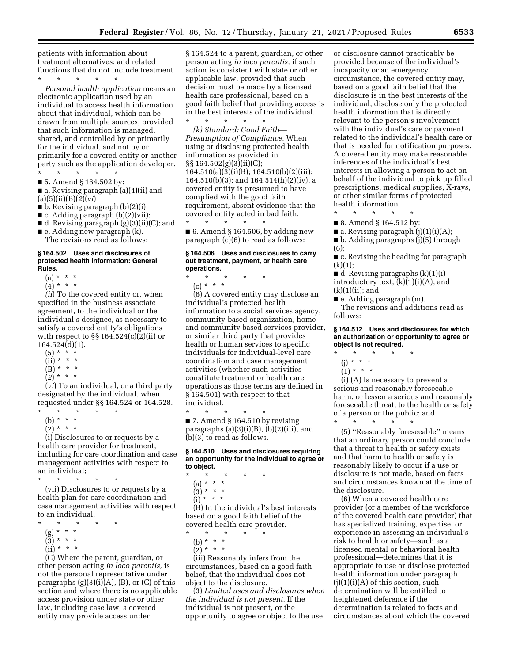patients with information about treatment alternatives; and related functions that do not include treatment.

\* \* \* \* \* *Personal health application* means an electronic application used by an individual to access health information about that individual, which can be drawn from multiple sources, provided that such information is managed, shared, and controlled by or primarily for the individual, and not by or primarily for a covered entity or another party such as the application developer. \* \* \* \* \*

■ 5. Amend § 164.502 by:

■ a. Revising paragraph (a)(4)(ii) and (a)(5)(ii)(B)(*2*)(*vi*)

- b. Revising paragraph (b)(2)(i);
- c. Adding paragraph (b)(2)(vii);
- d. Revising paragraph (g)(3)(ii)(C); and
- $\blacksquare$  e. Adding new paragraph (k). The revisions read as follows:

#### **§ 164.502 Uses and disclosures of protected health information: General Rules.**

- (a) \* \* \*
- $(4) * * * *$

*(ii*) To the covered entity or, when specified in the business associate agreement, to the individual or the individual's designee, as necessary to satisfy a covered entity's obligations with respect to  $\S\S 164.524(c)(2)(ii)$  or 164.524(d)(1).

- $(5) * * * *$
- $(ii) * * * *$
- $(B) * * * *$
- $(2)^{*}$  \* \*

(*vi*) To an individual, or a third party designated by the individual, when requested under §§ 164.524 or 164.528.

\* \* \* \* \*

- (b) \* \* \*
- $(2) * * * *$

(i) Disclosures to or requests by a health care provider for treatment, including for care coordination and case management activities with respect to an individual;

\* \* \* \* \*

(vii) Disclosures to or requests by a health plan for care coordination and case management activities with respect to an individual.

- \* \* \* \* \*
- (g) \* \* \*
- $(3) * * * *$
- $(ii) * * * *$

(C) Where the parent, guardian, or other person acting *in loco parentis,* is not the personal representative under paragraphs  $(g)(3)(i)(A)$ ,  $(B)$ , or  $(C)$  of this section and where there is no applicable access provision under state or other law, including case law, a covered entity may provide access under

§ 164.524 to a parent, guardian, or other person acting *in loco parentis,* if such action is consistent with state or other applicable law, provided that such decision must be made by a licensed health care professional, based on a good faith belief that providing access is in the best interests of the individual.

\* \* \* \* \* *(k) Standard: Good Faith— Presumption of Compliance.* When using or disclosing protected health information as provided in §§ 164.502(g)(3)(ii)(C); 164.510(a)(3)(i)(B); 164.510(b)(2)(iii); 164.510(b)(3); and 164.514(h)(2)(iv), a covered entity is presumed to have complied with the good faith requirement, absent evidence that the covered entity acted in bad faith.

\* \* \* \* \*  $\blacksquare$  6. Amend § 164.506, by adding new paragraph (c)(6) to read as follows:

#### **§ 164.506 Uses and disclosures to carry out treatment, payment, or health care operations.**

- \* \* \* \* \*
	- (c) \* \* \*

(6) A covered entity may disclose an individual's protected health information to a social services agency, community-based organization, home and community based services provider, or similar third party that provides health or human services to specific individuals for individual-level care coordination and case management activities (whether such activities constitute treatment or health care operations as those terms are defined in § 164.501) with respect to that individual.

\* \* \* \* \* ■ 7. Amend § 164.510 by revising paragraphs  $(a)(3)(i)(B)$ ,  $(b)(2)(iii)$ , and (b)(3) to read as follows.

#### **§ 164.510 Uses and disclosures requiring an opportunity for the individual to agree or to object.**

- \* \* \* \* \*
	- (a) \* \* \*
	- $(3) * * * *$
	- $(i) * * * *$

(B) In the individual's best interests based on a good faith belief of the covered health care provider.

\* \* \* \* \*

- (b) \* \* \*
- $(2) * * * *$

(iii) Reasonably infers from the circumstances, based on a good faith belief, that the individual does not object to the disclosure.

(3) *Limited uses and disclosures when the individual is not present.* If the individual is not present, or the opportunity to agree or object to the use

or disclosure cannot practicably be provided because of the individual's incapacity or an emergency circumstance, the covered entity may, based on a good faith belief that the disclosure is in the best interests of the individual, disclose only the protected health information that is directly relevant to the person's involvement with the individual's care or payment related to the individual's health care or that is needed for notification purposes. A covered entity may make reasonable inferences of the individual's best interests in allowing a person to act on behalf of the individual to pick up filled prescriptions, medical supplies, X-rays, or other similar forms of protected health information.

\* \* \* \* \* ■ 8. Amend § 164.512 by:

- $\blacksquare$  a. Revising paragraph (j)(1)(i)(A);
- b. Adding paragraphs (j)(5) through (6);

■ c. Revising the heading for paragraph  $(k)(1)$ ;

■ d. Revising paragraphs (k)(1)(i) introductory text,  $(k)(1)(i)(A)$ , and (k)(1)(ii); and

■ e. Adding paragraph (m).

The revisions and additions read as follows:

#### **§ 164.512 Uses and disclosures for which an authorization or opportunity to agree or object is not required.**

- $\star$   $\star$
- (j) \* \* \*
- $(1) * * * *$

(i) (A) Is necessary to prevent a serious and reasonably foreseeable harm, or lessen a serious and reasonably foreseeable threat, to the health or safety of a person or the public; and \* \* \* \* \*

(5) ''Reasonably foreseeable'' means that an ordinary person could conclude that a threat to health or safety exists and that harm to health or safety is reasonably likely to occur if a use or disclosure is not made, based on facts and circumstances known at the time of the disclosure.

(6) When a covered health care provider (or a member of the workforce of the covered health care provider) that has specialized training, expertise, or experience in assessing an individual's risk to health or safety—such as a licensed mental or behavioral health professional—determines that it is appropriate to use or disclose protected health information under paragraph  $(i)(1)(i)(A)$  of this section, such determination will be entitled to heightened deference if the determination is related to facts and circumstances about which the covered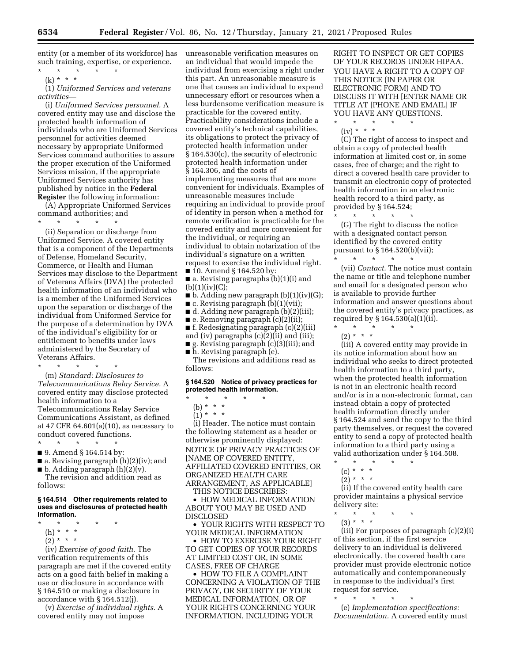entity (or a member of its workforce) has such training, expertise, or experience.

\* \* \* \* \* (k) \* \* \*

(1) *Uniformed Services and veterans activities*—

(i) *Uniformed Services personnel.* A covered entity may use and disclose the protected health information of individuals who are Uniformed Services personnel for activities deemed necessary by appropriate Uniformed Services command authorities to assure the proper execution of the Uniformed Services mission, if the appropriate Uniformed Services authority has published by notice in the **Federal Register** the following information:

(A) Appropriate Uniformed Services command authorities; and

\* \* \* \* \*

(ii) Separation or discharge from Uniformed Service. A covered entity that is a component of the Departments of Defense, Homeland Security, Commerce, or Health and Human Services may disclose to the Department of Veterans Affairs (DVA) the protected health information of an individual who is a member of the Uniformed Services upon the separation or discharge of the individual from Uniformed Service for the purpose of a determination by DVA of the individual's eligibility for or entitlement to benefits under laws administered by the Secretary of Veterans Affairs.

\* \* \* \* \*

(m) *Standard: Disclosures to Telecommunications Relay Service.* A covered entity may disclose protected health information to a Telecommunications Relay Service Communications Assistant, as defined at 47 CFR 64.601(a)(10), as necessary to conduct covered functions. \* \* \* \* \*

- 9. Amend § 164.514 by:
- 
- a. Revising paragraph (h)(2)(iv); and  $\blacksquare$  b. Adding paragraph  $(h)(2)(v)$ .

The revision and addition read as follows:

#### **§ 164.514 Other requirements related to uses and disclosures of protected health information.**

- \* \* \* \* \*
- (h) \* \* \*
- $(2) * * * *$

(iv) *Exercise of good faith.* The verification requirements of this paragraph are met if the covered entity acts on a good faith belief in making a use or disclosure in accordance with § 164.510 or making a disclosure in accordance with § 164.512(j).

(v) *Exercise of individual rights.* A covered entity may not impose

unreasonable verification measures on an individual that would impede the individual from exercising a right under this part. An unreasonable measure is one that causes an individual to expend unnecessary effort or resources when a less burdensome verification measure is practicable for the covered entity. Practicability considerations include a covered entity's technical capabilities, its obligations to protect the privacy of protected health information under § 164.530(c), the security of electronic protected health information under § 164.306, and the costs of implementing measures that are more convenient for individuals. Examples of unreasonable measures include requiring an individual to provide proof of identity in person when a method for remote verification is practicable for the covered entity and more convenient for the individual, or requiring an individual to obtain notarization of the individual's signature on a written request to exercise the individual right. ■ 10. Amend § 164.520 by:

- a. Revising paragraphs (b)(1)(i) and  $(b)(1)(iv)(C);$
- $\blacksquare$  b. Adding new paragraph (b)(1)(iv)(G);
- c. Revising paragraph (b)(1)(vii);
- d. Adding new paragraph (b)(2)(iii);
- $\blacksquare$  e. Removing paragraph  $(c)(2)(ii)$ ;
- f. Redesignating paragraph (c)(2)(iii)

and (iv) paragraphs (c)(2)(ii) and (iii); ■ g. Revising paragraph (c)(3)(iii); and

■ h. Revising paragraph (e).

The revisions and additions read as follows:

#### **§ 164.520 Notice of privacy practices for protected health information.**

\* \* \* \* \*

- (b) \* \* \*
- $(1) * * * *$

(i) Header. The notice must contain the following statement as a header or otherwise prominently displayed: NOTICE OF PRIVACY PRACTICES OF [NAME OF COVERED ENTITY, AFFILIATED COVERED ENTITIES, OR ORGANIZED HEALTH CARE ARRANGEMENT, AS APPLICABLE]

THIS NOTICE DESCRIBES:

• HOW MEDICAL INFORMATION ABOUT YOU MAY BE USED AND DISCLOSED

• YOUR RIGHTS WITH RESPECT TO YOUR MEDICAL INFORMATION

• HOW TO EXERCISE YOUR RIGHT TO GET COPIES OF YOUR RECORDS AT LIMITED COST OR, IN SOME CASES, FREE OF CHARGE

• HOW TO FILE A COMPLAINT CONCERNING A VIOLATION OF THE PRIVACY, OR SECURITY OF YOUR MEDICAL INFORMATION, OR OF YOUR RIGHTS CONCERNING YOUR INFORMATION, INCLUDING YOUR

RIGHT TO INSPECT OR GET COPIES OF YOUR RECORDS UNDER HIPAA. YOU HAVE A RIGHT TO A COPY OF THIS NOTICE (IN PAPER OR ELECTRONIC FORM) AND TO DISCUSS IT WITH [ENTER NAME OR TITLE AT [PHONE AND EMAIL] IF YOU HAVE ANY QUESTIONS.

\* \* \* \* \*

(iv) \* \* \*

(C) The right of access to inspect and obtain a copy of protected health information at limited cost or, in some cases, free of charge; and the right to direct a covered health care provider to transmit an electronic copy of protected health information in an electronic health record to a third party, as provided by § 164.524;

\* \* \* \* \*

(G) The right to discuss the notice with a designated contact person identified by the covered entity pursuant to § 164.520(b)(vii);

\* \* \* \* \* (vii) *Contact.* The notice must contain the name or title and telephone number and email for a designated person who is available to provide further information and answer questions about the covered entity's privacy practices, as required by § 164.530(a)(1)(ii).

 $\star$   $\qquad$   $\star$   $\qquad$   $\star$  $(2) * * * *$ 

(iii) A covered entity may provide in its notice information about how an individual who seeks to direct protected health information to a third party, when the protected health information is not in an electronic health record and/or is in a non-electronic format, can instead obtain a copy of protected health information directly under § 164.524 and send the copy to the third party themselves, or request the covered entity to send a copy of protected health information to a third party using a valid authorization under § 164.508.

- \* \* \* \* \*
- $(c) * * * *$
- $(2) * * * *$

(ii) If the covered entity health care provider maintains a physical service delivery site:

- \* \* \* \* \*
	- (3) \* \* \*

(iii) For purposes of paragraph (c)(2)(i) of this section, if the first service delivery to an individual is delivered electronically, the covered health care provider must provide electronic notice automatically and contemporaneously in response to the individual's first request for service.

\* \* \* \* \*

(e) *Implementation specifications: Documentation.* A covered entity must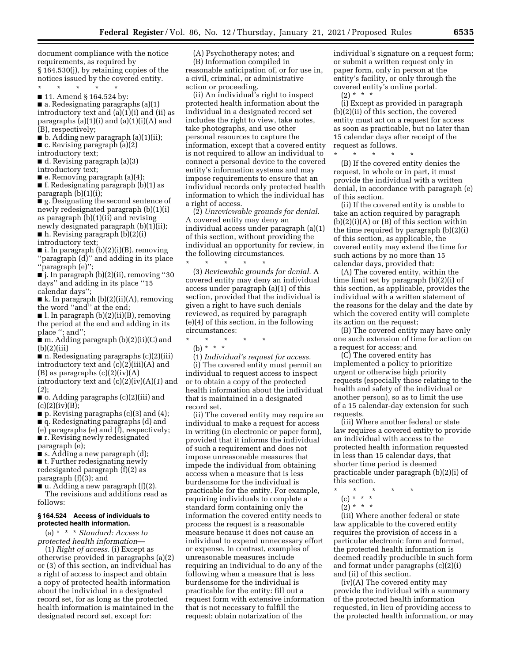document compliance with the notice requirements, as required by § 164.530(j), by retaining copies of the notices issued by the covered entity.

\* \* \* \* \* ■ 11. Amend § 164.524 by:

■ a. Redesignating paragraphs (a)(1) introductory text and (a)(1)(i) and (ii) as paragraphs  $(a)(1)(i)$  and  $(a)(1)(i)(A)$  and (B), respectively;

■ b. Adding new paragraph (a)(1)(ii);

■ c. Revising paragraph (a)(2)

introductory text;

■ d. Revising paragraph (a)(3)

introductory text;

■ e. Removing paragraph (a)(4);

■ f. Redesignating paragraph (b)(1) as paragraph (b)(1)(i);

■ g. Designating the second sentence of newly redesignated paragraph (b)(1)(i) as paragraph (b)(1)(ii) and revising newly designated paragraph (b)(1)(ii); ■ h. Revising paragraph (b)(2)(i)

introductory text;

■ i. In paragraph (b)(2)(i)(B), removing ''paragraph (d)'' and adding in its place ''paragraph (e)'';

■ j. In paragraph (b)(2)(ii), removing ''30 days'' and adding in its place ''15 calendar days'';

■ k. In paragraph (b)(2)(ii)(A), removing the word ''and'' at the end;

■ l. In paragraph (b)(2)(ii)(B), removing the period at the end and adding in its place ''; and'';

■ m. Adding paragraph (b)(2)(ii)(C) and (b)(2)(iii)

■ n. Redesignating paragraphs (c)(2)(iii) introductory text and (c)(2)(iii)(A) and (B) as paragraphs  $(c)(2)(iv)(A)$ 

introductory text and (c)(2)(iv)(A)(*1*) and (*2*);

■ o. Adding paragraphs (c)(2)(iii) and  $(c)(2)(iv)(B);$ 

■ p. Revising paragraphs (c)(3) and (4);

■ q. Redesignating paragraphs (d) and (e) paragraphs (e) and (f), respectively; ■ r. Revising newly redesignated

paragraph (e); ■ s. Adding a new paragraph (d);

■ t. Further redesignating newly redesiganted paragraph (f)(2) as paragraph (f)(3); and

 $\blacksquare$  u. Adding a new paragraph (f)(2). The revisions and additions read as follows:

#### **§ 164.524 Access of individuals to protected health information.**

(a) \* \* \* *Standard: Access to protected health information*—

(1) *Right of access.* (i) Except as otherwise provided in paragraphs (a)(2) or (3) of this section, an individual has a right of access to inspect and obtain a copy of protected health information about the individual in a designated record set, for as long as the protected health information is maintained in the designated record set, except for:

(A) Psychotherapy notes; and (B) Information compiled in reasonable anticipation of, or for use in, a civil, criminal, or administrative action or proceeding.

(ii) An individual's right to inspect protected health information about the individual in a designated record set includes the right to view, take notes, take photographs, and use other personal resources to capture the information, except that a covered entity is not required to allow an individual to connect a personal device to the covered entity's information systems and may impose requirements to ensure that an individual records only protected health information to which the individual has a right of access.

(2) *Unreviewable grounds for denial.*  A covered entity may deny an individual access under paragraph (a)(1) of this section, without providing the individual an opportunity for review, in the following circumstances.

\* \* \* \* \* (3) *Reviewable grounds for denial.* A covered entity may deny an individual access under paragraph (a)(1) of this section, provided that the individual is given a right to have such denials reviewed, as required by paragraph (e)(4) of this section, in the following circumstances:

\* \* \* \* \*

(b) \* \* \*

(1) *Individual's request for access.*  (i) The covered entity must permit an individual to request access to inspect

or to obtain a copy of the protected health information about the individual that is maintained in a designated record set.

(ii) The covered entity may require an individual to make a request for access in writing (in electronic or paper form), provided that it informs the individual of such a requirement and does not impose unreasonable measures that impede the individual from obtaining access when a measure that is less burdensome for the individual is practicable for the entity. For example, requiring individuals to complete a standard form containing only the information the covered entity needs to process the request is a reasonable measure because it does not cause an individual to expend unnecessary effort or expense. In contrast, examples of unreasonable measures include requiring an individual to do any of the following when a measure that is less burdensome for the individual is practicable for the entity: fill out a request form with extensive information that is not necessary to fulfill the request; obtain notarization of the

individual's signature on a request form; or submit a written request only in paper form, only in person at the entity's facility, or only through the covered entity's online portal.

 $(2) * * * *$ 

\* \* \* \* \*

(i) Except as provided in paragraph (b)(2)(ii) of this section, the covered entity must act on a request for access as soon as practicable, but no later than 15 calendar days after receipt of the request as follows.

(B) If the covered entity denies the request, in whole or in part, it must provide the individual with a written denial, in accordance with paragraph (e) of this section.

(ii) If the covered entity is unable to take an action required by paragraph  $(b)(2)(i)(A)$  or  $(B)$  of this section within the time required by paragraph (b)(2)(i) of this section, as applicable, the covered entity may extend the time for such actions by no more than 15 calendar days, provided that:

(A) The covered entity, within the time limit set by paragraph (b)(2)(i) of this section, as applicable, provides the individual with a written statement of the reasons for the delay and the date by which the covered entity will complete its action on the request;

(B) The covered entity may have only one such extension of time for action on a request for access; and

(C) The covered entity has implemented a policy to prioritize urgent or otherwise high priority requests (especially those relating to the health and safety of the individual or another person), so as to limit the use of a 15 calendar-day extension for such requests.

(iii) Where another federal or state law requires a covered entity to provide an individual with access to the protected health information requested in less than 15 calendar days, that shorter time period is deemed practicable under paragraph (b)(2)(i) of this section.

- $*$  \*
- $(c) * * * *$
- $(2) * * * *$

(iii) Where another federal or state law applicable to the covered entity requires the provision of access in a particular electronic form and format, the protected health information is deemed readily producible in such form and format under paragraphs (c)(2)(i) and (ii) of this section.

(iv)(A) The covered entity may provide the individual with a summary of the protected health information requested, in lieu of providing access to the protected health information, or may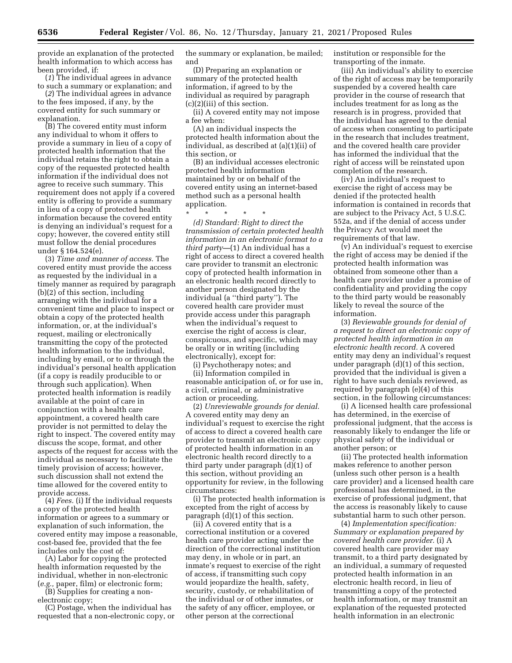provide an explanation of the protected health information to which access has been provided, if:

(*1*) The individual agrees in advance to such a summary or explanation; and

(*2*) The individual agrees in advance to the fees imposed, if any, by the covered entity for such summary or explanation.

(B) The covered entity must inform any individual to whom it offers to provide a summary in lieu of a copy of protected health information that the individual retains the right to obtain a copy of the requested protected health information if the individual does not agree to receive such summary. This requirement does not apply if a covered entity is offering to provide a summary in lieu of a copy of protected health information because the covered entity is denying an individual's request for a copy; however, the covered entity still must follow the denial procedures under § 164.524(e).

(3) *Time and manner of access.* The covered entity must provide the access as requested by the individual in a timely manner as required by paragraph (b)(2) of this section, including arranging with the individual for a convenient time and place to inspect or obtain a copy of the protected health information, or, at the individual's request, mailing or electronically transmitting the copy of the protected health information to the individual, including by email, or to or through the individual's personal health application (if a copy is readily producible to or through such application). When protected health information is readily available at the point of care in conjunction with a health care appointment, a covered health care provider is not permitted to delay the right to inspect. The covered entity may discuss the scope, format, and other aspects of the request for access with the individual as necessary to facilitate the timely provision of access; however, such discussion shall not extend the time allowed for the covered entity to provide access.

(4) *Fees.* (i) If the individual requests a copy of the protected health information or agrees to a summary or explanation of such information, the covered entity may impose a reasonable, cost-based fee, provided that the fee includes only the cost of:

(A) Labor for copying the protected health information requested by the individual, whether in non-electronic (*e.g.,* paper, film) or electronic form;

(B) Supplies for creating a nonelectronic copy;

(C) Postage, when the individual has requested that a non-electronic copy, or the summary or explanation, be mailed; and

(D) Preparing an explanation or summary of the protected health information, if agreed to by the individual as required by paragraph (c)(2)(iii) of this section.

(ii) A covered entity may not impose a fee when:

(A) an individual inspects the protected health information about the individual, as described at (a)(1)(ii) of this section, or

(B) an individual accesses electronic protected health information maintained by or on behalf of the covered entity using an internet-based method such as a personal health application.

\* \* \* \* \*

*(d) Standard: Right to direct the transmission of certain protected health information in an electronic format to a third party—*(1) An individual has a right of access to direct a covered health care provider to transmit an electronic copy of protected health information in an electronic health record directly to another person designated by the individual (a ''third party''). The covered health care provider must provide access under this paragraph when the individual's request to exercise the right of access is clear, conspicuous, and specific, which may be orally or in writing (including electronically), except for:

(i) Psychotherapy notes; and

(ii) Information compiled in reasonable anticipation of, or for use in, a civil, criminal, or administrative action or proceeding.

(2) *Unreviewable grounds for denial.*  A covered entity may deny an individual's request to exercise the right of access to direct a covered health care provider to transmit an electronic copy of protected health information in an electronic health record directly to a third party under paragraph (d)(1) of this section, without providing an opportunity for review, in the following circumstances:

(i) The protected health information is excepted from the right of access by paragraph (d)(1) of this section.

(ii) A covered entity that is a correctional institution or a covered health care provider acting under the direction of the correctional institution may deny, in whole or in part, an inmate's request to exercise of the right of access, if transmitting such copy would jeopardize the health, safety, security, custody, or rehabilitation of the individual or of other inmates, or the safety of any officer, employee, or other person at the correctional

institution or responsible for the transporting of the inmate.

(iii) An individual's ability to exercise of the right of access may be temporarily suspended by a covered health care provider in the course of research that includes treatment for as long as the research is in progress, provided that the individual has agreed to the denial of access when consenting to participate in the research that includes treatment, and the covered health care provider has informed the individual that the right of access will be reinstated upon completion of the research.

(iv) An individual's request to exercise the right of access may be denied if the protected health information is contained in records that are subject to the Privacy Act, 5 U.S.C. 552a, and if the denial of access under the Privacy Act would meet the requirements of that law.

(v) An individual's request to exercise the right of access may be denied if the protected health information was obtained from someone other than a health care provider under a promise of confidentiality and providing the copy to the third party would be reasonably likely to reveal the source of the information.

(3) *Reviewable grounds for denial of a request to direct an electronic copy of protected health information in an electronic health record.* A covered entity may deny an individual's request under paragraph (d)(1) of this section, provided that the individual is given a right to have such denials reviewed, as required by paragraph (e)(4) of this section, in the following circumstances:

(i) A licensed health care professional has determined, in the exercise of professional judgment, that the access is reasonably likely to endanger the life or physical safety of the individual or another person; or

(ii) The protected health information makes reference to another person (unless such other person is a health care provider) and a licensed health care professional has determined, in the exercise of professional judgment, that the access is reasonably likely to cause substantial harm to such other person.

(4) *Implementation specification: Summary or explanation prepared by covered health care provider.* (i) A covered health care provider may transmit, to a third party designated by an individual, a summary of requested protected health information in an electronic health record, in lieu of transmitting a copy of the protected health information, or may transmit an explanation of the requested protected health information in an electronic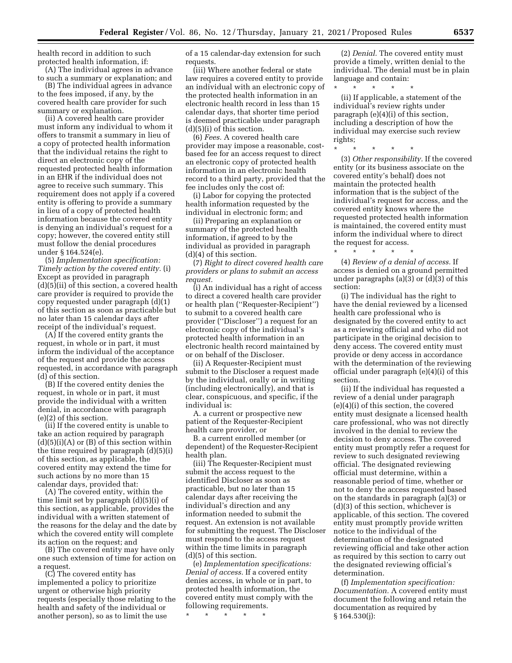health record in addition to such protected health information, if:

(A) The individual agrees in advance to such a summary or explanation; and

(B) The individual agrees in advance to the fees imposed, if any, by the covered health care provider for such summary or explanation.

(ii) A covered health care provider must inform any individual to whom it offers to transmit a summary in lieu of a copy of protected health information that the individual retains the right to direct an electronic copy of the requested protected health information in an EHR if the individual does not agree to receive such summary. This requirement does not apply if a covered entity is offering to provide a summary in lieu of a copy of protected health information because the covered entity is denying an individual's request for a copy; however, the covered entity still must follow the denial procedures under § 164.524(e).

(5) *Implementation specification: Timely action by the covered entity.* (i) Except as provided in paragraph (d)(5)(ii) of this section, a covered health care provider is required to provide the copy requested under paragraph (d)(1) of this section as soon as practicable but no later than 15 calendar days after receipt of the individual's request.

(A) If the covered entity grants the request, in whole or in part, it must inform the individual of the acceptance of the request and provide the access requested, in accordance with paragraph (d) of this section.

(B) If the covered entity denies the request, in whole or in part, it must provide the individual with a written denial, in accordance with paragraph (e)(2) of this section.

(ii) If the covered entity is unable to take an action required by paragraph  $(d)(5)(i)(A)$  or  $(B)$  of this section within the time required by paragraph (d)(5)(i) of this section, as applicable, the covered entity may extend the time for such actions by no more than 15 calendar days, provided that:

(A) The covered entity, within the time limit set by paragraph (d)(5)(i) of this section, as applicable, provides the individual with a written statement of the reasons for the delay and the date by which the covered entity will complete its action on the request; and

(B) The covered entity may have only one such extension of time for action on a request.

(C) The covered entity has implemented a policy to prioritize urgent or otherwise high priority requests (especially those relating to the health and safety of the individual or another person), so as to limit the use

of a 15 calendar-day extension for such requests.

(iii) Where another federal or state law requires a covered entity to provide an individual with an electronic copy of the protected health information in an electronic health record in less than 15 calendar days, that shorter time period is deemed practicable under paragraph  $(d)(5)(i)$  of this section.

(6) *Fees.* A covered health care provider may impose a reasonable, costbased fee for an access request to direct an electronic copy of protected health information in an electronic health record to a third party, provided that the fee includes only the cost of:

(i) Labor for copying the protected health information requested by the individual in electronic form; and

(ii) Preparing an explanation or summary of the protected health information, if agreed to by the individual as provided in paragraph (d)(4) of this section.

(7) *Right to direct covered health care providers or plans to submit an access request.* 

(i) An individual has a right of access to direct a covered health care provider or health plan (''Requester-Recipient'') to submit to a covered health care provider (''Discloser'') a request for an electronic copy of the individual's protected health information in an electronic health record maintained by or on behalf of the Discloser.

(ii) A Requester-Recipient must submit to the Discloser a request made by the individual, orally or in writing (including electronically), and that is clear, conspicuous, and specific, if the individual is:

A. a current or prospective new patient of the Requester-Recipient health care provider, or

B. a current enrolled member (or dependent) of the Requester-Recipient health plan.

(iii) The Requester-Recipient must submit the access request to the identified Discloser as soon as practicable, but no later than 15 calendar days after receiving the individual's direction and any information needed to submit the request. An extension is not available for submitting the request. The Discloser must respond to the access request within the time limits in paragraph (d)(5) of this section.

(e) *Implementation specifications: Denial of access.* If a covered entity denies access, in whole or in part, to protected health information, the covered entity must comply with the following requirements.

\* \* \* \* \*

(2) *Denial.* The covered entity must provide a timely, written denial to the individual. The denial must be in plain language and contain:

\* \* \* \* \*

(ii) If applicable, a statement of the individual's review rights under paragraph (e)(4)(i) of this section, including a description of how the individual may exercise such review rights;

\* \* \* \* \* (3) *Other responsibility.* If the covered entity (or its business associate on the covered entity's behalf) does not maintain the protected health information that is the subject of the individual's request for access, and the covered entity knows where the requested protected health information is maintained, the covered entity must inform the individual where to direct the request for access.

\* \* \* \* \*

(4) *Review of a denial of access.* If access is denied on a ground permitted under paragraphs (a)(3) or (d)(3) of this section:

(i) The individual has the right to have the denial reviewed by a licensed health care professional who is designated by the covered entity to act as a reviewing official and who did not participate in the original decision to deny access. The covered entity must provide or deny access in accordance with the determination of the reviewing official under paragraph (e)(4)(i) of this section.

(ii) If the individual has requested a review of a denial under paragraph (e)(4)(i) of this section, the covered entity must designate a licensed health care professional, who was not directly involved in the denial to review the decision to deny access. The covered entity must promptly refer a request for review to such designated reviewing official. The designated reviewing official must determine, within a reasonable period of time, whether or not to deny the access requested based on the standards in paragraph (a)(3) or (d)(3) of this section, whichever is applicable, of this section. The covered entity must promptly provide written notice to the individual of the determination of the designated reviewing official and take other action as required by this section to carry out the designated reviewing official's determination.

(f) *Implementation specification: Documentation.* A covered entity must document the following and retain the documentation as required by § 164.530(j):